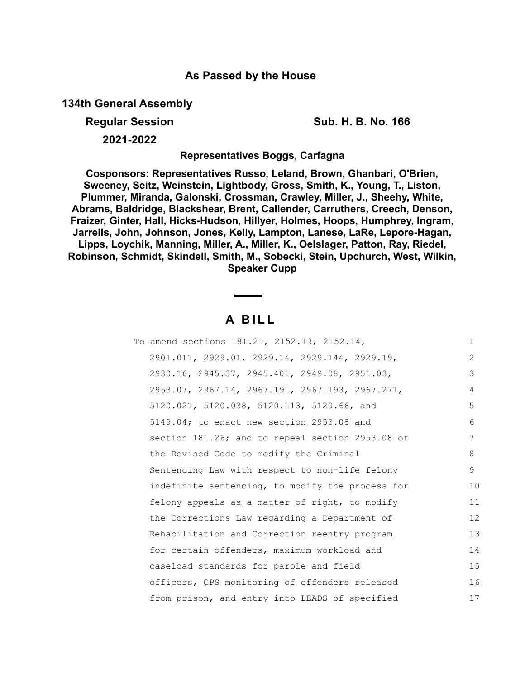# **As Passed by the House**

**134th General Assembly**

**Regular Session Sub. H. B. No. 166**

**2021-2022**

**Representatives Boggs, Carfagna**

**Cosponsors: Representatives Russo, Leland, Brown, Ghanbari, O'Brien, Sweeney, Seitz, Weinstein, Lightbody, Gross, Smith, K., Young, T., Liston, Plummer, Miranda, Galonski, Crossman, Crawley, Miller, J., Sheehy, White, Abrams, Baldridge, Blackshear, Brent, Callender, Carruthers, Creech, Denson, Fraizer, Ginter, Hall, Hicks-Hudson, Hillyer, Holmes, Hoops, Humphrey, Ingram, Jarrells, John, Johnson, Jones, Kelly, Lampton, Lanese, LaRe, Lepore-Hagan, Lipps, Loychik, Manning, Miller, A., Miller, K., Oelslager, Patton, Ray, Riedel, Robinson, Schmidt, Skindell, Smith, M., Sobecki, Stein, Upchurch, West, Wilkin, Speaker Cupp**

# **A B I L L**

| To amend sections 181.21, 2152.13, 2152.14,      | 1  |
|--------------------------------------------------|----|
| 2901.011, 2929.01, 2929.14, 2929.144, 2929.19,   | 2  |
| 2930.16, 2945.37, 2945.401, 2949.08, 2951.03,    | 3  |
| 2953.07, 2967.14, 2967.191, 2967.193, 2967.271,  | 4  |
| 5120.021, 5120.038, 5120.113, 5120.66, and       | 5  |
| 5149.04; to enact new section 2953.08 and        | 6  |
| section 181.26; and to repeal section 2953.08 of | 7  |
| the Revised Code to modify the Criminal          | 8  |
| Sentencing Law with respect to non-life felony   | 9  |
| indefinite sentencing, to modify the process for | 10 |
| felony appeals as a matter of right, to modify   | 11 |
| the Corrections Law regarding a Department of    | 12 |
| Rehabilitation and Correction reentry program    | 13 |
| for certain offenders, maximum workload and      | 14 |
| caseload standards for parole and field          | 15 |
| officers, GPS monitoring of offenders released   | 16 |
| from prison, and entry into LEADS of specified   | 17 |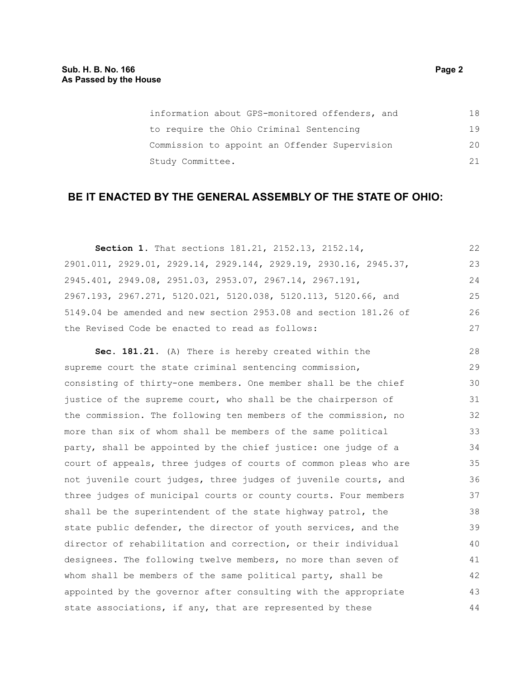| information about GPS-monitored offenders, and | 18 |
|------------------------------------------------|----|
| to require the Ohio Criminal Sentencing        | 19 |
| Commission to appoint an Offender Supervision  | 20 |
| Study Committee.                               |    |

# **BE IT ENACTED BY THE GENERAL ASSEMBLY OF THE STATE OF OHIO:**

| Section 1. That sections 181.21, 2152.13, 2152.14,               | 22 |
|------------------------------------------------------------------|----|
| 2901.011, 2929.01, 2929.14, 2929.144, 2929.19, 2930.16, 2945.37, | 23 |
| 2945.401, 2949.08, 2951.03, 2953.07, 2967.14, 2967.191,          | 24 |
| 2967.193, 2967.271, 5120.021, 5120.038, 5120.113, 5120.66, and   | 25 |
| 5149.04 be amended and new section 2953.08 and section 181.26 of | 26 |
| the Revised Code be enacted to read as follows:                  | 27 |
| Sec. 181.21. (A) There is hereby created within the              | 28 |
| supreme court the state criminal sentencing commission,          | 29 |
| consisting of thirty-one members. One member shall be the chief  | 30 |
| justice of the supreme court, who shall be the chairperson of    | 31 |
| the commission. The following ten members of the commission, no  | 32 |
| more than six of whom shall be members of the same political     | 33 |
| party, shall be appointed by the chief justice: one judge of a   | 34 |
| court of appeals, three judges of courts of common pleas who are | 35 |
| not juvenile court judges, three judges of juvenile courts, and  | 36 |
| three judges of municipal courts or county courts. Four members  | 37 |
| shall be the superintendent of the state highway patrol, the     | 38 |
| state public defender, the director of youth services, and the   | 39 |
| director of rehabilitation and correction, or their individual   | 40 |
| designees. The following twelve members, no more than seven of   | 41 |
| whom shall be members of the same political party, shall be      | 42 |
| appointed by the governor after consulting with the appropriate  | 43 |
| state associations, if any, that are represented by these        | 44 |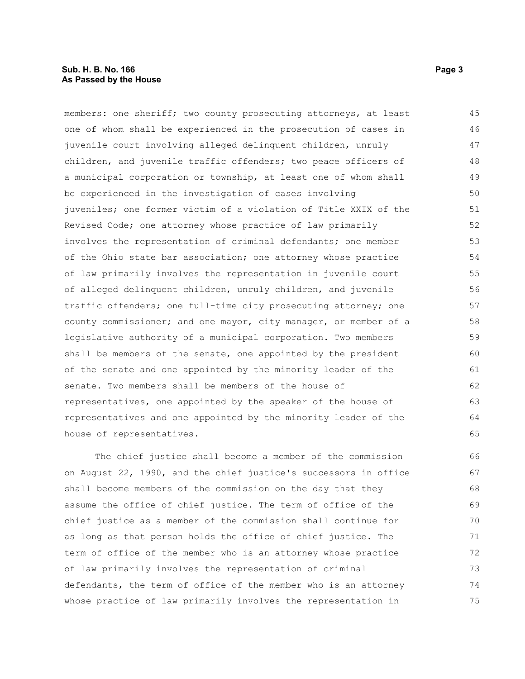members: one sheriff; two county prosecuting attorneys, at least one of whom shall be experienced in the prosecution of cases in juvenile court involving alleged delinquent children, unruly children, and juvenile traffic offenders; two peace officers of a municipal corporation or township, at least one of whom shall be experienced in the investigation of cases involving juveniles; one former victim of a violation of Title XXIX of the Revised Code; one attorney whose practice of law primarily involves the representation of criminal defendants; one member of the Ohio state bar association; one attorney whose practice of law primarily involves the representation in juvenile court of alleged delinquent children, unruly children, and juvenile traffic offenders; one full-time city prosecuting attorney; one county commissioner; and one mayor, city manager, or member of a legislative authority of a municipal corporation. Two members shall be members of the senate, one appointed by the president of the senate and one appointed by the minority leader of the senate. Two members shall be members of the house of representatives, one appointed by the speaker of the house of representatives and one appointed by the minority leader of the house of representatives. 45 46 47 48 49 50 51 52 53 54 55 56 57 58 59  $60$ 61 62 63 64 65

The chief justice shall become a member of the commission on August 22, 1990, and the chief justice's successors in office shall become members of the commission on the day that they assume the office of chief justice. The term of office of the chief justice as a member of the commission shall continue for as long as that person holds the office of chief justice. The term of office of the member who is an attorney whose practice of law primarily involves the representation of criminal defendants, the term of office of the member who is an attorney whose practice of law primarily involves the representation in 66 67 68 69 70 71 72 73 74 75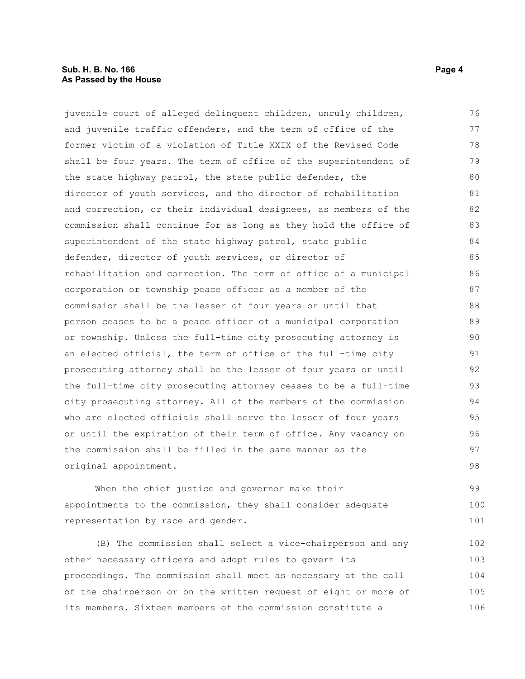# **Sub. H. B. No. 166 Page 4** Page 4 Page 4 Page 4 Page 4 Page 4 Page 4 Page 4 Page 4 Page 4 Page 4 Page 4 Page 4 Page 4 **As Passed by the House**

juvenile court of alleged delinquent children, unruly children, and juvenile traffic offenders, and the term of office of the former victim of a violation of Title XXIX of the Revised Code shall be four years. The term of office of the superintendent of the state highway patrol, the state public defender, the director of youth services, and the director of rehabilitation and correction, or their individual designees, as members of the commission shall continue for as long as they hold the office of superintendent of the state highway patrol, state public defender, director of youth services, or director of rehabilitation and correction. The term of office of a municipal corporation or township peace officer as a member of the commission shall be the lesser of four years or until that person ceases to be a peace officer of a municipal corporation or township. Unless the full-time city prosecuting attorney is an elected official, the term of office of the full-time city prosecuting attorney shall be the lesser of four years or until the full-time city prosecuting attorney ceases to be a full-time city prosecuting attorney. All of the members of the commission who are elected officials shall serve the lesser of four years or until the expiration of their term of office. Any vacancy on the commission shall be filled in the same manner as the original appointment. 76 77 78 79 80 81 82 83 84 85 86 87 88 89  $90$ 91 92 93 94 95 96 97 98

When the chief justice and governor make their appointments to the commission, they shall consider adequate representation by race and gender. 99 100 101

(B) The commission shall select a vice-chairperson and any other necessary officers and adopt rules to govern its proceedings. The commission shall meet as necessary at the call of the chairperson or on the written request of eight or more of its members. Sixteen members of the commission constitute a 102 103 104 105 106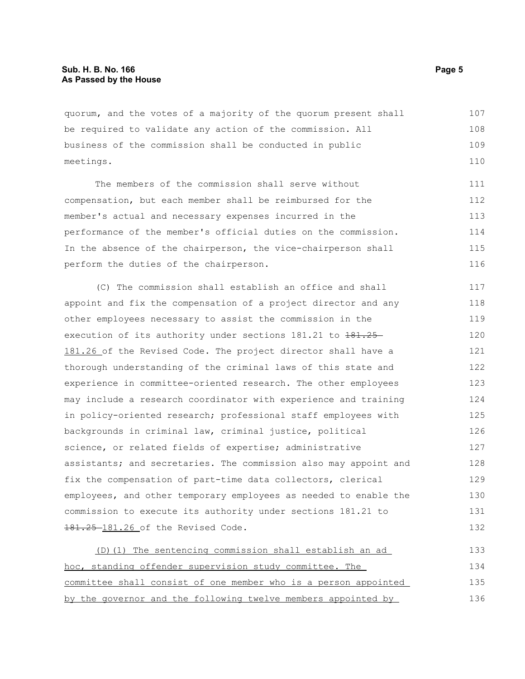# **Sub. H. B. No. 166 Page 5** Page 5 **As Passed by the House**

quorum, and the votes of a majority of the quorum present shall be required to validate any action of the commission. All business of the commission shall be conducted in public meetings. 107 108 109 110

The members of the commission shall serve without compensation, but each member shall be reimbursed for the member's actual and necessary expenses incurred in the performance of the member's official duties on the commission. In the absence of the chairperson, the vice-chairperson shall perform the duties of the chairperson. 111 112 113 114 115 116

(C) The commission shall establish an office and shall appoint and fix the compensation of a project director and any other employees necessary to assist the commission in the execution of its authority under sections 181.21 to  $181.25-$ 181.26 of the Revised Code. The project director shall have a thorough understanding of the criminal laws of this state and experience in committee-oriented research. The other employees may include a research coordinator with experience and training in policy-oriented research; professional staff employees with backgrounds in criminal law, criminal justice, political science, or related fields of expertise; administrative assistants; and secretaries. The commission also may appoint and fix the compensation of part-time data collectors, clerical employees, and other temporary employees as needed to enable the commission to execute its authority under sections 181.21 to 181.25-181.26 of the Revised Code. 117 118 119 120 121 122 123 124 125 126 127 128 129 130 131 132

(D)(1) The sentencing commission shall establish an ad hoc, standing offender supervision study committee. The committee shall consist of one member who is a person appointed by the governor and the following twelve members appointed by 133 134 135 136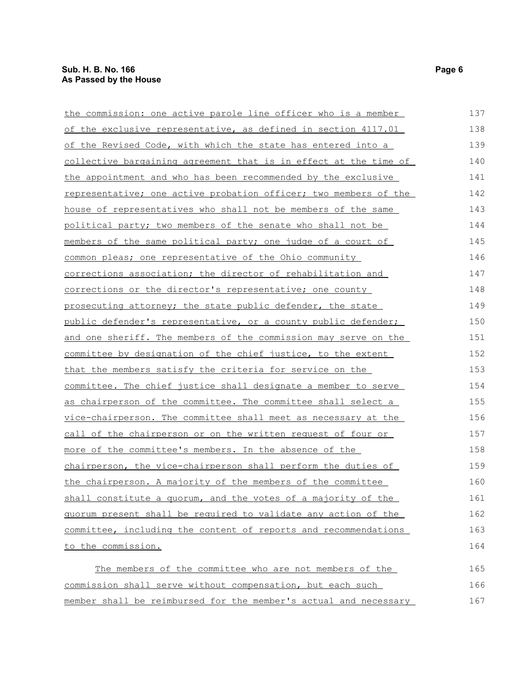| the commission: one active parole line officer who is a member        | 137 |
|-----------------------------------------------------------------------|-----|
| of the exclusive representative, as defined in section 4117.01        | 138 |
| of the Revised Code, with which the state has entered into a          | 139 |
| collective bargaining agreement that is in effect at the time of      | 140 |
| the appointment and who has been recommended by the exclusive         | 141 |
| representative; one active probation officer; two members of the      | 142 |
| house of representatives who shall not be members of the same         | 143 |
| political party; two members of the senate who shall not be           | 144 |
| members of the same political party; one judge of a court of          | 145 |
| common pleas; one representative of the Ohio community                | 146 |
| corrections association; the director of rehabilitation and           | 147 |
| corrections or the director's representative; one county              | 148 |
| prosecuting attorney; the state public defender, the state            | 149 |
| public defender's representative, or a county public defender;        | 150 |
| and one sheriff. The members of the commission may serve on the       | 151 |
| <u>committee by designation of the chief justice, to the extent</u>   | 152 |
| that the members satisfy the criteria for service on the              | 153 |
| committee. The chief justice shall designate a member to serve        | 154 |
| as chairperson of the committee. The committee shall select a         | 155 |
| <u>vice-chairperson. The committee shall meet as necessary at the</u> | 156 |
| call of the chairperson or on the written request of four or          | 157 |
| more of the committee's members. In the absence of the                | 158 |
| chairperson, the vice-chairperson shall perform the duties of         | 159 |
| the chairperson. A majority of the members of the committee           | 160 |
| shall constitute a quorum, and the votes of a majority of the         | 161 |
| guorum present shall be required to validate any action of the        | 162 |
| committee, including the content of reports and recommendations       | 163 |
| to the commission.                                                    | 164 |
| The members of the committee who are not members of the               | 165 |
| commission shall serve without compensation, but each such            | 166 |

member shall be reimbursed for the member's actual and necessary 167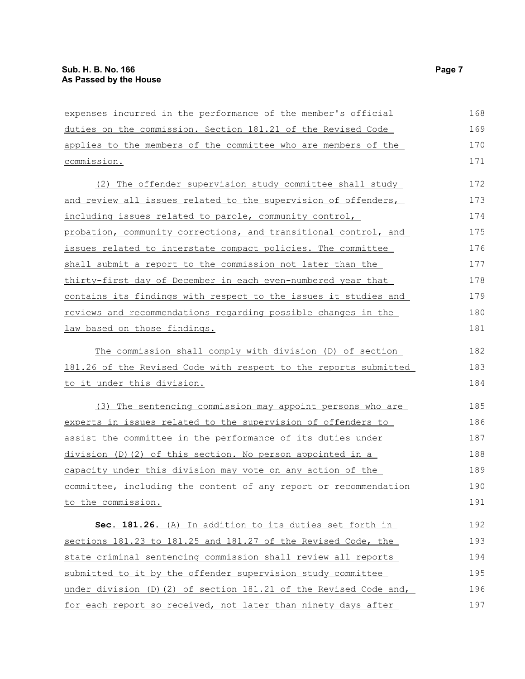| expenses incurred in the performance of the member's official     | 168 |
|-------------------------------------------------------------------|-----|
| duties on the commission. Section 181.21 of the Revised Code      | 169 |
| applies to the members of the committee who are members of the    | 170 |
| commission.                                                       | 171 |
| (2) The offender supervision study committee shall study          | 172 |
| and review all issues related to the supervision of offenders,    | 173 |
| including issues related to parole, community control,            | 174 |
| probation, community corrections, and transitional control, and   | 175 |
| issues related to interstate compact policies. The committee      | 176 |
| shall submit a report to the commission not later than the        | 177 |
| thirty-first day of December in each even-numbered year that      | 178 |
| contains its findings with respect to the issues it studies and   | 179 |
| reviews and recommendations regarding possible changes in the     | 180 |
| law based on those findings.                                      | 181 |
| The commission shall comply with division (D) of section          | 182 |
| 181.26 of the Revised Code with respect to the reports submitted  | 183 |
| <u>to it under this division.</u>                                 | 184 |
| (3) The sentencing commission may appoint persons who are         | 185 |
| experts in issues related to the supervision of offenders to      | 186 |
| assist the committee in the performance of its duties under       | 187 |
| $division (D) (2) of this section. No person appointed in a$      | 188 |
| capacity under this division may vote on any action of the        | 189 |
| committee, including the content of any report or recommendation  | 190 |
| to the commission.                                                | 191 |
| Sec. 181.26. (A) In addition to its duties set forth in           | 192 |
| sections 181.23 to 181.25 and 181.27 of the Revised Code, the     | 193 |
| state criminal sentencing commission shall review all reports     | 194 |
| submitted to it by the offender supervision study committee       | 195 |
| under division (D) (2) of section 181.21 of the Revised Code and, | 196 |
| for each report so received, not later than ninety days after     | 197 |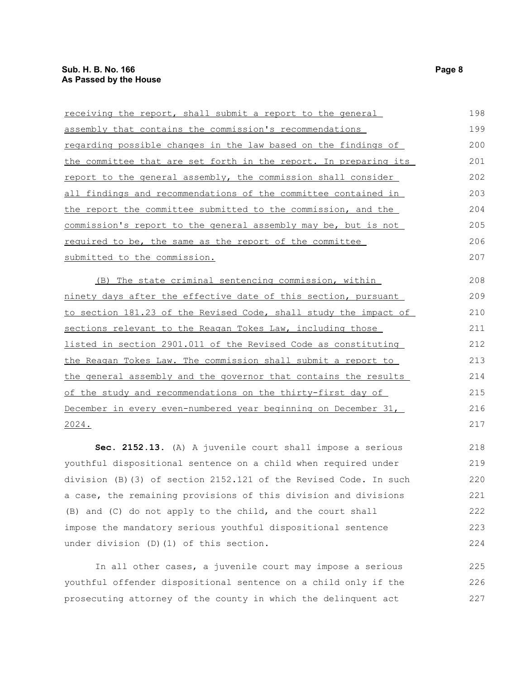| receiving the report, shall submit a report to the general       | 198 |
|------------------------------------------------------------------|-----|
| assembly that contains the commission's recommendations          | 199 |
| regarding possible changes in the law based on the findings of   | 200 |
| the committee that are set forth in the report. In preparing its | 201 |
| report to the general assembly, the commission shall consider    | 202 |
| all findings and recommendations of the committee contained in   | 203 |
| the report the committee submitted to the commission, and the    | 204 |
| commission's report to the general assembly may be, but is not   | 205 |
| required to be, the same as the report of the committee          | 206 |
| submitted to the commission.                                     | 207 |
| (B) The state criminal sentencing commission, within             | 208 |
| ninety days after the effective date of this section, pursuant   | 209 |
| to section 181.23 of the Revised Code, shall study the impact of | 210 |
| sections relevant to the Reagan Tokes Law, including those       | 211 |
| listed in section 2901.011 of the Revised Code as constituting   | 212 |
| the Reagan Tokes Law. The commission shall submit a report to    | 213 |
| the general assembly and the governor that contains the results  | 214 |
| of the study and recommendations on the thirty-first day of      | 215 |
| December in every even-numbered year beginning on December 31,   | 216 |
| 2024.                                                            | 217 |
| Sec. 2152.13. (A) A juvenile court shall impose a serious        | 218 |
| youthful dispositional sentence on a child when required under   | 219 |

division (B)(3) of section 2152.121 of the Revised Code. In such a case, the remaining provisions of this division and divisions (B) and (C) do not apply to the child, and the court shall impose the mandatory serious youthful dispositional sentence under division (D)(1) of this section. 220 221 222 223 224

In all other cases, a juvenile court may impose a serious youthful offender dispositional sentence on a child only if the prosecuting attorney of the county in which the delinquent act 225 226 227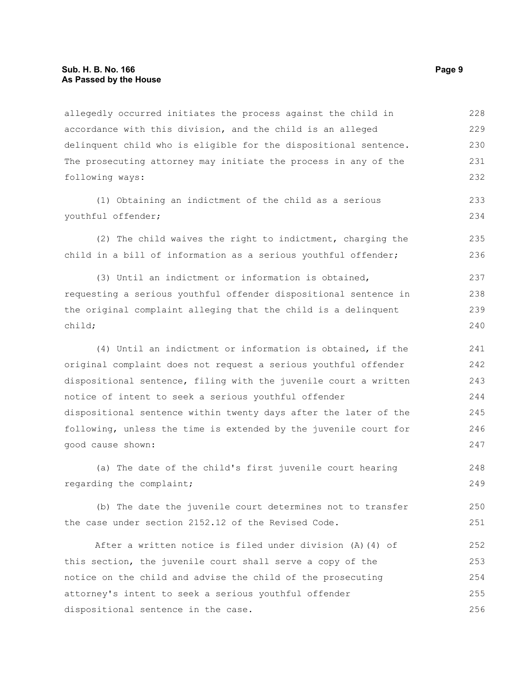allegedly occurred initiates the process against the child in accordance with this division, and the child is an alleged delinquent child who is eligible for the dispositional sentence. The prosecuting attorney may initiate the process in any of the following ways: 228 229 230 231 232

(1) Obtaining an indictment of the child as a serious youthful offender;

(2) The child waives the right to indictment, charging the child in a bill of information as a serious youthful offender; 235 236

(3) Until an indictment or information is obtained, requesting a serious youthful offender dispositional sentence in the original complaint alleging that the child is a delinquent child; 237 238 239 240

(4) Until an indictment or information is obtained, if the original complaint does not request a serious youthful offender dispositional sentence, filing with the juvenile court a written notice of intent to seek a serious youthful offender dispositional sentence within twenty days after the later of the following, unless the time is extended by the juvenile court for good cause shown: 241 242 243 244 245 246 247

(a) The date of the child's first juvenile court hearing regarding the complaint; 248 249

(b) The date the juvenile court determines not to transfer the case under section 2152.12 of the Revised Code. 250 251

After a written notice is filed under division (A)(4) of this section, the juvenile court shall serve a copy of the notice on the child and advise the child of the prosecuting attorney's intent to seek a serious youthful offender dispositional sentence in the case. 252 253 254 255 256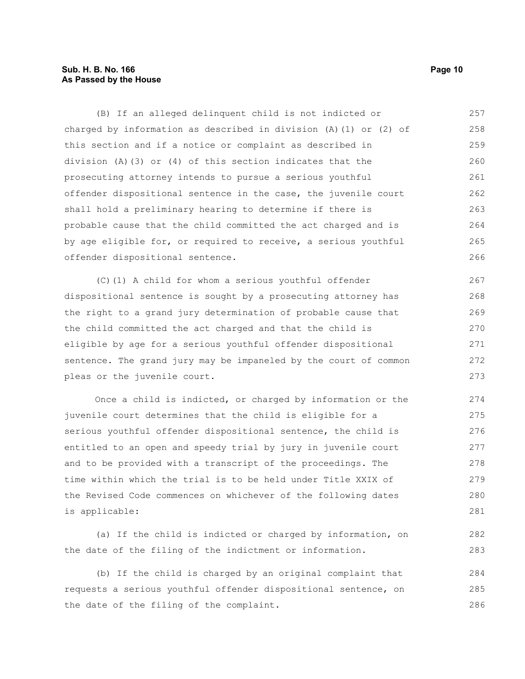# **Sub. H. B. No. 166 Page 10 As Passed by the House**

(B) If an alleged delinquent child is not indicted or charged by information as described in division (A)(1) or (2) of this section and if a notice or complaint as described in division (A)(3) or (4) of this section indicates that the prosecuting attorney intends to pursue a serious youthful offender dispositional sentence in the case, the juvenile court shall hold a preliminary hearing to determine if there is probable cause that the child committed the act charged and is by age eligible for, or required to receive, a serious youthful offender dispositional sentence. 257 258 259 260 261 262 263 264 265 266

(C)(1) A child for whom a serious youthful offender dispositional sentence is sought by a prosecuting attorney has the right to a grand jury determination of probable cause that the child committed the act charged and that the child is eligible by age for a serious youthful offender dispositional sentence. The grand jury may be impaneled by the court of common pleas or the juvenile court.

Once a child is indicted, or charged by information or the juvenile court determines that the child is eligible for a serious youthful offender dispositional sentence, the child is entitled to an open and speedy trial by jury in juvenile court and to be provided with a transcript of the proceedings. The time within which the trial is to be held under Title XXIX of the Revised Code commences on whichever of the following dates is applicable: 274 275 276 277 278 279 280 281

(a) If the child is indicted or charged by information, on the date of the filing of the indictment or information.

(b) If the child is charged by an original complaint that requests a serious youthful offender dispositional sentence, on the date of the filing of the complaint. 284 285 286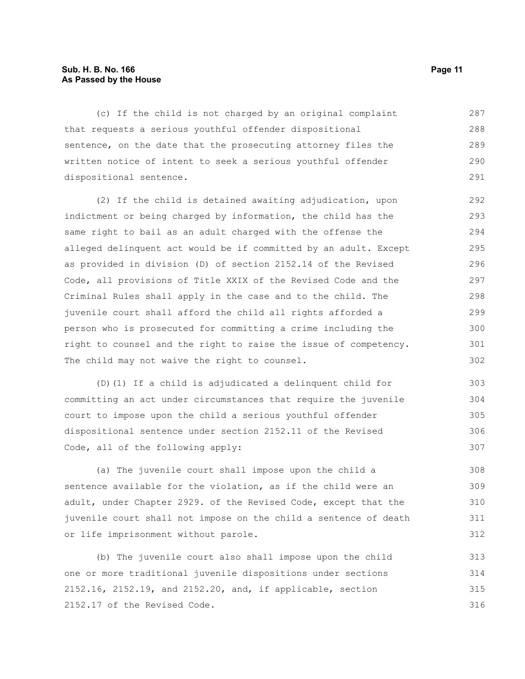# **Sub. H. B. No. 166 Page 11 As Passed by the House**

(c) If the child is not charged by an original complaint that requests a serious youthful offender dispositional sentence, on the date that the prosecuting attorney files the written notice of intent to seek a serious youthful offender dispositional sentence. 287 288 289 290 291

(2) If the child is detained awaiting adjudication, upon indictment or being charged by information, the child has the same right to bail as an adult charged with the offense the alleged delinquent act would be if committed by an adult. Except as provided in division (D) of section 2152.14 of the Revised Code, all provisions of Title XXIX of the Revised Code and the Criminal Rules shall apply in the case and to the child. The juvenile court shall afford the child all rights afforded a person who is prosecuted for committing a crime including the right to counsel and the right to raise the issue of competency. The child may not waive the right to counsel. 292 293 294 295 296 297 298 299 300 301 302

(D)(1) If a child is adjudicated a delinquent child for committing an act under circumstances that require the juvenile court to impose upon the child a serious youthful offender dispositional sentence under section 2152.11 of the Revised Code, all of the following apply: 303 304 305 306 307

(a) The juvenile court shall impose upon the child a sentence available for the violation, as if the child were an adult, under Chapter 2929. of the Revised Code, except that the juvenile court shall not impose on the child a sentence of death or life imprisonment without parole.

(b) The juvenile court also shall impose upon the child one or more traditional juvenile dispositions under sections 2152.16, 2152.19, and 2152.20, and, if applicable, section 2152.17 of the Revised Code. 313 314 315 316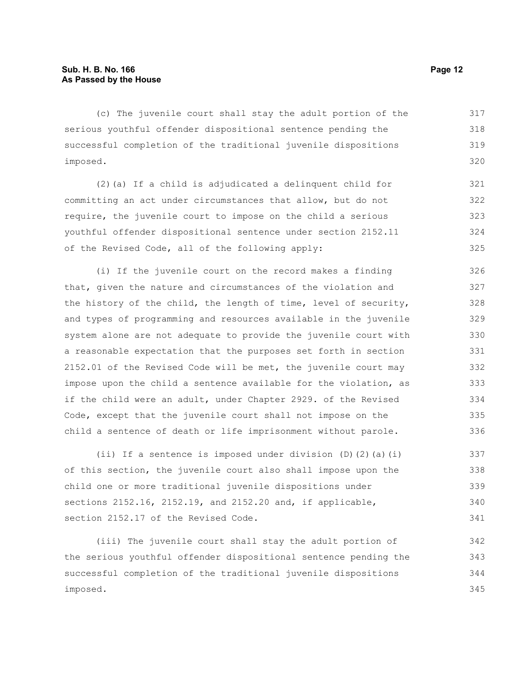(c) The juvenile court shall stay the adult portion of the serious youthful offender dispositional sentence pending the successful completion of the traditional juvenile dispositions imposed. 317 318 319 320

(2)(a) If a child is adjudicated a delinquent child for committing an act under circumstances that allow, but do not require, the juvenile court to impose on the child a serious youthful offender dispositional sentence under section 2152.11 of the Revised Code, all of the following apply: 321 322 323 324 325

(i) If the juvenile court on the record makes a finding that, given the nature and circumstances of the violation and the history of the child, the length of time, level of security, and types of programming and resources available in the juvenile system alone are not adequate to provide the juvenile court with a reasonable expectation that the purposes set forth in section 2152.01 of the Revised Code will be met, the juvenile court may impose upon the child a sentence available for the violation, as if the child were an adult, under Chapter 2929. of the Revised Code, except that the juvenile court shall not impose on the child a sentence of death or life imprisonment without parole. 326 327 328 329 330 331 332 333 334 335 336

(ii) If a sentence is imposed under division (D)(2)(a)(i) of this section, the juvenile court also shall impose upon the child one or more traditional juvenile dispositions under sections 2152.16, 2152.19, and 2152.20 and, if applicable, section 2152.17 of the Revised Code. 337 338 339 340 341

(iii) The juvenile court shall stay the adult portion of the serious youthful offender dispositional sentence pending the successful completion of the traditional juvenile dispositions imposed.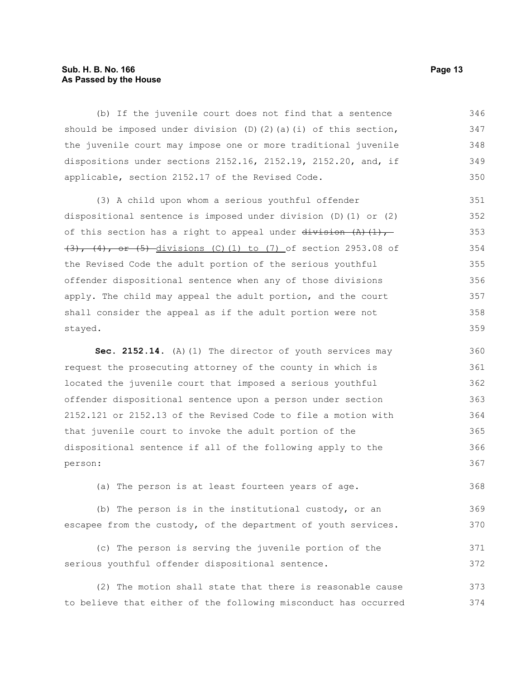# **Sub. H. B. No. 166 Page 13 As Passed by the House**

(b) If the juvenile court does not find that a sentence should be imposed under division (D)(2)(a)(i) of this section, the juvenile court may impose one or more traditional juvenile dispositions under sections 2152.16, 2152.19, 2152.20, and, if applicable, section 2152.17 of the Revised Code. 346 347 348 349 350

(3) A child upon whom a serious youthful offender dispositional sentence is imposed under division (D)(1) or (2) of this section has a right to appeal under  $\frac{div}{div} = \frac{A + B}{A} + \frac{B}{A}$ (3), (4), or (5) divisions (C)(1) to (7) of section 2953.08 of the Revised Code the adult portion of the serious youthful offender dispositional sentence when any of those divisions apply. The child may appeal the adult portion, and the court shall consider the appeal as if the adult portion were not stayed. 351 352 353 354 355 356 357 358 359

**Sec. 2152.14.** (A)(1) The director of youth services may request the prosecuting attorney of the county in which is located the juvenile court that imposed a serious youthful offender dispositional sentence upon a person under section 2152.121 or 2152.13 of the Revised Code to file a motion with that juvenile court to invoke the adult portion of the dispositional sentence if all of the following apply to the person: 360 361 362 363 364 365 366 367

(a) The person is at least fourteen years of age.

(b) The person is in the institutional custody, or an escapee from the custody, of the department of youth services.

(c) The person is serving the juvenile portion of the serious youthful offender dispositional sentence. 371 372

(2) The motion shall state that there is reasonable cause to believe that either of the following misconduct has occurred 373 374

368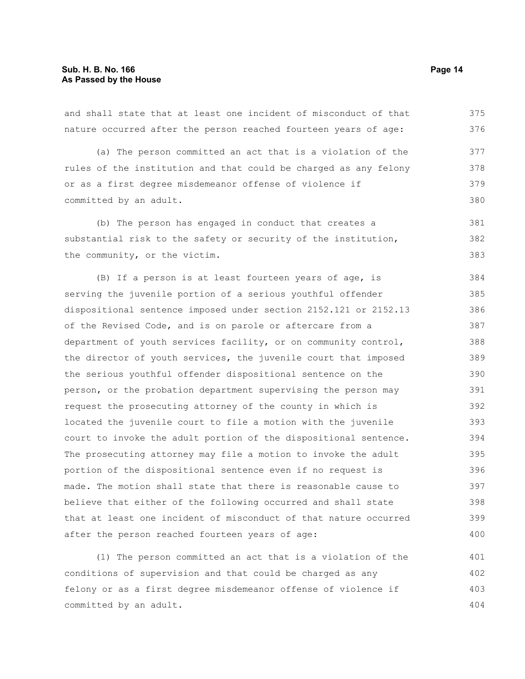and shall state that at least one incident of misconduct of that nature occurred after the person reached fourteen years of age: (a) The person committed an act that is a violation of the rules of the institution and that could be charged as any felony or as a first degree misdemeanor offense of violence if committed by an adult. (b) The person has engaged in conduct that creates a substantial risk to the safety or security of the institution, the community, or the victim. (B) If a person is at least fourteen years of age, is serving the juvenile portion of a serious youthful offender dispositional sentence imposed under section 2152.121 or 2152.13 of the Revised Code, and is on parole or aftercare from a department of youth services facility, or on community control, the director of youth services, the juvenile court that imposed the serious youthful offender dispositional sentence on the person, or the probation department supervising the person may request the prosecuting attorney of the county in which is located the juvenile court to file a motion with the juvenile court to invoke the adult portion of the dispositional sentence. The prosecuting attorney may file a motion to invoke the adult 375 376 377 378 379 380 381 382 383 384 385 386 387 388 389 390 391 392 393 394 395

portion of the dispositional sentence even if no request is made. The motion shall state that there is reasonable cause to believe that either of the following occurred and shall state that at least one incident of misconduct of that nature occurred after the person reached fourteen years of age: 396 397 398 399 400

(1) The person committed an act that is a violation of the conditions of supervision and that could be charged as any felony or as a first degree misdemeanor offense of violence if committed by an adult. 401 402 403 404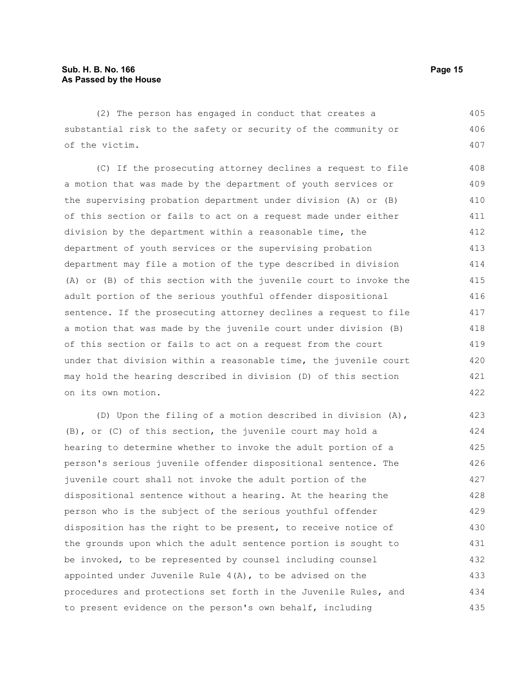(2) The person has engaged in conduct that creates a substantial risk to the safety or security of the community or of the victim. 405 406 407

(C) If the prosecuting attorney declines a request to file a motion that was made by the department of youth services or the supervising probation department under division (A) or (B) of this section or fails to act on a request made under either division by the department within a reasonable time, the department of youth services or the supervising probation department may file a motion of the type described in division (A) or (B) of this section with the juvenile court to invoke the adult portion of the serious youthful offender dispositional sentence. If the prosecuting attorney declines a request to file a motion that was made by the juvenile court under division (B) of this section or fails to act on a request from the court under that division within a reasonable time, the juvenile court may hold the hearing described in division (D) of this section on its own motion. 408 409 410 411 412 413 414 415 416 417 418 419 420 421 422

(D) Upon the filing of a motion described in division (A), (B), or (C) of this section, the juvenile court may hold a hearing to determine whether to invoke the adult portion of a person's serious juvenile offender dispositional sentence. The juvenile court shall not invoke the adult portion of the dispositional sentence without a hearing. At the hearing the person who is the subject of the serious youthful offender disposition has the right to be present, to receive notice of the grounds upon which the adult sentence portion is sought to be invoked, to be represented by counsel including counsel appointed under Juvenile Rule  $4(A)$ , to be advised on the procedures and protections set forth in the Juvenile Rules, and to present evidence on the person's own behalf, including 423 424 425 426 427 428 429 430 431 432 433 434 435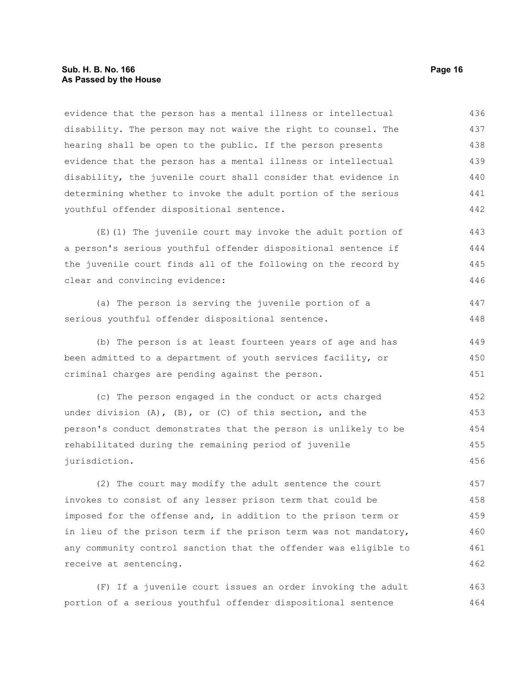# **Sub. H. B. No. 166 Page 16 As Passed by the House**

evidence that the person has a mental illness or intellectual disability. The person may not waive the right to counsel. The hearing shall be open to the public. If the person presents evidence that the person has a mental illness or intellectual disability, the juvenile court shall consider that evidence in determining whether to invoke the adult portion of the serious youthful offender dispositional sentence. 436 437 438 439 440 441 442

(E)(1) The juvenile court may invoke the adult portion of a person's serious youthful offender dispositional sentence if the juvenile court finds all of the following on the record by clear and convincing evidence: 443 444 445 446

(a) The person is serving the juvenile portion of a serious youthful offender dispositional sentence. 447 448

(b) The person is at least fourteen years of age and has been admitted to a department of youth services facility, or criminal charges are pending against the person. 449 450 451

(c) The person engaged in the conduct or acts charged under division (A), (B), or (C) of this section, and the person's conduct demonstrates that the person is unlikely to be rehabilitated during the remaining period of juvenile jurisdiction. 452 453 454 455 456

(2) The court may modify the adult sentence the court invokes to consist of any lesser prison term that could be imposed for the offense and, in addition to the prison term or in lieu of the prison term if the prison term was not mandatory, any community control sanction that the offender was eligible to receive at sentencing. 457 458 459 460 461 462

(F) If a juvenile court issues an order invoking the adult portion of a serious youthful offender dispositional sentence 463 464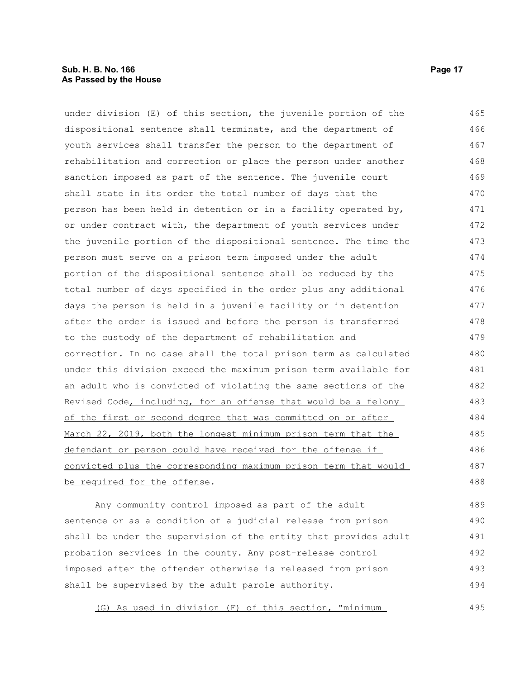under division (E) of this section, the juvenile portion of the dispositional sentence shall terminate, and the department of youth services shall transfer the person to the department of rehabilitation and correction or place the person under another sanction imposed as part of the sentence. The juvenile court shall state in its order the total number of days that the person has been held in detention or in a facility operated by, or under contract with, the department of youth services under the juvenile portion of the dispositional sentence. The time the person must serve on a prison term imposed under the adult portion of the dispositional sentence shall be reduced by the total number of days specified in the order plus any additional days the person is held in a juvenile facility or in detention after the order is issued and before the person is transferred to the custody of the department of rehabilitation and correction. In no case shall the total prison term as calculated under this division exceed the maximum prison term available for an adult who is convicted of violating the same sections of the Revised Code, including, for an offense that would be a felony of the first or second degree that was committed on or after March 22, 2019, both the longest minimum prison term that the defendant or person could have received for the offense if convicted plus the corresponding maximum prison term that would be required for the offense. 465 466 467 468 469 470 471 472 473 474 475 476 477 478 479 480 481 482 483 484 485 486 487 488

Any community control imposed as part of the adult sentence or as a condition of a judicial release from prison shall be under the supervision of the entity that provides adult probation services in the county. Any post-release control imposed after the offender otherwise is released from prison shall be supervised by the adult parole authority. 489 490 491 492 493 494

(G) As used in division (F) of this section, "minimum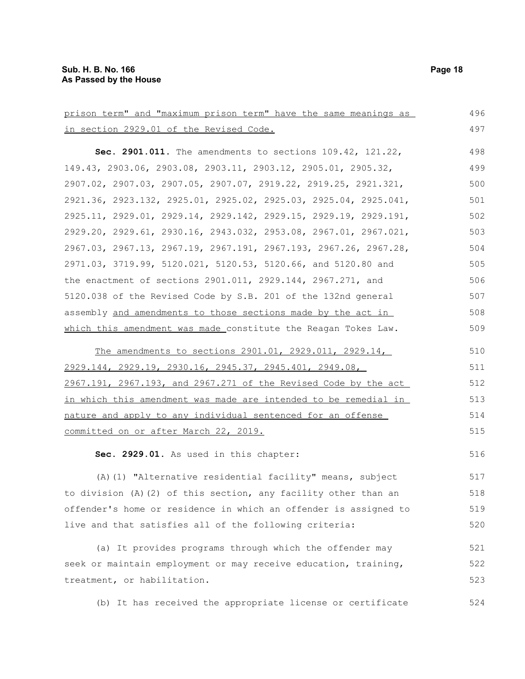| prison term" and "maximum prison term" have the same meanings as | 496 |
|------------------------------------------------------------------|-----|
| in section 2929.01 of the Revised Code.                          | 497 |
| Sec. 2901.011. The amendments to sections 109.42, 121.22,        | 498 |
|                                                                  |     |
| 149.43, 2903.06, 2903.08, 2903.11, 2903.12, 2905.01, 2905.32,    | 499 |
| 2907.02, 2907.03, 2907.05, 2907.07, 2919.22, 2919.25, 2921.321,  | 500 |
| 2921.36, 2923.132, 2925.01, 2925.02, 2925.03, 2925.04, 2925.041, | 501 |
| 2925.11, 2929.01, 2929.14, 2929.142, 2929.15, 2929.19, 2929.191, | 502 |
| 2929.20, 2929.61, 2930.16, 2943.032, 2953.08, 2967.01, 2967.021, | 503 |
| 2967.03, 2967.13, 2967.19, 2967.191, 2967.193, 2967.26, 2967.28, | 504 |
| 2971.03, 3719.99, 5120.021, 5120.53, 5120.66, and 5120.80 and    | 505 |
| the enactment of sections 2901.011, 2929.144, 2967.271, and      | 506 |
| 5120.038 of the Revised Code by S.B. 201 of the 132nd general    | 507 |
| assembly and amendments to those sections made by the act in     | 508 |
| which this amendment was made constitute the Reagan Tokes Law.   | 509 |
| The amendments to sections 2901.01, 2929.011, 2929.14,           | 510 |
| $2929.144$ , 2929.19, 2930.16, 2945.37, 2945.401, 2949.08,       | 511 |
| 2967.191, 2967.193, and 2967.271 of the Revised Code by the act  | 512 |
| in which this amendment was made are intended to be remedial in  | 513 |
| nature and apply to any individual sentenced for an offense      | 514 |
| committed on or after March 22, 2019.                            | 515 |
| Sec. 2929.01. As used in this chapter:                           | 516 |
| (A) (1) "Alternative residential facility" means, subject        | 517 |
| to division (A) (2) of this section, any facility other than an  | 518 |
| offender's home or residence in which an offender is assigned to | 519 |
| live and that satisfies all of the following criteria:           | 520 |
| (a) It provides programs through which the offender may          | 521 |
| seek or maintain employment or may receive education, training,  | 522 |
| treatment, or habilitation.                                      | 523 |
| (b) It has received the appropriate license or certificate       | 524 |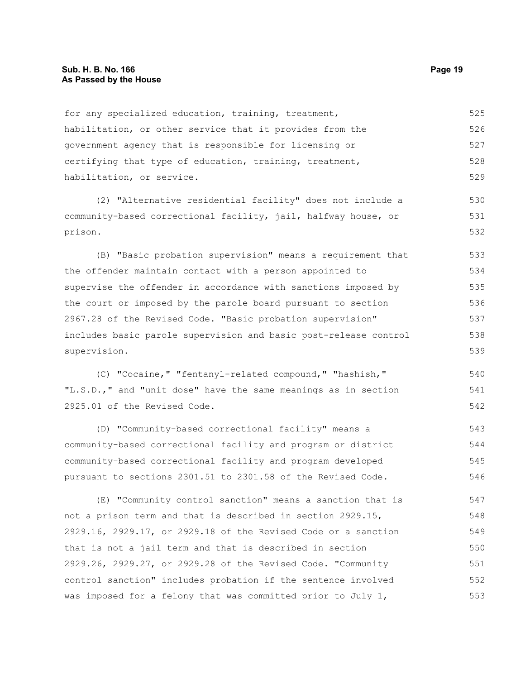#### **Sub. H. B. No. 166 Page 19 As Passed by the House**

for any specialized education, training, treatment, habilitation, or other service that it provides from the government agency that is responsible for licensing or certifying that type of education, training, treatment, habilitation, or service. 525 526 527 528 529

(2) "Alternative residential facility" does not include a community-based correctional facility, jail, halfway house, or prison.

(B) "Basic probation supervision" means a requirement that the offender maintain contact with a person appointed to supervise the offender in accordance with sanctions imposed by the court or imposed by the parole board pursuant to section 2967.28 of the Revised Code. "Basic probation supervision" includes basic parole supervision and basic post-release control supervision. 533 534 535 536 537 538 539

(C) "Cocaine," "fentanyl-related compound," "hashish," "L.S.D.," and "unit dose" have the same meanings as in section 2925.01 of the Revised Code.

(D) "Community-based correctional facility" means a community-based correctional facility and program or district community-based correctional facility and program developed pursuant to sections 2301.51 to 2301.58 of the Revised Code. 543 544 545 546

(E) "Community control sanction" means a sanction that is not a prison term and that is described in section 2929.15, 2929.16, 2929.17, or 2929.18 of the Revised Code or a sanction that is not a jail term and that is described in section 2929.26, 2929.27, or 2929.28 of the Revised Code. "Community control sanction" includes probation if the sentence involved was imposed for a felony that was committed prior to July 1, 547 548 549 550 551 552 553

530 531 532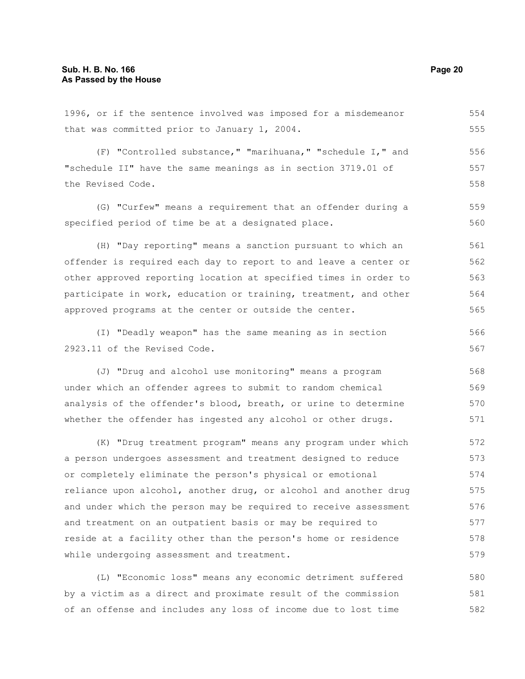1996, or if the sentence involved was imposed for a misdemeanor that was committed prior to January 1, 2004. 554 555

(F) "Controlled substance," "marihuana," "schedule I," and "schedule II" have the same meanings as in section 3719.01 of the Revised Code. 556 557 558

(G) "Curfew" means a requirement that an offender during a specified period of time be at a designated place.

(H) "Day reporting" means a sanction pursuant to which an offender is required each day to report to and leave a center or other approved reporting location at specified times in order to participate in work, education or training, treatment, and other approved programs at the center or outside the center. 561 562 563 564 565

(I) "Deadly weapon" has the same meaning as in section 2923.11 of the Revised Code. 566 567

(J) "Drug and alcohol use monitoring" means a program under which an offender agrees to submit to random chemical analysis of the offender's blood, breath, or urine to determine whether the offender has ingested any alcohol or other drugs. 568 569 570 571

(K) "Drug treatment program" means any program under which a person undergoes assessment and treatment designed to reduce or completely eliminate the person's physical or emotional reliance upon alcohol, another drug, or alcohol and another drug and under which the person may be required to receive assessment and treatment on an outpatient basis or may be required to reside at a facility other than the person's home or residence while undergoing assessment and treatment. 572 573 574 575 576 577 578 579

(L) "Economic loss" means any economic detriment suffered by a victim as a direct and proximate result of the commission of an offense and includes any loss of income due to lost time 580 581 582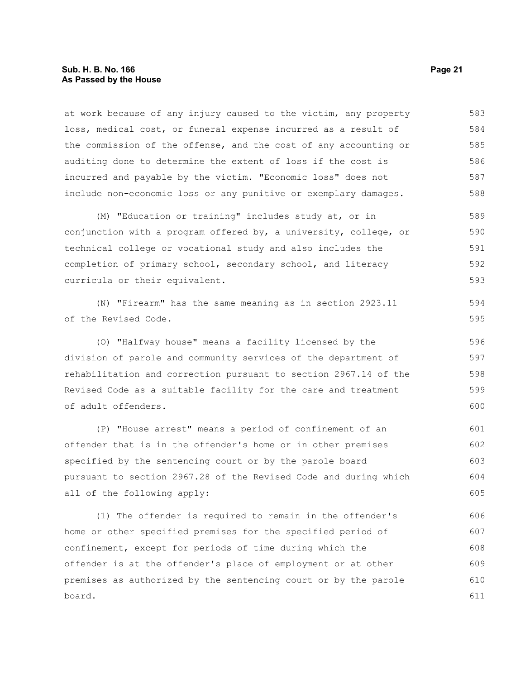### **Sub. H. B. No. 166 Page 21 As Passed by the House**

at work because of any injury caused to the victim, any property loss, medical cost, or funeral expense incurred as a result of the commission of the offense, and the cost of any accounting or auditing done to determine the extent of loss if the cost is incurred and payable by the victim. "Economic loss" does not include non-economic loss or any punitive or exemplary damages. 583 584 585 586 587 588

(M) "Education or training" includes study at, or in conjunction with a program offered by, a university, college, or technical college or vocational study and also includes the completion of primary school, secondary school, and literacy curricula or their equivalent. 589 590 591 592 593

(N) "Firearm" has the same meaning as in section 2923.11 of the Revised Code.

(O) "Halfway house" means a facility licensed by the division of parole and community services of the department of rehabilitation and correction pursuant to section 2967.14 of the Revised Code as a suitable facility for the care and treatment of adult offenders.

(P) "House arrest" means a period of confinement of an offender that is in the offender's home or in other premises specified by the sentencing court or by the parole board pursuant to section 2967.28 of the Revised Code and during which all of the following apply: 601 602 603 604 605

(1) The offender is required to remain in the offender's home or other specified premises for the specified period of confinement, except for periods of time during which the offender is at the offender's place of employment or at other premises as authorized by the sentencing court or by the parole board. 606 607 608 609 610 611

594 595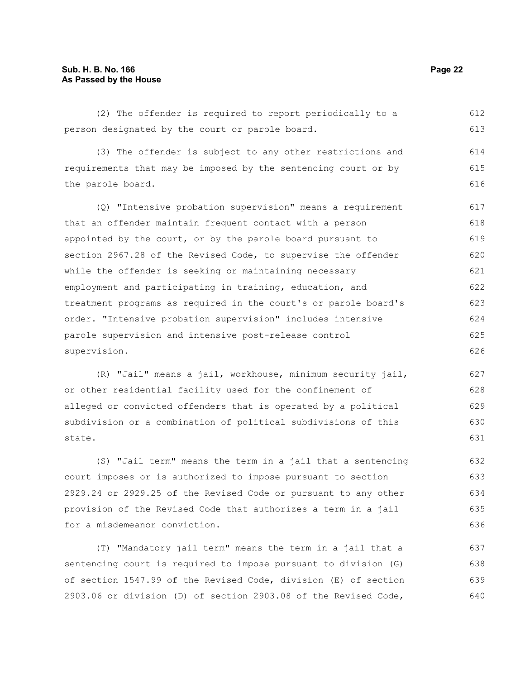# **Sub. H. B. No. 166 Page 22 As Passed by the House**

(2) The offender is required to report periodically to a person designated by the court or parole board. 612 613

(3) The offender is subject to any other restrictions and requirements that may be imposed by the sentencing court or by the parole board. 614 615 616

(Q) "Intensive probation supervision" means a requirement that an offender maintain frequent contact with a person appointed by the court, or by the parole board pursuant to section 2967.28 of the Revised Code, to supervise the offender while the offender is seeking or maintaining necessary employment and participating in training, education, and treatment programs as required in the court's or parole board's order. "Intensive probation supervision" includes intensive parole supervision and intensive post-release control supervision. 617 618 619 620 621 622 623 624 625 626

(R) "Jail" means a jail, workhouse, minimum security jail, or other residential facility used for the confinement of alleged or convicted offenders that is operated by a political subdivision or a combination of political subdivisions of this state. 627 628 629 630 631

(S) "Jail term" means the term in a jail that a sentencing court imposes or is authorized to impose pursuant to section 2929.24 or 2929.25 of the Revised Code or pursuant to any other provision of the Revised Code that authorizes a term in a jail for a misdemeanor conviction.

(T) "Mandatory jail term" means the term in a jail that a sentencing court is required to impose pursuant to division (G) of section 1547.99 of the Revised Code, division (E) of section 2903.06 or division (D) of section 2903.08 of the Revised Code, 637 638 639 640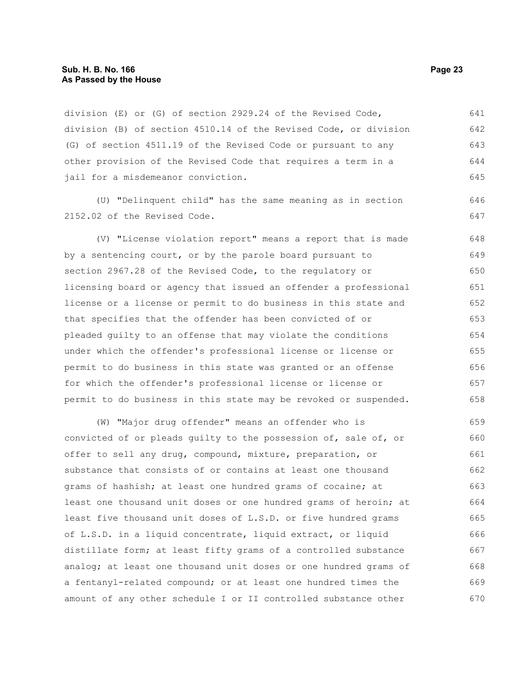#### **Sub. H. B. No. 166 Page 23 As Passed by the House**

division (E) or (G) of section 2929.24 of the Revised Code, division (B) of section 4510.14 of the Revised Code, or division (G) of section 4511.19 of the Revised Code or pursuant to any other provision of the Revised Code that requires a term in a jail for a misdemeanor conviction. 641 642 643 644 645

(U) "Delinquent child" has the same meaning as in section 2152.02 of the Revised Code.

(V) "License violation report" means a report that is made by a sentencing court, or by the parole board pursuant to section 2967.28 of the Revised Code, to the regulatory or licensing board or agency that issued an offender a professional license or a license or permit to do business in this state and that specifies that the offender has been convicted of or pleaded guilty to an offense that may violate the conditions under which the offender's professional license or license or permit to do business in this state was granted or an offense for which the offender's professional license or license or permit to do business in this state may be revoked or suspended. 648 649 650 651 652 653 654 655 656 657 658

(W) "Major drug offender" means an offender who is convicted of or pleads guilty to the possession of, sale of, or offer to sell any drug, compound, mixture, preparation, or substance that consists of or contains at least one thousand grams of hashish; at least one hundred grams of cocaine; at least one thousand unit doses or one hundred grams of heroin; at least five thousand unit doses of L.S.D. or five hundred grams of L.S.D. in a liquid concentrate, liquid extract, or liquid distillate form; at least fifty grams of a controlled substance analog; at least one thousand unit doses or one hundred grams of a fentanyl-related compound; or at least one hundred times the amount of any other schedule I or II controlled substance other 659 660 661 662 663 664 665 666 667 668 669 670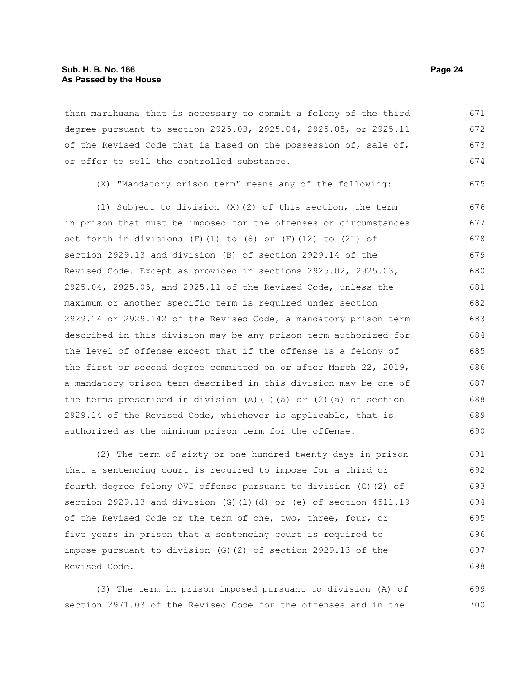than marihuana that is necessary to commit a felony of the third degree pursuant to section 2925.03, 2925.04, 2925.05, or 2925.11 of the Revised Code that is based on the possession of, sale of, or offer to sell the controlled substance. 671 672 673 674

(X) "Mandatory prison term" means any of the following: 675

(1) Subject to division (X)(2) of this section, the term in prison that must be imposed for the offenses or circumstances set forth in divisions  $(F)(1)$  to  $(8)$  or  $(F)(12)$  to  $(21)$  of section 2929.13 and division (B) of section 2929.14 of the Revised Code. Except as provided in sections 2925.02, 2925.03, 2925.04, 2925.05, and 2925.11 of the Revised Code, unless the maximum or another specific term is required under section 2929.14 or 2929.142 of the Revised Code, a mandatory prison term described in this division may be any prison term authorized for the level of offense except that if the offense is a felony of the first or second degree committed on or after March 22, 2019, a mandatory prison term described in this division may be one of the terms prescribed in division  $(A)$   $(1)$   $(a)$  or  $(2)$   $(a)$  of section 2929.14 of the Revised Code, whichever is applicable, that is authorized as the minimum prison term for the offense. 676 677 678 679 680 681 682 683 684 685 686 687 688 689 690

(2) The term of sixty or one hundred twenty days in prison that a sentencing court is required to impose for a third or fourth degree felony OVI offense pursuant to division (G)(2) of section 2929.13 and division (G)(1)(d) or (e) of section 4511.19 of the Revised Code or the term of one, two, three, four, or five years in prison that a sentencing court is required to impose pursuant to division (G)(2) of section 2929.13 of the Revised Code. 691 692 693 694 695 696 697 698

(3) The term in prison imposed pursuant to division (A) of section 2971.03 of the Revised Code for the offenses and in the 699 700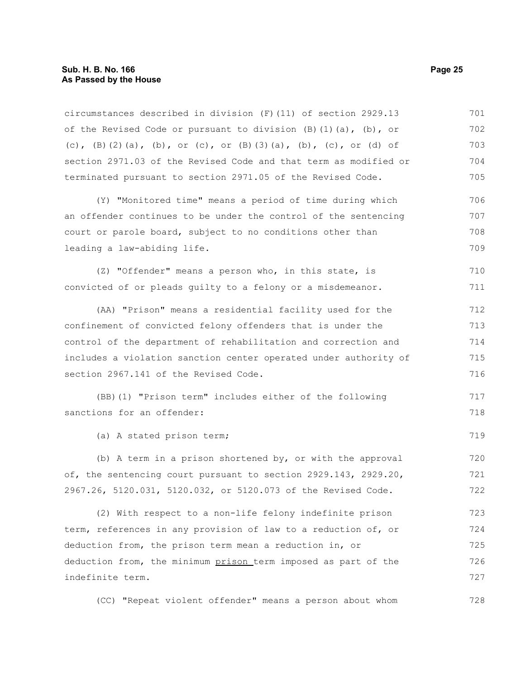indefinite term.

circumstances described in division (F)(11) of section 2929.13 of the Revised Code or pursuant to division  $(B)$   $(1)$   $(a)$ ,  $(b)$ , or (c),  $(B)$ (2)(a), (b), or (c), or  $(B)$ (3)(a), (b), (c), or (d) of section 2971.03 of the Revised Code and that term as modified or terminated pursuant to section 2971.05 of the Revised Code. (Y) "Monitored time" means a period of time during which an offender continues to be under the control of the sentencing court or parole board, subject to no conditions other than leading a law-abiding life. (Z) "Offender" means a person who, in this state, is convicted of or pleads guilty to a felony or a misdemeanor. (AA) "Prison" means a residential facility used for the confinement of convicted felony offenders that is under the control of the department of rehabilitation and correction and includes a violation sanction center operated under authority of section 2967.141 of the Revised Code. (BB)(1) "Prison term" includes either of the following sanctions for an offender: (a) A stated prison term; (b) A term in a prison shortened by, or with the approval of, the sentencing court pursuant to section 2929.143, 2929.20, 2967.26, 5120.031, 5120.032, or 5120.073 of the Revised Code. (2) With respect to a non-life felony indefinite prison term, references in any provision of law to a reduction of, or deduction from, the prison term mean a reduction in, or deduction from, the minimum prison term imposed as part of the 701 702 703 704 705 706 707 708 709 710 711 712 713 714 715 716 717 718 719 720 721 722 723 724 725 726

(CC) "Repeat violent offender" means a person about whom 728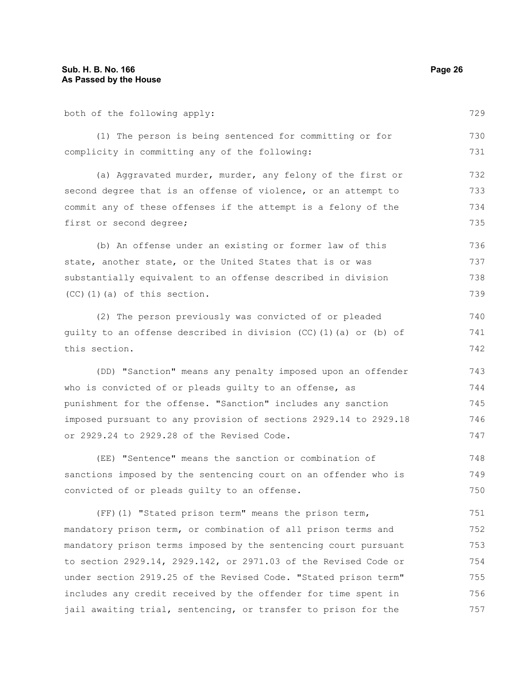both of the following apply:

(1) The person is being sentenced for committing or for complicity in committing any of the following: 730 731

(a) Aggravated murder, murder, any felony of the first or second degree that is an offense of violence, or an attempt to commit any of these offenses if the attempt is a felony of the first or second degree; 734 735

(b) An offense under an existing or former law of this state, another state, or the United States that is or was substantially equivalent to an offense described in division (CC)(1)(a) of this section. 736 737 738 739

(2) The person previously was convicted of or pleaded guilty to an offense described in division (CC)(1)(a) or (b) of this section.

(DD) "Sanction" means any penalty imposed upon an offender who is convicted of or pleads guilty to an offense, as punishment for the offense. "Sanction" includes any sanction imposed pursuant to any provision of sections 2929.14 to 2929.18 or 2929.24 to 2929.28 of the Revised Code.

(EE) "Sentence" means the sanction or combination of sanctions imposed by the sentencing court on an offender who is convicted of or pleads guilty to an offense. 748 749 750

(FF)(1) "Stated prison term" means the prison term, mandatory prison term, or combination of all prison terms and mandatory prison terms imposed by the sentencing court pursuant to section 2929.14, 2929.142, or 2971.03 of the Revised Code or under section 2919.25 of the Revised Code. "Stated prison term" includes any credit received by the offender for time spent in jail awaiting trial, sentencing, or transfer to prison for the 751 752 753 754 755 756 757

732 733

740 741 742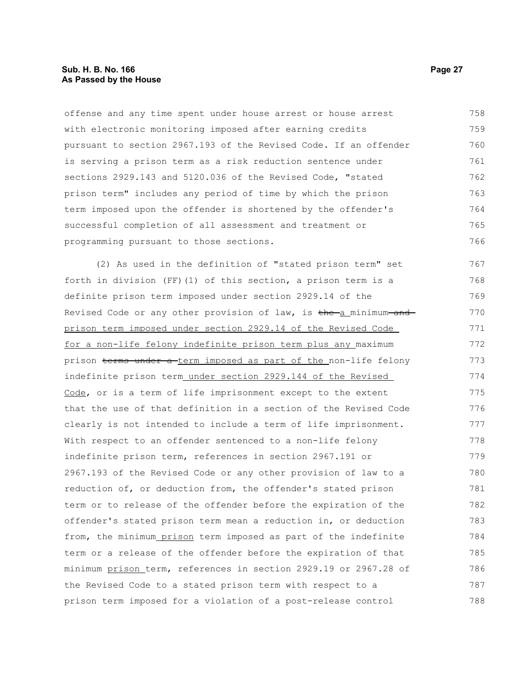# **Sub. H. B. No. 166 Page 27 As Passed by the House**

offense and any time spent under house arrest or house arrest with electronic monitoring imposed after earning credits pursuant to section 2967.193 of the Revised Code. If an offender is serving a prison term as a risk reduction sentence under sections 2929.143 and 5120.036 of the Revised Code, "stated prison term" includes any period of time by which the prison term imposed upon the offender is shortened by the offender's successful completion of all assessment and treatment or programming pursuant to those sections. 758 759 760 761 762 763 764 765 766

(2) As used in the definition of "stated prison term" set forth in division (FF)(1) of this section, a prison term is a definite prison term imposed under section 2929.14 of the Revised Code or any other provision of law, is the a minimum and prison term imposed under section 2929.14 of the Revised Code for a non-life felony indefinite prison term plus any maximum prison terms under a term imposed as part of the non-life felony indefinite prison term under section 2929.144 of the Revised Code, or is a term of life imprisonment except to the extent that the use of that definition in a section of the Revised Code clearly is not intended to include a term of life imprisonment. With respect to an offender sentenced to a non-life felony indefinite prison term, references in section 2967.191 or 2967.193 of the Revised Code or any other provision of law to a reduction of, or deduction from, the offender's stated prison term or to release of the offender before the expiration of the offender's stated prison term mean a reduction in, or deduction from, the minimum prison term imposed as part of the indefinite term or a release of the offender before the expiration of that minimum prison term, references in section 2929.19 or 2967.28 of the Revised Code to a stated prison term with respect to a prison term imposed for a violation of a post-release control 767 768 769 770 771 772 773 774 775 776 777 778 779 780 781 782 783 784 785 786 787 788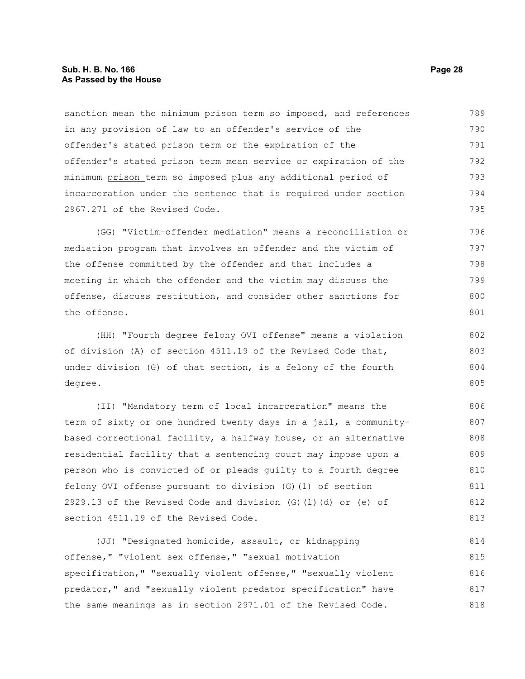# **Sub. H. B. No. 166 Page 28 As Passed by the House**

sanction mean the minimum prison term so imposed, and references in any provision of law to an offender's service of the offender's stated prison term or the expiration of the offender's stated prison term mean service or expiration of the minimum prison term so imposed plus any additional period of incarceration under the sentence that is required under section 2967.271 of the Revised Code. 789 790 791 792 793 794 795

(GG) "Victim-offender mediation" means a reconciliation or mediation program that involves an offender and the victim of the offense committed by the offender and that includes a meeting in which the offender and the victim may discuss the offense, discuss restitution, and consider other sanctions for the offense. 796 797 798 799 800 801

(HH) "Fourth degree felony OVI offense" means a violation of division (A) of section 4511.19 of the Revised Code that, under division (G) of that section, is a felony of the fourth degree.

(II) "Mandatory term of local incarceration" means the term of sixty or one hundred twenty days in a jail, a communitybased correctional facility, a halfway house, or an alternative residential facility that a sentencing court may impose upon a person who is convicted of or pleads guilty to a fourth degree felony OVI offense pursuant to division (G)(1) of section 2929.13 of the Revised Code and division (G)(1)(d) or (e) of section 4511.19 of the Revised Code. 806 807 808 809 810 811 812 813

(JJ) "Designated homicide, assault, or kidnapping offense," "violent sex offense," "sexual motivation specification," "sexually violent offense," "sexually violent predator," and "sexually violent predator specification" have the same meanings as in section 2971.01 of the Revised Code. 814 815 816 817 818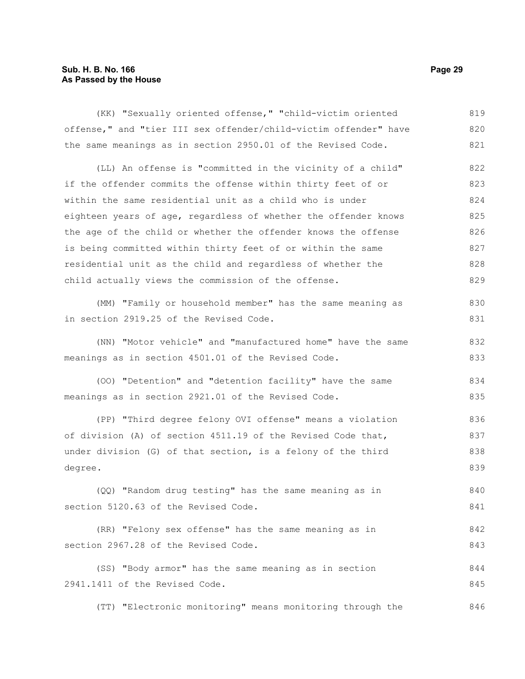# **Sub. H. B. No. 166 Page 29 As Passed by the House**

(KK) "Sexually oriented offense," "child-victim oriented offense," and "tier III sex offender/child-victim offender" have the same meanings as in section 2950.01 of the Revised Code. 819 820 821

(LL) An offense is "committed in the vicinity of a child" if the offender commits the offense within thirty feet of or within the same residential unit as a child who is under eighteen years of age, regardless of whether the offender knows the age of the child or whether the offender knows the offense is being committed within thirty feet of or within the same residential unit as the child and regardless of whether the child actually views the commission of the offense. 822 823 824 825 826 827 828 829

(MM) "Family or household member" has the same meaning as in section 2919.25 of the Revised Code. 830 831

(NN) "Motor vehicle" and "manufactured home" have the same meanings as in section 4501.01 of the Revised Code. 832 833

(OO) "Detention" and "detention facility" have the same meanings as in section 2921.01 of the Revised Code. 834 835

(PP) "Third degree felony OVI offense" means a violation of division (A) of section 4511.19 of the Revised Code that, under division (G) of that section, is a felony of the third degree. 836 837 838 839

(QQ) "Random drug testing" has the same meaning as in section 5120.63 of the Revised Code. 840 841

(RR) "Felony sex offense" has the same meaning as in section 2967.28 of the Revised Code. 842 843

(SS) "Body armor" has the same meaning as in section 2941.1411 of the Revised Code. 844 845

(TT) "Electronic monitoring" means monitoring through the 846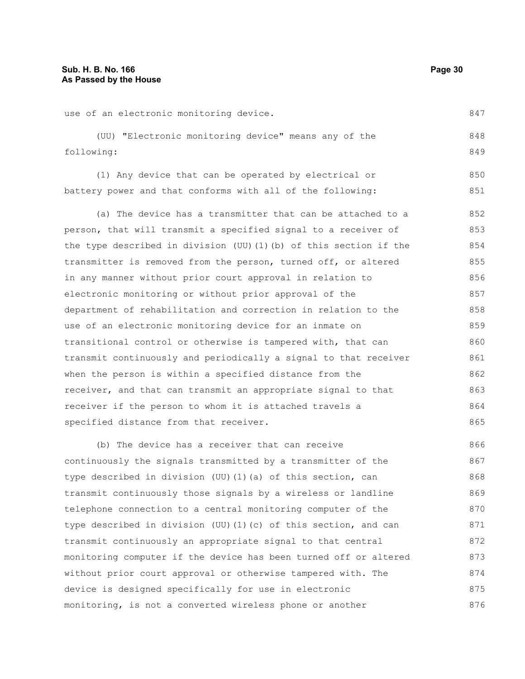use of an electronic monitoring device. (UU) "Electronic monitoring device" means any of the following: (1) Any device that can be operated by electrical or battery power and that conforms with all of the following: (a) The device has a transmitter that can be attached to a person, that will transmit a specified signal to a receiver of the type described in division (UU)(1)(b) of this section if the transmitter is removed from the person, turned off, or altered in any manner without prior court approval in relation to electronic monitoring or without prior approval of the department of rehabilitation and correction in relation to the use of an electronic monitoring device for an inmate on transitional control or otherwise is tampered with, that can transmit continuously and periodically a signal to that receiver when the person is within a specified distance from the receiver, and that can transmit an appropriate signal to that receiver if the person to whom it is attached travels a specified distance from that receiver. (b) The device has a receiver that can receive continuously the signals transmitted by a transmitter of the type described in division (UU)(1)(a) of this section, can transmit continuously those signals by a wireless or landline 847 848 849 850 851 852 853 854 855 856 857 858 859 860 861 862 863 864 865 866 867 868 869

telephone connection to a central monitoring computer of the type described in division (UU)(1)(c) of this section, and can transmit continuously an appropriate signal to that central monitoring computer if the device has been turned off or altered without prior court approval or otherwise tampered with. The device is designed specifically for use in electronic monitoring, is not a converted wireless phone or another 870 871 872 873 874 875 876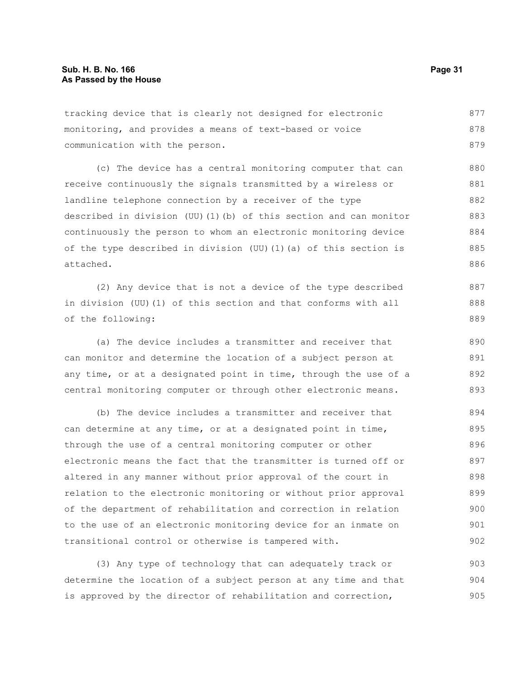tracking device that is clearly not designed for electronic monitoring, and provides a means of text-based or voice communication with the person. 877 878 879

(c) The device has a central monitoring computer that can receive continuously the signals transmitted by a wireless or landline telephone connection by a receiver of the type described in division (UU)(1)(b) of this section and can monitor continuously the person to whom an electronic monitoring device of the type described in division (UU)(1)(a) of this section is attached. 880 881 882 883 884 885 886

(2) Any device that is not a device of the type described in division (UU)(1) of this section and that conforms with all of the following: 887 888 889

(a) The device includes a transmitter and receiver that can monitor and determine the location of a subject person at any time, or at a designated point in time, through the use of a central monitoring computer or through other electronic means. 890 891 892 893

(b) The device includes a transmitter and receiver that can determine at any time, or at a designated point in time, through the use of a central monitoring computer or other electronic means the fact that the transmitter is turned off or altered in any manner without prior approval of the court in relation to the electronic monitoring or without prior approval of the department of rehabilitation and correction in relation to the use of an electronic monitoring device for an inmate on transitional control or otherwise is tampered with. 894 895 896 897 898 899 900 901 902

(3) Any type of technology that can adequately track or determine the location of a subject person at any time and that is approved by the director of rehabilitation and correction, 903 904 905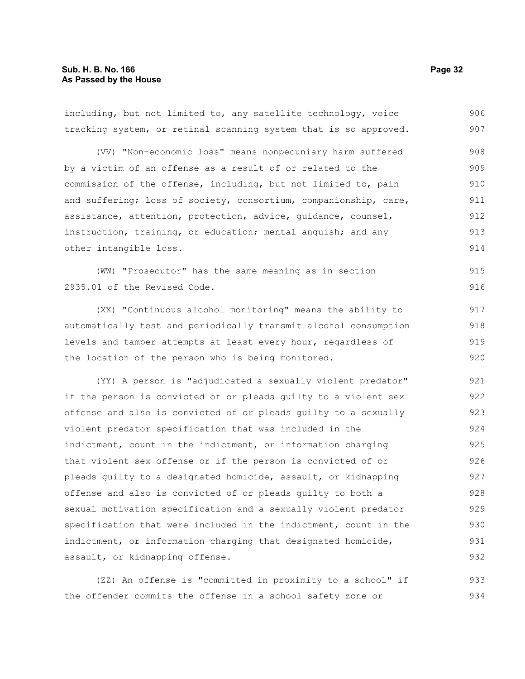including, but not limited to, any satellite technology, voice tracking system, or retinal scanning system that is so approved. (VV) "Non-economic loss" means nonpecuniary harm suffered by a victim of an offense as a result of or related to the commission of the offense, including, but not limited to, pain and suffering; loss of society, consortium, companionship, care, assistance, attention, protection, advice, guidance, counsel, instruction, training, or education; mental anguish; and any other intangible loss. (WW) "Prosecutor" has the same meaning as in section 2935.01 of the Revised Code. (XX) "Continuous alcohol monitoring" means the ability to automatically test and periodically transmit alcohol consumption levels and tamper attempts at least every hour, regardless of the location of the person who is being monitored. (YY) A person is "adjudicated a sexually violent predator" if the person is convicted of or pleads guilty to a violent sex offense and also is convicted of or pleads guilty to a sexually violent predator specification that was included in the indictment, count in the indictment, or information charging 906 907 908 909 910 911 912 913 914 915 916 917 918 919 920 921 922 923 924 925

that violent sex offense or if the person is convicted of or pleads guilty to a designated homicide, assault, or kidnapping offense and also is convicted of or pleads guilty to both a sexual motivation specification and a sexually violent predator specification that were included in the indictment, count in the indictment, or information charging that designated homicide, assault, or kidnapping offense. 926 927 928 929 930 931 932

(ZZ) An offense is "committed in proximity to a school" if the offender commits the offense in a school safety zone or 933 934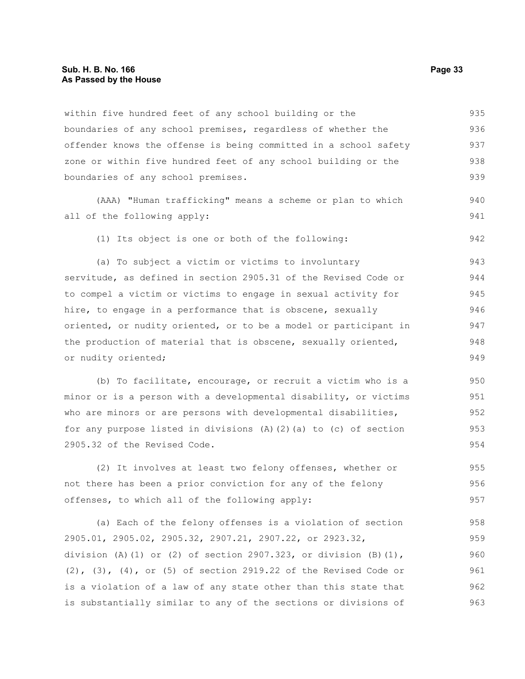#### **Sub. H. B. No. 166 Page 33 As Passed by the House**

within five hundred feet of any school building or the boundaries of any school premises, regardless of whether the offender knows the offense is being committed in a school safety zone or within five hundred feet of any school building or the boundaries of any school premises. 935 936 937 938 939

(AAA) "Human trafficking" means a scheme or plan to which all of the following apply:

(1) Its object is one or both of the following:

(a) To subject a victim or victims to involuntary servitude, as defined in section 2905.31 of the Revised Code or to compel a victim or victims to engage in sexual activity for hire, to engage in a performance that is obscene, sexually oriented, or nudity oriented, or to be a model or participant in the production of material that is obscene, sexually oriented, or nudity oriented; 943 944 945 946 947 948 949

(b) To facilitate, encourage, or recruit a victim who is a minor or is a person with a developmental disability, or victims who are minors or are persons with developmental disabilities, for any purpose listed in divisions (A)(2)(a) to (c) of section 2905.32 of the Revised Code. 950 951 952 953 954

(2) It involves at least two felony offenses, whether or not there has been a prior conviction for any of the felony offenses, to which all of the following apply: 955 956 957

(a) Each of the felony offenses is a violation of section 2905.01, 2905.02, 2905.32, 2907.21, 2907.22, or 2923.32, division (A)(1) or (2) of section 2907.323, or division  $(B)(1)$ , (2), (3), (4), or (5) of section 2919.22 of the Revised Code or is a violation of a law of any state other than this state that is substantially similar to any of the sections or divisions of 958 959 960 961 962 963

940 941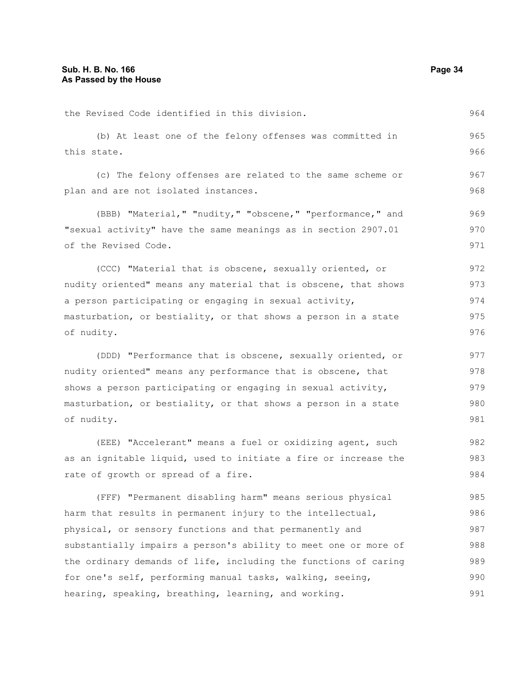| the Revised Code identified in this division.                   | 964 |
|-----------------------------------------------------------------|-----|
| (b) At least one of the felony offenses was committed in        | 965 |
| this state.                                                     | 966 |
| (c) The felony offenses are related to the same scheme or       | 967 |
| plan and are not isolated instances.                            | 968 |
| (BBB) "Material," "nudity," "obscene," "performance," and       | 969 |
| "sexual activity" have the same meanings as in section 2907.01  | 970 |
| of the Revised Code.                                            | 971 |
| (CCC) "Material that is obscene, sexually oriented, or          | 972 |
| nudity oriented" means any material that is obscene, that shows | 973 |
| a person participating or engaging in sexual activity,          | 974 |
| masturbation, or bestiality, or that shows a person in a state  | 975 |
| of nudity.                                                      | 976 |
| (DDD) "Performance that is obscene, sexually oriented, or       | 977 |
| nudity oriented" means any performance that is obscene, that    | 978 |
| shows a person participating or engaging in sexual activity,    | 979 |
| masturbation, or bestiality, or that shows a person in a state  | 980 |
| of nudity.                                                      | 981 |
| (EEE) "Accelerant" means a fuel or oxidizing agent, such        | 982 |
| as an ignitable liquid, used to initiate a fire or increase the | 983 |
| rate of growth or spread of a fire.                             | 984 |
| (FFF) "Permanent disabling harm" means serious physical         | 985 |
| harm that results in permanent injury to the intellectual,      | 986 |
| physical, or sensory functions and that permanently and         | 987 |
| substantially impairs a person's ability to meet one or more of | 988 |
| the ordinary demands of life, including the functions of caring | 989 |
| for one's self, performing manual tasks, walking, seeing,       | 990 |
| hearing, speaking, breathing, learning, and working.            | 991 |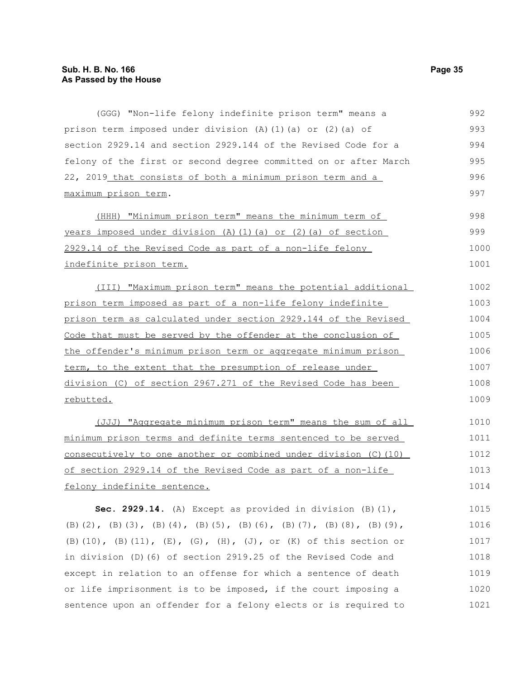| (GGG) "Non-life felony indefinite prison term" means a                                  | 992  |
|-----------------------------------------------------------------------------------------|------|
| prison term imposed under division (A)(1)(a) or (2)(a) of                               | 993  |
| section 2929.14 and section 2929.144 of the Revised Code for a                          | 994  |
| felony of the first or second degree committed on or after March                        | 995  |
| 22, 2019 that consists of both a minimum prison term and a                              | 996  |
| maximum prison term.                                                                    | 997  |
| (HHH) "Minimum prison term" means the minimum term of                                   | 998  |
| years imposed under division $(A) (1) (a)$ or $(2) (a)$ of section                      | 999  |
| 2929.14 of the Revised Code as part of a non-life felony                                | 1000 |
| indefinite prison term.                                                                 | 1001 |
| (III) "Maximum prison term" means the potential additional                              | 1002 |
| prison term imposed as part of a non-life felony indefinite                             | 1003 |
| prison term as calculated under section 2929.144 of the Revised                         | 1004 |
| Code that must be served by the offender at the conclusion of                           | 1005 |
| the offender's minimum prison term or aggregate minimum prison                          | 1006 |
| term, to the extent that the presumption of release under                               | 1007 |
| division (C) of section 2967.271 of the Revised Code has been                           | 1008 |
| rebutted.                                                                               | 1009 |
| (JJJ) "Aggregate minimum prison term" means the sum of all                              | 1010 |
| minimum prison terms and definite terms sentenced to be served                          | 1011 |
| consecutively to one another or combined under division (C) (10)                        | 1012 |
| of section 2929.14 of the Revised Code as part of a non-life                            | 1013 |
| felony indefinite sentence.                                                             | 1014 |
| Sec. 2929.14. (A) Except as provided in division $(B)$ (1),                             | 1015 |
| (B) (2), (B) (3), (B) (4), (B) (5), (B) (6), (B) (7), (B) (8), (B) (9),                 | 1016 |
| (B) $(10)$ , $(B)$ $(11)$ , $(E)$ , $(G)$ , $(H)$ , $(J)$ , or $(K)$ of this section or | 1017 |
| in division (D) (6) of section 2919.25 of the Revised Code and                          | 1018 |
| except in relation to an offense for which a sentence of death                          | 1019 |
| or life imprisonment is to be imposed, if the court imposing a                          | 1020 |
| sentence upon an offender for a felony elects or is required to                         | 1021 |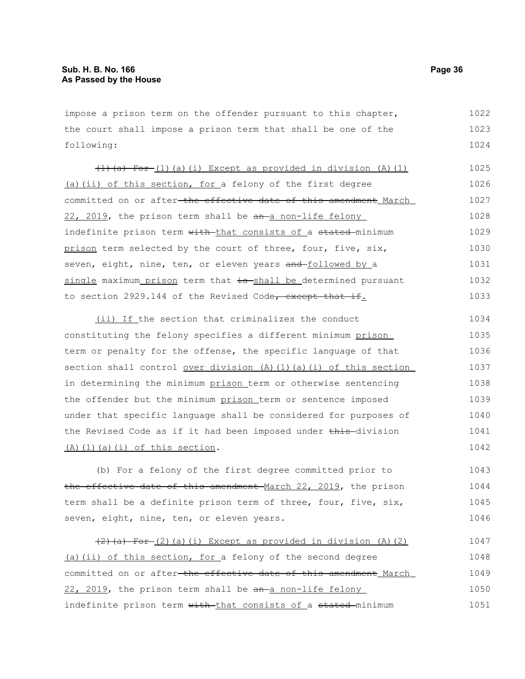impose a prison term on the offender pursuant to this chapter, the court shall impose a prison term that shall be one of the following: 1022 1023 1024

(1)(a) For (1)(a)(i) Except as provided in division (A)(1) (a)(ii) of this section, for a felony of the first degree committed on or after-the effective date of this amendment March  $22, 2019$ , the prison term shall be  $an-a$  non-life felony indefinite prison term with that consists of a stated minimum prison term selected by the court of three, four, five, six, seven, eight, nine, ten, or eleven years and followed by a single maximum prison term that  $\pm$ s-shall be determined pursuant to section 2929.144 of the Revised Code, except that if. 1025 1026 1027 1028 1029 1030 1031 1032 1033

(ii) If the section that criminalizes the conduct constituting the felony specifies a different minimum prison term or penalty for the offense, the specific language of that section shall control over division (A)(1)(a)(i) of this section in determining the minimum prison term or otherwise sentencing the offender but the minimum prison term or sentence imposed under that specific language shall be considered for purposes of the Revised Code as if it had been imposed under this division  $(A)$   $(1)$   $(a)$   $(i)$  of this section. 1034 1035 1036 1037 1038 1039 1040 1041 1042

(b) For a felony of the first degree committed prior to the effective date of this amendment March 22, 2019, the prison term shall be a definite prison term of three, four, five, six, seven, eight, nine, ten, or eleven years. 1043 1044 1045 1046

 $(2)$   $(3)$  For (2)(a)(i) Except as provided in division (A)(2) (a)(ii) of this section, for a felony of the second degree committed on or after-the effective date of this amendment March 22, 2019, the prison term shall be an a non-life felony indefinite prison term with that consists of a stated minimum 1047 1048 1049 1050 1051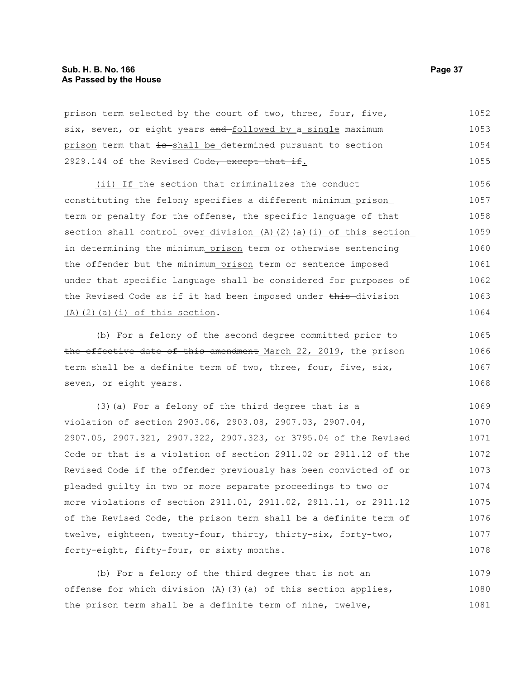prison term selected by the court of two, three, four, five, six, seven, or eight years and followed by a single maximum prison term that is shall be determined pursuant to section 2929.144 of the Revised Code, except that if. 1052 1053 1054 1055

(ii) If the section that criminalizes the conduct constituting the felony specifies a different minimum prison term or penalty for the offense, the specific language of that section shall control over division (A)(2)(a)(i) of this section in determining the minimum prison term or otherwise sentencing the offender but the minimum prison term or sentence imposed under that specific language shall be considered for purposes of the Revised Code as if it had been imposed under this division  $(A)$  $(2)$  $(a)$  $(i)$  of this section. 1056 1057 1058 1059 1060 1061 1062 1063 1064

(b) For a felony of the second degree committed prior to the effective date of this amendment March 22, 2019, the prison term shall be a definite term of two, three, four, five, six, seven, or eight years.

(3)(a) For a felony of the third degree that is a violation of section 2903.06, 2903.08, 2907.03, 2907.04, 2907.05, 2907.321, 2907.322, 2907.323, or 3795.04 of the Revised Code or that is a violation of section 2911.02 or 2911.12 of the Revised Code if the offender previously has been convicted of or pleaded guilty in two or more separate proceedings to two or more violations of section 2911.01, 2911.02, 2911.11, or 2911.12 of the Revised Code, the prison term shall be a definite term of twelve, eighteen, twenty-four, thirty, thirty-six, forty-two, forty-eight, fifty-four, or sixty months. 1069 1070 1071 1072 1073 1074 1075 1076 1077 1078

(b) For a felony of the third degree that is not an offense for which division (A)(3)(a) of this section applies, the prison term shall be a definite term of nine, twelve, 1079 1080 1081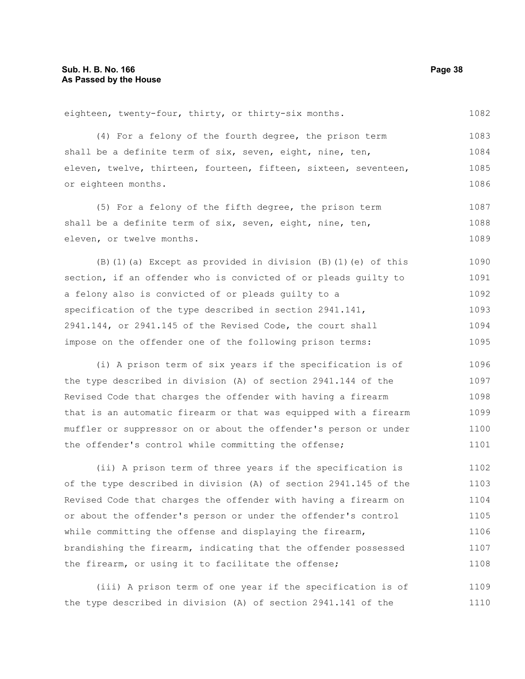eighteen, twenty-four, thirty, or thirty-six months. 1082

(4) For a felony of the fourth degree, the prison term shall be a definite term of six, seven, eight, nine, ten, eleven, twelve, thirteen, fourteen, fifteen, sixteen, seventeen, or eighteen months. 1083 1084 1085 1086

(5) For a felony of the fifth degree, the prison term shall be a definite term of six, seven, eight, nine, ten, eleven, or twelve months. 1087 1088 1089

(B)(1)(a) Except as provided in division (B)(1)(e) of this section, if an offender who is convicted of or pleads guilty to a felony also is convicted of or pleads guilty to a specification of the type described in section 2941.141, 2941.144, or 2941.145 of the Revised Code, the court shall impose on the offender one of the following prison terms: 1090 1091 1092 1093 1094 1095

(i) A prison term of six years if the specification is of the type described in division (A) of section 2941.144 of the Revised Code that charges the offender with having a firearm that is an automatic firearm or that was equipped with a firearm muffler or suppressor on or about the offender's person or under the offender's control while committing the offense; 1096 1097 1098 1099 1100 1101

(ii) A prison term of three years if the specification is of the type described in division (A) of section 2941.145 of the Revised Code that charges the offender with having a firearm on or about the offender's person or under the offender's control while committing the offense and displaying the firearm, brandishing the firearm, indicating that the offender possessed the firearm, or using it to facilitate the offense; 1102 1103 1104 1105 1106 1107 1108

(iii) A prison term of one year if the specification is of the type described in division (A) of section 2941.141 of the 1109 1110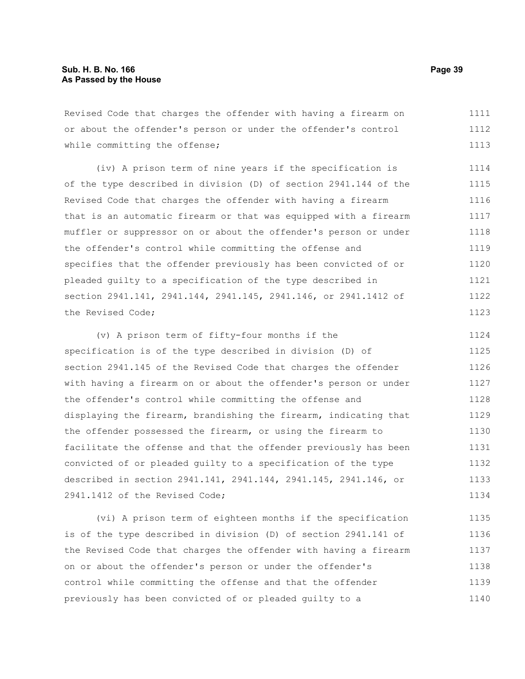Revised Code that charges the offender with having a firearm on or about the offender's person or under the offender's control while committing the offense; 1111 1112 1113

(iv) A prison term of nine years if the specification is of the type described in division (D) of section 2941.144 of the Revised Code that charges the offender with having a firearm that is an automatic firearm or that was equipped with a firearm muffler or suppressor on or about the offender's person or under the offender's control while committing the offense and specifies that the offender previously has been convicted of or pleaded guilty to a specification of the type described in section 2941.141, 2941.144, 2941.145, 2941.146, or 2941.1412 of the Revised Code; 1114 1115 1116 1117 1118 1119 1120 1121 1122 1123

(v) A prison term of fifty-four months if the specification is of the type described in division (D) of section 2941.145 of the Revised Code that charges the offender with having a firearm on or about the offender's person or under the offender's control while committing the offense and displaying the firearm, brandishing the firearm, indicating that the offender possessed the firearm, or using the firearm to facilitate the offense and that the offender previously has been convicted of or pleaded guilty to a specification of the type described in section 2941.141, 2941.144, 2941.145, 2941.146, or 2941.1412 of the Revised Code; 1124 1125 1126 1127 1128 1129 1130 1131 1132 1133 1134

(vi) A prison term of eighteen months if the specification is of the type described in division (D) of section 2941.141 of the Revised Code that charges the offender with having a firearm on or about the offender's person or under the offender's control while committing the offense and that the offender previously has been convicted of or pleaded guilty to a 1135 1136 1137 1138 1139 1140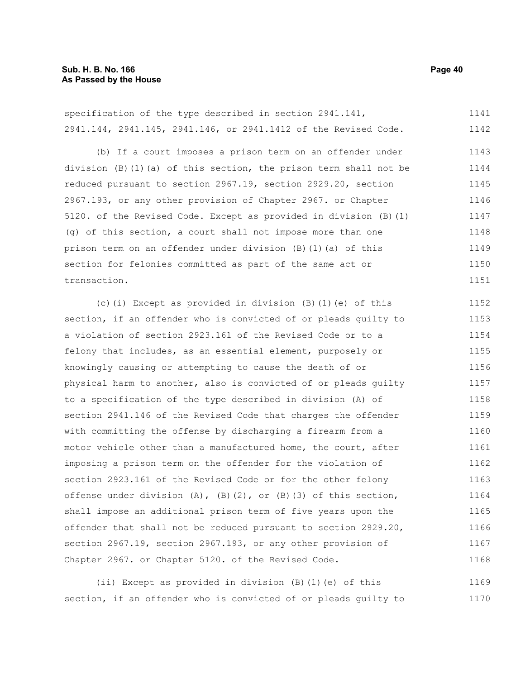specification of the type described in section 2941.141, 2941.144, 2941.145, 2941.146, or 2941.1412 of the Revised Code. 1141 1142

(b) If a court imposes a prison term on an offender under division (B)(1)(a) of this section, the prison term shall not be reduced pursuant to section 2967.19, section 2929.20, section 2967.193, or any other provision of Chapter 2967. or Chapter 5120. of the Revised Code. Except as provided in division (B)(1) (g) of this section, a court shall not impose more than one prison term on an offender under division (B)(1)(a) of this section for felonies committed as part of the same act or transaction. 1143 1144 1145 1146 1147 1148 1149 1150 1151

(c)(i) Except as provided in division (B)(1)(e) of this section, if an offender who is convicted of or pleads guilty to a violation of section 2923.161 of the Revised Code or to a felony that includes, as an essential element, purposely or knowingly causing or attempting to cause the death of or physical harm to another, also is convicted of or pleads guilty to a specification of the type described in division (A) of section 2941.146 of the Revised Code that charges the offender with committing the offense by discharging a firearm from a motor vehicle other than a manufactured home, the court, after imposing a prison term on the offender for the violation of section 2923.161 of the Revised Code or for the other felony offense under division  $(A)$ ,  $(B)$   $(2)$ , or  $(B)$   $(3)$  of this section, shall impose an additional prison term of five years upon the offender that shall not be reduced pursuant to section 2929.20, section 2967.19, section 2967.193, or any other provision of Chapter 2967. or Chapter 5120. of the Revised Code. 1152 1153 1154 1155 1156 1157 1158 1159 1160 1161 1162 1163 1164 1165 1166 1167 1168

(ii) Except as provided in division (B)(1)(e) of this section, if an offender who is convicted of or pleads guilty to 1169 1170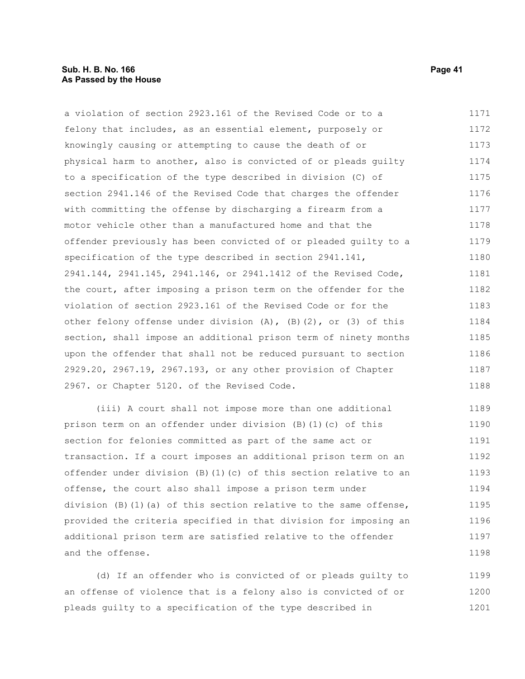# **Sub. H. B. No. 166 Page 41 As Passed by the House**

a violation of section 2923.161 of the Revised Code or to a felony that includes, as an essential element, purposely or knowingly causing or attempting to cause the death of or physical harm to another, also is convicted of or pleads guilty to a specification of the type described in division (C) of section 2941.146 of the Revised Code that charges the offender with committing the offense by discharging a firearm from a motor vehicle other than a manufactured home and that the offender previously has been convicted of or pleaded guilty to a specification of the type described in section 2941.141, 2941.144, 2941.145, 2941.146, or 2941.1412 of the Revised Code, the court, after imposing a prison term on the offender for the violation of section 2923.161 of the Revised Code or for the other felony offense under division  $(A)$ ,  $(B)$   $(2)$ , or  $(3)$  of this section, shall impose an additional prison term of ninety months upon the offender that shall not be reduced pursuant to section 2929.20, 2967.19, 2967.193, or any other provision of Chapter 2967. or Chapter 5120. of the Revised Code. 1171 1172 1173 1174 1175 1176 1177 1178 1179 1180 1181 1182 1183 1184 1185 1186 1187 1188

(iii) A court shall not impose more than one additional prison term on an offender under division (B)(1)(c) of this section for felonies committed as part of the same act or transaction. If a court imposes an additional prison term on an offender under division (B)(1)(c) of this section relative to an offense, the court also shall impose a prison term under division  $(B)$  (1)(a) of this section relative to the same offense, provided the criteria specified in that division for imposing an additional prison term are satisfied relative to the offender and the offense. 1189 1190 1191 1192 1193 1194 1195 1196 1197 1198

(d) If an offender who is convicted of or pleads guilty to an offense of violence that is a felony also is convicted of or pleads guilty to a specification of the type described in 1199 1200 1201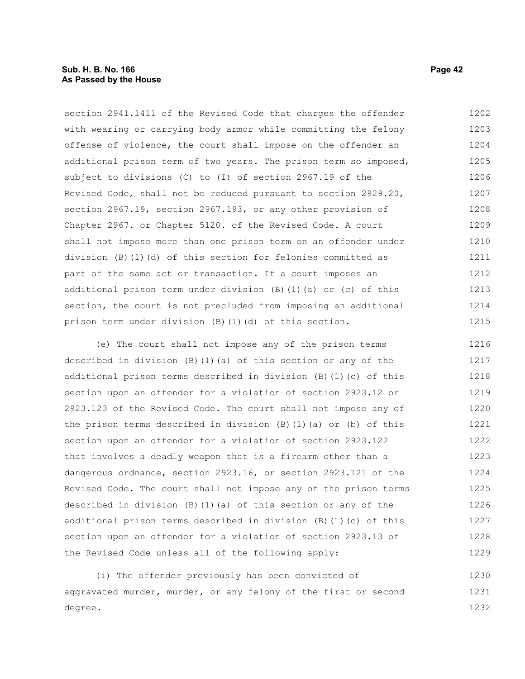section 2941.1411 of the Revised Code that charges the offender with wearing or carrying body armor while committing the felony offense of violence, the court shall impose on the offender an additional prison term of two years. The prison term so imposed, subject to divisions (C) to (I) of section 2967.19 of the Revised Code, shall not be reduced pursuant to section 2929.20, section 2967.19, section 2967.193, or any other provision of Chapter 2967. or Chapter 5120. of the Revised Code. A court shall not impose more than one prison term on an offender under division (B)(1)(d) of this section for felonies committed as part of the same act or transaction. If a court imposes an additional prison term under division (B)(1)(a) or (c) of this section, the court is not precluded from imposing an additional prison term under division (B)(1)(d) of this section. 1202 1203 1204 1205 1206 1207 1208 1209 1210 1211 1212 1213 1214 1215

(e) The court shall not impose any of the prison terms described in division (B)(1)(a) of this section or any of the additional prison terms described in division (B)(1)(c) of this section upon an offender for a violation of section 2923.12 or 2923.123 of the Revised Code. The court shall not impose any of the prison terms described in division (B)(1)(a) or (b) of this section upon an offender for a violation of section 2923.122 that involves a deadly weapon that is a firearm other than a dangerous ordnance, section 2923.16, or section 2923.121 of the Revised Code. The court shall not impose any of the prison terms described in division  $(B)$  (1)(a) of this section or any of the additional prison terms described in division (B)(1)(c) of this section upon an offender for a violation of section 2923.13 of the Revised Code unless all of the following apply: 1216 1217 1218 1219 1220 1221 1222 1223 1224 1225 1226 1227 1228 1229

(i) The offender previously has been convicted of aggravated murder, murder, or any felony of the first or second degree. 1230 1231 1232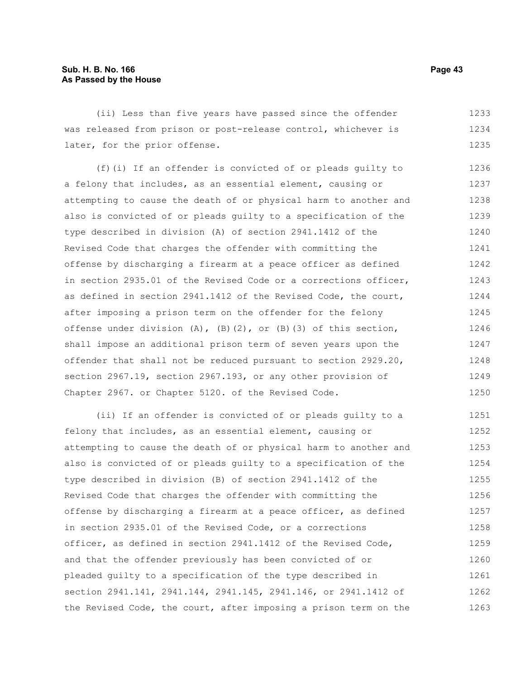# **Sub. H. B. No. 166 Page 43 As Passed by the House**

(ii) Less than five years have passed since the offender was released from prison or post-release control, whichever is later, for the prior offense. 1233 1234 1235

(f)(i) If an offender is convicted of or pleads guilty to a felony that includes, as an essential element, causing or attempting to cause the death of or physical harm to another and also is convicted of or pleads guilty to a specification of the type described in division (A) of section 2941.1412 of the Revised Code that charges the offender with committing the offense by discharging a firearm at a peace officer as defined in section 2935.01 of the Revised Code or a corrections officer, as defined in section 2941.1412 of the Revised Code, the court, after imposing a prison term on the offender for the felony offense under division  $(A)$ ,  $(B)$ (2), or  $(B)$ (3) of this section, shall impose an additional prison term of seven years upon the offender that shall not be reduced pursuant to section 2929.20, section 2967.19, section 2967.193, or any other provision of Chapter 2967. or Chapter 5120. of the Revised Code. 1236 1237 1238 1239 1240 1241 1242 1243 1244 1245 1246 1247 1248 1249 1250

(ii) If an offender is convicted of or pleads guilty to a felony that includes, as an essential element, causing or attempting to cause the death of or physical harm to another and also is convicted of or pleads guilty to a specification of the type described in division (B) of section 2941.1412 of the Revised Code that charges the offender with committing the offense by discharging a firearm at a peace officer, as defined in section 2935.01 of the Revised Code, or a corrections officer, as defined in section 2941.1412 of the Revised Code, and that the offender previously has been convicted of or pleaded guilty to a specification of the type described in section 2941.141, 2941.144, 2941.145, 2941.146, or 2941.1412 of the Revised Code, the court, after imposing a prison term on the 1251 1252 1253 1254 1255 1256 1257 1258 1259 1260 1261 1262 1263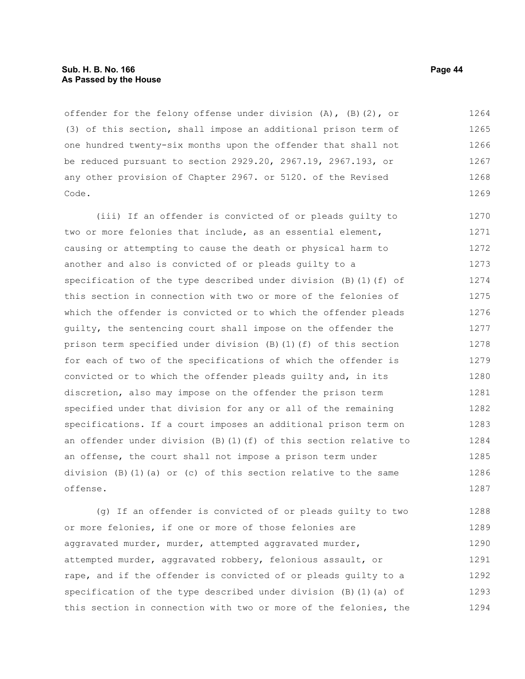# **Sub. H. B. No. 166 Page 44 As Passed by the House**

offender for the felony offense under division  $(A)$ ,  $(B)$   $(2)$ , or (3) of this section, shall impose an additional prison term of one hundred twenty-six months upon the offender that shall not be reduced pursuant to section 2929.20, 2967.19, 2967.193, or any other provision of Chapter 2967. or 5120. of the Revised Code. 1264 1265 1266 1267 1268 1269

(iii) If an offender is convicted of or pleads guilty to two or more felonies that include, as an essential element, causing or attempting to cause the death or physical harm to another and also is convicted of or pleads guilty to a specification of the type described under division  $(B)$  (1)(f) of this section in connection with two or more of the felonies of which the offender is convicted or to which the offender pleads guilty, the sentencing court shall impose on the offender the prison term specified under division (B)(1)(f) of this section for each of two of the specifications of which the offender is convicted or to which the offender pleads guilty and, in its discretion, also may impose on the offender the prison term specified under that division for any or all of the remaining specifications. If a court imposes an additional prison term on an offender under division (B)(1)(f) of this section relative to an offense, the court shall not impose a prison term under division (B)(1)(a) or (c) of this section relative to the same offense. 1270 1271 1272 1273 1274 1275 1276 1277 1278 1279 1280 1281 1282 1283 1284 1285 1286 1287

(g) If an offender is convicted of or pleads guilty to two or more felonies, if one or more of those felonies are aggravated murder, murder, attempted aggravated murder, attempted murder, aggravated robbery, felonious assault, or rape, and if the offender is convicted of or pleads guilty to a specification of the type described under division (B)(1)(a) of this section in connection with two or more of the felonies, the 1288 1289 1290 1291 1292 1293 1294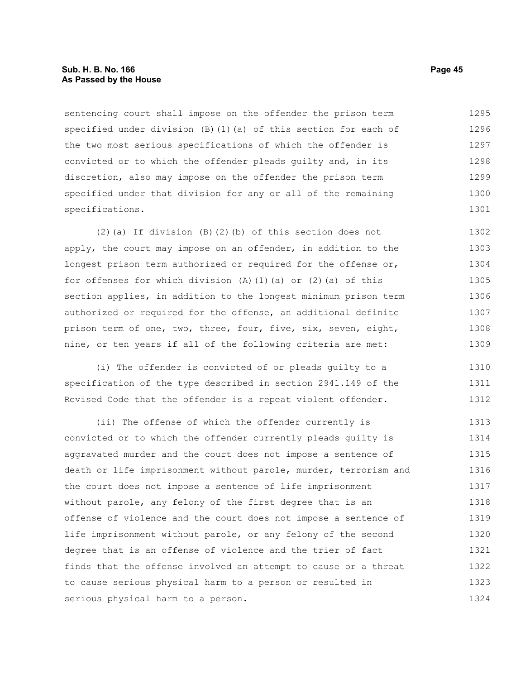# **Sub. H. B. No. 166 Page 45 As Passed by the House**

sentencing court shall impose on the offender the prison term specified under division (B)(1)(a) of this section for each of the two most serious specifications of which the offender is convicted or to which the offender pleads guilty and, in its discretion, also may impose on the offender the prison term specified under that division for any or all of the remaining specifications. 1295 1296 1297 1298 1299 1300 1301

(2)(a) If division (B)(2)(b) of this section does not apply, the court may impose on an offender, in addition to the longest prison term authorized or required for the offense or, for offenses for which division  $(A)$   $(1)$   $(a)$  or  $(2)$   $(a)$  of this section applies, in addition to the longest minimum prison term authorized or required for the offense, an additional definite prison term of one, two, three, four, five, six, seven, eight, nine, or ten years if all of the following criteria are met: 1302 1303 1304 1305 1306 1307 1308 1309

(i) The offender is convicted of or pleads guilty to a specification of the type described in section 2941.149 of the Revised Code that the offender is a repeat violent offender. 1310 1311 1312

(ii) The offense of which the offender currently is convicted or to which the offender currently pleads guilty is aggravated murder and the court does not impose a sentence of death or life imprisonment without parole, murder, terrorism and the court does not impose a sentence of life imprisonment without parole, any felony of the first degree that is an offense of violence and the court does not impose a sentence of life imprisonment without parole, or any felony of the second degree that is an offense of violence and the trier of fact finds that the offense involved an attempt to cause or a threat to cause serious physical harm to a person or resulted in serious physical harm to a person. 1313 1314 1315 1316 1317 1318 1319 1320 1321 1322 1323 1324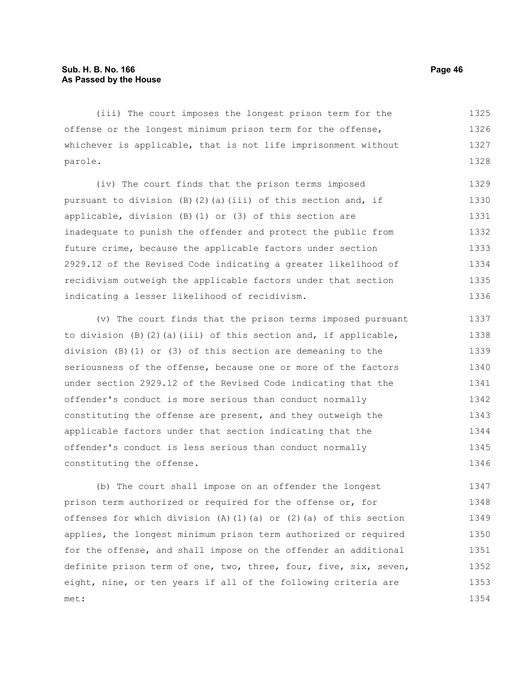(iii) The court imposes the longest prison term for the offense or the longest minimum prison term for the offense, whichever is applicable, that is not life imprisonment without parole. 1325 1326 1327 1328

(iv) The court finds that the prison terms imposed pursuant to division (B)(2)(a)(iii) of this section and, if applicable, division (B)(1) or (3) of this section are inadequate to punish the offender and protect the public from future crime, because the applicable factors under section 2929.12 of the Revised Code indicating a greater likelihood of recidivism outweigh the applicable factors under that section indicating a lesser likelihood of recidivism. 1329 1330 1331 1332 1333 1334 1335 1336

(v) The court finds that the prison terms imposed pursuant to division  $(B)$   $(2)$   $(a)$   $(iii)$  of this section and, if applicable, division (B)(1) or (3) of this section are demeaning to the seriousness of the offense, because one or more of the factors under section 2929.12 of the Revised Code indicating that the offender's conduct is more serious than conduct normally constituting the offense are present, and they outweigh the applicable factors under that section indicating that the offender's conduct is less serious than conduct normally constituting the offense. 1337 1338 1339 1340 1341 1342 1343 1344 1345 1346

(b) The court shall impose on an offender the longest prison term authorized or required for the offense or, for offenses for which division (A)(1)(a) or (2)(a) of this section applies, the longest minimum prison term authorized or required for the offense, and shall impose on the offender an additional definite prison term of one, two, three, four, five, six, seven, eight, nine, or ten years if all of the following criteria are met: 1347 1348 1349 1350 1351 1352 1353 1354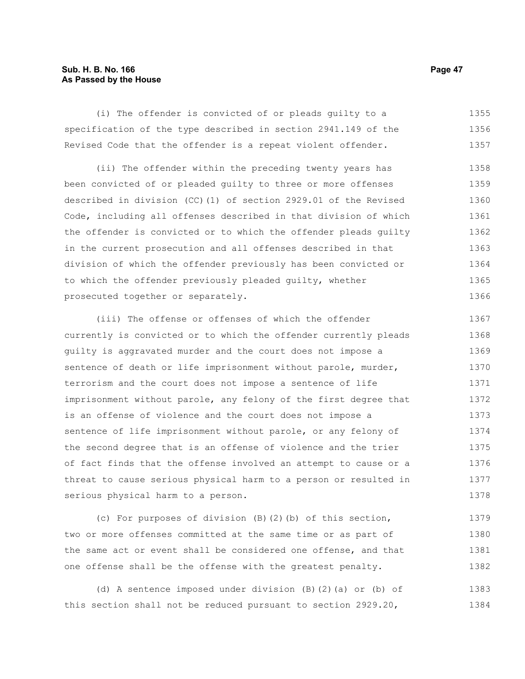# **Sub. H. B. No. 166 Page 47 As Passed by the House**

(i) The offender is convicted of or pleads guilty to a specification of the type described in section 2941.149 of the Revised Code that the offender is a repeat violent offender. 1355 1356 1357

(ii) The offender within the preceding twenty years has been convicted of or pleaded guilty to three or more offenses described in division (CC)(1) of section 2929.01 of the Revised Code, including all offenses described in that division of which the offender is convicted or to which the offender pleads guilty in the current prosecution and all offenses described in that division of which the offender previously has been convicted or to which the offender previously pleaded guilty, whether prosecuted together or separately. 1358 1359 1360 1361 1362 1363 1364 1365 1366

(iii) The offense or offenses of which the offender currently is convicted or to which the offender currently pleads guilty is aggravated murder and the court does not impose a sentence of death or life imprisonment without parole, murder, terrorism and the court does not impose a sentence of life imprisonment without parole, any felony of the first degree that is an offense of violence and the court does not impose a sentence of life imprisonment without parole, or any felony of the second degree that is an offense of violence and the trier of fact finds that the offense involved an attempt to cause or a threat to cause serious physical harm to a person or resulted in serious physical harm to a person. 1367 1368 1369 1370 1371 1372 1373 1374 1375 1376 1377 1378

(c) For purposes of division (B)(2)(b) of this section, two or more offenses committed at the same time or as part of the same act or event shall be considered one offense, and that one offense shall be the offense with the greatest penalty. 1379 1380 1381 1382

(d) A sentence imposed under division (B)(2)(a) or (b) of this section shall not be reduced pursuant to section 2929.20, 1383 1384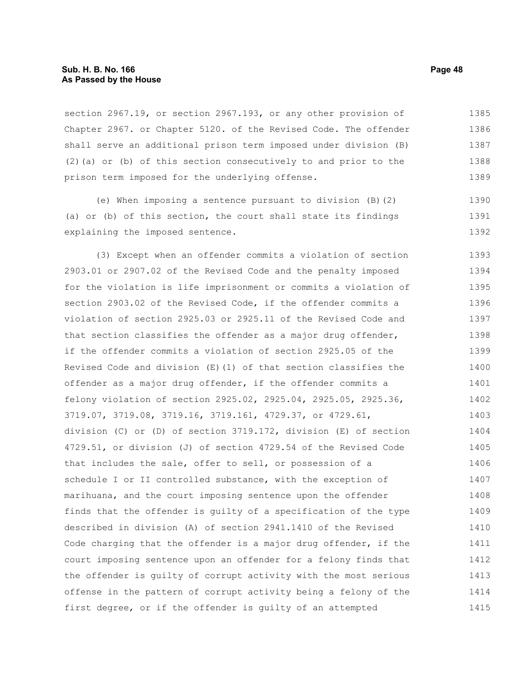# **Sub. H. B. No. 166 Page 48 As Passed by the House**

section 2967.19, or section 2967.193, or any other provision of Chapter 2967. or Chapter 5120. of the Revised Code. The offender shall serve an additional prison term imposed under division (B) (2)(a) or (b) of this section consecutively to and prior to the prison term imposed for the underlying offense. 1385 1386 1387 1388 1389

(e) When imposing a sentence pursuant to division (B)(2) (a) or (b) of this section, the court shall state its findings explaining the imposed sentence.

(3) Except when an offender commits a violation of section 2903.01 or 2907.02 of the Revised Code and the penalty imposed for the violation is life imprisonment or commits a violation of section 2903.02 of the Revised Code, if the offender commits a violation of section 2925.03 or 2925.11 of the Revised Code and that section classifies the offender as a major drug offender, if the offender commits a violation of section 2925.05 of the Revised Code and division (E)(1) of that section classifies the offender as a major drug offender, if the offender commits a felony violation of section 2925.02, 2925.04, 2925.05, 2925.36, 3719.07, 3719.08, 3719.16, 3719.161, 4729.37, or 4729.61, division (C) or (D) of section 3719.172, division (E) of section 4729.51, or division (J) of section 4729.54 of the Revised Code that includes the sale, offer to sell, or possession of a schedule I or II controlled substance, with the exception of marihuana, and the court imposing sentence upon the offender finds that the offender is guilty of a specification of the type described in division (A) of section 2941.1410 of the Revised Code charging that the offender is a major drug offender, if the court imposing sentence upon an offender for a felony finds that the offender is guilty of corrupt activity with the most serious offense in the pattern of corrupt activity being a felony of the first degree, or if the offender is guilty of an attempted 1393 1394 1395 1396 1397 1398 1399 1400 1401 1402 1403 1404 1405 1406 1407 1408 1409 1410 1411 1412 1413 1414 1415

1390 1391 1392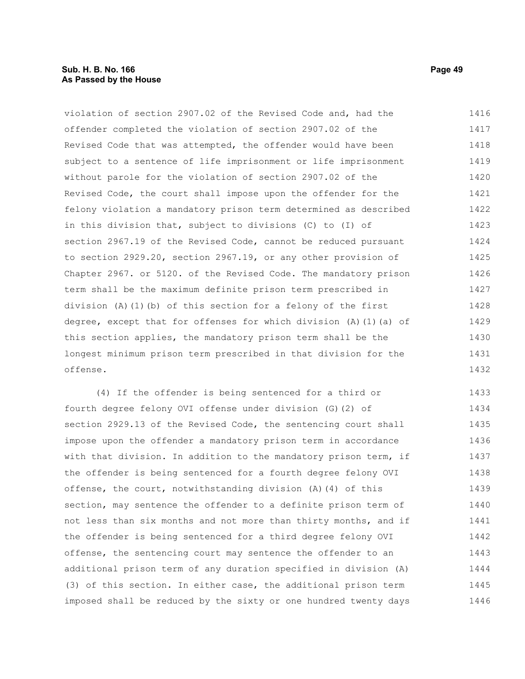violation of section 2907.02 of the Revised Code and, had the offender completed the violation of section 2907.02 of the Revised Code that was attempted, the offender would have been subject to a sentence of life imprisonment or life imprisonment without parole for the violation of section 2907.02 of the Revised Code, the court shall impose upon the offender for the felony violation a mandatory prison term determined as described in this division that, subject to divisions (C) to (I) of section 2967.19 of the Revised Code, cannot be reduced pursuant to section 2929.20, section 2967.19, or any other provision of Chapter 2967. or 5120. of the Revised Code. The mandatory prison term shall be the maximum definite prison term prescribed in division (A)(1)(b) of this section for a felony of the first degree, except that for offenses for which division (A)(1)(a) of this section applies, the mandatory prison term shall be the longest minimum prison term prescribed in that division for the offense. 1416 1417 1418 1419 1420 1421 1422 1423 1424 1425 1426 1427 1428 1429 1430 1431 1432

(4) If the offender is being sentenced for a third or fourth degree felony OVI offense under division (G)(2) of section 2929.13 of the Revised Code, the sentencing court shall impose upon the offender a mandatory prison term in accordance with that division. In addition to the mandatory prison term, if the offender is being sentenced for a fourth degree felony OVI offense, the court, notwithstanding division (A)(4) of this section, may sentence the offender to a definite prison term of not less than six months and not more than thirty months, and if the offender is being sentenced for a third degree felony OVI offense, the sentencing court may sentence the offender to an additional prison term of any duration specified in division (A) (3) of this section. In either case, the additional prison term imposed shall be reduced by the sixty or one hundred twenty days 1433 1434 1435 1436 1437 1438 1439 1440 1441 1442 1443 1444 1445 1446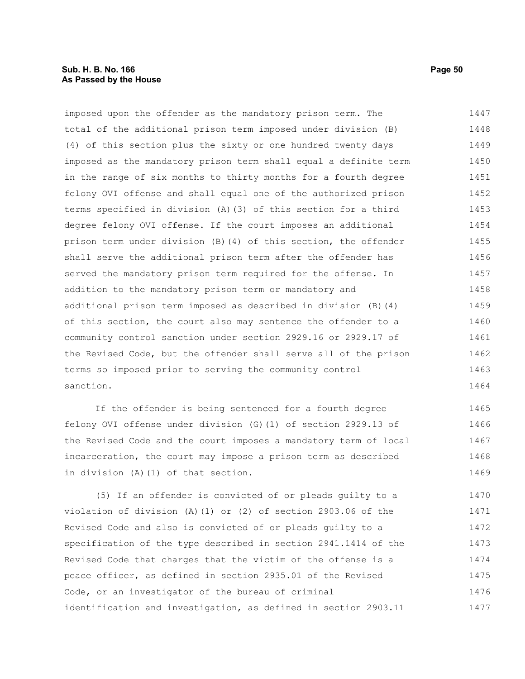imposed upon the offender as the mandatory prison term. The total of the additional prison term imposed under division (B) (4) of this section plus the sixty or one hundred twenty days imposed as the mandatory prison term shall equal a definite term in the range of six months to thirty months for a fourth degree felony OVI offense and shall equal one of the authorized prison terms specified in division (A)(3) of this section for a third degree felony OVI offense. If the court imposes an additional prison term under division (B)(4) of this section, the offender shall serve the additional prison term after the offender has served the mandatory prison term required for the offense. In addition to the mandatory prison term or mandatory and additional prison term imposed as described in division (B)(4) of this section, the court also may sentence the offender to a community control sanction under section 2929.16 or 2929.17 of the Revised Code, but the offender shall serve all of the prison terms so imposed prior to serving the community control sanction. 1447 1448 1449 1450 1451 1452 1453 1454 1455 1456 1457 1458 1459 1460 1461 1462 1463 1464

If the offender is being sentenced for a fourth degree felony OVI offense under division (G)(1) of section 2929.13 of the Revised Code and the court imposes a mandatory term of local incarceration, the court may impose a prison term as described in division (A)(1) of that section. 1465 1466 1467 1468 1469

(5) If an offender is convicted of or pleads guilty to a violation of division (A)(1) or (2) of section 2903.06 of the Revised Code and also is convicted of or pleads guilty to a specification of the type described in section 2941.1414 of the Revised Code that charges that the victim of the offense is a peace officer, as defined in section 2935.01 of the Revised Code, or an investigator of the bureau of criminal identification and investigation, as defined in section 2903.11 1470 1471 1472 1473 1474 1475 1476 1477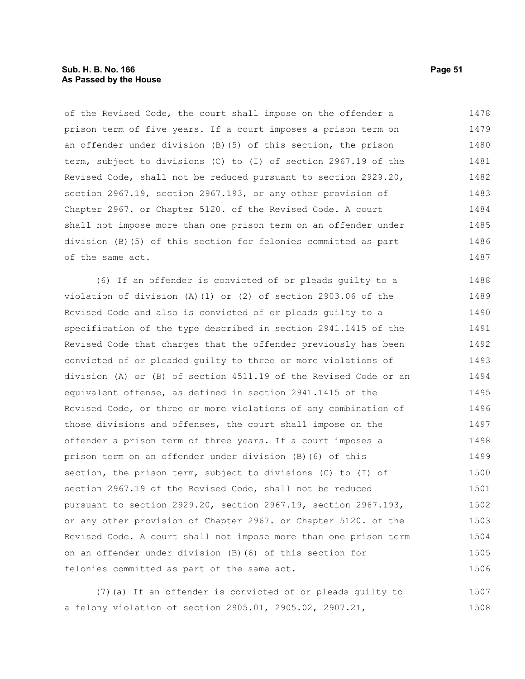# **Sub. H. B. No. 166 Page 51 As Passed by the House**

of the Revised Code, the court shall impose on the offender a prison term of five years. If a court imposes a prison term on an offender under division (B)(5) of this section, the prison term, subject to divisions (C) to (I) of section 2967.19 of the Revised Code, shall not be reduced pursuant to section 2929.20, section 2967.19, section 2967.193, or any other provision of Chapter 2967. or Chapter 5120. of the Revised Code. A court shall not impose more than one prison term on an offender under division (B)(5) of this section for felonies committed as part of the same act. 1478 1479 1480 1481 1482 1483 1484 1485 1486 1487

(6) If an offender is convicted of or pleads guilty to a violation of division (A)(1) or (2) of section 2903.06 of the Revised Code and also is convicted of or pleads guilty to a specification of the type described in section 2941.1415 of the Revised Code that charges that the offender previously has been convicted of or pleaded guilty to three or more violations of division (A) or (B) of section 4511.19 of the Revised Code or an equivalent offense, as defined in section 2941.1415 of the Revised Code, or three or more violations of any combination of those divisions and offenses, the court shall impose on the offender a prison term of three years. If a court imposes a prison term on an offender under division (B)(6) of this section, the prison term, subject to divisions (C) to (I) of section 2967.19 of the Revised Code, shall not be reduced pursuant to section 2929.20, section 2967.19, section 2967.193, or any other provision of Chapter 2967. or Chapter 5120. of the Revised Code. A court shall not impose more than one prison term on an offender under division (B)(6) of this section for felonies committed as part of the same act. 1488 1489 1490 1491 1492 1493 1494 1495 1496 1497 1498 1499 1500 1501 1502 1503 1504 1505 1506

(7)(a) If an offender is convicted of or pleads guilty to a felony violation of section 2905.01, 2905.02, 2907.21, 1507 1508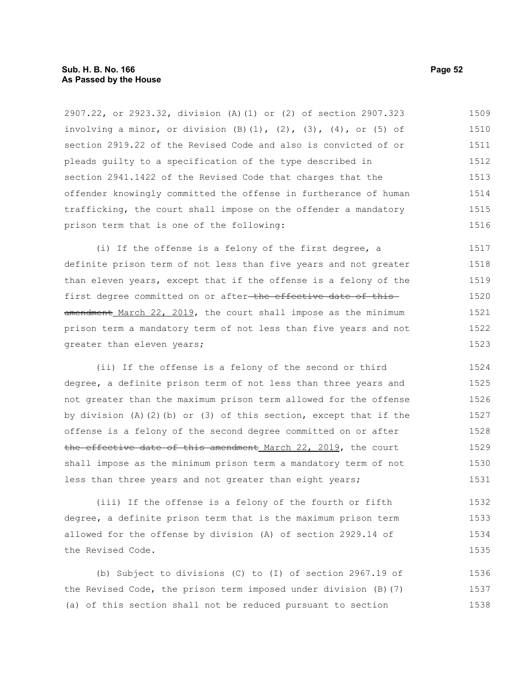2907.22, or 2923.32, division (A)(1) or (2) of section 2907.323 involving a minor, or division  $(B)$   $(1)$ ,  $(2)$ ,  $(3)$ ,  $(4)$ , or  $(5)$  of section 2919.22 of the Revised Code and also is convicted of or pleads guilty to a specification of the type described in section 2941.1422 of the Revised Code that charges that the offender knowingly committed the offense in furtherance of human trafficking, the court shall impose on the offender a mandatory prison term that is one of the following: 1509 1510 1511 1512 1513 1514 1515 1516

(i) If the offense is a felony of the first degree, a definite prison term of not less than five years and not greater than eleven years, except that if the offense is a felony of the first degree committed on or after the effective date of this amendment March 22, 2019, the court shall impose as the minimum prison term a mandatory term of not less than five years and not greater than eleven years; 1517 1518 1519 1520 1521 1522 1523

(ii) If the offense is a felony of the second or third degree, a definite prison term of not less than three years and not greater than the maximum prison term allowed for the offense by division  $(A)$   $(2)$   $(b)$  or  $(3)$  of this section, except that if the offense is a felony of the second degree committed on or after the effective date of this amendment March 22, 2019, the court shall impose as the minimum prison term a mandatory term of not less than three years and not greater than eight years; 1524 1525 1526 1527 1528 1529 1530 1531

(iii) If the offense is a felony of the fourth or fifth degree, a definite prison term that is the maximum prison term allowed for the offense by division (A) of section 2929.14 of the Revised Code. 1532 1533 1534 1535

(b) Subject to divisions (C) to (I) of section 2967.19 of the Revised Code, the prison term imposed under division (B)(7) (a) of this section shall not be reduced pursuant to section 1536 1537 1538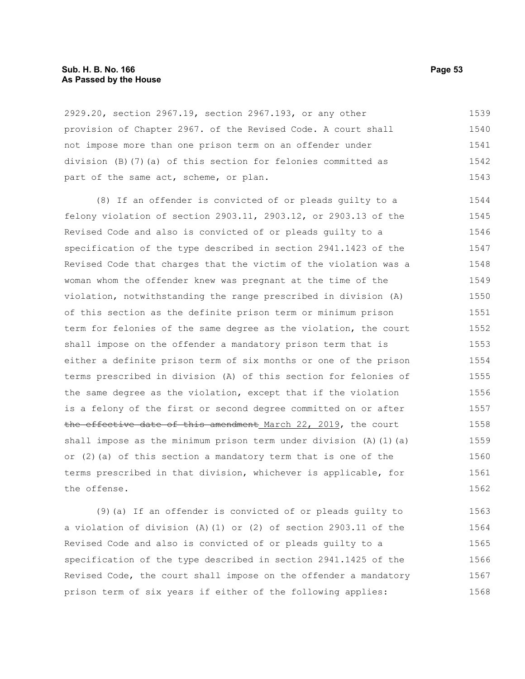### **Sub. H. B. No. 166 Page 53 As Passed by the House**

2929.20, section 2967.19, section 2967.193, or any other provision of Chapter 2967. of the Revised Code. A court shall not impose more than one prison term on an offender under division (B)(7)(a) of this section for felonies committed as part of the same act, scheme, or plan. 1539 1540 1541 1542 1543

(8) If an offender is convicted of or pleads guilty to a felony violation of section 2903.11, 2903.12, or 2903.13 of the Revised Code and also is convicted of or pleads guilty to a specification of the type described in section 2941.1423 of the Revised Code that charges that the victim of the violation was a woman whom the offender knew was pregnant at the time of the violation, notwithstanding the range prescribed in division (A) of this section as the definite prison term or minimum prison term for felonies of the same degree as the violation, the court shall impose on the offender a mandatory prison term that is either a definite prison term of six months or one of the prison terms prescribed in division (A) of this section for felonies of the same degree as the violation, except that if the violation is a felony of the first or second degree committed on or after the effective date of this amendment March 22, 2019, the court shall impose as the minimum prison term under division (A)(1)(a) or  $(2)$  (a) of this section a mandatory term that is one of the terms prescribed in that division, whichever is applicable, for the offense. 1544 1545 1546 1547 1548 1549 1550 1551 1552 1553 1554 1555 1556 1557 1558 1559 1560 1561 1562

(9)(a) If an offender is convicted of or pleads guilty to a violation of division (A)(1) or (2) of section 2903.11 of the Revised Code and also is convicted of or pleads guilty to a specification of the type described in section 2941.1425 of the Revised Code, the court shall impose on the offender a mandatory prison term of six years if either of the following applies: 1563 1564 1565 1566 1567 1568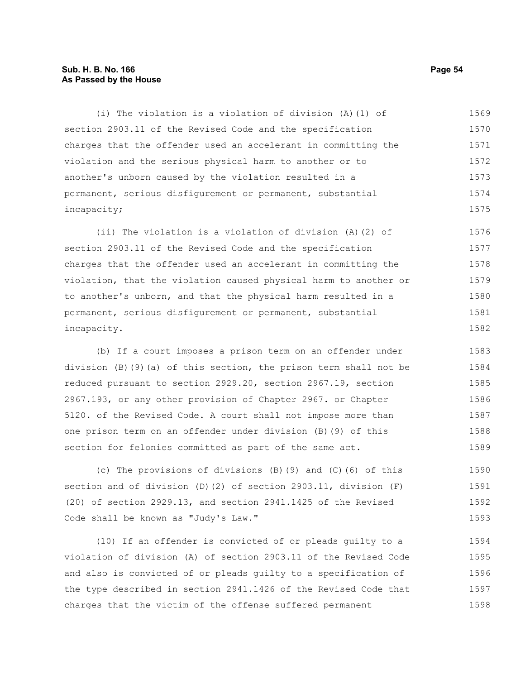# **Sub. H. B. No. 166 Page 54 As Passed by the House**

(i) The violation is a violation of division (A)(1) of section 2903.11 of the Revised Code and the specification charges that the offender used an accelerant in committing the violation and the serious physical harm to another or to another's unborn caused by the violation resulted in a permanent, serious disfigurement or permanent, substantial incapacity; 1569 1570 1571 1572 1573 1574 1575

(ii) The violation is a violation of division (A)(2) of section 2903.11 of the Revised Code and the specification charges that the offender used an accelerant in committing the violation, that the violation caused physical harm to another or to another's unborn, and that the physical harm resulted in a permanent, serious disfigurement or permanent, substantial incapacity. 1576 1577 1578 1579 1580 1581 1582

(b) If a court imposes a prison term on an offender under division (B)(9)(a) of this section, the prison term shall not be reduced pursuant to section 2929.20, section 2967.19, section 2967.193, or any other provision of Chapter 2967. or Chapter 5120. of the Revised Code. A court shall not impose more than one prison term on an offender under division (B)(9) of this section for felonies committed as part of the same act. 1583 1584 1585 1586 1587 1588 1589

(c) The provisions of divisions (B)(9) and (C)(6) of this section and of division (D)(2) of section 2903.11, division (F) (20) of section 2929.13, and section 2941.1425 of the Revised Code shall be known as "Judy's Law." 1590 1591 1592 1593

(10) If an offender is convicted of or pleads guilty to a violation of division (A) of section 2903.11 of the Revised Code and also is convicted of or pleads guilty to a specification of the type described in section 2941.1426 of the Revised Code that charges that the victim of the offense suffered permanent 1594 1595 1596 1597 1598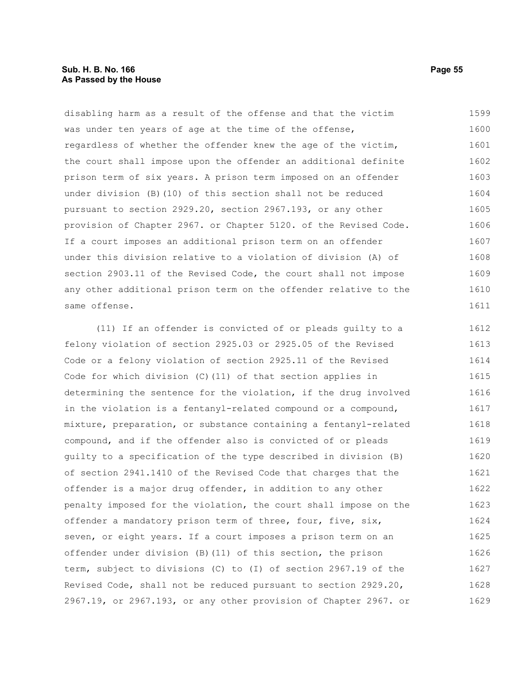# **Sub. H. B. No. 166 Page 55 As Passed by the House**

disabling harm as a result of the offense and that the victim was under ten years of age at the time of the offense, regardless of whether the offender knew the age of the victim, the court shall impose upon the offender an additional definite prison term of six years. A prison term imposed on an offender under division (B)(10) of this section shall not be reduced pursuant to section 2929.20, section 2967.193, or any other provision of Chapter 2967. or Chapter 5120. of the Revised Code. If a court imposes an additional prison term on an offender under this division relative to a violation of division (A) of section 2903.11 of the Revised Code, the court shall not impose any other additional prison term on the offender relative to the same offense. 1599 1600 1601 1602 1603 1604 1605 1606 1607 1608 1609 1610 1611

(11) If an offender is convicted of or pleads guilty to a felony violation of section 2925.03 or 2925.05 of the Revised Code or a felony violation of section 2925.11 of the Revised Code for which division (C)(11) of that section applies in determining the sentence for the violation, if the drug involved in the violation is a fentanyl-related compound or a compound, mixture, preparation, or substance containing a fentanyl-related compound, and if the offender also is convicted of or pleads guilty to a specification of the type described in division (B) of section 2941.1410 of the Revised Code that charges that the offender is a major drug offender, in addition to any other penalty imposed for the violation, the court shall impose on the offender a mandatory prison term of three, four, five, six, seven, or eight years. If a court imposes a prison term on an offender under division (B)(11) of this section, the prison term, subject to divisions (C) to (I) of section 2967.19 of the Revised Code, shall not be reduced pursuant to section 2929.20, 2967.19, or 2967.193, or any other provision of Chapter 2967. or 1612 1613 1614 1615 1616 1617 1618 1619 1620 1621 1622 1623 1624 1625 1626 1627 1628 1629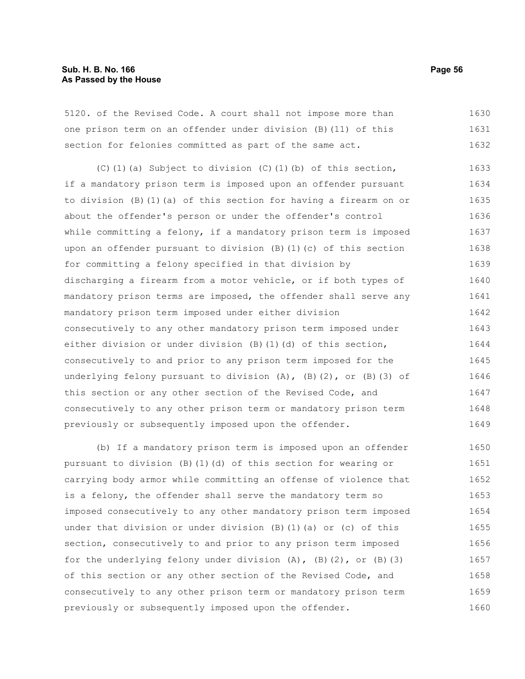# **Sub. H. B. No. 166 Page 56 As Passed by the House**

5120. of the Revised Code. A court shall not impose more than one prison term on an offender under division (B)(11) of this section for felonies committed as part of the same act. 1630 1631 1632

(C)(1)(a) Subject to division (C)(1)(b) of this section, if a mandatory prison term is imposed upon an offender pursuant to division (B)(1)(a) of this section for having a firearm on or about the offender's person or under the offender's control while committing a felony, if a mandatory prison term is imposed upon an offender pursuant to division (B)(1)(c) of this section for committing a felony specified in that division by discharging a firearm from a motor vehicle, or if both types of mandatory prison terms are imposed, the offender shall serve any mandatory prison term imposed under either division consecutively to any other mandatory prison term imposed under either division or under division (B)(1)(d) of this section, consecutively to and prior to any prison term imposed for the underlying felony pursuant to division  $(A)$ ,  $(B)$   $(2)$ , or  $(B)$   $(3)$  of this section or any other section of the Revised Code, and consecutively to any other prison term or mandatory prison term previously or subsequently imposed upon the offender. 1633 1634 1635 1636 1637 1638 1639 1640 1641 1642 1643 1644 1645 1646 1647 1648 1649

(b) If a mandatory prison term is imposed upon an offender pursuant to division (B)(1)(d) of this section for wearing or carrying body armor while committing an offense of violence that is a felony, the offender shall serve the mandatory term so imposed consecutively to any other mandatory prison term imposed under that division or under division (B)(1)(a) or (c) of this section, consecutively to and prior to any prison term imposed for the underlying felony under division (A), (B)(2), or (B)(3) of this section or any other section of the Revised Code, and consecutively to any other prison term or mandatory prison term previously or subsequently imposed upon the offender. 1650 1651 1652 1653 1654 1655 1656 1657 1658 1659 1660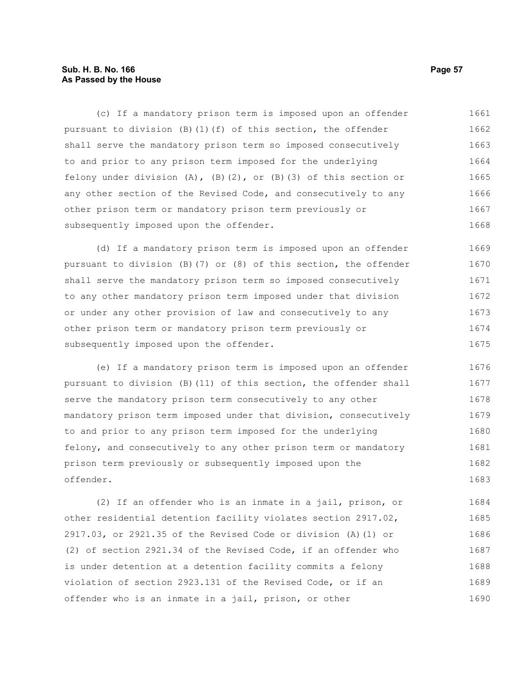# **Sub. H. B. No. 166 Page 57 As Passed by the House**

(c) If a mandatory prison term is imposed upon an offender pursuant to division  $(B)$  (1)(f) of this section, the offender shall serve the mandatory prison term so imposed consecutively to and prior to any prison term imposed for the underlying felony under division  $(A)$ ,  $(B)$   $(2)$ , or  $(B)$   $(3)$  of this section or any other section of the Revised Code, and consecutively to any other prison term or mandatory prison term previously or subsequently imposed upon the offender. 1661 1662 1663 1664 1665 1666 1667 1668

(d) If a mandatory prison term is imposed upon an offender pursuant to division (B)(7) or (8) of this section, the offender shall serve the mandatory prison term so imposed consecutively to any other mandatory prison term imposed under that division or under any other provision of law and consecutively to any other prison term or mandatory prison term previously or subsequently imposed upon the offender. 1669 1670 1671 1672 1673 1674 1675

(e) If a mandatory prison term is imposed upon an offender pursuant to division (B)(11) of this section, the offender shall serve the mandatory prison term consecutively to any other mandatory prison term imposed under that division, consecutively to and prior to any prison term imposed for the underlying felony, and consecutively to any other prison term or mandatory prison term previously or subsequently imposed upon the offender. 1676 1677 1678 1679 1680 1681 1682 1683

(2) If an offender who is an inmate in a jail, prison, or other residential detention facility violates section 2917.02, 2917.03, or 2921.35 of the Revised Code or division (A)(1) or (2) of section 2921.34 of the Revised Code, if an offender who is under detention at a detention facility commits a felony violation of section 2923.131 of the Revised Code, or if an offender who is an inmate in a jail, prison, or other 1684 1685 1686 1687 1688 1689 1690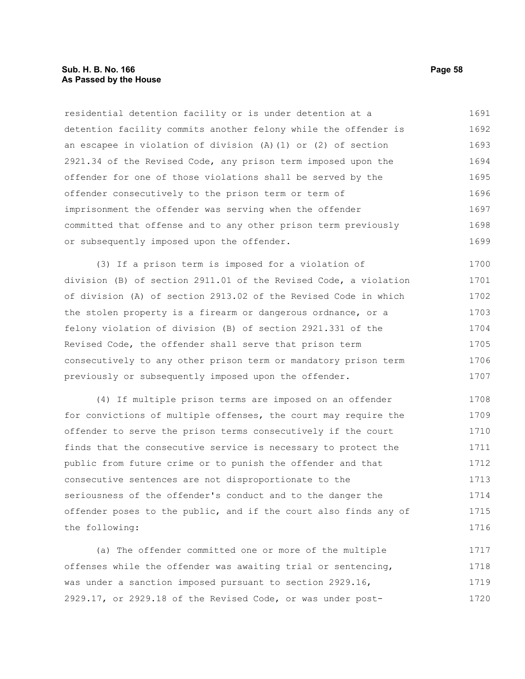# **Sub. H. B. No. 166 Page 58 As Passed by the House**

residential detention facility or is under detention at a detention facility commits another felony while the offender is an escapee in violation of division (A)(1) or (2) of section 2921.34 of the Revised Code, any prison term imposed upon the offender for one of those violations shall be served by the offender consecutively to the prison term or term of imprisonment the offender was serving when the offender committed that offense and to any other prison term previously or subsequently imposed upon the offender. 1691 1692 1693 1694 1695 1696 1697 1698 1699

(3) If a prison term is imposed for a violation of division (B) of section 2911.01 of the Revised Code, a violation of division (A) of section 2913.02 of the Revised Code in which the stolen property is a firearm or dangerous ordnance, or a felony violation of division (B) of section 2921.331 of the Revised Code, the offender shall serve that prison term consecutively to any other prison term or mandatory prison term previously or subsequently imposed upon the offender. 1700 1701 1702 1703 1704 1705 1706 1707

(4) If multiple prison terms are imposed on an offender for convictions of multiple offenses, the court may require the offender to serve the prison terms consecutively if the court finds that the consecutive service is necessary to protect the public from future crime or to punish the offender and that consecutive sentences are not disproportionate to the seriousness of the offender's conduct and to the danger the offender poses to the public, and if the court also finds any of the following: 1708 1709 1710 1711 1712 1713 1714 1715 1716

(a) The offender committed one or more of the multiple offenses while the offender was awaiting trial or sentencing, was under a sanction imposed pursuant to section 2929.16, 2929.17, or 2929.18 of the Revised Code, or was under post-1717 1718 1719 1720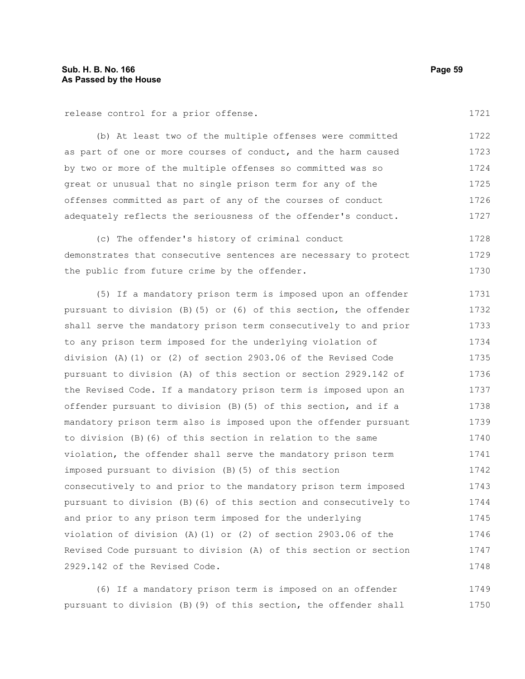release control for a prior offense.

(b) At least two of the multiple offenses were committed as part of one or more courses of conduct, and the harm caused by two or more of the multiple offenses so committed was so great or unusual that no single prison term for any of the offenses committed as part of any of the courses of conduct adequately reflects the seriousness of the offender's conduct. 1722 1723 1724 1725 1726 1727

(c) The offender's history of criminal conduct demonstrates that consecutive sentences are necessary to protect the public from future crime by the offender. 1728 1729 1730

(5) If a mandatory prison term is imposed upon an offender pursuant to division (B)(5) or (6) of this section, the offender shall serve the mandatory prison term consecutively to and prior to any prison term imposed for the underlying violation of division (A)(1) or (2) of section 2903.06 of the Revised Code pursuant to division (A) of this section or section 2929.142 of the Revised Code. If a mandatory prison term is imposed upon an offender pursuant to division (B)(5) of this section, and if a mandatory prison term also is imposed upon the offender pursuant to division (B)(6) of this section in relation to the same violation, the offender shall serve the mandatory prison term imposed pursuant to division (B)(5) of this section consecutively to and prior to the mandatory prison term imposed pursuant to division (B)(6) of this section and consecutively to and prior to any prison term imposed for the underlying violation of division (A)(1) or (2) of section 2903.06 of the Revised Code pursuant to division (A) of this section or section 2929.142 of the Revised Code. 1731 1732 1733 1734 1735 1736 1737 1738 1739 1740 1741 1742 1743 1744 1745 1746 1747 1748

(6) If a mandatory prison term is imposed on an offender pursuant to division (B)(9) of this section, the offender shall 1749 1750

1721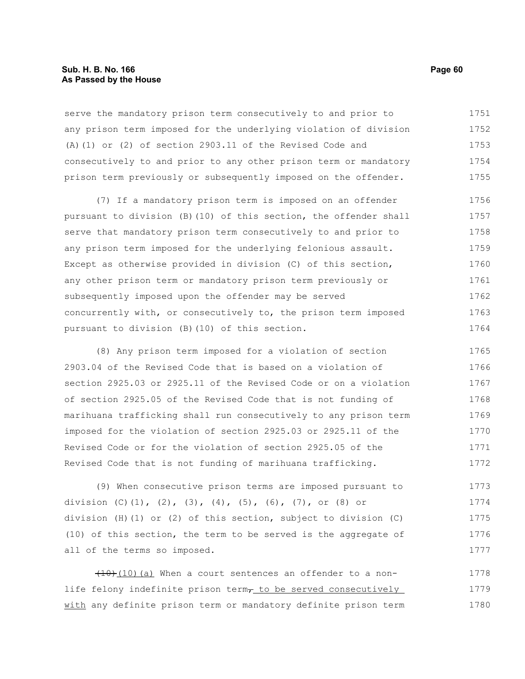### **Sub. H. B. No. 166 Page 60 As Passed by the House**

serve the mandatory prison term consecutively to and prior to any prison term imposed for the underlying violation of division (A)(1) or (2) of section 2903.11 of the Revised Code and consecutively to and prior to any other prison term or mandatory prison term previously or subsequently imposed on the offender. 1751 1752 1753 1754 1755

(7) If a mandatory prison term is imposed on an offender pursuant to division (B)(10) of this section, the offender shall serve that mandatory prison term consecutively to and prior to any prison term imposed for the underlying felonious assault. Except as otherwise provided in division (C) of this section, any other prison term or mandatory prison term previously or subsequently imposed upon the offender may be served concurrently with, or consecutively to, the prison term imposed pursuant to division (B)(10) of this section. 1756 1757 1758 1759 1760 1761 1762 1763 1764

(8) Any prison term imposed for a violation of section 2903.04 of the Revised Code that is based on a violation of section 2925.03 or 2925.11 of the Revised Code or on a violation of section 2925.05 of the Revised Code that is not funding of marihuana trafficking shall run consecutively to any prison term imposed for the violation of section 2925.03 or 2925.11 of the Revised Code or for the violation of section 2925.05 of the Revised Code that is not funding of marihuana trafficking. 1765 1766 1767 1768 1769 1770 1771 1772

(9) When consecutive prison terms are imposed pursuant to division  $(C)$ (1),  $(2)$ ,  $(3)$ ,  $(4)$ ,  $(5)$ ,  $(6)$ ,  $(7)$ , or  $(8)$  or division (H)(1) or (2) of this section, subject to division (C) (10) of this section, the term to be served is the aggregate of all of the terms so imposed. 1773 1774 1775 1776 1777

 $(10)$  (10) (a) When a court sentences an offender to a nonlife felony indefinite prison term<sub>r</sub> to be served consecutively with any definite prison term or mandatory definite prison term 1778 1779 1780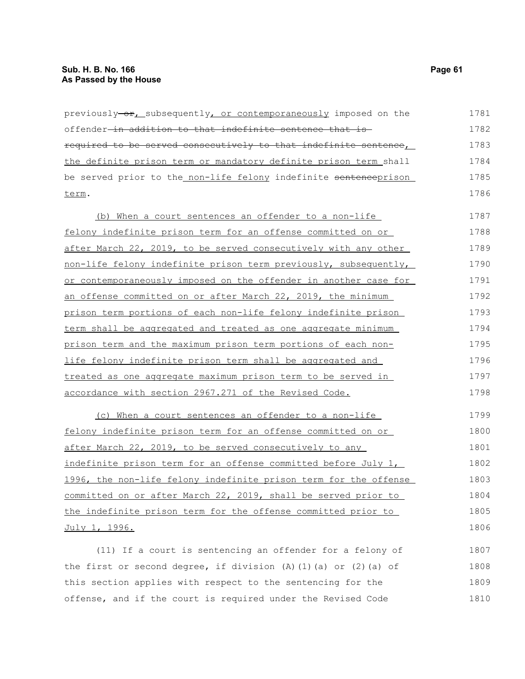| previously-or subsequently, or contemporaneously imposed on the  | 1781 |
|------------------------------------------------------------------|------|
| offender-in addition to that indefinite sentence that is-        | 1782 |
| required to be served consecutively to that indefinite sentence, | 1783 |
| the definite prison term or mandatory definite prison term shall | 1784 |
| be served prior to the non-life felony indefinite sentenceprison | 1785 |
| term.                                                            | 1786 |
| (b) When a court sentences an offender to a non-life             | 1787 |
| felony indefinite prison term for an offense committed on or     | 1788 |
| after March 22, 2019, to be served consecutively with any other  | 1789 |
| non-life felony indefinite prison term previously, subsequently, | 1790 |
| or contemporaneously imposed on the offender in another case for | 1791 |
| an offense committed on or after March 22, 2019, the minimum     | 1792 |
| prison term portions of each non-life felony indefinite prison   | 1793 |
| term shall be aggregated and treated as one aggregate minimum    | 1794 |
| prison term and the maximum prison term portions of each non-    | 1795 |
| life felony indefinite prison term shall be aggregated and       | 1796 |
| treated as one aggregate maximum prison term to be served in     | 1797 |
| accordance with section 2967.271 of the Revised Code.            | 1798 |
| (c) When a court sentences an offender to a non-life             | 1799 |
| felony indefinite prison term for an offense committed on or     | 1800 |
| after March 22, 2019, to be served consecutively to any          | 1801 |
| indefinite prison term for an offense committed before July 1,   | 1802 |
| 1996, the non-life felony indefinite prison term for the offense | 1803 |
| committed on or after March 22, 2019, shall be served prior to   | 1804 |
| the indefinite prison term for the offense committed prior to    | 1805 |
| July 1, 1996.                                                    | 1806 |

(11) If a court is sentencing an offender for a felony of the first or second degree, if division (A)(1)(a) or (2)(a) of this section applies with respect to the sentencing for the offense, and if the court is required under the Revised Code 1807 1808 1809 1810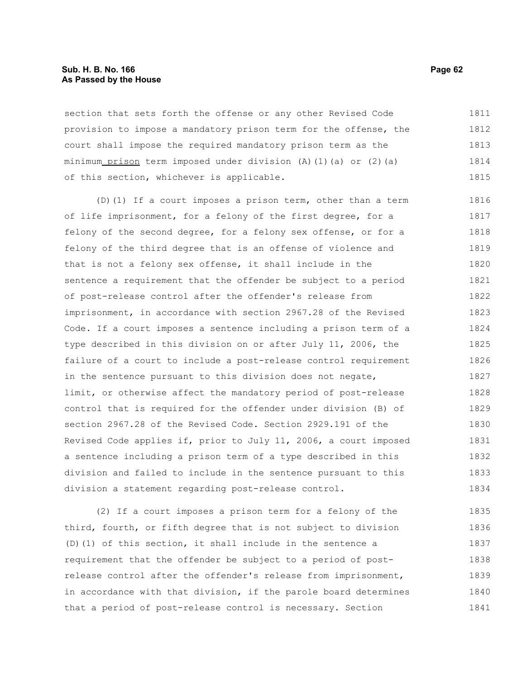#### **Sub. H. B. No. 166 Page 62 As Passed by the House**

section that sets forth the offense or any other Revised Code provision to impose a mandatory prison term for the offense, the court shall impose the required mandatory prison term as the minimum prison term imposed under division  $(A)$   $(1)$   $(a)$  or  $(2)$   $(a)$ of this section, whichever is applicable. 1811 1812 1813 1814 1815

(D)(1) If a court imposes a prison term, other than a term of life imprisonment, for a felony of the first degree, for a felony of the second degree, for a felony sex offense, or for a felony of the third degree that is an offense of violence and that is not a felony sex offense, it shall include in the sentence a requirement that the offender be subject to a period of post-release control after the offender's release from imprisonment, in accordance with section 2967.28 of the Revised Code. If a court imposes a sentence including a prison term of a type described in this division on or after July 11, 2006, the failure of a court to include a post-release control requirement in the sentence pursuant to this division does not negate, limit, or otherwise affect the mandatory period of post-release control that is required for the offender under division (B) of section 2967.28 of the Revised Code. Section 2929.191 of the Revised Code applies if, prior to July 11, 2006, a court imposed a sentence including a prison term of a type described in this division and failed to include in the sentence pursuant to this division a statement regarding post-release control. 1816 1817 1818 1819 1820 1821 1822 1823 1824 1825 1826 1827 1828 1829 1830 1831 1832 1833 1834

(2) If a court imposes a prison term for a felony of the third, fourth, or fifth degree that is not subject to division (D)(1) of this section, it shall include in the sentence a requirement that the offender be subject to a period of postrelease control after the offender's release from imprisonment, in accordance with that division, if the parole board determines that a period of post-release control is necessary. Section 1835 1836 1837 1838 1839 1840 1841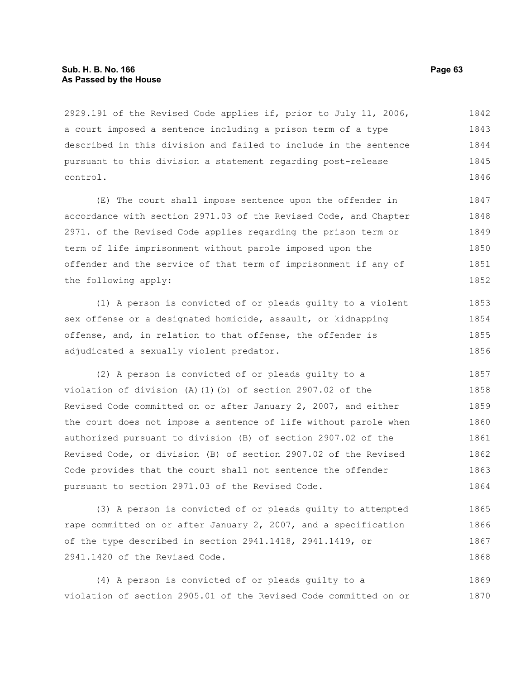## **Sub. H. B. No. 166 Page 63 As Passed by the House**

2929.191 of the Revised Code applies if, prior to July 11, 2006, a court imposed a sentence including a prison term of a type described in this division and failed to include in the sentence pursuant to this division a statement regarding post-release control. 1842 1843 1844 1845 1846

(E) The court shall impose sentence upon the offender in accordance with section 2971.03 of the Revised Code, and Chapter 2971. of the Revised Code applies regarding the prison term or term of life imprisonment without parole imposed upon the offender and the service of that term of imprisonment if any of the following apply: 1847 1848 1849 1850 1851 1852

(1) A person is convicted of or pleads guilty to a violent sex offense or a designated homicide, assault, or kidnapping offense, and, in relation to that offense, the offender is adjudicated a sexually violent predator. 1853 1854 1855 1856

(2) A person is convicted of or pleads guilty to a violation of division (A)(1)(b) of section 2907.02 of the Revised Code committed on or after January 2, 2007, and either the court does not impose a sentence of life without parole when authorized pursuant to division (B) of section 2907.02 of the Revised Code, or division (B) of section 2907.02 of the Revised Code provides that the court shall not sentence the offender pursuant to section 2971.03 of the Revised Code. 1857 1858 1859 1860 1861 1862 1863 1864

(3) A person is convicted of or pleads guilty to attempted rape committed on or after January 2, 2007, and a specification of the type described in section 2941.1418, 2941.1419, or 2941.1420 of the Revised Code. 1865 1866 1867 1868

(4) A person is convicted of or pleads guilty to a violation of section 2905.01 of the Revised Code committed on or 1869 1870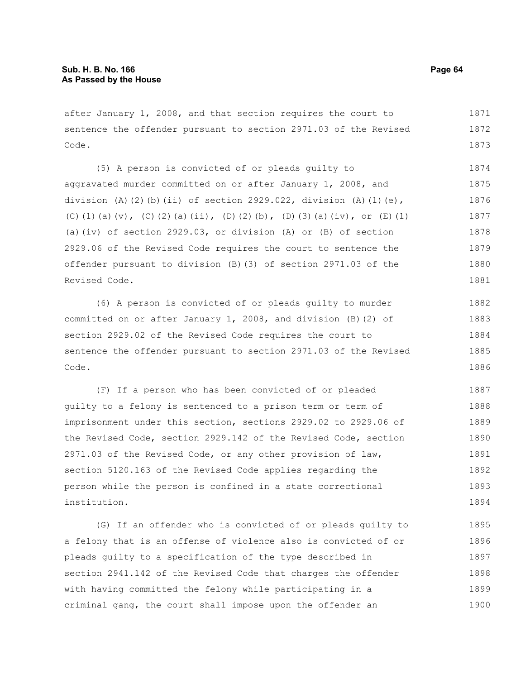after January 1, 2008, and that section requires the court to sentence the offender pursuant to section 2971.03 of the Revised Code. 1871 1872 1873

(5) A person is convicted of or pleads guilty to aggravated murder committed on or after January 1, 2008, and division (A)(2)(b)(ii) of section 2929.022, division (A)(1)(e), (C)(1)(a)(v), (C)(2)(a)(ii), (D)(2)(b), (D)(3)(a)(iv), or (E)(1) (a)(iv) of section 2929.03, or division (A) or (B) of section 2929.06 of the Revised Code requires the court to sentence the offender pursuant to division (B)(3) of section 2971.03 of the Revised Code. 1874 1875 1876 1877 1878 1879 1880 1881

(6) A person is convicted of or pleads guilty to murder committed on or after January 1, 2008, and division (B)(2) of section 2929.02 of the Revised Code requires the court to sentence the offender pursuant to section 2971.03 of the Revised Code. 1882 1883 1884 1885 1886

(F) If a person who has been convicted of or pleaded guilty to a felony is sentenced to a prison term or term of imprisonment under this section, sections 2929.02 to 2929.06 of the Revised Code, section 2929.142 of the Revised Code, section 2971.03 of the Revised Code, or any other provision of law, section 5120.163 of the Revised Code applies regarding the person while the person is confined in a state correctional institution. 1887 1888 1889 1890 1891 1892 1893 1894

(G) If an offender who is convicted of or pleads guilty to a felony that is an offense of violence also is convicted of or pleads guilty to a specification of the type described in section 2941.142 of the Revised Code that charges the offender with having committed the felony while participating in a criminal gang, the court shall impose upon the offender an 1895 1896 1897 1898 1899 1900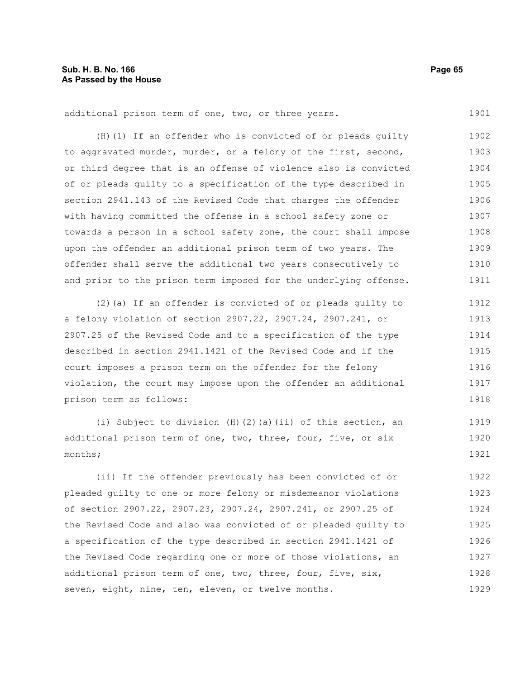additional prison term of one, two, or three years.

(H)(1) If an offender who is convicted of or pleads guilty to aggravated murder, murder, or a felony of the first, second, or third degree that is an offense of violence also is convicted of or pleads guilty to a specification of the type described in section 2941.143 of the Revised Code that charges the offender with having committed the offense in a school safety zone or towards a person in a school safety zone, the court shall impose upon the offender an additional prison term of two years. The offender shall serve the additional two years consecutively to and prior to the prison term imposed for the underlying offense. 1902 1903 1904 1905 1906 1907 1908 1909 1910 1911

(2)(a) If an offender is convicted of or pleads guilty to a felony violation of section 2907.22, 2907.24, 2907.241, or 2907.25 of the Revised Code and to a specification of the type described in section 2941.1421 of the Revised Code and if the court imposes a prison term on the offender for the felony violation, the court may impose upon the offender an additional prison term as follows: 1912 1913 1914 1915 1916 1917 1918

(i) Subject to division (H)(2)(a)(ii) of this section, an additional prison term of one, two, three, four, five, or six months;

(ii) If the offender previously has been convicted of or pleaded guilty to one or more felony or misdemeanor violations of section 2907.22, 2907.23, 2907.24, 2907.241, or 2907.25 of the Revised Code and also was convicted of or pleaded guilty to a specification of the type described in section 2941.1421 of the Revised Code regarding one or more of those violations, an additional prison term of one, two, three, four, five, six, seven, eight, nine, ten, eleven, or twelve months. 1922 1923 1924 1925 1926 1927 1928 1929

1901

1919

1920 1921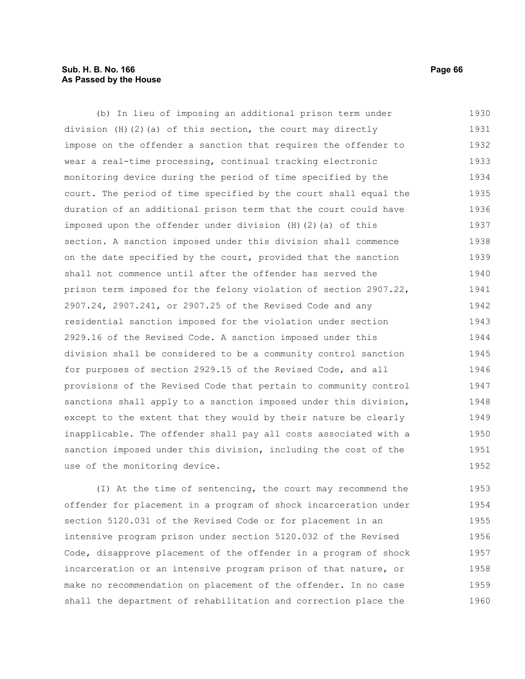# **Sub. H. B. No. 166 Page 66 As Passed by the House**

(b) In lieu of imposing an additional prison term under division (H)(2)(a) of this section, the court may directly impose on the offender a sanction that requires the offender to wear a real-time processing, continual tracking electronic monitoring device during the period of time specified by the court. The period of time specified by the court shall equal the duration of an additional prison term that the court could have imposed upon the offender under division (H)(2)(a) of this section. A sanction imposed under this division shall commence on the date specified by the court, provided that the sanction shall not commence until after the offender has served the prison term imposed for the felony violation of section 2907.22, 2907.24, 2907.241, or 2907.25 of the Revised Code and any residential sanction imposed for the violation under section 2929.16 of the Revised Code. A sanction imposed under this division shall be considered to be a community control sanction for purposes of section 2929.15 of the Revised Code, and all provisions of the Revised Code that pertain to community control sanctions shall apply to a sanction imposed under this division, except to the extent that they would by their nature be clearly inapplicable. The offender shall pay all costs associated with a sanction imposed under this division, including the cost of the use of the monitoring device. 1930 1931 1932 1933 1934 1935 1936 1937 1938 1939 1940 1941 1942 1943 1944 1945 1946 1947 1948 1949 1950 1951 1952

(I) At the time of sentencing, the court may recommend the offender for placement in a program of shock incarceration under section 5120.031 of the Revised Code or for placement in an intensive program prison under section 5120.032 of the Revised Code, disapprove placement of the offender in a program of shock incarceration or an intensive program prison of that nature, or make no recommendation on placement of the offender. In no case shall the department of rehabilitation and correction place the 1953 1954 1955 1956 1957 1958 1959 1960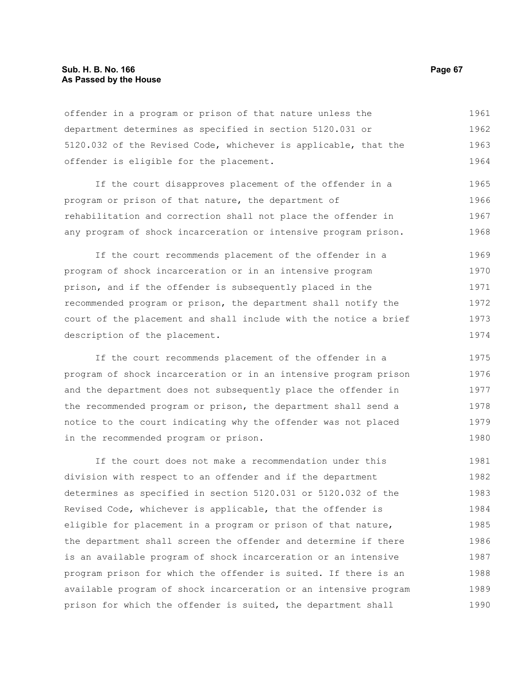offender in a program or prison of that nature unless the department determines as specified in section 5120.031 or 5120.032 of the Revised Code, whichever is applicable, that the offender is eligible for the placement. 1961 1962 1963 1964

If the court disapproves placement of the offender in a program or prison of that nature, the department of rehabilitation and correction shall not place the offender in any program of shock incarceration or intensive program prison. 1965 1966 1967 1968

If the court recommends placement of the offender in a program of shock incarceration or in an intensive program prison, and if the offender is subsequently placed in the recommended program or prison, the department shall notify the court of the placement and shall include with the notice a brief description of the placement. 1969 1970 1971 1972 1973 1974

If the court recommends placement of the offender in a program of shock incarceration or in an intensive program prison and the department does not subsequently place the offender in the recommended program or prison, the department shall send a notice to the court indicating why the offender was not placed in the recommended program or prison. 1976 1978

If the court does not make a recommendation under this division with respect to an offender and if the department determines as specified in section 5120.031 or 5120.032 of the Revised Code, whichever is applicable, that the offender is eligible for placement in a program or prison of that nature, the department shall screen the offender and determine if there is an available program of shock incarceration or an intensive program prison for which the offender is suited. If there is an available program of shock incarceration or an intensive program prison for which the offender is suited, the department shall 1981 1982 1983 1984 1985 1986 1987 1988 1989 1990

1975

1977

1979 1980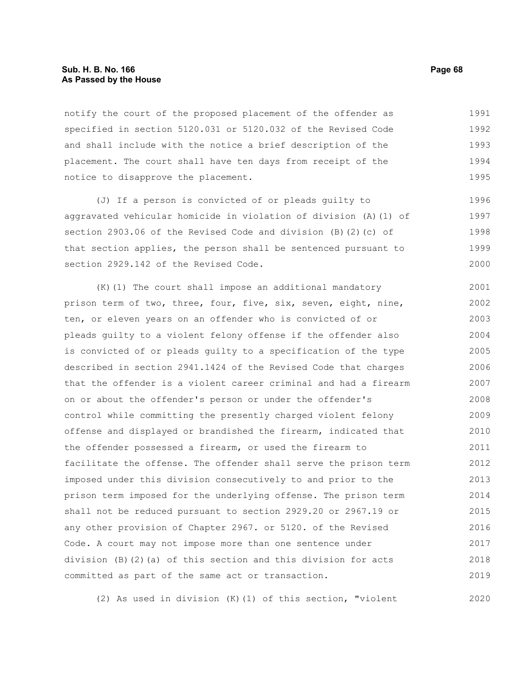# **Sub. H. B. No. 166 Page 68 As Passed by the House**

notify the court of the proposed placement of the offender as specified in section 5120.031 or 5120.032 of the Revised Code and shall include with the notice a brief description of the placement. The court shall have ten days from receipt of the notice to disapprove the placement. 1991 1992 1993 1994 1995

(J) If a person is convicted of or pleads guilty to aggravated vehicular homicide in violation of division (A)(1) of section 2903.06 of the Revised Code and division (B)(2)(c) of that section applies, the person shall be sentenced pursuant to section 2929.142 of the Revised Code. 1996 1997 1998 1999 2000

(K)(1) The court shall impose an additional mandatory prison term of two, three, four, five, six, seven, eight, nine, ten, or eleven years on an offender who is convicted of or pleads guilty to a violent felony offense if the offender also is convicted of or pleads guilty to a specification of the type described in section 2941.1424 of the Revised Code that charges that the offender is a violent career criminal and had a firearm on or about the offender's person or under the offender's control while committing the presently charged violent felony offense and displayed or brandished the firearm, indicated that the offender possessed a firearm, or used the firearm to facilitate the offense. The offender shall serve the prison term imposed under this division consecutively to and prior to the prison term imposed for the underlying offense. The prison term shall not be reduced pursuant to section 2929.20 or 2967.19 or any other provision of Chapter 2967. or 5120. of the Revised Code. A court may not impose more than one sentence under division (B)(2)(a) of this section and this division for acts committed as part of the same act or transaction. 2001 2002 2003 2004 2005 2006 2007 2008 2009 2010 2011 2012 2013 2014 2015 2016 2017 2018 2019

(2) As used in division (K)(1) of this section, "violent

2020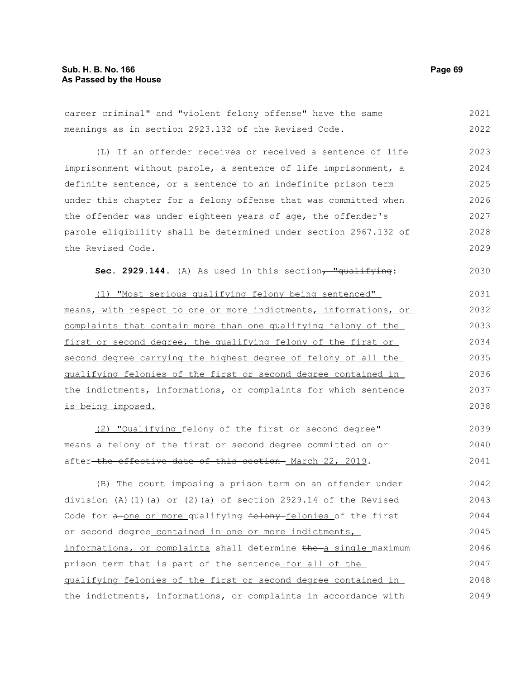# **Sub. H. B. No. 166 Page 69 As Passed by the House**

career criminal" and "violent felony offense" have the same meanings as in section 2923.132 of the Revised Code. (L) If an offender receives or received a sentence of life imprisonment without parole, a sentence of life imprisonment, a definite sentence, or a sentence to an indefinite prison term under this chapter for a felony offense that was committed when the offender was under eighteen years of age, the offender's parole eligibility shall be determined under section 2967.132 of the Revised Code. Sec. 2929.144. (A) As used in this section<del>, "qualifying:</del> (1) "Most serious qualifying felony being sentenced" means, with respect to one or more indictments, informations, or complaints that contain more than one qualifying felony of the first or second degree, the qualifying felony of the first or second degree carrying the highest degree of felony of all the qualifying felonies of the first or second degree contained in the indictments, informations, or complaints for which sentence is being imposed. (2) "Qualifying felony of the first or second degree" means a felony of the first or second degree committed on or after-the effective date of this section- March 22, 2019. (B) The court imposing a prison term on an offender under division (A)(1)(a) or (2)(a) of section 2929.14 of the Revised Code for a one or more qualifying felony felonies of the first or second degree contained in one or more indictments, informations, or complaints shall determine the a single maximum prison term that is part of the sentence for all of the qualifying felonies of the first or second degree contained in the indictments, informations, or complaints in accordance with 2021 2022 2023 2024 2025 2026 2027 2028 2029 2030 2031 2032 2033 2034 2035 2036 2037 2038 2039 2040 2041 2042 2043 2044 2045 2046 2047 2048 2049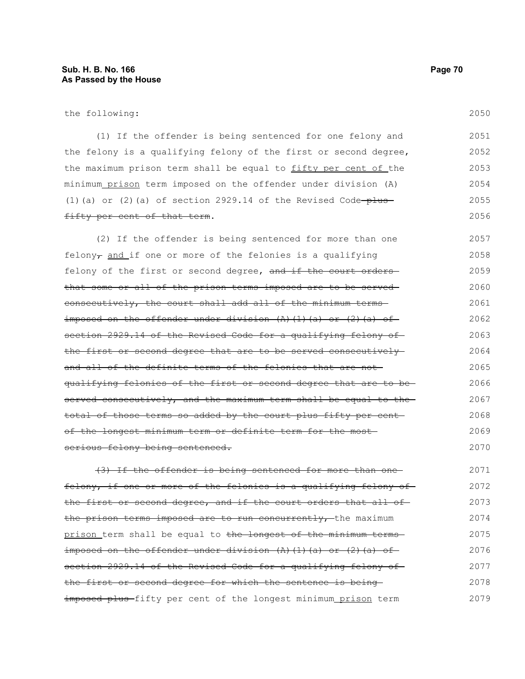| the following:                                                             | 2050 |
|----------------------------------------------------------------------------|------|
| (1) If the offender is being sentenced for one felony and                  | 2051 |
| the felony is a qualifying felony of the first or second degree,           | 2052 |
| the maximum prison term shall be equal to fifty per cent of the            | 2053 |
| minimum prison term imposed on the offender under division (A)             | 2054 |
| (1) (a) or (2) (a) of section $2929.14$ of the Revised Code-plus-          | 2055 |
| fifty per cent of that term.                                               | 2056 |
| (2) If the offender is being sentenced for more than one                   | 2057 |
| felony <sub>7</sub> and if one or more of the felonies is a qualifying     | 2058 |
| felony of the first or second degree, and if the court orders              | 2059 |
| that some or all of the prison terms imposed are to be served-             | 2060 |
| consecutively, the court shall add all of the minimum terms-               | 2061 |
| imposed on the offender under division $(A)$ $(1)$ $(a)$ or $(2)$ $(a)$ of | 2062 |
| section 2929.14 of the Revised Code for a qualifying felony of             | 2063 |
| the first or second degree that are to be served consecutively             | 2064 |
| and all of the definite terms of the felonies that are not-                | 2065 |
| qualifying felonies of the first or second degree that are to be-          | 2066 |
| served consecutively, and the maximum term shall be equal to the           | 2067 |
| total of those terms so added by the court plus fifty per cent-            | 2068 |
| of the longest minimum term or definite term for the most-                 | 2069 |
| serious felony being sentenced.                                            | 2070 |
| (3) If the offender is being sentenced for more than one                   | 2071 |
| felony, if one or more of the felonies is a qualifying felony of           | 2072 |
| the first or second degree, and if the court orders that all of            | 2073 |
| the prison terms imposed are to run concurrently, the maximum              | 2074 |
| prison term shall be equal to the longest of the minimum terms             | 2075 |
| imposed on the offender under division $(A)$ $(1)$ $(a)$ or $(2)$ $(a)$ of | 2076 |
| section 2929.14 of the Revised Code for a qualifying felony of             | 2077 |
| the first or second degree for which the sentence is being                 | 2078 |

imposed plus fifty per cent of the longest minimum prison term 2079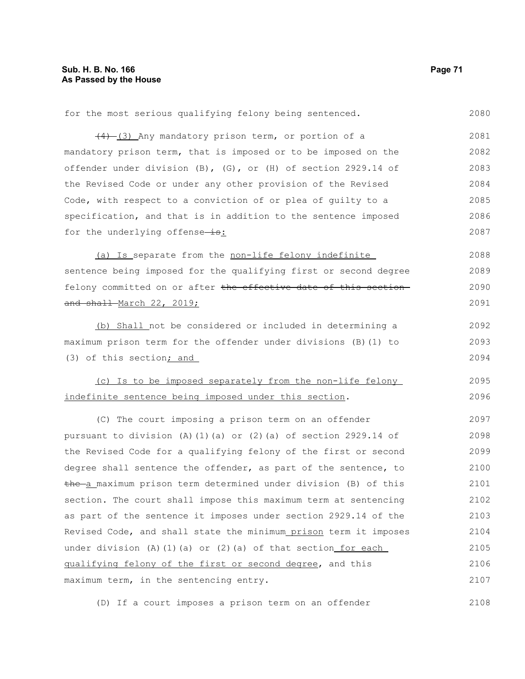for the most serious qualifying felony being sentenced. (4) (3) Any mandatory prison term, or portion of a mandatory prison term, that is imposed or to be imposed on the offender under division (B), (G), or (H) of section 2929.14 of the Revised Code or under any other provision of the Revised Code, with respect to a conviction of or plea of guilty to a specification, and that is in addition to the sentence imposed for the underlying offense $\frac{1}{15}$ : (a) Is separate from the non-life felony indefinite sentence being imposed for the qualifying first or second degree felony committed on or after the effective date of this sectionand shall March 22, 2019; (b) Shall not be considered or included in determining a maximum prison term for the offender under divisions (B)(1) to (3) of this section; and (c) Is to be imposed separately from the non-life felony indefinite sentence being imposed under this section. (C) The court imposing a prison term on an offender pursuant to division (A)(1)(a) or (2)(a) of section 2929.14 of the Revised Code for a qualifying felony of the first or second degree shall sentence the offender, as part of the sentence, to the a maximum prison term determined under division (B) of this section. The court shall impose this maximum term at sentencing as part of the sentence it imposes under section 2929.14 of the Revised Code, and shall state the minimum prison term it imposes under division (A)(1)(a) or (2)(a) of that section for each qualifying felony of the first or second degree, and this maximum term, in the sentencing entry. 2080 2081 2082 2083 2084 2085 2086 2087 2088 2089 2090 2091 2092 2093 2094 2095 2096 2097 2098 2099 2100 2101 2102 2103 2104 2105 2106 2107

(D) If a court imposes a prison term on an offender 2108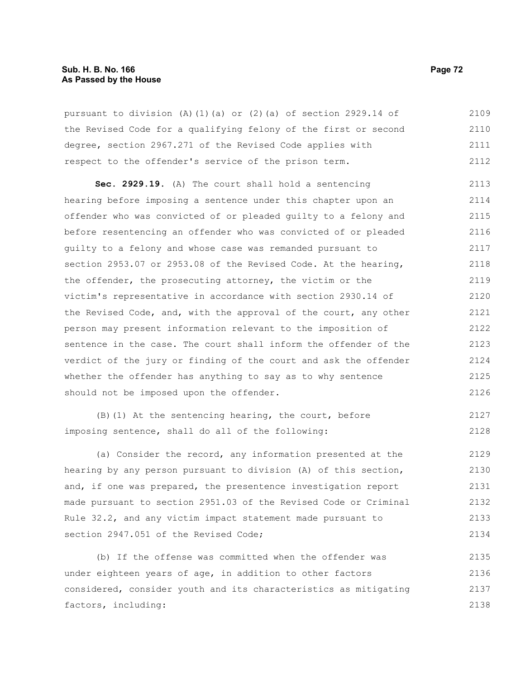# **Sub. H. B. No. 166 Page 72 As Passed by the House**

pursuant to division (A)(1)(a) or (2)(a) of section 2929.14 of the Revised Code for a qualifying felony of the first or second degree, section 2967.271 of the Revised Code applies with respect to the offender's service of the prison term. 2109 2110 2111 2112

**Sec. 2929.19.** (A) The court shall hold a sentencing hearing before imposing a sentence under this chapter upon an offender who was convicted of or pleaded guilty to a felony and before resentencing an offender who was convicted of or pleaded guilty to a felony and whose case was remanded pursuant to section 2953.07 or 2953.08 of the Revised Code. At the hearing, the offender, the prosecuting attorney, the victim or the victim's representative in accordance with section 2930.14 of the Revised Code, and, with the approval of the court, any other person may present information relevant to the imposition of sentence in the case. The court shall inform the offender of the verdict of the jury or finding of the court and ask the offender whether the offender has anything to say as to why sentence should not be imposed upon the offender. 2113 2114 2115 2116 2117 2118 2119 2120 2121 2122 2123 2124 2125 2126

(B)(1) At the sentencing hearing, the court, before imposing sentence, shall do all of the following: 2127 2128

(a) Consider the record, any information presented at the hearing by any person pursuant to division (A) of this section, and, if one was prepared, the presentence investigation report made pursuant to section 2951.03 of the Revised Code or Criminal Rule 32.2, and any victim impact statement made pursuant to section 2947.051 of the Revised Code; 2129 2130 2131 2132 2133 2134

(b) If the offense was committed when the offender was under eighteen years of age, in addition to other factors considered, consider youth and its characteristics as mitigating factors, including: 2135 2136 2137 2138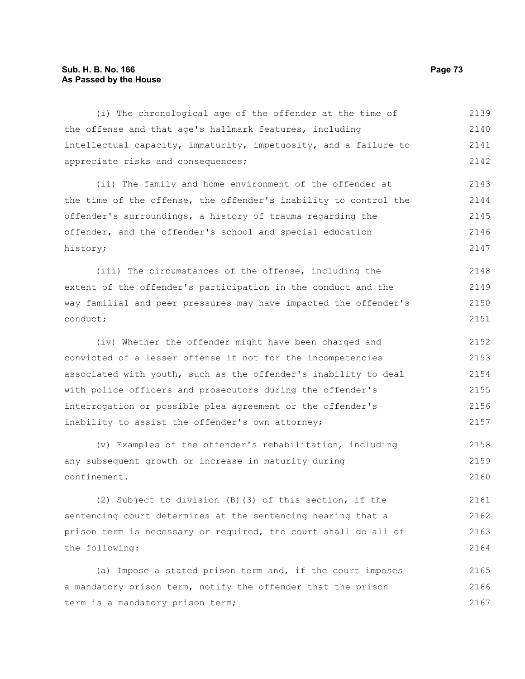# **Sub. H. B. No. 166 Page 73 As Passed by the House**

(i) The chronological age of the offender at the time of the offense and that age's hallmark features, including intellectual capacity, immaturity, impetuosity, and a failure to appreciate risks and consequences; (ii) The family and home environment of the offender at the time of the offense, the offender's inability to control the offender's surroundings, a history of trauma regarding the offender, and the offender's school and special education history; (iii) The circumstances of the offense, including the extent of the offender's participation in the conduct and the way familial and peer pressures may have impacted the offender's conduct; (iv) Whether the offender might have been charged and convicted of a lesser offense if not for the incompetencies associated with youth, such as the offender's inability to deal with police officers and prosecutors during the offender's interrogation or possible plea agreement or the offender's inability to assist the offender's own attorney; (v) Examples of the offender's rehabilitation, including any subsequent growth or increase in maturity during confinement. (2) Subject to division (B)(3) of this section, if the sentencing court determines at the sentencing hearing that a prison term is necessary or required, the court shall do all of the following: 2139 2140 2141 2142 2143 2144 2145 2146 2147 2148 2149 2150 2151 2152 2153 2154 2155 2156 2157 2158 2159 2160 2161 2162 2163 2164

(a) Impose a stated prison term and, if the court imposes a mandatory prison term, notify the offender that the prison term is a mandatory prison term; 2165 2166 2167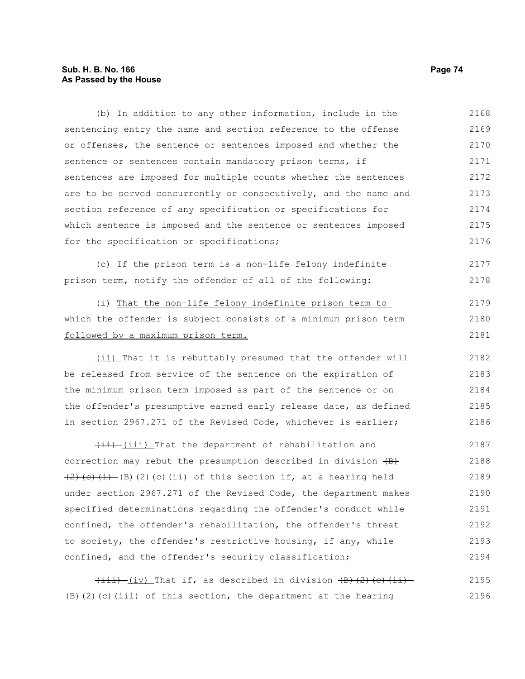# **Sub. H. B. No. 166 Page 74 As Passed by the House**

(b) In addition to any other information, include in the sentencing entry the name and section reference to the offense or offenses, the sentence or sentences imposed and whether the sentence or sentences contain mandatory prison terms, if sentences are imposed for multiple counts whether the sentences are to be served concurrently or consecutively, and the name and section reference of any specification or specifications for which sentence is imposed and the sentence or sentences imposed for the specification or specifications; 2168 2169 2170 2171 2172 2173 2174 2175 2176

(c) If the prison term is a non-life felony indefinite prison term, notify the offender of all of the following: 2177 2178

(i) That the non-life felony indefinite prison term to which the offender is subject consists of a minimum prison term followed by a maximum prison term. 2179 2180 2181

(ii) That it is rebuttably presumed that the offender will be released from service of the sentence on the expiration of the minimum prison term imposed as part of the sentence or on the offender's presumptive earned early release date, as defined in section 2967.271 of the Revised Code, whichever is earlier; 2182 2183 2184 2185 2186

(ii) (iii) That the department of rehabilitation and correction may rebut the presumption described in division  $\overline{AB}$  $(2)$  (c)(i) (2)(c)(ii) of this section if, at a hearing held under section 2967.271 of the Revised Code, the department makes specified determinations regarding the offender's conduct while confined, the offender's rehabilitation, the offender's threat to society, the offender's restrictive housing, if any, while confined, and the offender's security classification; 2187 2188 2189 2190 2191 2192 2193 2194

 $\frac{1+i}{2}(iv)$  That if, as described in division  $\frac{1}{2}(e)$   $\frac{1}{2}(e)$ (B)(2)(c)(iii) of this section, the department at the hearing 2195 2196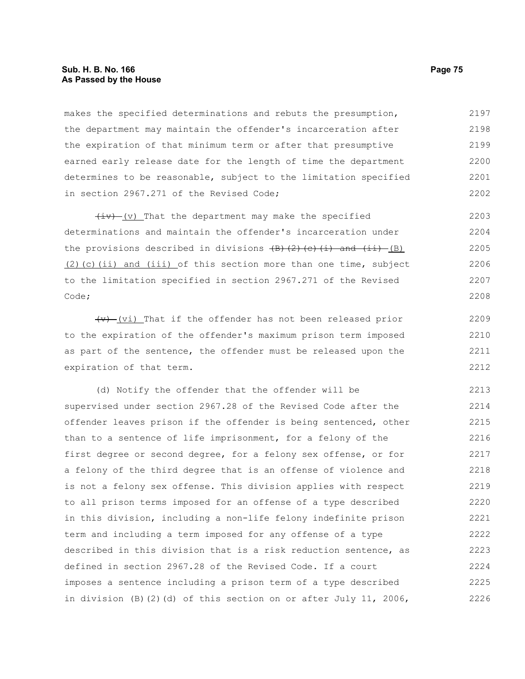## **Sub. H. B. No. 166 Page 75 As Passed by the House**

makes the specified determinations and rebuts the presumption, the department may maintain the offender's incarceration after the expiration of that minimum term or after that presumptive earned early release date for the length of time the department determines to be reasonable, subject to the limitation specified in section 2967.271 of the Revised Code; 2197 2198 2199 2200 2201 2202

 $\overline{(iv)}$  (v) That the department may make the specified determinations and maintain the offender's incarceration under the provisions described in divisions  $(B)$   $(2)$   $(c)$   $(i)$  and  $(ii)$   $(B)$ (2)(c)(ii) and (iii) of this section more than one time, subject to the limitation specified in section 2967.271 of the Revised Code; 2203 2204 2205 2206 2207 2208

 $\overline{(v)}$  (vi) That if the offender has not been released prior to the expiration of the offender's maximum prison term imposed as part of the sentence, the offender must be released upon the expiration of that term.

(d) Notify the offender that the offender will be supervised under section 2967.28 of the Revised Code after the offender leaves prison if the offender is being sentenced, other than to a sentence of life imprisonment, for a felony of the first degree or second degree, for a felony sex offense, or for a felony of the third degree that is an offense of violence and is not a felony sex offense. This division applies with respect to all prison terms imposed for an offense of a type described in this division, including a non-life felony indefinite prison term and including a term imposed for any offense of a type described in this division that is a risk reduction sentence, as defined in section 2967.28 of the Revised Code. If a court imposes a sentence including a prison term of a type described in division (B)(2)(d) of this section on or after July 11, 2006, 2213 2214 2215 2216 2217 2218 2219 2220 2221 2222 2223 2224 2225 2226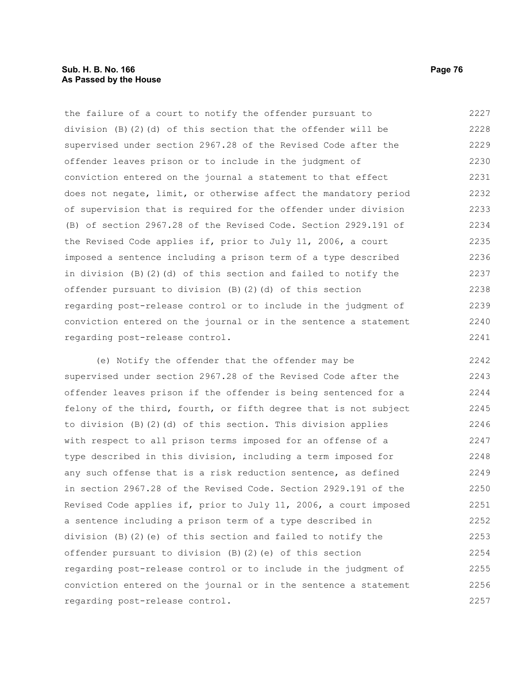the failure of a court to notify the offender pursuant to division (B)(2)(d) of this section that the offender will be supervised under section 2967.28 of the Revised Code after the offender leaves prison or to include in the judgment of conviction entered on the journal a statement to that effect does not negate, limit, or otherwise affect the mandatory period of supervision that is required for the offender under division (B) of section 2967.28 of the Revised Code. Section 2929.191 of the Revised Code applies if, prior to July 11, 2006, a court imposed a sentence including a prison term of a type described in division (B)(2)(d) of this section and failed to notify the offender pursuant to division (B)(2)(d) of this section regarding post-release control or to include in the judgment of conviction entered on the journal or in the sentence a statement regarding post-release control. 2227 2228 2229 2230 2231 2232 2233 2234 2235 2236 2237 2238 2239 2240 2241

(e) Notify the offender that the offender may be supervised under section 2967.28 of the Revised Code after the offender leaves prison if the offender is being sentenced for a felony of the third, fourth, or fifth degree that is not subject to division (B)(2)(d) of this section. This division applies with respect to all prison terms imposed for an offense of a type described in this division, including a term imposed for any such offense that is a risk reduction sentence, as defined in section 2967.28 of the Revised Code. Section 2929.191 of the Revised Code applies if, prior to July 11, 2006, a court imposed a sentence including a prison term of a type described in division  $(B)(2)$  (e) of this section and failed to notify the offender pursuant to division (B)(2)(e) of this section regarding post-release control or to include in the judgment of conviction entered on the journal or in the sentence a statement regarding post-release control. 2242 2243 2244 2245 2246 2247 2248 2249 2250 2251 2252 2253 2254 2255 2256 2257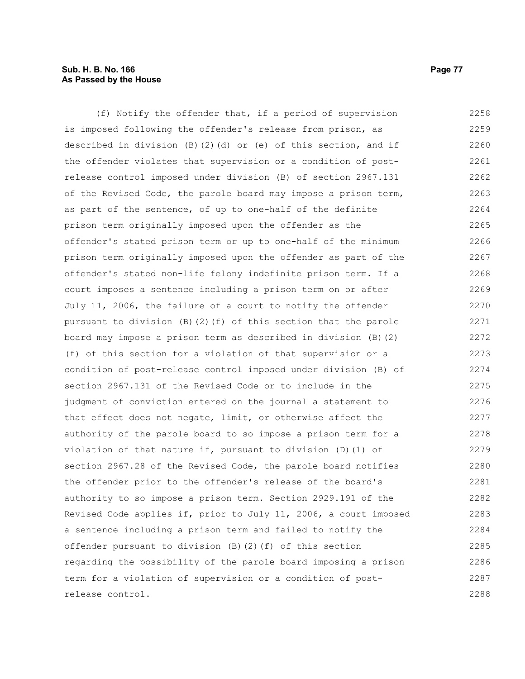# **Sub. H. B. No. 166 Page 77 As Passed by the House**

(f) Notify the offender that, if a period of supervision is imposed following the offender's release from prison, as described in division (B)(2)(d) or (e) of this section, and if the offender violates that supervision or a condition of postrelease control imposed under division (B) of section 2967.131 of the Revised Code, the parole board may impose a prison term, as part of the sentence, of up to one-half of the definite prison term originally imposed upon the offender as the offender's stated prison term or up to one-half of the minimum prison term originally imposed upon the offender as part of the offender's stated non-life felony indefinite prison term. If a court imposes a sentence including a prison term on or after July 11, 2006, the failure of a court to notify the offender pursuant to division  $(B)(2)(f)$  of this section that the parole board may impose a prison term as described in division (B)(2) (f) of this section for a violation of that supervision or a condition of post-release control imposed under division (B) of section 2967.131 of the Revised Code or to include in the judgment of conviction entered on the journal a statement to that effect does not negate, limit, or otherwise affect the authority of the parole board to so impose a prison term for a violation of that nature if, pursuant to division (D)(1) of section 2967.28 of the Revised Code, the parole board notifies the offender prior to the offender's release of the board's authority to so impose a prison term. Section 2929.191 of the Revised Code applies if, prior to July 11, 2006, a court imposed a sentence including a prison term and failed to notify the offender pursuant to division (B)(2)(f) of this section regarding the possibility of the parole board imposing a prison term for a violation of supervision or a condition of postrelease control. 2258 2259 2260 2261 2262 2263 2264 2265 2266 2267 2268 2269 2270 2271 2272 2273 2274 2275 2276 2277 2278 2279 2280 2281 2282 2283 2284 2285 2286 2287 2288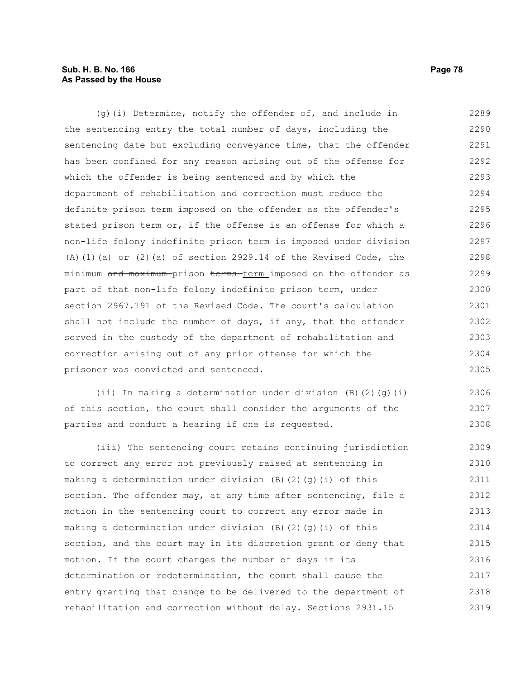# **Sub. H. B. No. 166 Page 78 As Passed by the House**

(g)(i) Determine, notify the offender of, and include in the sentencing entry the total number of days, including the sentencing date but excluding conveyance time, that the offender has been confined for any reason arising out of the offense for which the offender is being sentenced and by which the department of rehabilitation and correction must reduce the definite prison term imposed on the offender as the offender's stated prison term or, if the offense is an offense for which a non-life felony indefinite prison term is imposed under division (A)(1)(a) or (2)(a) of section 2929.14 of the Revised Code, the minimum and maximum prison terms term imposed on the offender as part of that non-life felony indefinite prison term, under section 2967.191 of the Revised Code. The court's calculation shall not include the number of days, if any, that the offender served in the custody of the department of rehabilitation and correction arising out of any prior offense for which the prisoner was convicted and sentenced. 2289 2290 2291 2292 2293 2294 2295 2296 2297 2298 2299 2300 2301 2302 2303 2304 2305

(ii) In making a determination under division  $(B)$   $(2)$   $(q)$   $(i)$ of this section, the court shall consider the arguments of the parties and conduct a hearing if one is requested. 2306 2307 2308

(iii) The sentencing court retains continuing jurisdiction to correct any error not previously raised at sentencing in making a determination under division  $(B)(2)(q)(i)$  of this section. The offender may, at any time after sentencing, file a motion in the sentencing court to correct any error made in making a determination under division (B)(2)(g)(i) of this section, and the court may in its discretion grant or deny that motion. If the court changes the number of days in its determination or redetermination, the court shall cause the entry granting that change to be delivered to the department of rehabilitation and correction without delay. Sections 2931.15 2309 2310 2311 2312 2313 2314 2315 2316 2317 2318 2319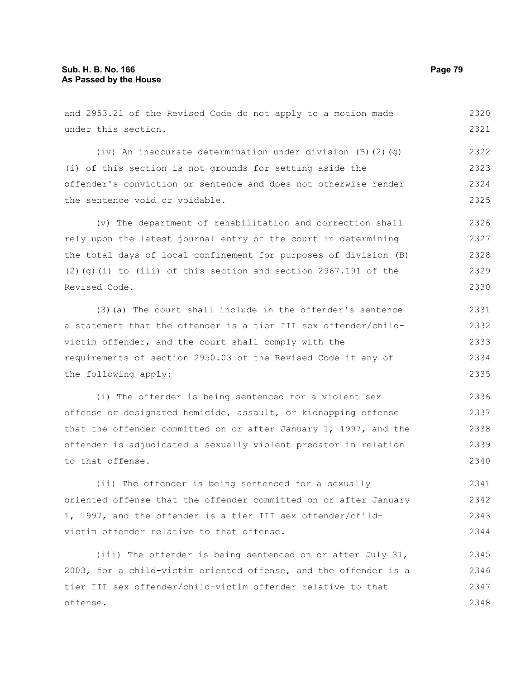the sentence void or voidable.

and 2953.21 of the Revised Code do not apply to a motion made under this section. (iv) An inaccurate determination under division (B)(2)(g) (i) of this section is not grounds for setting aside the offender's conviction or sentence and does not otherwise render 2320 2321 2322 2323 2324

(v) The department of rehabilitation and correction shall rely upon the latest journal entry of the court in determining the total days of local confinement for purposes of division (B) (2)(g)(i) to (iii) of this section and section 2967.191 of the Revised Code. 2326 2327 2328 2329 2330

(3)(a) The court shall include in the offender's sentence a statement that the offender is a tier III sex offender/childvictim offender, and the court shall comply with the requirements of section 2950.03 of the Revised Code if any of the following apply: 2331 2332 2333 2334 2335

(i) The offender is being sentenced for a violent sex offense or designated homicide, assault, or kidnapping offense that the offender committed on or after January 1, 1997, and the offender is adjudicated a sexually violent predator in relation to that offense. 2336 2337 2338 2339 2340

(ii) The offender is being sentenced for a sexually oriented offense that the offender committed on or after January 1, 1997, and the offender is a tier III sex offender/childvictim offender relative to that offense. 2341 2342 2343 2344

(iii) The offender is being sentenced on or after July 31, 2003, for a child-victim oriented offense, and the offender is a tier III sex offender/child-victim offender relative to that offense. 2345 2346 2347 2348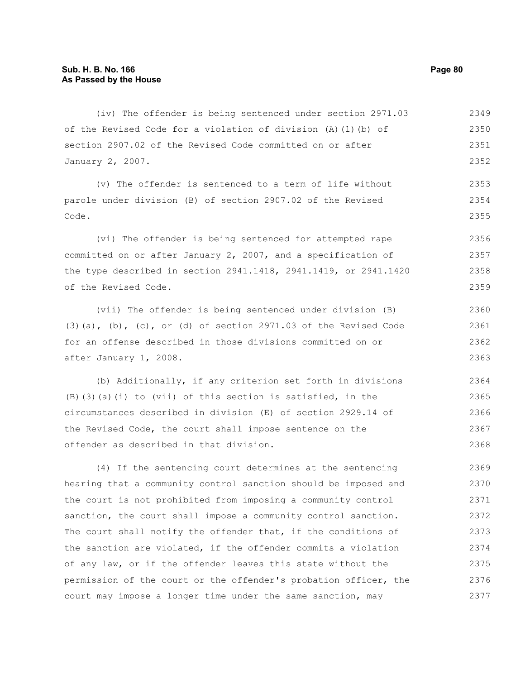(iv) The offender is being sentenced under section 2971.03 of the Revised Code for a violation of division (A)(1)(b) of section 2907.02 of the Revised Code committed on or after January 2, 2007. 2349 2350 2351 2352

(v) The offender is sentenced to a term of life without parole under division (B) of section 2907.02 of the Revised Code. 2353 2354 2355

(vi) The offender is being sentenced for attempted rape committed on or after January 2, 2007, and a specification of the type described in section 2941.1418, 2941.1419, or 2941.1420 of the Revised Code. 2356 2357 2358 2359

(vii) The offender is being sentenced under division (B)  $(3)(a)$ ,  $(b)$ ,  $(c)$ , or  $(d)$  of section 2971.03 of the Revised Code for an offense described in those divisions committed on or after January 1, 2008.

(b) Additionally, if any criterion set forth in divisions (B)(3)(a)(i) to (vii) of this section is satisfied, in the circumstances described in division (E) of section 2929.14 of the Revised Code, the court shall impose sentence on the offender as described in that division. 2364 2365 2366 2367 2368

(4) If the sentencing court determines at the sentencing hearing that a community control sanction should be imposed and the court is not prohibited from imposing a community control sanction, the court shall impose a community control sanction. The court shall notify the offender that, if the conditions of the sanction are violated, if the offender commits a violation of any law, or if the offender leaves this state without the permission of the court or the offender's probation officer, the court may impose a longer time under the same sanction, may 2369 2370 2371 2372 2373 2374 2375 2376 2377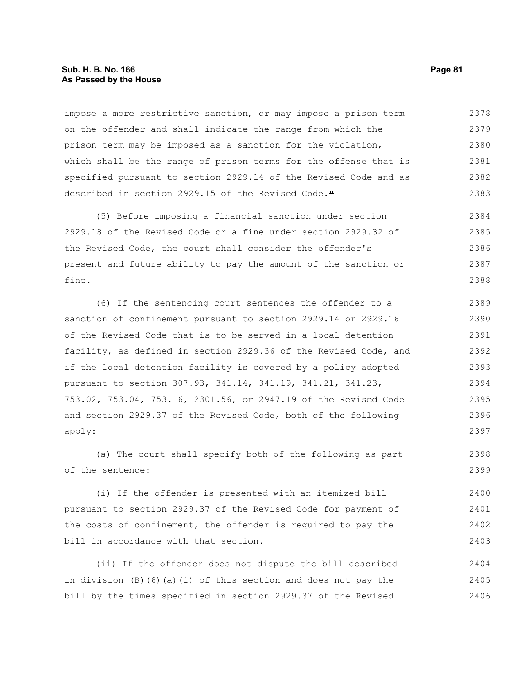## **Sub. H. B. No. 166 Page 81 As Passed by the House**

impose a more restrictive sanction, or may impose a prison term on the offender and shall indicate the range from which the prison term may be imposed as a sanction for the violation, which shall be the range of prison terms for the offense that is specified pursuant to section 2929.14 of the Revised Code and as described in section 2929.15 of the Revised Code." 2378 2379 2380 2381 2382 2383

(5) Before imposing a financial sanction under section 2929.18 of the Revised Code or a fine under section 2929.32 of the Revised Code, the court shall consider the offender's present and future ability to pay the amount of the sanction or fine. 2384 2385 2386 2387 2388

(6) If the sentencing court sentences the offender to a sanction of confinement pursuant to section 2929.14 or 2929.16 of the Revised Code that is to be served in a local detention facility, as defined in section 2929.36 of the Revised Code, and if the local detention facility is covered by a policy adopted pursuant to section 307.93, 341.14, 341.19, 341.21, 341.23, 753.02, 753.04, 753.16, 2301.56, or 2947.19 of the Revised Code and section 2929.37 of the Revised Code, both of the following apply: 2389 2390 2391 2392 2393 2394 2395 2396 2397

(a) The court shall specify both of the following as part of the sentence:

(i) If the offender is presented with an itemized bill pursuant to section 2929.37 of the Revised Code for payment of the costs of confinement, the offender is required to pay the bill in accordance with that section. 2400 2401 2402 2403

(ii) If the offender does not dispute the bill described in division (B)(6)(a)(i) of this section and does not pay the bill by the times specified in section 2929.37 of the Revised 2404 2405 2406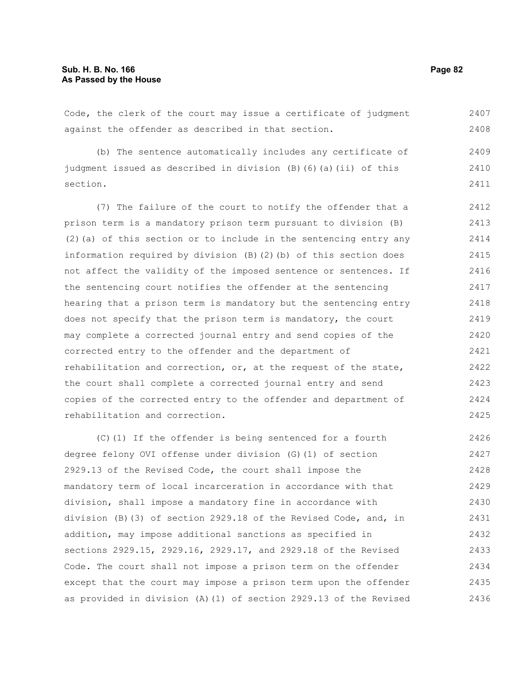Code, the clerk of the court may issue a certificate of judgment against the offender as described in that section. 2407 2408

(b) The sentence automatically includes any certificate of judgment issued as described in division (B)(6)(a)(ii) of this section. 2409 2410

(7) The failure of the court to notify the offender that a prison term is a mandatory prison term pursuant to division (B) (2)(a) of this section or to include in the sentencing entry any information required by division (B)(2)(b) of this section does not affect the validity of the imposed sentence or sentences. If the sentencing court notifies the offender at the sentencing hearing that a prison term is mandatory but the sentencing entry does not specify that the prison term is mandatory, the court may complete a corrected journal entry and send copies of the corrected entry to the offender and the department of rehabilitation and correction, or, at the request of the state, the court shall complete a corrected journal entry and send copies of the corrected entry to the offender and department of rehabilitation and correction. 2412 2413 2414 2415 2416 2417 2418 2419 2420 2421 2422 2423 2424 2425

(C)(1) If the offender is being sentenced for a fourth degree felony OVI offense under division (G)(1) of section 2929.13 of the Revised Code, the court shall impose the mandatory term of local incarceration in accordance with that division, shall impose a mandatory fine in accordance with division (B)(3) of section 2929.18 of the Revised Code, and, in addition, may impose additional sanctions as specified in sections 2929.15, 2929.16, 2929.17, and 2929.18 of the Revised Code. The court shall not impose a prison term on the offender except that the court may impose a prison term upon the offender as provided in division (A)(1) of section 2929.13 of the Revised 2426 2427 2428 2429 2430 2431 2432 2433 2434 2435 2436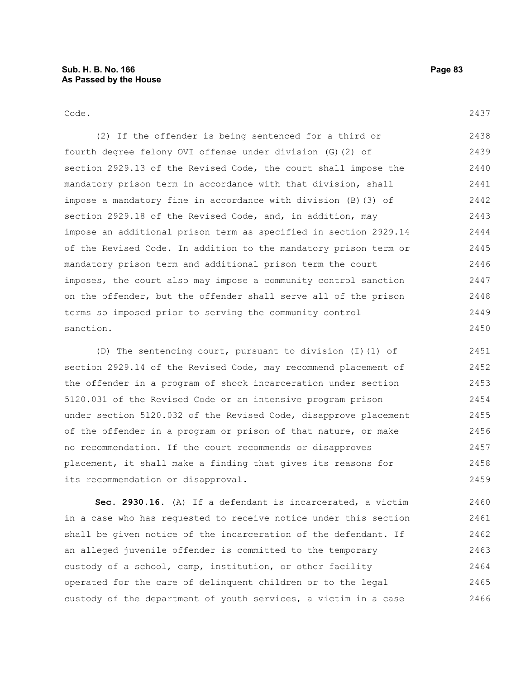Code.

2437

(2) If the offender is being sentenced for a third or fourth degree felony OVI offense under division (G)(2) of section 2929.13 of the Revised Code, the court shall impose the mandatory prison term in accordance with that division, shall impose a mandatory fine in accordance with division (B)(3) of section 2929.18 of the Revised Code, and, in addition, may impose an additional prison term as specified in section 2929.14 of the Revised Code. In addition to the mandatory prison term or mandatory prison term and additional prison term the court imposes, the court also may impose a community control sanction on the offender, but the offender shall serve all of the prison terms so imposed prior to serving the community control sanction. 2438 2439 2440 2441 2442 2443 2444 2445 2446 2447 2448 2449 2450

(D) The sentencing court, pursuant to division (I)(1) of section 2929.14 of the Revised Code, may recommend placement of the offender in a program of shock incarceration under section 5120.031 of the Revised Code or an intensive program prison under section 5120.032 of the Revised Code, disapprove placement of the offender in a program or prison of that nature, or make no recommendation. If the court recommends or disapproves placement, it shall make a finding that gives its reasons for its recommendation or disapproval. 2451 2452 2453 2454 2455 2456 2457 2458 2459

**Sec. 2930.16.** (A) If a defendant is incarcerated, a victim in a case who has requested to receive notice under this section shall be given notice of the incarceration of the defendant. If an alleged juvenile offender is committed to the temporary custody of a school, camp, institution, or other facility operated for the care of delinquent children or to the legal custody of the department of youth services, a victim in a case 2460 2461 2462 2463 2464 2465 2466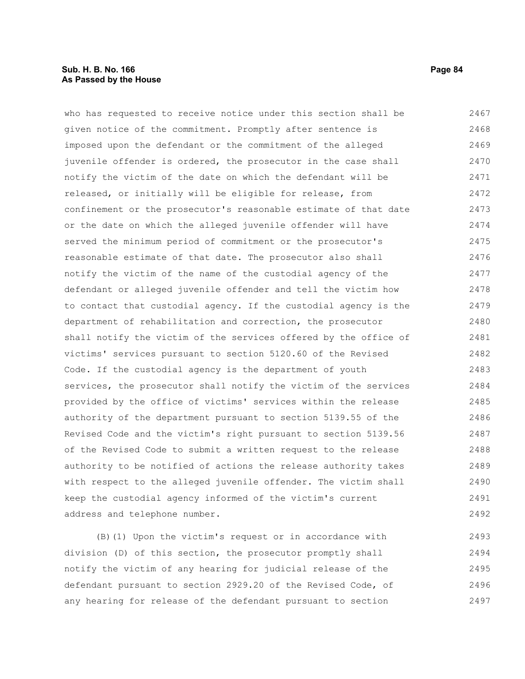## **Sub. H. B. No. 166 Page 84 As Passed by the House**

who has requested to receive notice under this section shall be given notice of the commitment. Promptly after sentence is imposed upon the defendant or the commitment of the alleged juvenile offender is ordered, the prosecutor in the case shall notify the victim of the date on which the defendant will be released, or initially will be eligible for release, from confinement or the prosecutor's reasonable estimate of that date or the date on which the alleged juvenile offender will have served the minimum period of commitment or the prosecutor's reasonable estimate of that date. The prosecutor also shall notify the victim of the name of the custodial agency of the defendant or alleged juvenile offender and tell the victim how to contact that custodial agency. If the custodial agency is the department of rehabilitation and correction, the prosecutor shall notify the victim of the services offered by the office of victims' services pursuant to section 5120.60 of the Revised Code. If the custodial agency is the department of youth services, the prosecutor shall notify the victim of the services provided by the office of victims' services within the release authority of the department pursuant to section 5139.55 of the Revised Code and the victim's right pursuant to section 5139.56 of the Revised Code to submit a written request to the release authority to be notified of actions the release authority takes with respect to the alleged juvenile offender. The victim shall keep the custodial agency informed of the victim's current address and telephone number. 2467 2468 2469 2470 2471 2472 2473 2474 2475 2476 2477 2478 2479 2480 2481 2482 2483 2484 2485 2486 2487 2488 2489 2490 2491 2492

(B)(1) Upon the victim's request or in accordance with division (D) of this section, the prosecutor promptly shall notify the victim of any hearing for judicial release of the defendant pursuant to section 2929.20 of the Revised Code, of any hearing for release of the defendant pursuant to section 2493 2494 2495 2496 2497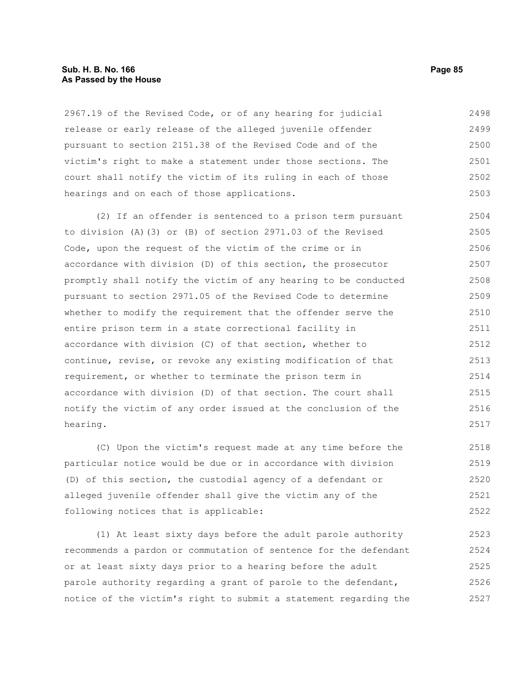## **Sub. H. B. No. 166 Page 85 As Passed by the House**

2967.19 of the Revised Code, or of any hearing for judicial release or early release of the alleged juvenile offender pursuant to section 2151.38 of the Revised Code and of the victim's right to make a statement under those sections. The court shall notify the victim of its ruling in each of those hearings and on each of those applications. 2498 2499 2500 2501 2502 2503

(2) If an offender is sentenced to a prison term pursuant to division (A)(3) or (B) of section 2971.03 of the Revised Code, upon the request of the victim of the crime or in accordance with division (D) of this section, the prosecutor promptly shall notify the victim of any hearing to be conducted pursuant to section 2971.05 of the Revised Code to determine whether to modify the requirement that the offender serve the entire prison term in a state correctional facility in accordance with division (C) of that section, whether to continue, revise, or revoke any existing modification of that requirement, or whether to terminate the prison term in accordance with division (D) of that section. The court shall notify the victim of any order issued at the conclusion of the hearing. 2504 2505 2506 2507 2508 2509 2510 2511 2512 2513 2514 2515 2516 2517

(C) Upon the victim's request made at any time before the particular notice would be due or in accordance with division (D) of this section, the custodial agency of a defendant or alleged juvenile offender shall give the victim any of the following notices that is applicable: 2518 2519 2520 2521 2522

(1) At least sixty days before the adult parole authority recommends a pardon or commutation of sentence for the defendant or at least sixty days prior to a hearing before the adult parole authority regarding a grant of parole to the defendant, notice of the victim's right to submit a statement regarding the 2523 2524 2525 2526 2527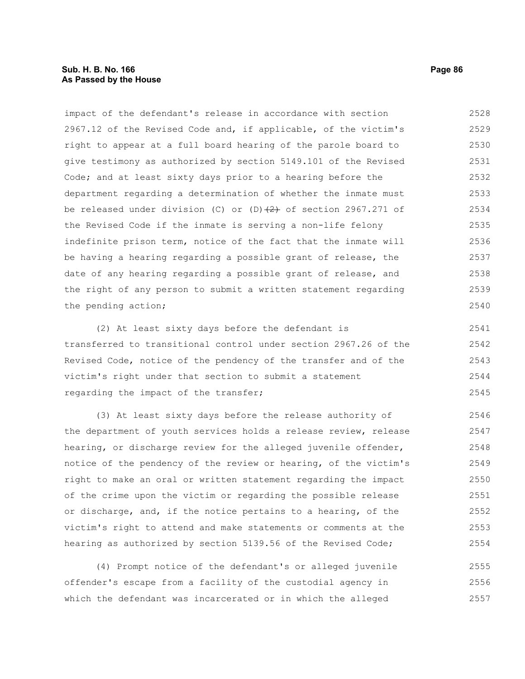# **Sub. H. B. No. 166 Page 86 As Passed by the House**

impact of the defendant's release in accordance with section 2967.12 of the Revised Code and, if applicable, of the victim's right to appear at a full board hearing of the parole board to give testimony as authorized by section 5149.101 of the Revised Code; and at least sixty days prior to a hearing before the department regarding a determination of whether the inmate must be released under division (C) or (D) $(2)$  of section 2967.271 of the Revised Code if the inmate is serving a non-life felony indefinite prison term, notice of the fact that the inmate will be having a hearing regarding a possible grant of release, the date of any hearing regarding a possible grant of release, and the right of any person to submit a written statement regarding the pending action; 2528 2529 2530 2531 2532 2533 2534 2535 2536 2537 2538 2539 2540

(2) At least sixty days before the defendant is transferred to transitional control under section 2967.26 of the Revised Code, notice of the pendency of the transfer and of the victim's right under that section to submit a statement regarding the impact of the transfer; 2541 2542 2543 2544 2545

(3) At least sixty days before the release authority of the department of youth services holds a release review, release hearing, or discharge review for the alleged juvenile offender, notice of the pendency of the review or hearing, of the victim's right to make an oral or written statement regarding the impact of the crime upon the victim or regarding the possible release or discharge, and, if the notice pertains to a hearing, of the victim's right to attend and make statements or comments at the hearing as authorized by section 5139.56 of the Revised Code; 2546 2547 2548 2549 2550 2551 2552 2553 2554

(4) Prompt notice of the defendant's or alleged juvenile offender's escape from a facility of the custodial agency in which the defendant was incarcerated or in which the alleged 2555 2556 2557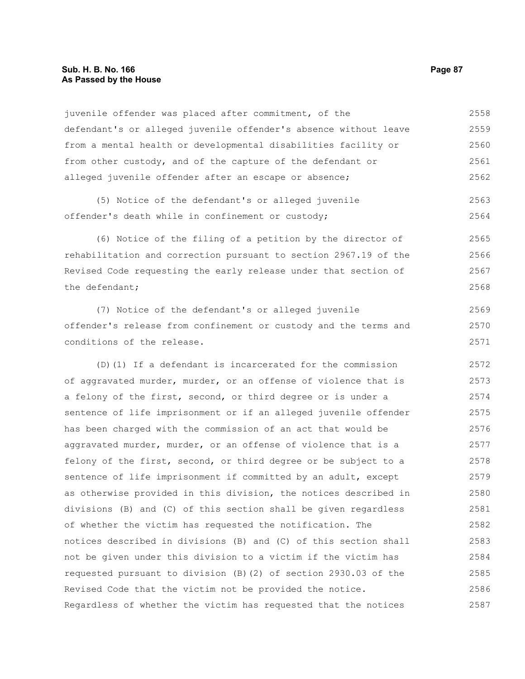## **Sub. H. B. No. 166 Page 87 As Passed by the House**

juvenile offender was placed after commitment, of the defendant's or alleged juvenile offender's absence without leave from a mental health or developmental disabilities facility or from other custody, and of the capture of the defendant or alleged juvenile offender after an escape or absence; 2558 2559 2560 2561 2562

(5) Notice of the defendant's or alleged juvenile offender's death while in confinement or custody; 2563 2564

(6) Notice of the filing of a petition by the director of rehabilitation and correction pursuant to section 2967.19 of the Revised Code requesting the early release under that section of the defendant; 2565 2566 2567 2568

(7) Notice of the defendant's or alleged juvenile offender's release from confinement or custody and the terms and conditions of the release.

(D)(1) If a defendant is incarcerated for the commission of aggravated murder, murder, or an offense of violence that is a felony of the first, second, or third degree or is under a sentence of life imprisonment or if an alleged juvenile offender has been charged with the commission of an act that would be aggravated murder, murder, or an offense of violence that is a felony of the first, second, or third degree or be subject to a sentence of life imprisonment if committed by an adult, except as otherwise provided in this division, the notices described in divisions (B) and (C) of this section shall be given regardless of whether the victim has requested the notification. The notices described in divisions (B) and (C) of this section shall not be given under this division to a victim if the victim has requested pursuant to division (B)(2) of section 2930.03 of the Revised Code that the victim not be provided the notice. Regardless of whether the victim has requested that the notices 2572 2573 2574 2575 2576 2577 2578 2579 2580 2581 2582 2583 2584 2585 2586 2587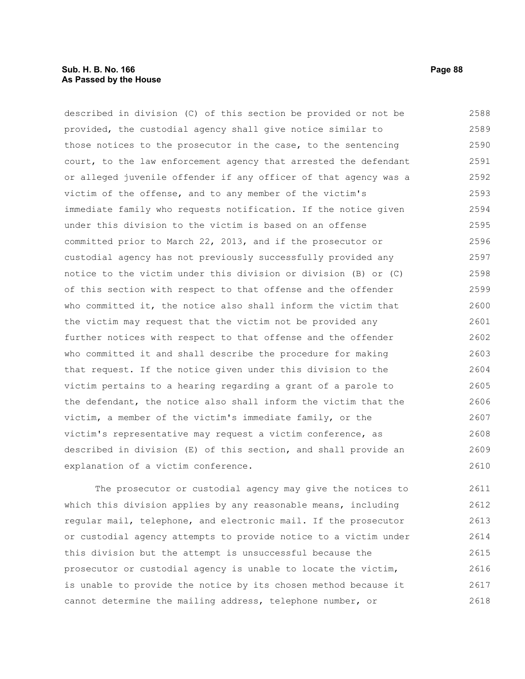### **Sub. H. B. No. 166 Page 88 As Passed by the House**

described in division (C) of this section be provided or not be provided, the custodial agency shall give notice similar to those notices to the prosecutor in the case, to the sentencing court, to the law enforcement agency that arrested the defendant or alleged juvenile offender if any officer of that agency was a victim of the offense, and to any member of the victim's immediate family who requests notification. If the notice given under this division to the victim is based on an offense committed prior to March 22, 2013, and if the prosecutor or custodial agency has not previously successfully provided any notice to the victim under this division or division (B) or (C) of this section with respect to that offense and the offender who committed it, the notice also shall inform the victim that the victim may request that the victim not be provided any further notices with respect to that offense and the offender who committed it and shall describe the procedure for making that request. If the notice given under this division to the victim pertains to a hearing regarding a grant of a parole to the defendant, the notice also shall inform the victim that the victim, a member of the victim's immediate family, or the victim's representative may request a victim conference, as described in division (E) of this section, and shall provide an explanation of a victim conference. 2588 2589 2590 2591 2592 2593 2594 2595 2596 2597 2598 2599 2600 2601 2602 2603 2604 2605 2606 2607 2608 2609 2610

The prosecutor or custodial agency may give the notices to which this division applies by any reasonable means, including regular mail, telephone, and electronic mail. If the prosecutor or custodial agency attempts to provide notice to a victim under this division but the attempt is unsuccessful because the prosecutor or custodial agency is unable to locate the victim, is unable to provide the notice by its chosen method because it cannot determine the mailing address, telephone number, or 2611 2612 2613 2614 2615 2616 2617 2618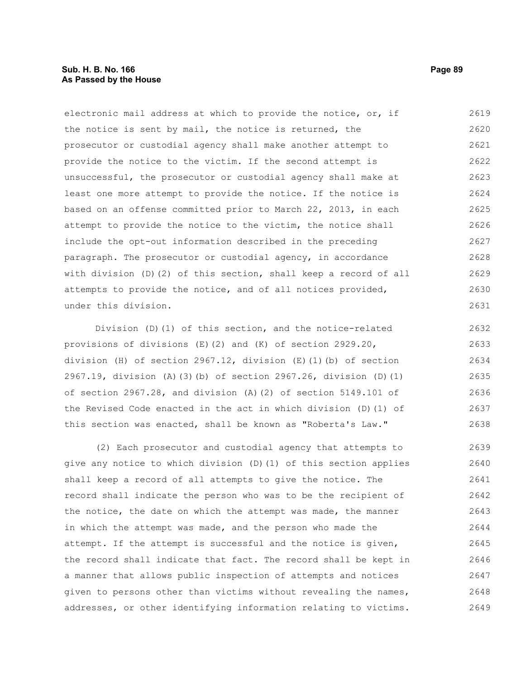electronic mail address at which to provide the notice, or, if the notice is sent by mail, the notice is returned, the prosecutor or custodial agency shall make another attempt to provide the notice to the victim. If the second attempt is unsuccessful, the prosecutor or custodial agency shall make at least one more attempt to provide the notice. If the notice is based on an offense committed prior to March 22, 2013, in each attempt to provide the notice to the victim, the notice shall include the opt-out information described in the preceding paragraph. The prosecutor or custodial agency, in accordance with division (D)(2) of this section, shall keep a record of all attempts to provide the notice, and of all notices provided, under this division. 2619 2620 2621 2622 2623 2624 2625 2626 2627 2628 2629 2630 2631

Division (D)(1) of this section, and the notice-related provisions of divisions (E)(2) and (K) of section 2929.20, division (H) of section 2967.12, division (E)(1)(b) of section 2967.19, division (A)(3)(b) of section 2967.26, division (D)(1) of section 2967.28, and division (A)(2) of section 5149.101 of the Revised Code enacted in the act in which division (D)(1) of this section was enacted, shall be known as "Roberta's Law."

(2) Each prosecutor and custodial agency that attempts to give any notice to which division (D)(1) of this section applies shall keep a record of all attempts to give the notice. The record shall indicate the person who was to be the recipient of the notice, the date on which the attempt was made, the manner in which the attempt was made, and the person who made the attempt. If the attempt is successful and the notice is given, the record shall indicate that fact. The record shall be kept in a manner that allows public inspection of attempts and notices given to persons other than victims without revealing the names, addresses, or other identifying information relating to victims. 2639 2640 2641 2642 2643 2644 2645 2646 2647 2648 2649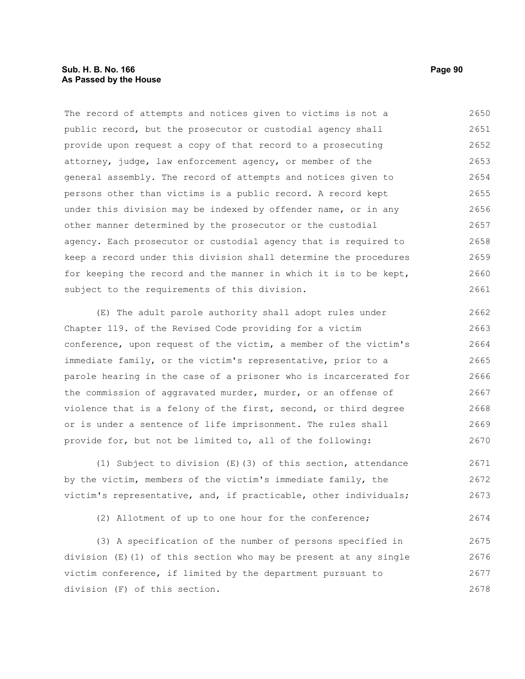# **Sub. H. B. No. 166 Page 90 As Passed by the House**

The record of attempts and notices given to victims is not a public record, but the prosecutor or custodial agency shall provide upon request a copy of that record to a prosecuting attorney, judge, law enforcement agency, or member of the general assembly. The record of attempts and notices given to persons other than victims is a public record. A record kept under this division may be indexed by offender name, or in any other manner determined by the prosecutor or the custodial agency. Each prosecutor or custodial agency that is required to keep a record under this division shall determine the procedures for keeping the record and the manner in which it is to be kept, subject to the requirements of this division. 2650 2651 2652 2653 2654 2655 2656 2657 2658 2659 2660 2661

(E) The adult parole authority shall adopt rules under Chapter 119. of the Revised Code providing for a victim conference, upon request of the victim, a member of the victim's immediate family, or the victim's representative, prior to a parole hearing in the case of a prisoner who is incarcerated for the commission of aggravated murder, murder, or an offense of violence that is a felony of the first, second, or third degree or is under a sentence of life imprisonment. The rules shall provide for, but not be limited to, all of the following: 2662 2663 2664 2665 2666 2667 2668 2669 2670

(1) Subject to division (E)(3) of this section, attendance by the victim, members of the victim's immediate family, the victim's representative, and, if practicable, other individuals; 2671 2672 2673

(2) Allotment of up to one hour for the conference;

(3) A specification of the number of persons specified in division (E)(1) of this section who may be present at any single victim conference, if limited by the department pursuant to division (F) of this section. 2675 2676 2677 2678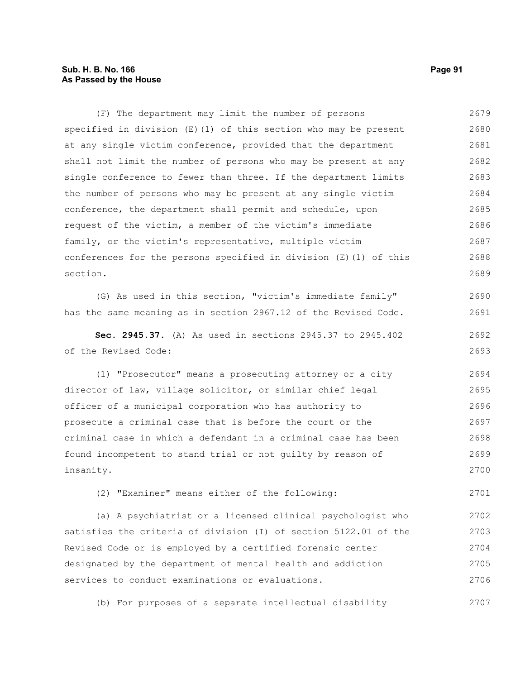# **Sub. H. B. No. 166 Page 91 As Passed by the House**

(F) The department may limit the number of persons specified in division (E)(1) of this section who may be present at any single victim conference, provided that the department shall not limit the number of persons who may be present at any single conference to fewer than three. If the department limits the number of persons who may be present at any single victim conference, the department shall permit and schedule, upon request of the victim, a member of the victim's immediate family, or the victim's representative, multiple victim conferences for the persons specified in division (E)(1) of this section. 2679 2680 2681 2682 2683 2684 2685 2686 2687 2688 2689

(G) As used in this section, "victim's immediate family" has the same meaning as in section 2967.12 of the Revised Code.

**Sec. 2945.37.** (A) As used in sections 2945.37 to 2945.402 of the Revised Code: 2692 2693

(1) "Prosecutor" means a prosecuting attorney or a city director of law, village solicitor, or similar chief legal officer of a municipal corporation who has authority to prosecute a criminal case that is before the court or the criminal case in which a defendant in a criminal case has been found incompetent to stand trial or not guilty by reason of insanity. 2694 2695 2696 2697 2698 2699 2700

(2) "Examiner" means either of the following: 2701

(a) A psychiatrist or a licensed clinical psychologist who satisfies the criteria of division (I) of section 5122.01 of the Revised Code or is employed by a certified forensic center designated by the department of mental health and addiction services to conduct examinations or evaluations. 2702 2703 2704 2705 2706

(b) For purposes of a separate intellectual disability 2707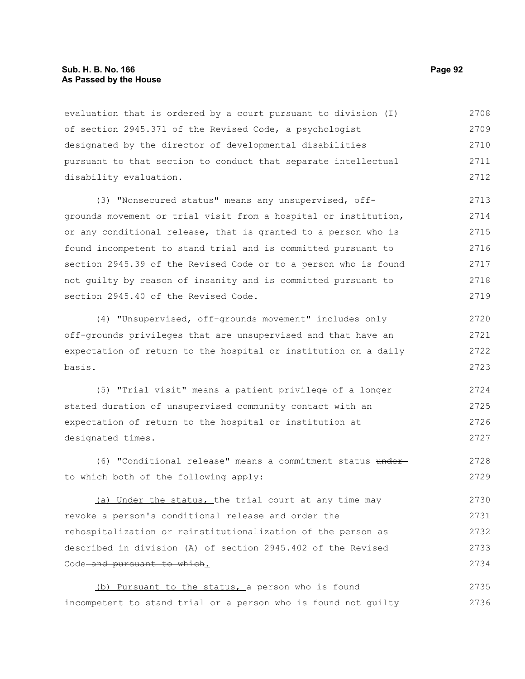## **Sub. H. B. No. 166 Page 92 As Passed by the House**

evaluation that is ordered by a court pursuant to division (I) of section 2945.371 of the Revised Code, a psychologist designated by the director of developmental disabilities pursuant to that section to conduct that separate intellectual disability evaluation. 2708 2709 2710 2711 2712

(3) "Nonsecured status" means any unsupervised, offgrounds movement or trial visit from a hospital or institution, or any conditional release, that is granted to a person who is found incompetent to stand trial and is committed pursuant to section 2945.39 of the Revised Code or to a person who is found not guilty by reason of insanity and is committed pursuant to section 2945.40 of the Revised Code. 2713 2714 2715 2716 2717 2718 2719

(4) "Unsupervised, off-grounds movement" includes only off-grounds privileges that are unsupervised and that have an expectation of return to the hospital or institution on a daily basis. 2720 2721 2722 2723

(5) "Trial visit" means a patient privilege of a longer stated duration of unsupervised community contact with an expectation of return to the hospital or institution at designated times. 2724 2725 2726 2727

(6) "Conditional release" means a commitment status under to which both of the following apply: 2728 2729

(a) Under the status, the trial court at any time may revoke a person's conditional release and order the rehospitalization or reinstitutionalization of the person as described in division (A) of section 2945.402 of the Revised Code and pursuant to which. 2730 2731 2732 2733 2734

(b) Pursuant to the status, a person who is found incompetent to stand trial or a person who is found not guilty 2735 2736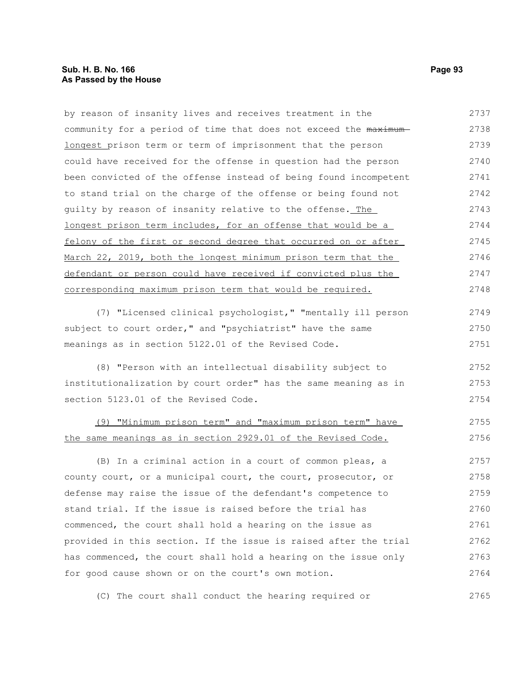by reason of insanity lives and receives treatment in the community for a period of time that does not exceed the maximumlongest prison term or term of imprisonment that the person could have received for the offense in question had the person been convicted of the offense instead of being found incompetent to stand trial on the charge of the offense or being found not guilty by reason of insanity relative to the offense. The longest prison term includes, for an offense that would be a felony of the first or second degree that occurred on or after March 22, 2019, both the longest minimum prison term that the defendant or person could have received if convicted plus the corresponding maximum prison term that would be required. 2737 2738 2739 2740 2741 2742 2743 2744 2745 2746 2747 2748

(7) "Licensed clinical psychologist," "mentally ill person subject to court order," and "psychiatrist" have the same meanings as in section 5122.01 of the Revised Code. 2749 2750 2751

(8) "Person with an intellectual disability subject to institutionalization by court order" has the same meaning as in section 5123.01 of the Revised Code.

#### (9) "Minimum prison term" and "maximum prison term" have the same meanings as in section 2929.01 of the Revised Code. 2755 2756

(B) In a criminal action in a court of common pleas, a county court, or a municipal court, the court, prosecutor, or defense may raise the issue of the defendant's competence to stand trial. If the issue is raised before the trial has commenced, the court shall hold a hearing on the issue as provided in this section. If the issue is raised after the trial has commenced, the court shall hold a hearing on the issue only for good cause shown or on the court's own motion. 2757 2758 2759 2760 2761 2762 2763 2764

(C) The court shall conduct the hearing required or 2765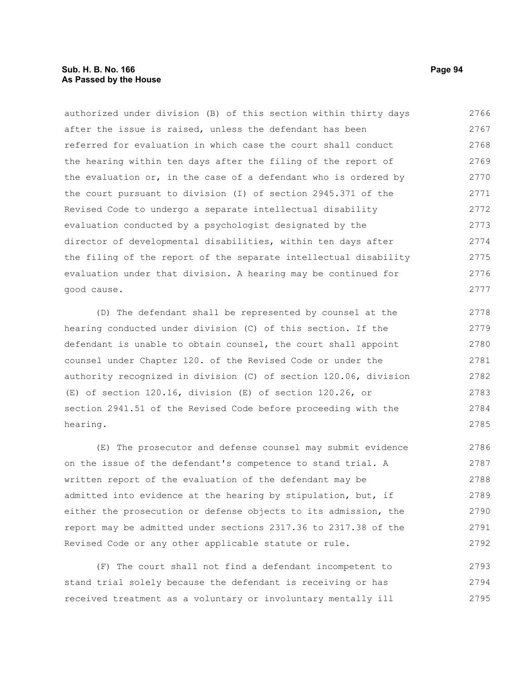authorized under division (B) of this section within thirty days after the issue is raised, unless the defendant has been referred for evaluation in which case the court shall conduct the hearing within ten days after the filing of the report of the evaluation or, in the case of a defendant who is ordered by the court pursuant to division (I) of section 2945.371 of the Revised Code to undergo a separate intellectual disability evaluation conducted by a psychologist designated by the director of developmental disabilities, within ten days after the filing of the report of the separate intellectual disability evaluation under that division. A hearing may be continued for good cause. 2766 2767 2768 2769 2770 2771 2772 2773 2774 2775 2776 2777

(D) The defendant shall be represented by counsel at the hearing conducted under division (C) of this section. If the defendant is unable to obtain counsel, the court shall appoint counsel under Chapter 120. of the Revised Code or under the authority recognized in division (C) of section 120.06, division (E) of section 120.16, division (E) of section 120.26, or section 2941.51 of the Revised Code before proceeding with the hearing. 2778 2779 2780 2781 2782 2783 2784 2785

(E) The prosecutor and defense counsel may submit evidence on the issue of the defendant's competence to stand trial. A written report of the evaluation of the defendant may be admitted into evidence at the hearing by stipulation, but, if either the prosecution or defense objects to its admission, the report may be admitted under sections 2317.36 to 2317.38 of the Revised Code or any other applicable statute or rule. 2786 2787 2788 2789 2790 2791 2792

(F) The court shall not find a defendant incompetent to stand trial solely because the defendant is receiving or has received treatment as a voluntary or involuntary mentally ill 2793 2794 2795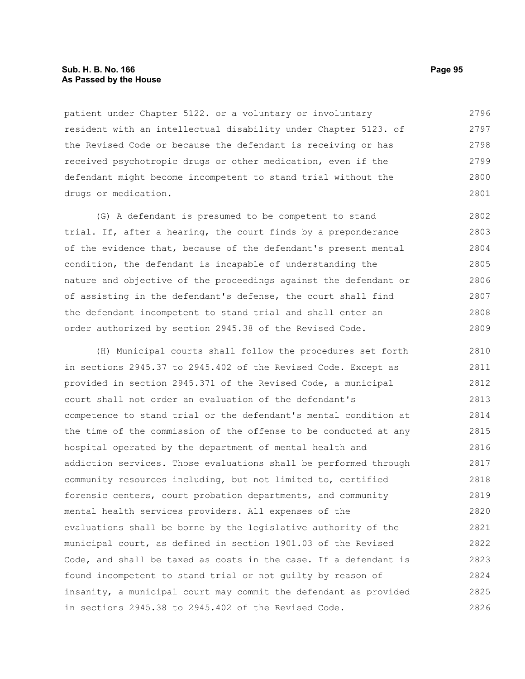## **Sub. H. B. No. 166 Page 95 As Passed by the House**

patient under Chapter 5122. or a voluntary or involuntary resident with an intellectual disability under Chapter 5123. of the Revised Code or because the defendant is receiving or has received psychotropic drugs or other medication, even if the defendant might become incompetent to stand trial without the drugs or medication. 2796 2797 2798 2799 2800 2801

(G) A defendant is presumed to be competent to stand trial. If, after a hearing, the court finds by a preponderance of the evidence that, because of the defendant's present mental condition, the defendant is incapable of understanding the nature and objective of the proceedings against the defendant or of assisting in the defendant's defense, the court shall find the defendant incompetent to stand trial and shall enter an order authorized by section 2945.38 of the Revised Code. 2802 2803 2804 2805 2806 2807 2808 2809

(H) Municipal courts shall follow the procedures set forth in sections 2945.37 to 2945.402 of the Revised Code. Except as provided in section 2945.371 of the Revised Code, a municipal court shall not order an evaluation of the defendant's competence to stand trial or the defendant's mental condition at the time of the commission of the offense to be conducted at any hospital operated by the department of mental health and addiction services. Those evaluations shall be performed through community resources including, but not limited to, certified forensic centers, court probation departments, and community mental health services providers. All expenses of the evaluations shall be borne by the legislative authority of the municipal court, as defined in section 1901.03 of the Revised Code, and shall be taxed as costs in the case. If a defendant is found incompetent to stand trial or not guilty by reason of insanity, a municipal court may commit the defendant as provided in sections 2945.38 to 2945.402 of the Revised Code. 2810 2811 2812 2813 2814 2815 2816 2817 2818 2819 2820 2821 2822 2823 2824 2825 2826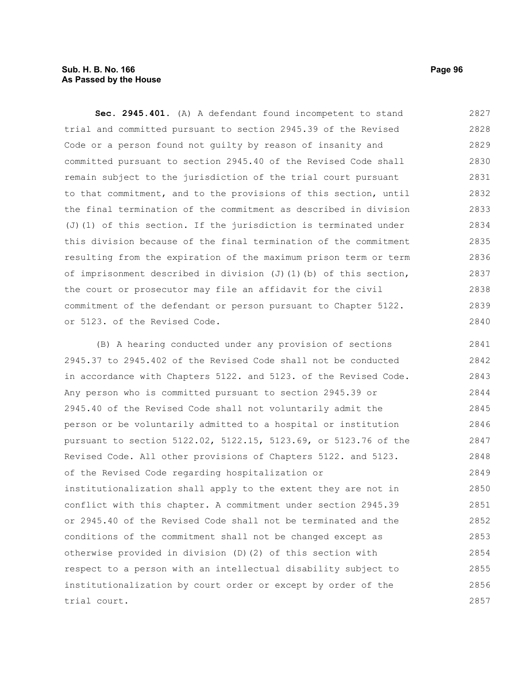# **Sub. H. B. No. 166 Page 96 As Passed by the House**

**Sec. 2945.401.** (A) A defendant found incompetent to stand trial and committed pursuant to section 2945.39 of the Revised Code or a person found not guilty by reason of insanity and committed pursuant to section 2945.40 of the Revised Code shall remain subject to the jurisdiction of the trial court pursuant to that commitment, and to the provisions of this section, until the final termination of the commitment as described in division (J)(1) of this section. If the jurisdiction is terminated under this division because of the final termination of the commitment resulting from the expiration of the maximum prison term or term of imprisonment described in division (J)(1)(b) of this section, the court or prosecutor may file an affidavit for the civil commitment of the defendant or person pursuant to Chapter 5122. or 5123. of the Revised Code. 2827 2828 2829 2830 2831 2832 2833 2834 2835 2836 2837 2838 2839 2840

(B) A hearing conducted under any provision of sections 2945.37 to 2945.402 of the Revised Code shall not be conducted in accordance with Chapters 5122. and 5123. of the Revised Code. Any person who is committed pursuant to section 2945.39 or 2945.40 of the Revised Code shall not voluntarily admit the person or be voluntarily admitted to a hospital or institution pursuant to section 5122.02, 5122.15, 5123.69, or 5123.76 of the Revised Code. All other provisions of Chapters 5122. and 5123. of the Revised Code regarding hospitalization or institutionalization shall apply to the extent they are not in conflict with this chapter. A commitment under section 2945.39 or 2945.40 of the Revised Code shall not be terminated and the conditions of the commitment shall not be changed except as otherwise provided in division (D)(2) of this section with respect to a person with an intellectual disability subject to institutionalization by court order or except by order of the trial court. 2841 2842 2843 2844 2845 2846 2847 2848 2849 2850 2851 2852 2853 2854 2855 2856 2857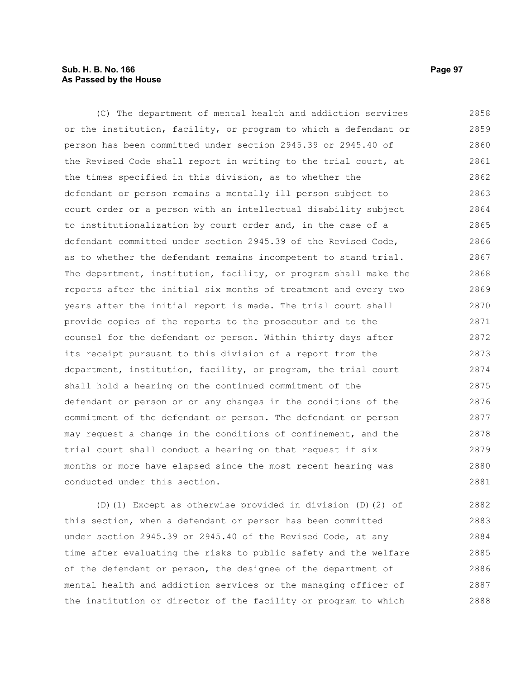# **Sub. H. B. No. 166 Page 97 As Passed by the House**

(C) The department of mental health and addiction services or the institution, facility, or program to which a defendant or person has been committed under section 2945.39 or 2945.40 of the Revised Code shall report in writing to the trial court, at the times specified in this division, as to whether the defendant or person remains a mentally ill person subject to court order or a person with an intellectual disability subject to institutionalization by court order and, in the case of a defendant committed under section 2945.39 of the Revised Code, as to whether the defendant remains incompetent to stand trial. The department, institution, facility, or program shall make the reports after the initial six months of treatment and every two years after the initial report is made. The trial court shall provide copies of the reports to the prosecutor and to the counsel for the defendant or person. Within thirty days after its receipt pursuant to this division of a report from the department, institution, facility, or program, the trial court shall hold a hearing on the continued commitment of the defendant or person or on any changes in the conditions of the commitment of the defendant or person. The defendant or person may request a change in the conditions of confinement, and the trial court shall conduct a hearing on that request if six months or more have elapsed since the most recent hearing was conducted under this section. 2858 2859 2860 2861 2862 2863 2864 2865 2866 2867 2868 2869 2870 2871 2872 2873 2874 2875 2876 2877 2878 2879 2880 2881

(D)(1) Except as otherwise provided in division (D)(2) of this section, when a defendant or person has been committed under section 2945.39 or 2945.40 of the Revised Code, at any time after evaluating the risks to public safety and the welfare of the defendant or person, the designee of the department of mental health and addiction services or the managing officer of the institution or director of the facility or program to which 2882 2883 2884 2885 2886 2887 2888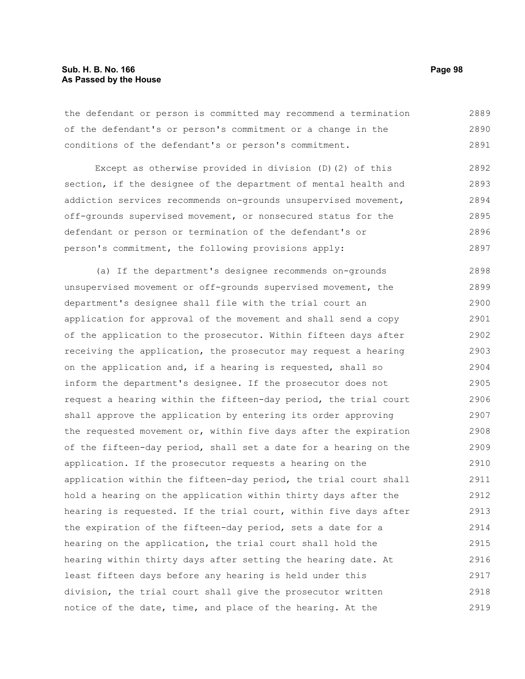the defendant or person is committed may recommend a termination of the defendant's or person's commitment or a change in the conditions of the defendant's or person's commitment. 2889 2890 2891

Except as otherwise provided in division (D)(2) of this section, if the designee of the department of mental health and addiction services recommends on-grounds unsupervised movement, off-grounds supervised movement, or nonsecured status for the defendant or person or termination of the defendant's or person's commitment, the following provisions apply: 2892 2893 2894 2895 2896 2897

(a) If the department's designee recommends on-grounds unsupervised movement or off-grounds supervised movement, the department's designee shall file with the trial court an application for approval of the movement and shall send a copy of the application to the prosecutor. Within fifteen days after receiving the application, the prosecutor may request a hearing on the application and, if a hearing is requested, shall so inform the department's designee. If the prosecutor does not request a hearing within the fifteen-day period, the trial court shall approve the application by entering its order approving the requested movement or, within five days after the expiration of the fifteen-day period, shall set a date for a hearing on the application. If the prosecutor requests a hearing on the application within the fifteen-day period, the trial court shall hold a hearing on the application within thirty days after the hearing is requested. If the trial court, within five days after the expiration of the fifteen-day period, sets a date for a hearing on the application, the trial court shall hold the hearing within thirty days after setting the hearing date. At least fifteen days before any hearing is held under this division, the trial court shall give the prosecutor written notice of the date, time, and place of the hearing. At the 2898 2899 2900 2901 2902 2903 2904 2905 2906 2907 2908 2909 2910 2911 2912 2913 2914 2915 2916 2917 2918 2919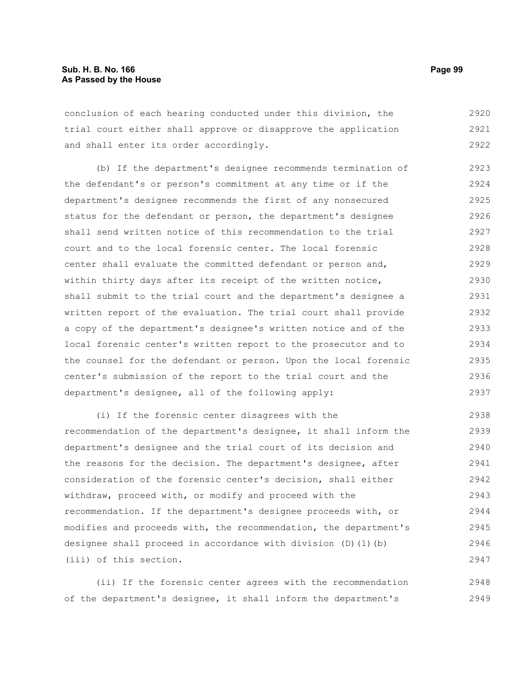conclusion of each hearing conducted under this division, the trial court either shall approve or disapprove the application and shall enter its order accordingly. 2920 2921 2922

(b) If the department's designee recommends termination of the defendant's or person's commitment at any time or if the department's designee recommends the first of any nonsecured status for the defendant or person, the department's designee shall send written notice of this recommendation to the trial court and to the local forensic center. The local forensic center shall evaluate the committed defendant or person and, within thirty days after its receipt of the written notice, shall submit to the trial court and the department's designee a written report of the evaluation. The trial court shall provide a copy of the department's designee's written notice and of the local forensic center's written report to the prosecutor and to the counsel for the defendant or person. Upon the local forensic center's submission of the report to the trial court and the department's designee, all of the following apply: 2923 2924 2925 2926 2927 2928 2929 2930 2931 2932 2933 2934 2935 2936 2937

(i) If the forensic center disagrees with the recommendation of the department's designee, it shall inform the department's designee and the trial court of its decision and the reasons for the decision. The department's designee, after consideration of the forensic center's decision, shall either withdraw, proceed with, or modify and proceed with the recommendation. If the department's designee proceeds with, or modifies and proceeds with, the recommendation, the department's designee shall proceed in accordance with division (D)(1)(b) (iii) of this section. 2938 2939 2940 2941 2942 2943 2944 2945 2946 2947

(ii) If the forensic center agrees with the recommendation of the department's designee, it shall inform the department's 2948 2949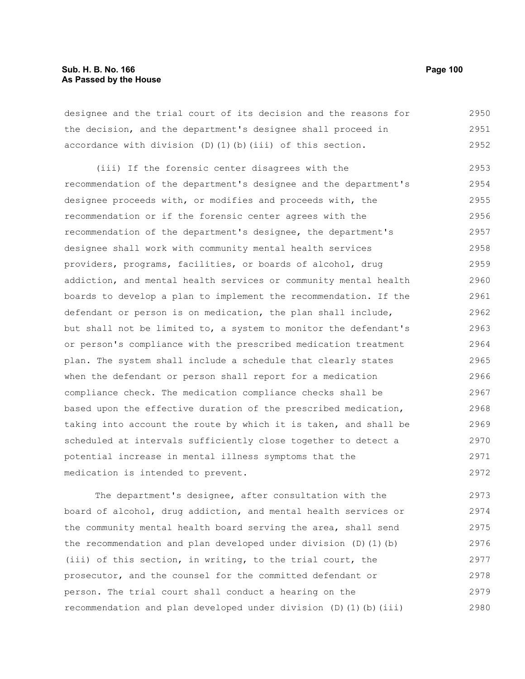## **Sub. H. B. No. 166 Page 100 As Passed by the House**

designee and the trial court of its decision and the reasons for the decision, and the department's designee shall proceed in accordance with division  $(D)$   $(1)$   $(b)$   $(iii)$  of this section. 2950 2951 2952

(iii) If the forensic center disagrees with the recommendation of the department's designee and the department's designee proceeds with, or modifies and proceeds with, the recommendation or if the forensic center agrees with the recommendation of the department's designee, the department's designee shall work with community mental health services providers, programs, facilities, or boards of alcohol, drug addiction, and mental health services or community mental health boards to develop a plan to implement the recommendation. If the defendant or person is on medication, the plan shall include, but shall not be limited to, a system to monitor the defendant's or person's compliance with the prescribed medication treatment plan. The system shall include a schedule that clearly states when the defendant or person shall report for a medication compliance check. The medication compliance checks shall be based upon the effective duration of the prescribed medication, taking into account the route by which it is taken, and shall be scheduled at intervals sufficiently close together to detect a potential increase in mental illness symptoms that the medication is intended to prevent. 2953 2954 2955 2956 2957 2958 2959 2960 2961 2962 2963 2964 2965 2966 2967 2968 2969 2970 2971 2972

The department's designee, after consultation with the board of alcohol, drug addiction, and mental health services or the community mental health board serving the area, shall send the recommendation and plan developed under division (D)(1)(b) (iii) of this section, in writing, to the trial court, the prosecutor, and the counsel for the committed defendant or person. The trial court shall conduct a hearing on the recommendation and plan developed under division (D)(1)(b)(iii) 2973 2974 2975 2976 2977 2978 2979 2980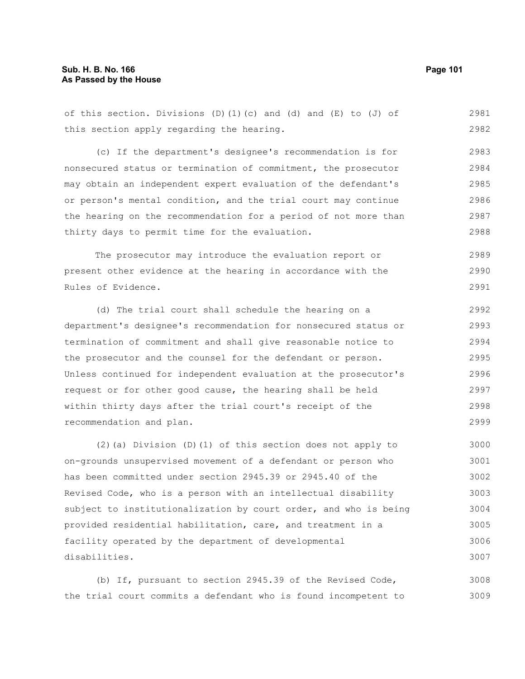of this section. Divisions (D)(1)(c) and (d) and (E) to (J) of this section apply regarding the hearing. (c) If the department's designee's recommendation is for nonsecured status or termination of commitment, the prosecutor may obtain an independent expert evaluation of the defendant's or person's mental condition, and the trial court may continue the hearing on the recommendation for a period of not more than thirty days to permit time for the evaluation. The prosecutor may introduce the evaluation report or 2981 2982 2983 2984 2985 2986 2987 2988

present other evidence at the hearing in accordance with the Rules of Evidence. 2989 2990 2991

(d) The trial court shall schedule the hearing on a department's designee's recommendation for nonsecured status or termination of commitment and shall give reasonable notice to the prosecutor and the counsel for the defendant or person. Unless continued for independent evaluation at the prosecutor's request or for other good cause, the hearing shall be held within thirty days after the trial court's receipt of the recommendation and plan. 2992 2993 2994 2995 2996 2997 2998 2999

(2)(a) Division (D)(1) of this section does not apply to on-grounds unsupervised movement of a defendant or person who has been committed under section 2945.39 or 2945.40 of the Revised Code, who is a person with an intellectual disability subject to institutionalization by court order, and who is being provided residential habilitation, care, and treatment in a facility operated by the department of developmental disabilities. 3000 3001 3002 3003 3004 3005 3006 3007

(b) If, pursuant to section 2945.39 of the Revised Code, the trial court commits a defendant who is found incompetent to 3008 3009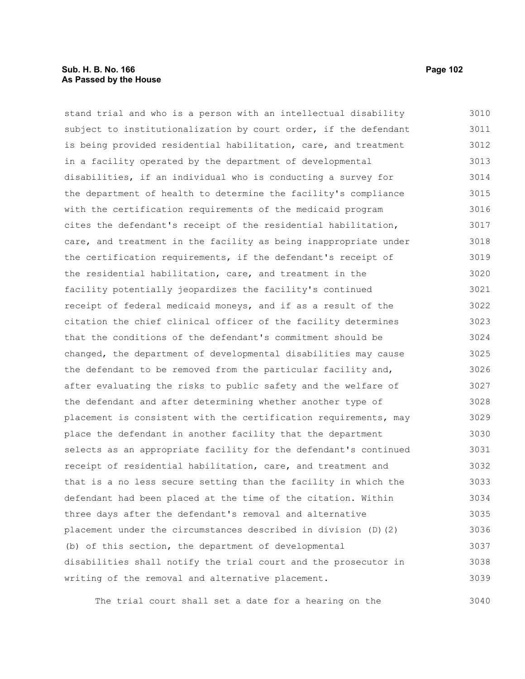## **Sub. H. B. No. 166 Page 102 As Passed by the House**

stand trial and who is a person with an intellectual disability subject to institutionalization by court order, if the defendant is being provided residential habilitation, care, and treatment in a facility operated by the department of developmental disabilities, if an individual who is conducting a survey for the department of health to determine the facility's compliance with the certification requirements of the medicaid program cites the defendant's receipt of the residential habilitation, care, and treatment in the facility as being inappropriate under the certification requirements, if the defendant's receipt of the residential habilitation, care, and treatment in the facility potentially jeopardizes the facility's continued receipt of federal medicaid moneys, and if as a result of the citation the chief clinical officer of the facility determines that the conditions of the defendant's commitment should be changed, the department of developmental disabilities may cause the defendant to be removed from the particular facility and, after evaluating the risks to public safety and the welfare of the defendant and after determining whether another type of placement is consistent with the certification requirements, may place the defendant in another facility that the department selects as an appropriate facility for the defendant's continued receipt of residential habilitation, care, and treatment and that is a no less secure setting than the facility in which the defendant had been placed at the time of the citation. Within three days after the defendant's removal and alternative placement under the circumstances described in division (D)(2) (b) of this section, the department of developmental disabilities shall notify the trial court and the prosecutor in writing of the removal and alternative placement. 3010 3011 3012 3013 3014 3015 3016 3017 3018 3019 3020 3021 3022 3023 3024 3025 3026 3027 3028 3029 3030 3031 3032 3033 3034 3035 3036 3037 3038 3039

The trial court shall set a date for a hearing on the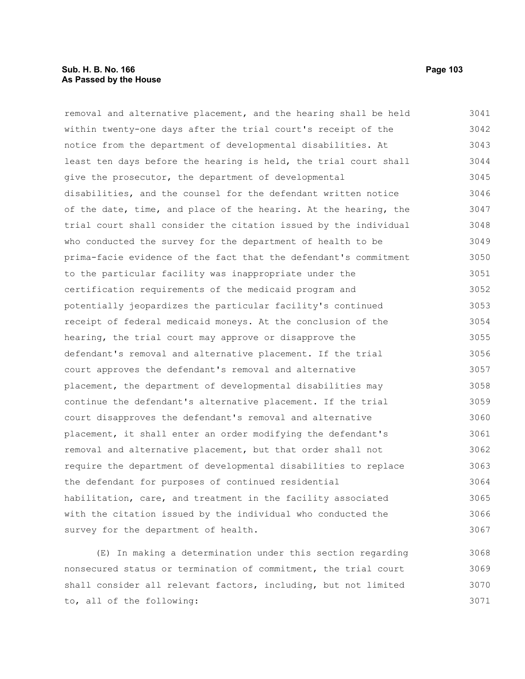### **Sub. H. B. No. 166 Page 103 As Passed by the House**

removal and alternative placement, and the hearing shall be held within twenty-one days after the trial court's receipt of the notice from the department of developmental disabilities. At least ten days before the hearing is held, the trial court shall give the prosecutor, the department of developmental disabilities, and the counsel for the defendant written notice of the date, time, and place of the hearing. At the hearing, the trial court shall consider the citation issued by the individual who conducted the survey for the department of health to be prima-facie evidence of the fact that the defendant's commitment to the particular facility was inappropriate under the certification requirements of the medicaid program and potentially jeopardizes the particular facility's continued receipt of federal medicaid moneys. At the conclusion of the hearing, the trial court may approve or disapprove the defendant's removal and alternative placement. If the trial court approves the defendant's removal and alternative placement, the department of developmental disabilities may continue the defendant's alternative placement. If the trial court disapproves the defendant's removal and alternative placement, it shall enter an order modifying the defendant's removal and alternative placement, but that order shall not require the department of developmental disabilities to replace the defendant for purposes of continued residential habilitation, care, and treatment in the facility associated with the citation issued by the individual who conducted the survey for the department of health. 3041 3042 3043 3044 3045 3046 3047 3048 3049 3050 3051 3052 3053 3054 3055 3056 3057 3058 3059 3060 3061 3062 3063 3064 3065 3066 3067

(E) In making a determination under this section regarding nonsecured status or termination of commitment, the trial court shall consider all relevant factors, including, but not limited to, all of the following: 3068 3069 3070 3071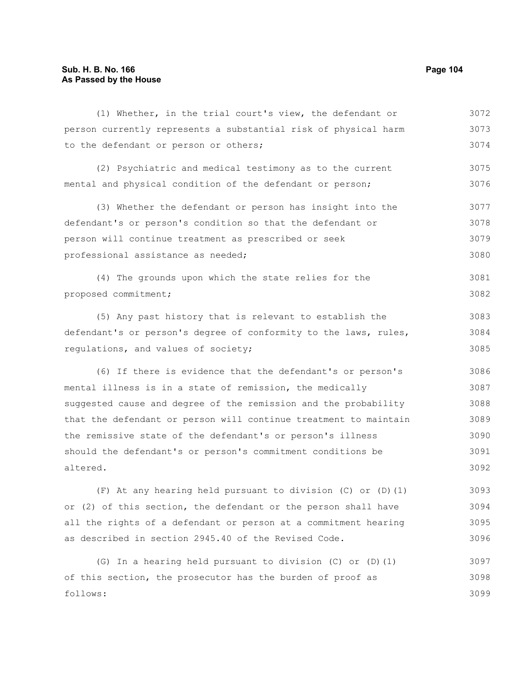# **Sub. H. B. No. 166 Page 104** Page 104 **As Passed by the House**

(1) Whether, in the trial court's view, the defendant or person currently represents a substantial risk of physical harm to the defendant or person or others; (2) Psychiatric and medical testimony as to the current 3072 3073 3074 3075

mental and physical condition of the defendant or person;

(3) Whether the defendant or person has insight into the defendant's or person's condition so that the defendant or person will continue treatment as prescribed or seek professional assistance as needed; 3077 3078 3079 3080

(4) The grounds upon which the state relies for the proposed commitment; 3081 3082

(5) Any past history that is relevant to establish the defendant's or person's degree of conformity to the laws, rules, regulations, and values of society; 3083 3084 3085

(6) If there is evidence that the defendant's or person's mental illness is in a state of remission, the medically suggested cause and degree of the remission and the probability that the defendant or person will continue treatment to maintain the remissive state of the defendant's or person's illness should the defendant's or person's commitment conditions be altered. 3086 3087 3088 3089 3090 3091 3092

(F) At any hearing held pursuant to division (C) or (D)(1) or (2) of this section, the defendant or the person shall have all the rights of a defendant or person at a commitment hearing as described in section 2945.40 of the Revised Code. 3093 3094 3095 3096

(G) In a hearing held pursuant to division (C) or (D)(1) of this section, the prosecutor has the burden of proof as follows: 3097 3098 3099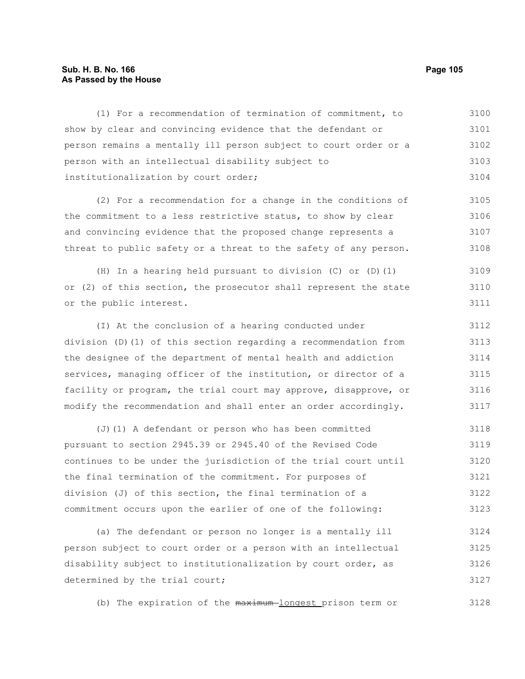# **Sub. H. B. No. 166 Page 105** Page 105 **As Passed by the House**

(1) For a recommendation of termination of commitment, to show by clear and convincing evidence that the defendant or person remains a mentally ill person subject to court order or a person with an intellectual disability subject to institutionalization by court order; (2) For a recommendation for a change in the conditions of 3100 3101 3102 3103 3104 3105

the commitment to a less restrictive status, to show by clear and convincing evidence that the proposed change represents a threat to public safety or a threat to the safety of any person. 3106 3107 3108

(H) In a hearing held pursuant to division (C) or (D)(1) or (2) of this section, the prosecutor shall represent the state or the public interest. 3109 3110 3111

(I) At the conclusion of a hearing conducted under division (D)(1) of this section regarding a recommendation from the designee of the department of mental health and addiction services, managing officer of the institution, or director of a facility or program, the trial court may approve, disapprove, or modify the recommendation and shall enter an order accordingly. 3112 3113 3114 3115 3116 3117

(J)(1) A defendant or person who has been committed pursuant to section 2945.39 or 2945.40 of the Revised Code continues to be under the jurisdiction of the trial court until the final termination of the commitment. For purposes of division (J) of this section, the final termination of a commitment occurs upon the earlier of one of the following: 3118 3119 3120 3121 3122 3123

(a) The defendant or person no longer is a mentally ill person subject to court order or a person with an intellectual disability subject to institutionalization by court order, as determined by the trial court; 3124 3125 3126 3127

(b) The expiration of the maximum-longest prison term or 3128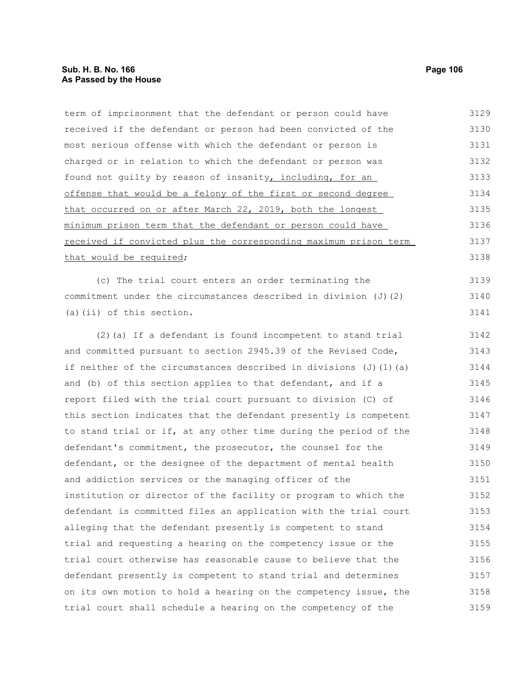| term of imprisonment that the defendant or person could have             | 3129 |
|--------------------------------------------------------------------------|------|
| received if the defendant or person had been convicted of the            | 3130 |
| most serious offense with which the defendant or person is               | 3131 |
| charged or in relation to which the defendant or person was              | 3132 |
| found not quilty by reason of insanity, including, for an                | 3133 |
| offense that would be a felony of the first or second degree             | 3134 |
| that occurred on or after March 22, 2019, both the longest               | 3135 |
| minimum prison term that the defendant or person could have              | 3136 |
| received if convicted plus the corresponding maximum prison term         | 3137 |
| that would be required;                                                  | 3138 |
|                                                                          |      |
| (c) The trial court enters an order terminating the                      | 3139 |
| commitment under the circumstances described in division (J)(2)          | 3140 |
| (a) (ii) of this section.                                                | 3141 |
| (2) (a) If a defendant is found incompetent to stand trial               | 3142 |
| and committed pursuant to section 2945.39 of the Revised Code,           | 3143 |
| if neither of the circumstances described in divisions $(J)$ $(1)$ $(a)$ | 3144 |
| and (b) of this section applies to that defendant, and if a              | 3145 |
| report filed with the trial court pursuant to division (C) of            | 3146 |
| this section indicates that the defendant presently is competent         | 3147 |
| to stand trial or if, at any other time during the period of the         | 3148 |
| defendant's commitment, the prosecutor, the counsel for the              | 3149 |
| defendant, or the designee of the department of mental health            | 3150 |
| and addiction services or the managing officer of the                    | 3151 |
| institution or director of the facility or program to which the          | 3152 |
| defendant is committed files an application with the trial court         | 3153 |
| alleging that the defendant presently is competent to stand              | 3154 |
| trial and requesting a hearing on the competency issue or the            | 3155 |
| trial court otherwise has reasonable cause to believe that the           | 3156 |
| defendant presently is competent to stand trial and determines           | 3157 |
| on its own motion to hold a hearing on the competency issue, the         | 3158 |
| trial court shall schedule a hearing on the competency of the            | 3159 |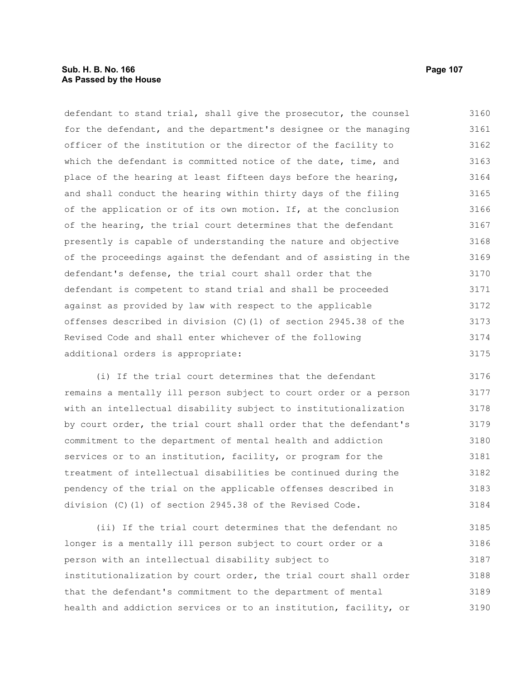## **Sub. H. B. No. 166 Page 107** Page 107 **As Passed by the House**

defendant to stand trial, shall give the prosecutor, the counsel for the defendant, and the department's designee or the managing officer of the institution or the director of the facility to which the defendant is committed notice of the date, time, and place of the hearing at least fifteen days before the hearing, and shall conduct the hearing within thirty days of the filing of the application or of its own motion. If, at the conclusion of the hearing, the trial court determines that the defendant presently is capable of understanding the nature and objective of the proceedings against the defendant and of assisting in the defendant's defense, the trial court shall order that the defendant is competent to stand trial and shall be proceeded against as provided by law with respect to the applicable offenses described in division (C)(1) of section 2945.38 of the Revised Code and shall enter whichever of the following additional orders is appropriate: 3160 3161 3162 3163 3164 3165 3166 3167 3168 3169 3170 3171 3172 3173 3174 3175

(i) If the trial court determines that the defendant remains a mentally ill person subject to court order or a person with an intellectual disability subject to institutionalization by court order, the trial court shall order that the defendant's commitment to the department of mental health and addiction services or to an institution, facility, or program for the treatment of intellectual disabilities be continued during the pendency of the trial on the applicable offenses described in division (C)(1) of section 2945.38 of the Revised Code. 3176 3177 3178 3179 3180 3181 3182 3183 3184

(ii) If the trial court determines that the defendant no longer is a mentally ill person subject to court order or a person with an intellectual disability subject to institutionalization by court order, the trial court shall order that the defendant's commitment to the department of mental health and addiction services or to an institution, facility, or 3185 3186 3187 3188 3189 3190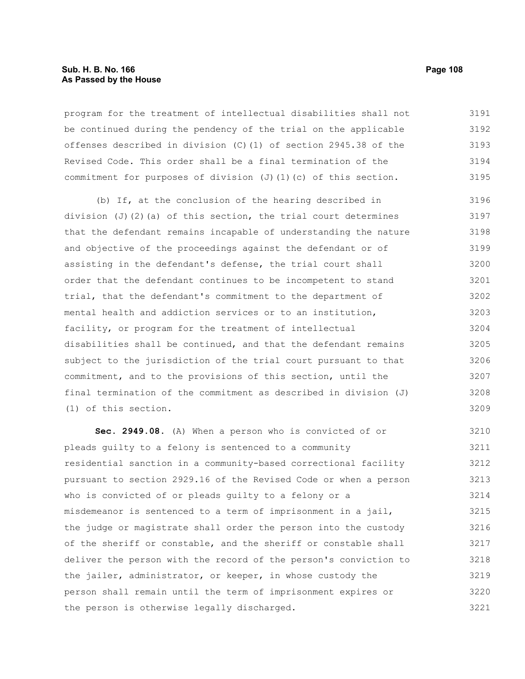## **Sub. H. B. No. 166 Page 108 As Passed by the House**

program for the treatment of intellectual disabilities shall not be continued during the pendency of the trial on the applicable offenses described in division (C)(1) of section 2945.38 of the Revised Code. This order shall be a final termination of the commitment for purposes of division (J)(1)(c) of this section. 3191 3192 3193 3194 3195

(b) If, at the conclusion of the hearing described in division (J)(2)(a) of this section, the trial court determines that the defendant remains incapable of understanding the nature and objective of the proceedings against the defendant or of assisting in the defendant's defense, the trial court shall order that the defendant continues to be incompetent to stand trial, that the defendant's commitment to the department of mental health and addiction services or to an institution, facility, or program for the treatment of intellectual disabilities shall be continued, and that the defendant remains subject to the jurisdiction of the trial court pursuant to that commitment, and to the provisions of this section, until the final termination of the commitment as described in division (J) (1) of this section. 3196 3197 3198 3199 3200 3201 3202 3203 3204 3205 3206 3207 3208 3209

**Sec. 2949.08.** (A) When a person who is convicted of or pleads guilty to a felony is sentenced to a community residential sanction in a community-based correctional facility pursuant to section 2929.16 of the Revised Code or when a person who is convicted of or pleads guilty to a felony or a misdemeanor is sentenced to a term of imprisonment in a jail, the judge or magistrate shall order the person into the custody of the sheriff or constable, and the sheriff or constable shall deliver the person with the record of the person's conviction to the jailer, administrator, or keeper, in whose custody the person shall remain until the term of imprisonment expires or the person is otherwise legally discharged. 3210 3211 3212 3213 3214 3215 3216 3217 3218 3219 3220 3221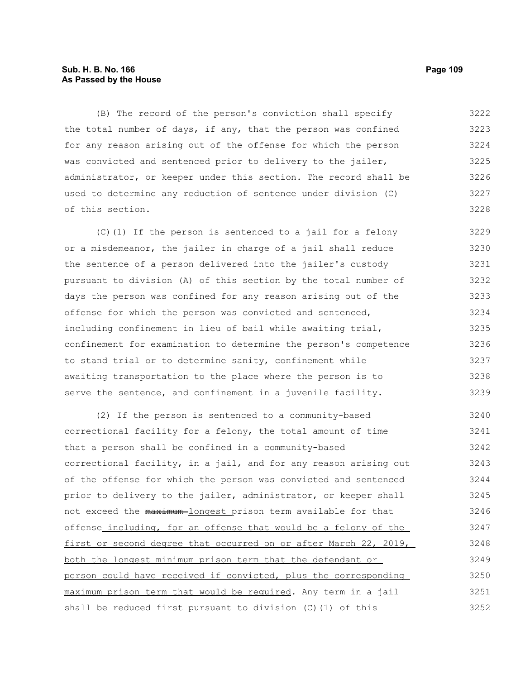# **Sub. H. B. No. 166 Page 109 As Passed by the House**

(B) The record of the person's conviction shall specify the total number of days, if any, that the person was confined for any reason arising out of the offense for which the person was convicted and sentenced prior to delivery to the jailer, administrator, or keeper under this section. The record shall be used to determine any reduction of sentence under division (C) of this section. 3222 3223 3224 3225 3226 3227 3228

(C)(1) If the person is sentenced to a jail for a felony or a misdemeanor, the jailer in charge of a jail shall reduce the sentence of a person delivered into the jailer's custody pursuant to division (A) of this section by the total number of days the person was confined for any reason arising out of the offense for which the person was convicted and sentenced, including confinement in lieu of bail while awaiting trial, confinement for examination to determine the person's competence to stand trial or to determine sanity, confinement while awaiting transportation to the place where the person is to serve the sentence, and confinement in a juvenile facility. 3229 3230 3231 3232 3233 3234 3235 3236 3237 3238 3239

(2) If the person is sentenced to a community-based correctional facility for a felony, the total amount of time that a person shall be confined in a community-based correctional facility, in a jail, and for any reason arising out of the offense for which the person was convicted and sentenced prior to delivery to the jailer, administrator, or keeper shall not exceed the maximum-longest prison term available for that offense including, for an offense that would be a felony of the first or second degree that occurred on or after March 22, 2019, both the longest minimum prison term that the defendant or person could have received if convicted, plus the corresponding maximum prison term that would be required. Any term in a jail shall be reduced first pursuant to division (C)(1) of this 3240 3241 3242 3243 3244 3245 3246 3247 3248 3249 3250 3251 3252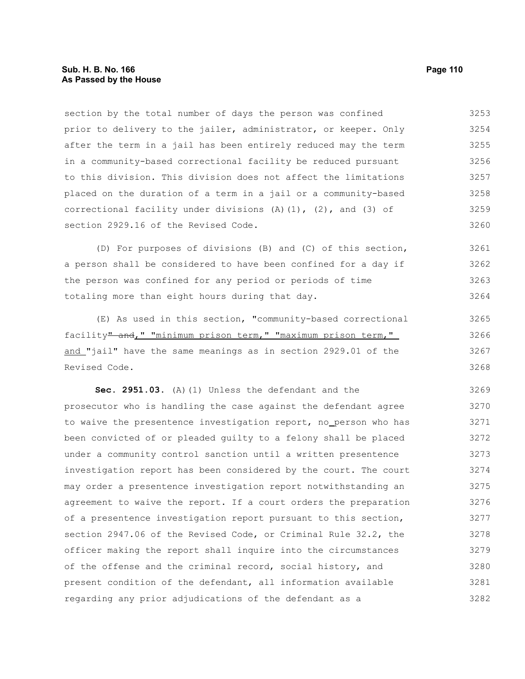section by the total number of days the person was confined prior to delivery to the jailer, administrator, or keeper. Only after the term in a jail has been entirely reduced may the term in a community-based correctional facility be reduced pursuant to this division. This division does not affect the limitations placed on the duration of a term in a jail or a community-based correctional facility under divisions  $(A)$   $(1)$ ,  $(2)$ , and  $(3)$  of section 2929.16 of the Revised Code. 3253 3254 3255 3256 3257 3258 3259 3260

(D) For purposes of divisions (B) and (C) of this section, a person shall be considered to have been confined for a day if the person was confined for any period or periods of time totaling more than eight hours during that day. 3261 3262 3263 3264

(E) As used in this section, "community-based correctional facility" and," "minimum prison term," "maximum prison term," and "jail" have the same meanings as in section 2929.01 of the Revised Code.

**Sec. 2951.03.** (A)(1) Unless the defendant and the prosecutor who is handling the case against the defendant agree to waive the presentence investigation report, no person who has been convicted of or pleaded guilty to a felony shall be placed under a community control sanction until a written presentence investigation report has been considered by the court. The court may order a presentence investigation report notwithstanding an agreement to waive the report. If a court orders the preparation of a presentence investigation report pursuant to this section, section 2947.06 of the Revised Code, or Criminal Rule 32.2, the officer making the report shall inquire into the circumstances of the offense and the criminal record, social history, and present condition of the defendant, all information available regarding any prior adjudications of the defendant as a 3269 3270 3271 3272 3273 3274 3275 3276 3277 3278 3279 3280 3281 3282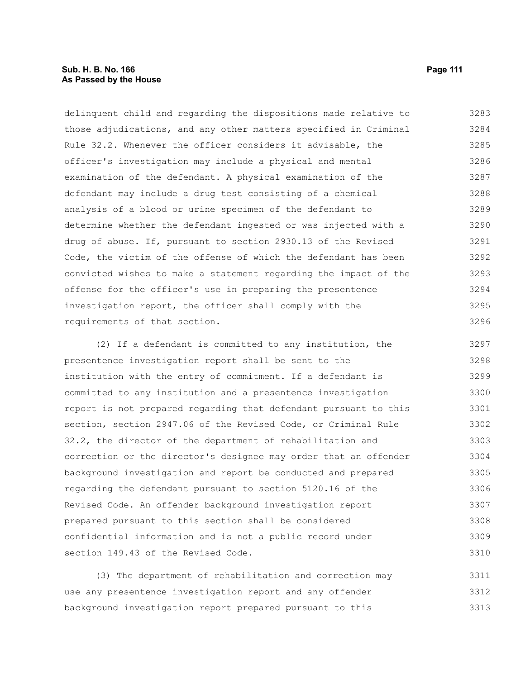delinquent child and regarding the dispositions made relative to those adjudications, and any other matters specified in Criminal Rule 32.2. Whenever the officer considers it advisable, the officer's investigation may include a physical and mental examination of the defendant. A physical examination of the defendant may include a drug test consisting of a chemical analysis of a blood or urine specimen of the defendant to determine whether the defendant ingested or was injected with a drug of abuse. If, pursuant to section 2930.13 of the Revised Code, the victim of the offense of which the defendant has been convicted wishes to make a statement regarding the impact of the offense for the officer's use in preparing the presentence investigation report, the officer shall comply with the requirements of that section. 3283 3284 3285 3286 3287 3288 3289 3290 3291 3292 3293 3294 3295 3296

(2) If a defendant is committed to any institution, the presentence investigation report shall be sent to the institution with the entry of commitment. If a defendant is committed to any institution and a presentence investigation report is not prepared regarding that defendant pursuant to this section, section 2947.06 of the Revised Code, or Criminal Rule 32.2, the director of the department of rehabilitation and correction or the director's designee may order that an offender background investigation and report be conducted and prepared regarding the defendant pursuant to section 5120.16 of the Revised Code. An offender background investigation report prepared pursuant to this section shall be considered confidential information and is not a public record under section 149.43 of the Revised Code. 3297 3298 3299 3300 3301 3302 3303 3304 3305 3306 3307 3308 3309 3310

(3) The department of rehabilitation and correction may use any presentence investigation report and any offender background investigation report prepared pursuant to this 3311 3312 3313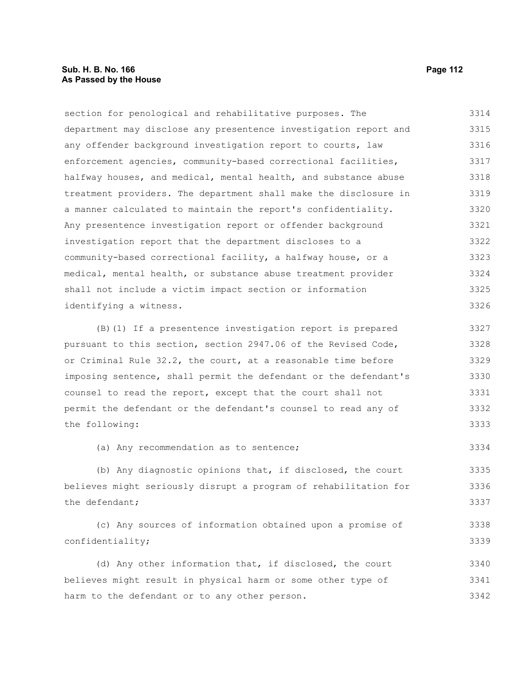## **Sub. H. B. No. 166 Page 112 As Passed by the House**

section for penological and rehabilitative purposes. The department may disclose any presentence investigation report and any offender background investigation report to courts, law enforcement agencies, community-based correctional facilities, halfway houses, and medical, mental health, and substance abuse treatment providers. The department shall make the disclosure in a manner calculated to maintain the report's confidentiality. Any presentence investigation report or offender background investigation report that the department discloses to a community-based correctional facility, a halfway house, or a medical, mental health, or substance abuse treatment provider shall not include a victim impact section or information identifying a witness. (B)(1) If a presentence investigation report is prepared pursuant to this section, section 2947.06 of the Revised Code, or Criminal Rule 32.2, the court, at a reasonable time before imposing sentence, shall permit the defendant or the defendant's 3314 3315 3316 3317 3318 3319 3320 3321 3322 3323 3324 3325 3326 3327 3328 3329 3330

counsel to read the report, except that the court shall not permit the defendant or the defendant's counsel to read any of the following: 3331 3332 3333

(a) Any recommendation as to sentence;

(b) Any diagnostic opinions that, if disclosed, the court believes might seriously disrupt a program of rehabilitation for the defendant; 3335 3336 3337

```
(c) Any sources of information obtained upon a promise of
confidentiality;
                                                                            3338
                                                                            3339
```
(d) Any other information that, if disclosed, the court believes might result in physical harm or some other type of harm to the defendant or to any other person. 3340 3341 3342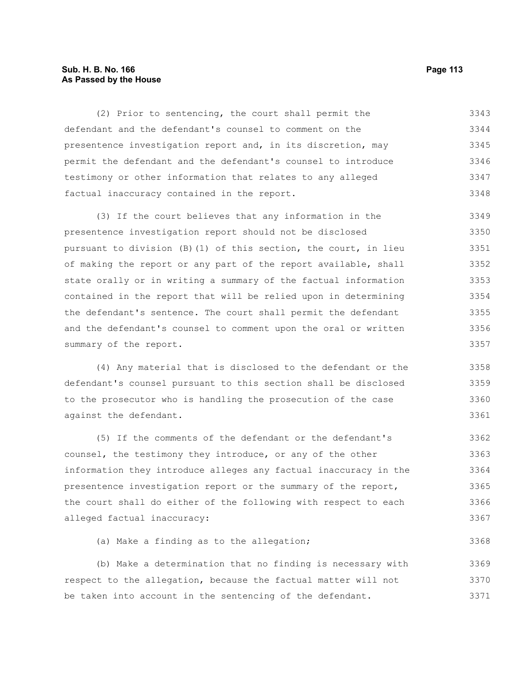# **Sub. H. B. No. 166 Page 113 As Passed by the House**

(2) Prior to sentencing, the court shall permit the defendant and the defendant's counsel to comment on the presentence investigation report and, in its discretion, may permit the defendant and the defendant's counsel to introduce testimony or other information that relates to any alleged factual inaccuracy contained in the report. 3343 3344 3345 3346 3347 3348

(3) If the court believes that any information in the presentence investigation report should not be disclosed pursuant to division (B)(1) of this section, the court, in lieu of making the report or any part of the report available, shall state orally or in writing a summary of the factual information contained in the report that will be relied upon in determining the defendant's sentence. The court shall permit the defendant and the defendant's counsel to comment upon the oral or written summary of the report. 3349 3350 3351 3352 3353 3354 3355 3356 3357

(4) Any material that is disclosed to the defendant or the defendant's counsel pursuant to this section shall be disclosed to the prosecutor who is handling the prosecution of the case against the defendant. 3358 3359 3360 3361

(5) If the comments of the defendant or the defendant's counsel, the testimony they introduce, or any of the other information they introduce alleges any factual inaccuracy in the presentence investigation report or the summary of the report, the court shall do either of the following with respect to each alleged factual inaccuracy: 3362 3363 3364 3365 3366 3367

(a) Make a finding as to the allegation;

(b) Make a determination that no finding is necessary with respect to the allegation, because the factual matter will not be taken into account in the sentencing of the defendant. 3369 3370 3371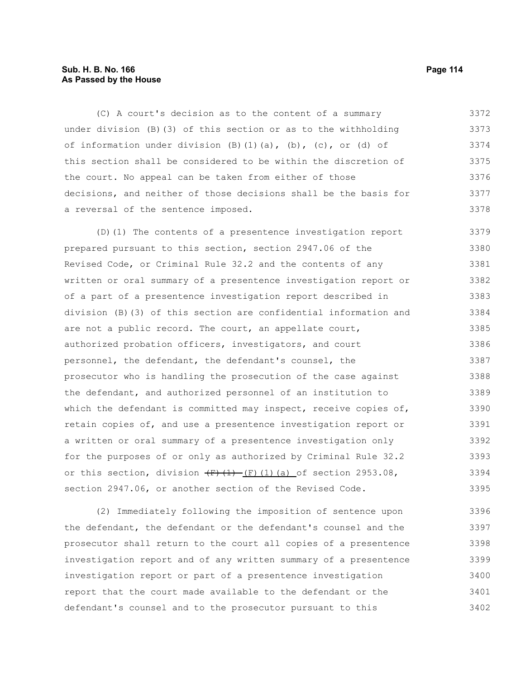# **Sub. H. B. No. 166 Page 114** Page 114 **As Passed by the House**

(C) A court's decision as to the content of a summary under division (B)(3) of this section or as to the withholding of information under division  $(B)$   $(1)$   $(a)$ ,  $(b)$ ,  $(c)$ , or  $(d)$  of this section shall be considered to be within the discretion of the court. No appeal can be taken from either of those decisions, and neither of those decisions shall be the basis for a reversal of the sentence imposed. 3372 3373 3374 3375 3376 3377 3378

(D)(1) The contents of a presentence investigation report prepared pursuant to this section, section 2947.06 of the Revised Code, or Criminal Rule 32.2 and the contents of any written or oral summary of a presentence investigation report or of a part of a presentence investigation report described in division (B)(3) of this section are confidential information and are not a public record. The court, an appellate court, authorized probation officers, investigators, and court personnel, the defendant, the defendant's counsel, the prosecutor who is handling the prosecution of the case against the defendant, and authorized personnel of an institution to which the defendant is committed may inspect, receive copies of, retain copies of, and use a presentence investigation report or a written or oral summary of a presentence investigation only for the purposes of or only as authorized by Criminal Rule 32.2 or this section, division  $(F)$   $(1)$   $(F)$   $(1)$  (a) of section 2953.08, section 2947.06, or another section of the Revised Code. 3379 3380 3381 3382 3383 3384 3385 3386 3387 3388 3389 3390 3391 3392 3393 3394 3395

(2) Immediately following the imposition of sentence upon the defendant, the defendant or the defendant's counsel and the prosecutor shall return to the court all copies of a presentence investigation report and of any written summary of a presentence investigation report or part of a presentence investigation report that the court made available to the defendant or the defendant's counsel and to the prosecutor pursuant to this 3396 3397 3398 3399 3400 3401 3402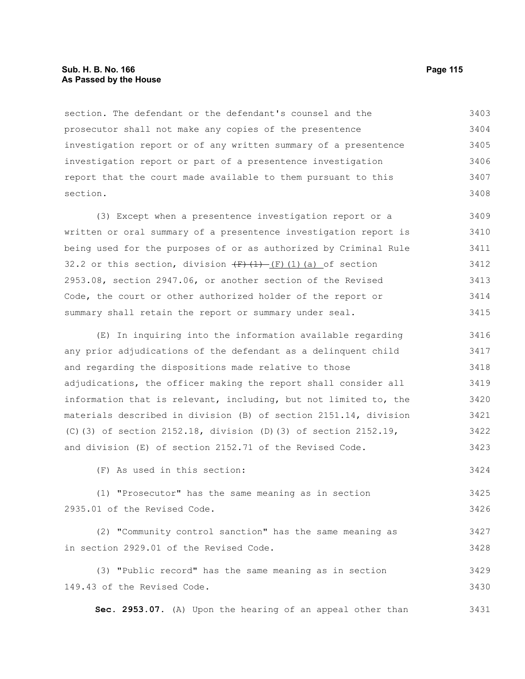section. The defendant or the defendant's counsel and the prosecutor shall not make any copies of the presentence investigation report or of any written summary of a presentence investigation report or part of a presentence investigation report that the court made available to them pursuant to this section. 3403 3404 3405 3406 3407 3408

(3) Except when a presentence investigation report or a written or oral summary of a presentence investigation report is being used for the purposes of or as authorized by Criminal Rule 32.2 or this section, division  $(F)$   $(1)$   $(F)$   $(1)$   $(a)$  of section 2953.08, section 2947.06, or another section of the Revised Code, the court or other authorized holder of the report or summary shall retain the report or summary under seal. 3409 3410 3411 3412 3413 3414 3415

(E) In inquiring into the information available regarding any prior adjudications of the defendant as a delinquent child and regarding the dispositions made relative to those adjudications, the officer making the report shall consider all information that is relevant, including, but not limited to, the materials described in division (B) of section 2151.14, division (C)(3) of section 2152.18, division (D)(3) of section 2152.19, and division (E) of section 2152.71 of the Revised Code. 3416 3417 3418 3419 3420 3421 3422 3423

(F) As used in this section:

(1) "Prosecutor" has the same meaning as in section 2935.01 of the Revised Code. 3425 3426

(2) "Community control sanction" has the same meaning as in section 2929.01 of the Revised Code. 3427 3428

(3) "Public record" has the same meaning as in section 149.43 of the Revised Code. 3429 3430

**Sec. 2953.07.** (A) Upon the hearing of an appeal other than 3431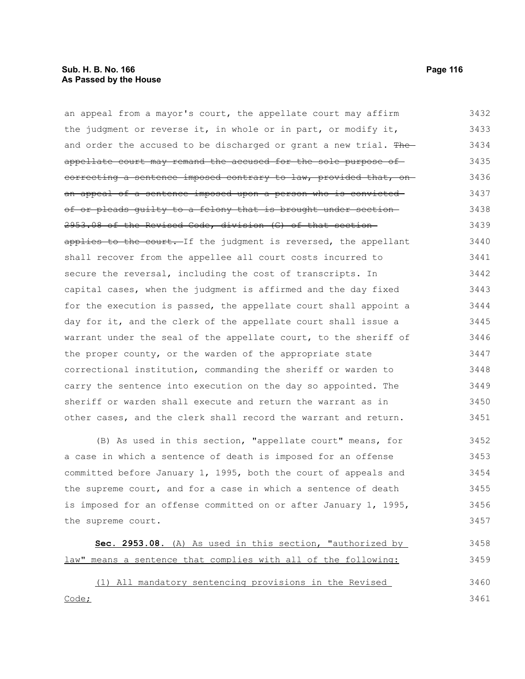an appeal from a mayor's court, the appellate court may affirm the judgment or reverse it, in whole or in part, or modify it, and order the accused to be discharged or grant a new trial. Theappellate court may remand the accused for the sole purpose of correcting a sentence imposed contrary to law, provided that, on an appeal of a sentence imposed upon a person who is convicted of or pleads guilty to a felony that is brought under section 2953.08 of the Revised Code, division (G) of that section applies to the court. If the judgment is reversed, the appellant shall recover from the appellee all court costs incurred to secure the reversal, including the cost of transcripts. In capital cases, when the judgment is affirmed and the day fixed for the execution is passed, the appellate court shall appoint a day for it, and the clerk of the appellate court shall issue a warrant under the seal of the appellate court, to the sheriff of the proper county, or the warden of the appropriate state correctional institution, commanding the sheriff or warden to carry the sentence into execution on the day so appointed. The sheriff or warden shall execute and return the warrant as in other cases, and the clerk shall record the warrant and return. (B) As used in this section, "appellate court" means, for 3432 3433 3434 3435 3436 3437 3438 3439 3440 3441 3442 3443 3444 3445 3446 3447 3448 3449 3450 3451 3452

a case in which a sentence of death is imposed for an offense committed before January 1, 1995, both the court of appeals and the supreme court, and for a case in which a sentence of death is imposed for an offense committed on or after January 1, 1995, the supreme court. 3453 3454 3455 3456 3457

|  |  |  | Sec. 2953.08. (A) As used in this section, "authorized by      | 3458 |
|--|--|--|----------------------------------------------------------------|------|
|  |  |  | law" means a sentence that complies with all of the following: | 3459 |
|  |  |  | (1) All mandatory sentencing provisions in the Revised         | 3460 |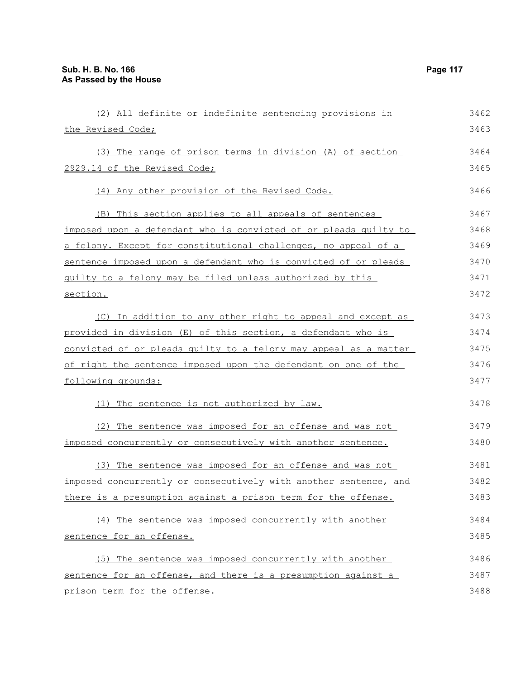| (2) All definite or indefinite sentencing provisions in          | 3462 |
|------------------------------------------------------------------|------|
| the Revised Code;                                                | 3463 |
| (3) The range of prison terms in division (A) of section         | 3464 |
| 2929.14 of the Revised Code;                                     | 3465 |
| (4) Any other provision of the Revised Code.                     | 3466 |
| (B) This section applies to all appeals of sentences             | 3467 |
| imposed upon a defendant who is convicted of or pleads quilty to | 3468 |
| a felony. Except for constitutional challenges, no appeal of a   | 3469 |
| sentence imposed upon a defendant who is convicted of or pleads  | 3470 |
| guilty to a felony may be filed unless authorized by this        | 3471 |
| section.                                                         | 3472 |
| (C) In addition to any other right to appeal and except as       | 3473 |
| provided in division (E) of this section, a defendant who is     | 3474 |
| convicted of or pleads quilty to a felony may appeal as a matter | 3475 |
| of right the sentence imposed upon the defendant on one of the   | 3476 |
| following grounds:                                               | 3477 |
| (1) The sentence is not authorized by law.                       | 3478 |
| The sentence was imposed for an offense and was not<br>(2)       | 3479 |
| imposed concurrently or consecutively with another sentence.     | 3480 |
| (3) The sentence was imposed for an offense and was not          | 3481 |
| imposed concurrently or consecutively with another sentence, and | 3482 |
| there is a presumption against a prison term for the offense.    | 3483 |
| (4) The sentence was imposed concurrently with another           | 3484 |
| sentence for an offense.                                         | 3485 |
| (5) The sentence was imposed concurrently with another           | 3486 |
| sentence for an offense, and there is a presumption against a    | 3487 |
| prison term for the offense.                                     | 3488 |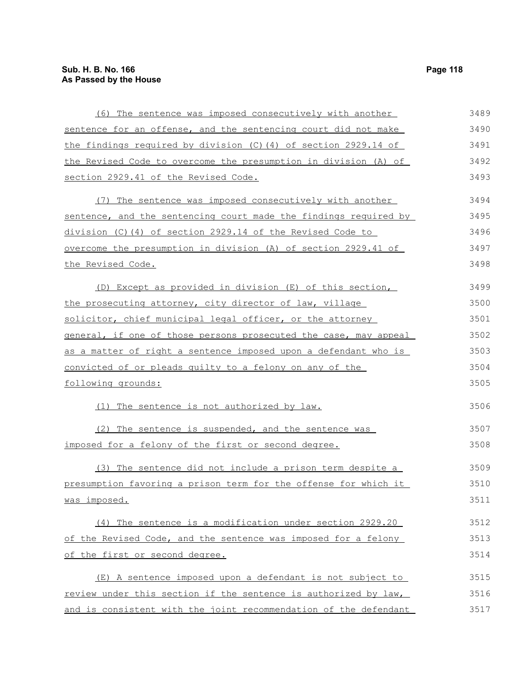| (6) The sentence was imposed consecutively with another           | 3489 |
|-------------------------------------------------------------------|------|
| sentence for an offense, and the sentencing court did not make    | 3490 |
| the findings required by division $(C)$ (4) of section 2929.14 of | 3491 |
| the Revised Code to overcome the presumption in division (A) of   | 3492 |
| section 2929.41 of the Revised Code.                              | 3493 |
| (7) The sentence was imposed consecutively with another           | 3494 |
| sentence, and the sentencing court made the findings required by  | 3495 |
| division (C)(4) of section 2929.14 of the Revised Code to         | 3496 |
| overcome the presumption in division (A) of section 2929.41 of    | 3497 |
| the Revised Code.                                                 | 3498 |
| (D) Except as provided in division (E) of this section,           | 3499 |
| the prosecuting attorney, city director of law, village           | 3500 |
| solicitor, chief municipal legal officer, or the attorney         | 3501 |
| general, if one of those persons prosecuted the case, may appeal  | 3502 |
| as a matter of right a sentence imposed upon a defendant who is   | 3503 |
| convicted of or pleads quilty to a felony on any of the           | 3504 |
| following grounds:                                                | 3505 |
| (1) The sentence is not authorized by law.                        | 3506 |
| (2) The sentence is suspended, and the sentence was               | 3507 |
| imposed for a felony of the first or second degree.               | 3508 |
| (3) The sentence did not include a prison term despite a          | 3509 |
| presumption favoring a prison term for the offense for which it   | 3510 |
| was imposed.                                                      | 3511 |
| (4) The sentence is a modification under section 2929.20          | 3512 |
| of the Revised Code, and the sentence was imposed for a felony    | 3513 |
| of the first or second degree.                                    | 3514 |
| (E) A sentence imposed upon a defendant is not subject to         | 3515 |
| review under this section if the sentence is authorized by law,   | 3516 |
| and is consistent with the joint recommendation of the defendant  | 3517 |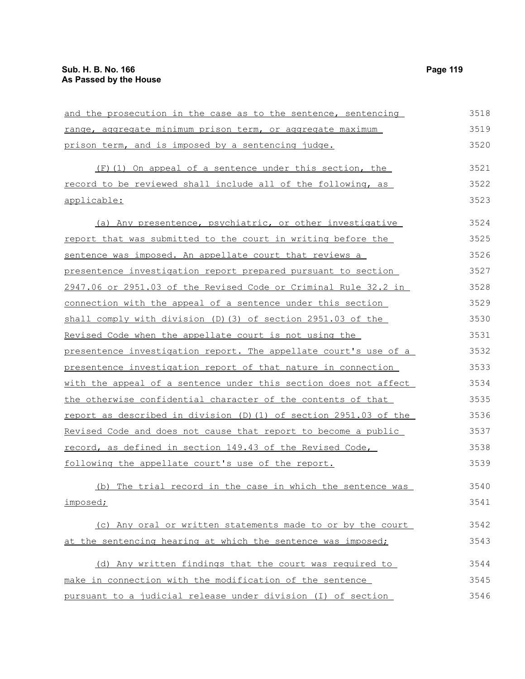and the prosecution in the case as to the sentence, sentencing range, aggregate minimum prison term, or aggregate maximum prison term, and is imposed by a sentencing judge. (F)(1) On appeal of a sentence under this section, the record to be reviewed shall include all of the following, as applicable: (a) Any presentence, psychiatric, or other investigative report that was submitted to the court in writing before the sentence was imposed. An appellate court that reviews a presentence investigation report prepared pursuant to section 2947.06 or 2951.03 of the Revised Code or Criminal Rule 32.2 in connection with the appeal of a sentence under this section shall comply with division (D)(3) of section 2951.03 of the Revised Code when the appellate court is not using the presentence investigation report. The appellate court's use of a presentence investigation report of that nature in connection with the appeal of a sentence under this section does not affect the otherwise confidential character of the contents of that report as described in division (D)(1) of section 2951.03 of the Revised Code and does not cause that report to become a public record, as defined in section 149.43 of the Revised Code, following the appellate court's use of the report. (b) The trial record in the case in which the sentence was imposed; (c) Any oral or written statements made to or by the court at the sentencing hearing at which the sentence was imposed; (d) Any written findings that the court was required to make in connection with the modification of the sentence 3518 3519 3520 3521 3522 3523 3524 3525 3526 3527 3528 3529 3530 3531 3532 3533 3534 3535 3536 3537 3538 3539 3540 3541 3542 3543 3544 3545

pursuant to a judicial release under division (I) of section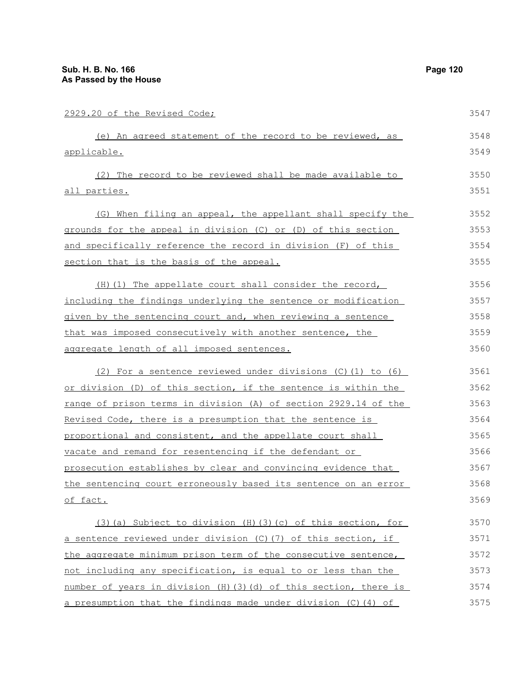| 2929.20 of the Revised Code;                                    | 3547 |
|-----------------------------------------------------------------|------|
| (e) An agreed statement of the record to be reviewed, as        | 3548 |
| applicable.                                                     | 3549 |
| (2) The record to be reviewed shall be made available to        | 3550 |
| all parties.                                                    | 3551 |
| (G) When filing an appeal, the appellant shall specify the      | 3552 |
| grounds for the appeal in division (C) or (D) of this section   | 3553 |
| and specifically reference the record in division (F) of this   | 3554 |
| section that is the basis of the appeal.                        | 3555 |
| (H) (1) The appellate court shall consider the record,          | 3556 |
| including the findings underlying the sentence or modification  | 3557 |
| given by the sentencing court and, when reviewing a sentence    | 3558 |
| that was imposed consecutively with another sentence, the       | 3559 |
| aggregate length of all imposed sentences.                      | 3560 |
| (2) For a sentence reviewed under divisions (C)(1) to (6)       | 3561 |
| or division (D) of this section, if the sentence is within the  | 3562 |
| range of prison terms in division (A) of section 2929.14 of the | 3563 |
| Revised Code, there is a presumption that the sentence is       | 3564 |
| proportional and consistent, and the appellate court shall      | 3565 |
| vacate and remand for resentencing if the defendant or          | 3566 |
| prosecution establishes by clear and convincing evidence that   | 3567 |
| the sentencing court erroneously based its sentence on an error | 3568 |
| of fact.                                                        | 3569 |
| (3) (a) Subject to division (H) (3) (c) of this section, for    | 3570 |
| a sentence reviewed under division (C) (7) of this section, if  | 3571 |
| the aggregate minimum prison term of the consecutive sentence,  | 3572 |
| not including any specification, is equal to or less than the   | 3573 |
| number of years in division (H)(3)(d) of this section, there is | 3574 |
| a presumption that the findings made under division (C) (4) of  | 3575 |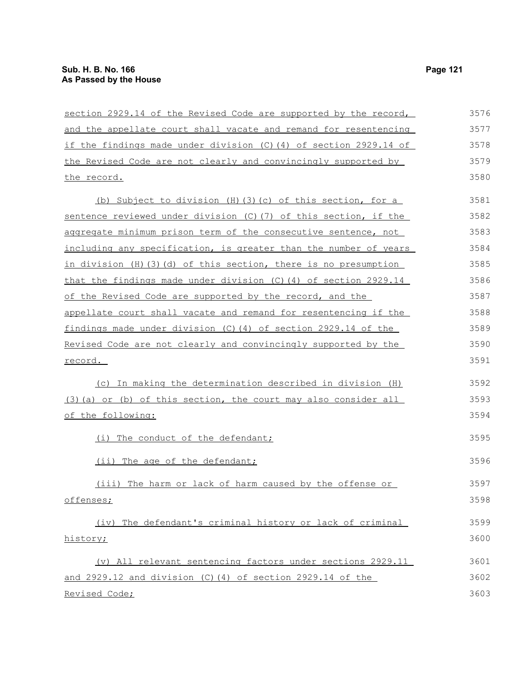| section 2929.14 of the Revised Code are supported by the record,    | 3576 |
|---------------------------------------------------------------------|------|
| and the appellate court shall vacate and remand for resentencing    | 3577 |
| if the findings made under division $(C)$ (4) of section 2929.14 of | 3578 |
| the Revised Code are not clearly and convincingly supported by      | 3579 |
| the record.                                                         | 3580 |
| (b) Subject to division (H) (3) (c) of this section, for a          | 3581 |
| sentence reviewed under division (C)(7) of this section, if the     | 3582 |
| aggregate minimum prison term of the consecutive sentence, not      | 3583 |
| including any specification, is greater than the number of years    | 3584 |
| in division (H) (3) (d) of this section, there is no presumption    | 3585 |
| that the findings made under division $(C)$ (4) of section 2929.14  | 3586 |
| of the Revised Code are supported by the record, and the            | 3587 |
| appellate court shall vacate and remand for resentencing if the     | 3588 |
| findings made under division (C) (4) of section 2929.14 of the      | 3589 |
| Revised Code are not clearly and convincingly supported by the      | 3590 |
| <u>record.</u>                                                      | 3591 |
| (c) In making the determination described in division (H)           | 3592 |
| (3) (a) or (b) of this section, the court may also consider all     | 3593 |
| of the following:                                                   | 3594 |
| (i) The conduct of the defendant;                                   | 3595 |
| (ii) The age of the defendant;                                      | 3596 |
| (iii) The harm or lack of harm caused by the offense or             | 3597 |
| offenses;                                                           | 3598 |
| (iv) The defendant's criminal history or lack of criminal           | 3599 |
| history;                                                            | 3600 |
| (v) All relevant sentencing factors under sections 2929.11          | 3601 |
| and 2929.12 and division (C) (4) of section 2929.14 of the          | 3602 |
| Revised Code;                                                       | 3603 |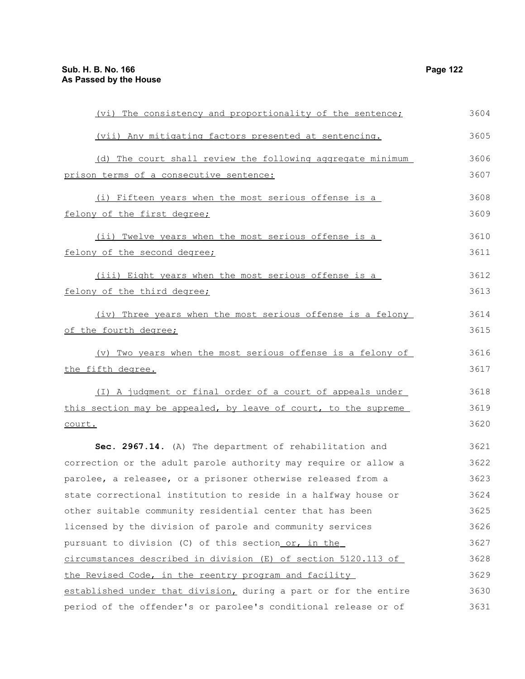| (vi) The consistency and proportionality of the sentence;       | 3604 |
|-----------------------------------------------------------------|------|
| (vii) Any mitigating factors presented at sentencing.           | 3605 |
| (d) The court shall review the following aggregate minimum      | 3606 |
| prison terms of a consecutive sentence:                         | 3607 |
| (i) Fifteen years when the most serious offense is a            | 3608 |
| felony of the first degree;                                     | 3609 |
| (ii) Twelve years when the most serious offense is a            | 3610 |
| felony of the second degree;                                    | 3611 |
| (iii) Eight years when the most serious offense is a            | 3612 |
| felony of the third degree;                                     | 3613 |
| (iv) Three years when the most serious offense is a felony      | 3614 |
| of the fourth degree;                                           | 3615 |
| (v) Two years when the most serious offense is a felony of      | 3616 |
| the fifth degree.                                               | 3617 |
| (I) A judgment or final order of a court of appeals under       | 3618 |
| this section may be appealed, by leave of court, to the supreme | 3619 |
| court.                                                          | 3620 |
| Sec. 2967.14. (A) The department of rehabilitation and          | 3621 |
| correction or the adult parole authority may require or allow a | 3622 |
| parolee, a releasee, or a prisoner otherwise released from a    | 3623 |
| state correctional institution to reside in a halfway house or  | 3624 |
| other suitable community residential center that has been       | 3625 |
| licensed by the division of parole and community services       | 3626 |
| pursuant to division (C) of this section or, in the             | 3627 |
| circumstances described in division (E) of section 5120.113 of  | 3628 |
| the Revised Code, in the reentry program and facility           | 3629 |
|                                                                 |      |

established under that division, during a part or for the entire 3630 period of the offender's or parolee's conditional release or of 3631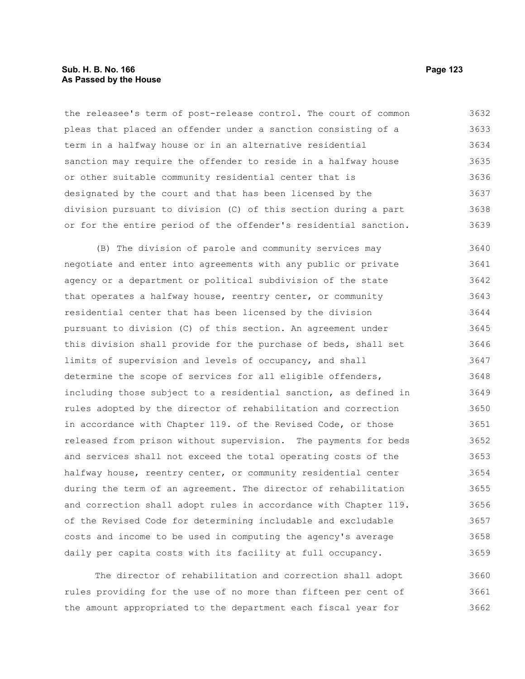## **Sub. H. B. No. 166 Page 123 As Passed by the House**

the releasee's term of post-release control. The court of common pleas that placed an offender under a sanction consisting of a term in a halfway house or in an alternative residential sanction may require the offender to reside in a halfway house or other suitable community residential center that is designated by the court and that has been licensed by the division pursuant to division (C) of this section during a part or for the entire period of the offender's residential sanction. 3632 3633 3634 3635 3636 3637 3638 3639

(B) The division of parole and community services may negotiate and enter into agreements with any public or private agency or a department or political subdivision of the state that operates a halfway house, reentry center, or community residential center that has been licensed by the division pursuant to division (C) of this section. An agreement under this division shall provide for the purchase of beds, shall set limits of supervision and levels of occupancy, and shall determine the scope of services for all eligible offenders, including those subject to a residential sanction, as defined in rules adopted by the director of rehabilitation and correction in accordance with Chapter 119. of the Revised Code, or those released from prison without supervision. The payments for beds and services shall not exceed the total operating costs of the halfway house, reentry center, or community residential center during the term of an agreement. The director of rehabilitation and correction shall adopt rules in accordance with Chapter 119. of the Revised Code for determining includable and excludable costs and income to be used in computing the agency's average daily per capita costs with its facility at full occupancy. 3640 3641 3642 3643 3644 3645 3646 3647 3648 3649 3650 3651 3652 3653 3654 3655 3656 3657 3658 3659

The director of rehabilitation and correction shall adopt rules providing for the use of no more than fifteen per cent of the amount appropriated to the department each fiscal year for 3660 3661 3662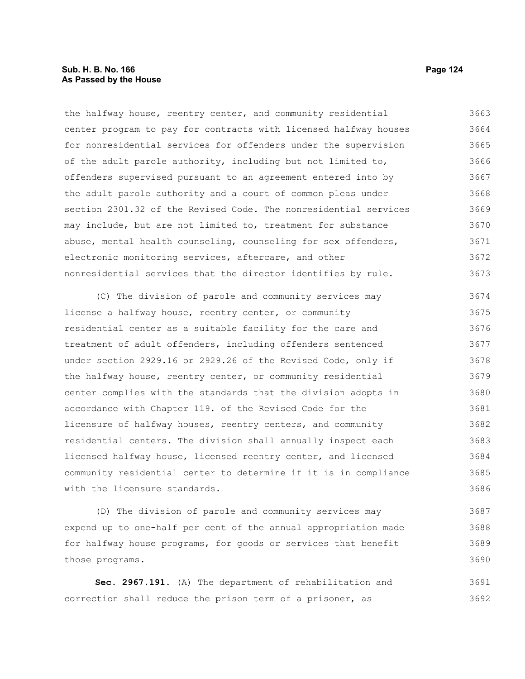## **Sub. H. B. No. 166 Page 124** Page 124 **As Passed by the House**

the halfway house, reentry center, and community residential center program to pay for contracts with licensed halfway houses for nonresidential services for offenders under the supervision of the adult parole authority, including but not limited to, offenders supervised pursuant to an agreement entered into by the adult parole authority and a court of common pleas under section 2301.32 of the Revised Code. The nonresidential services may include, but are not limited to, treatment for substance abuse, mental health counseling, counseling for sex offenders, electronic monitoring services, aftercare, and other nonresidential services that the director identifies by rule. 3663 3664 3665 3666 3667 3668 3669 3670 3671 3672 3673

(C) The division of parole and community services may license a halfway house, reentry center, or community residential center as a suitable facility for the care and treatment of adult offenders, including offenders sentenced under section 2929.16 or 2929.26 of the Revised Code, only if the halfway house, reentry center, or community residential center complies with the standards that the division adopts in accordance with Chapter 119. of the Revised Code for the licensure of halfway houses, reentry centers, and community residential centers. The division shall annually inspect each licensed halfway house, licensed reentry center, and licensed community residential center to determine if it is in compliance with the licensure standards. 3674 3675 3676 3677 3678 3679 3680 3681 3682 3683 3684 3685 3686

(D) The division of parole and community services may expend up to one-half per cent of the annual appropriation made for halfway house programs, for goods or services that benefit those programs. 3687 3688 3689 3690

Sec. 2967.191. (A) The department of rehabilitation and correction shall reduce the prison term of a prisoner, as 3691 3692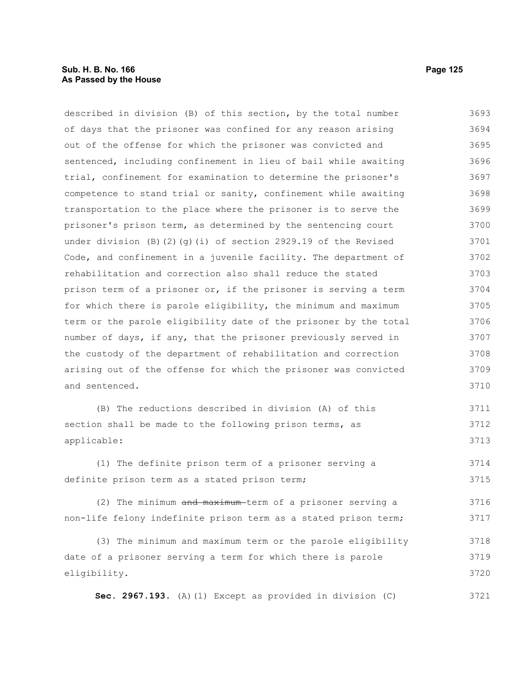## **Sub. H. B. No. 166 Page 125 As Passed by the House**

described in division (B) of this section, by the total number of days that the prisoner was confined for any reason arising out of the offense for which the prisoner was convicted and sentenced, including confinement in lieu of bail while awaiting trial, confinement for examination to determine the prisoner's competence to stand trial or sanity, confinement while awaiting transportation to the place where the prisoner is to serve the prisoner's prison term, as determined by the sentencing court under division (B)(2)(q)(i) of section 2929.19 of the Revised Code, and confinement in a juvenile facility. The department of rehabilitation and correction also shall reduce the stated prison term of a prisoner or, if the prisoner is serving a term for which there is parole eligibility, the minimum and maximum term or the parole eligibility date of the prisoner by the total number of days, if any, that the prisoner previously served in the custody of the department of rehabilitation and correction arising out of the offense for which the prisoner was convicted and sentenced. 3693 3694 3695 3696 3697 3698 3699 3700 3701 3702 3703 3704 3705 3706 3707 3708 3709 3710

(B) The reductions described in division (A) of this section shall be made to the following prison terms, as applicable: 3711 3712 3713

(1) The definite prison term of a prisoner serving a definite prison term as a stated prison term; 3714 3715

(2) The minimum and maximum term of a prisoner serving a non-life felony indefinite prison term as a stated prison term; 3716 3717

(3) The minimum and maximum term or the parole eligibility date of a prisoner serving a term for which there is parole eligibility. 3718 3719 3720

**Sec. 2967.193.** (A)(1) Except as provided in division (C) 3721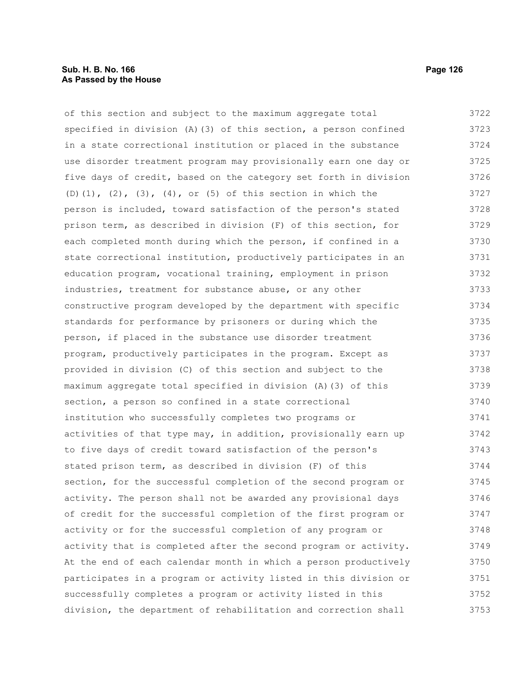#### **Sub. H. B. No. 166 Page 126 As Passed by the House**

of this section and subject to the maximum aggregate total specified in division (A)(3) of this section, a person confined in a state correctional institution or placed in the substance use disorder treatment program may provisionally earn one day or five days of credit, based on the category set forth in division (D)(1), (2), (3), (4), or (5) of this section in which the person is included, toward satisfaction of the person's stated prison term, as described in division (F) of this section, for each completed month during which the person, if confined in a state correctional institution, productively participates in an education program, vocational training, employment in prison industries, treatment for substance abuse, or any other constructive program developed by the department with specific standards for performance by prisoners or during which the person, if placed in the substance use disorder treatment program, productively participates in the program. Except as provided in division (C) of this section and subject to the maximum aggregate total specified in division (A)(3) of this section, a person so confined in a state correctional institution who successfully completes two programs or activities of that type may, in addition, provisionally earn up to five days of credit toward satisfaction of the person's stated prison term, as described in division (F) of this section, for the successful completion of the second program or activity. The person shall not be awarded any provisional days of credit for the successful completion of the first program or activity or for the successful completion of any program or activity that is completed after the second program or activity. At the end of each calendar month in which a person productively participates in a program or activity listed in this division or successfully completes a program or activity listed in this division, the department of rehabilitation and correction shall 3722 3723 3724 3725 3726 3727 3728 3729 3730 3731 3732 3733 3734 3735 3736 3737 3738 3739 3740 3741 3742 3743 3744 3745 3746 3747 3748 3749 3750 3751 3752 3753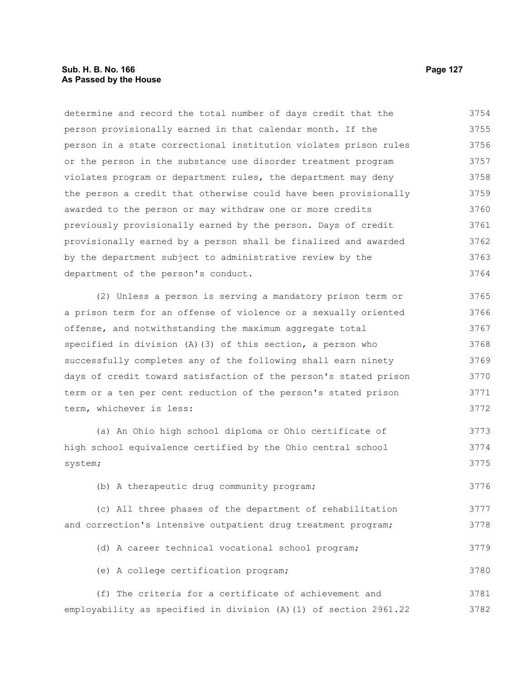## **Sub. H. B. No. 166 Page 127 As Passed by the House**

determine and record the total number of days credit that the person provisionally earned in that calendar month. If the person in a state correctional institution violates prison rules or the person in the substance use disorder treatment program violates program or department rules, the department may deny the person a credit that otherwise could have been provisionally awarded to the person or may withdraw one or more credits previously provisionally earned by the person. Days of credit provisionally earned by a person shall be finalized and awarded by the department subject to administrative review by the department of the person's conduct. 3754 3755 3756 3757 3758 3759 3760 3761 3762 3763 3764

(2) Unless a person is serving a mandatory prison term or a prison term for an offense of violence or a sexually oriented offense, and notwithstanding the maximum aggregate total specified in division (A)(3) of this section, a person who successfully completes any of the following shall earn ninety days of credit toward satisfaction of the person's stated prison term or a ten per cent reduction of the person's stated prison term, whichever is less: 3765 3766 3767 3768 3769 3770 3771 3772

(a) An Ohio high school diploma or Ohio certificate of high school equivalence certified by the Ohio central school system; 3773 3774 3775

(b) A therapeutic drug community program;

(c) All three phases of the department of rehabilitation and correction's intensive outpatient drug treatment program; 3777 3778

(d) A career technical vocational school program; 3779

(e) A college certification program; 3780

(f) The criteria for a certificate of achievement and employability as specified in division (A)(1) of section 2961.22 3781 3782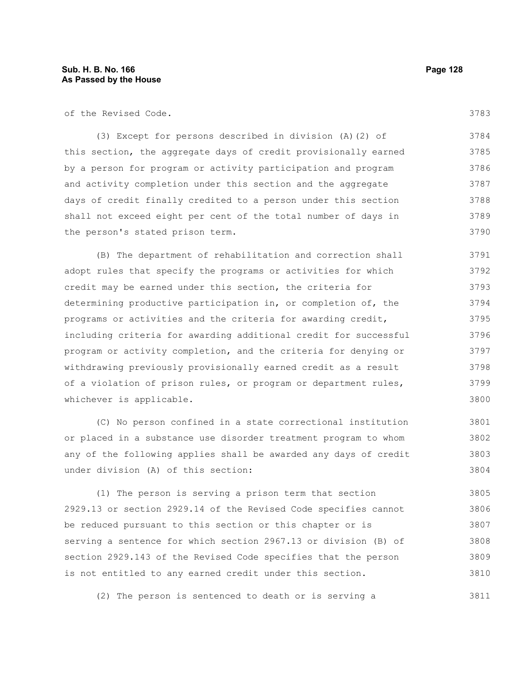of the Revised Code.

(3) Except for persons described in division (A)(2) of this section, the aggregate days of credit provisionally earned by a person for program or activity participation and program and activity completion under this section and the aggregate days of credit finally credited to a person under this section shall not exceed eight per cent of the total number of days in the person's stated prison term. 3784 3785 3786 3787 3788 3789 3790

(B) The department of rehabilitation and correction shall adopt rules that specify the programs or activities for which credit may be earned under this section, the criteria for determining productive participation in, or completion of, the programs or activities and the criteria for awarding credit, including criteria for awarding additional credit for successful program or activity completion, and the criteria for denying or withdrawing previously provisionally earned credit as a result of a violation of prison rules, or program or department rules, whichever is applicable. 3791 3792 3793 3794 3795 3796 3797 3798

(C) No person confined in a state correctional institution or placed in a substance use disorder treatment program to whom any of the following applies shall be awarded any days of credit under division (A) of this section: 3801 3802 3803 3804

(1) The person is serving a prison term that section 2929.13 or section 2929.14 of the Revised Code specifies cannot be reduced pursuant to this section or this chapter or is serving a sentence for which section 2967.13 or division (B) of section 2929.143 of the Revised Code specifies that the person is not entitled to any earned credit under this section. 3805 3806 3807 3808 3809 3810

(2) The person is sentenced to death or is serving a

3783

3799 3800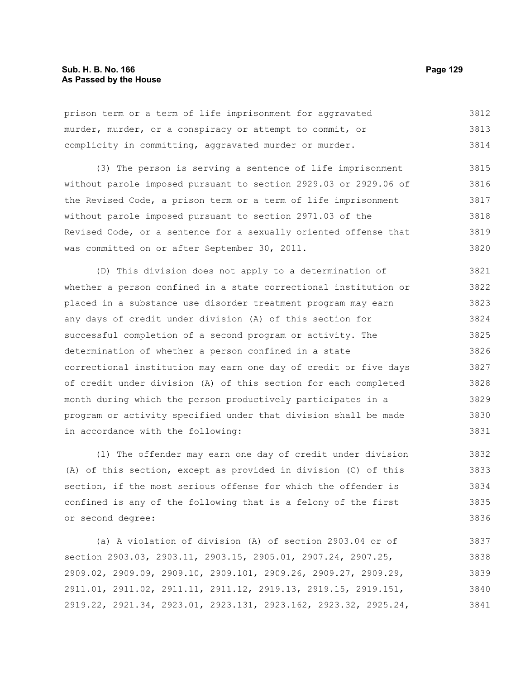prison term or a term of life imprisonment for aggravated murder, murder, or a conspiracy or attempt to commit, or complicity in committing, aggravated murder or murder. 3812 3813 3814

(3) The person is serving a sentence of life imprisonment without parole imposed pursuant to section 2929.03 or 2929.06 of the Revised Code, a prison term or a term of life imprisonment without parole imposed pursuant to section 2971.03 of the Revised Code, or a sentence for a sexually oriented offense that was committed on or after September 30, 2011. 3815 3816 3817 3818 3819 3820

(D) This division does not apply to a determination of whether a person confined in a state correctional institution or placed in a substance use disorder treatment program may earn any days of credit under division (A) of this section for successful completion of a second program or activity. The determination of whether a person confined in a state correctional institution may earn one day of credit or five days of credit under division (A) of this section for each completed month during which the person productively participates in a program or activity specified under that division shall be made in accordance with the following: 3821 3822 3823 3824 3825 3826 3827 3828 3829 3830 3831

(1) The offender may earn one day of credit under division (A) of this section, except as provided in division (C) of this section, if the most serious offense for which the offender is confined is any of the following that is a felony of the first or second degree: 3832 3833 3834 3835 3836

(a) A violation of division (A) of section 2903.04 or of section 2903.03, 2903.11, 2903.15, 2905.01, 2907.24, 2907.25, 2909.02, 2909.09, 2909.10, 2909.101, 2909.26, 2909.27, 2909.29, 2911.01, 2911.02, 2911.11, 2911.12, 2919.13, 2919.15, 2919.151, 2919.22, 2921.34, 2923.01, 2923.131, 2923.162, 2923.32, 2925.24, 3837 3838 3839 3840 3841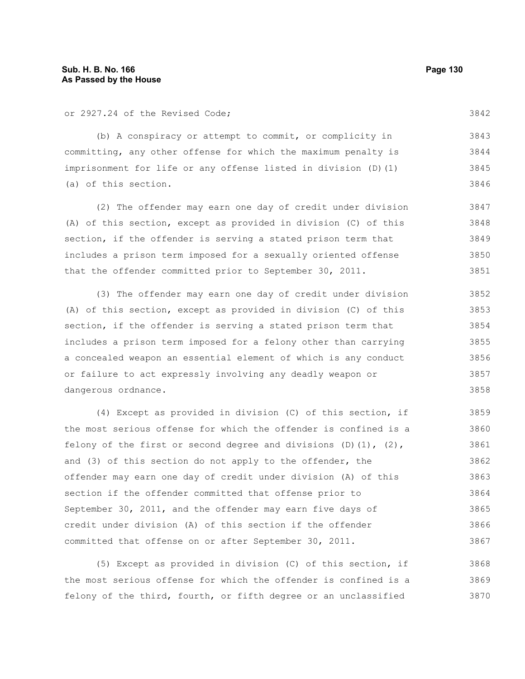or 2927.24 of the Revised Code;

(b) A conspiracy or attempt to commit, or complicity in committing, any other offense for which the maximum penalty is imprisonment for life or any offense listed in division (D)(1) (a) of this section. 3843 3844 3845 3846

(2) The offender may earn one day of credit under division (A) of this section, except as provided in division (C) of this section, if the offender is serving a stated prison term that includes a prison term imposed for a sexually oriented offense that the offender committed prior to September 30, 2011. 3847 3848 3849 3850 3851

(3) The offender may earn one day of credit under division (A) of this section, except as provided in division (C) of this section, if the offender is serving a stated prison term that includes a prison term imposed for a felony other than carrying a concealed weapon an essential element of which is any conduct or failure to act expressly involving any deadly weapon or dangerous ordnance. 3852 3853 3854 3855 3856 3857 3858

(4) Except as provided in division (C) of this section, if the most serious offense for which the offender is confined is a felony of the first or second degree and divisions  $(D)(1)$ ,  $(2)$ , and (3) of this section do not apply to the offender, the offender may earn one day of credit under division (A) of this section if the offender committed that offense prior to September 30, 2011, and the offender may earn five days of credit under division (A) of this section if the offender committed that offense on or after September 30, 2011. 3859 3860 3861 3862 3863 3864 3865 3866 3867

(5) Except as provided in division (C) of this section, if the most serious offense for which the offender is confined is a felony of the third, fourth, or fifth degree or an unclassified 3868 3869 3870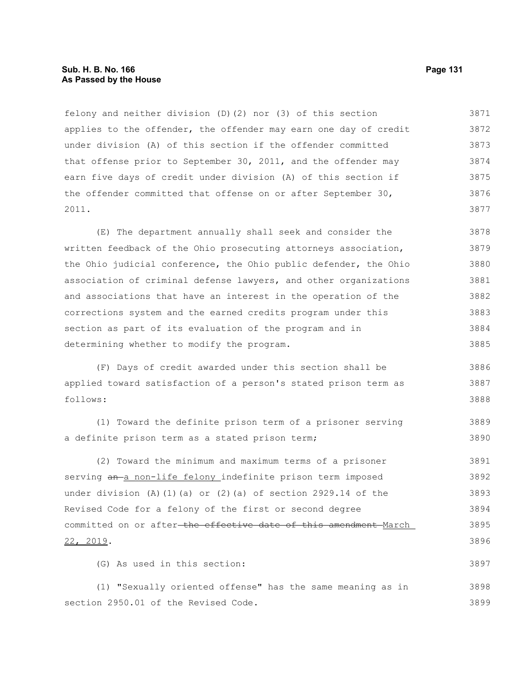## **Sub. H. B. No. 166 Page 131 As Passed by the House**

felony and neither division (D)(2) nor (3) of this section applies to the offender, the offender may earn one day of credit under division (A) of this section if the offender committed that offense prior to September 30, 2011, and the offender may earn five days of credit under division (A) of this section if the offender committed that offense on or after September 30, 2011. 3871 3872 3873 3874 3875 3876 3877

(E) The department annually shall seek and consider the written feedback of the Ohio prosecuting attorneys association, the Ohio judicial conference, the Ohio public defender, the Ohio association of criminal defense lawyers, and other organizations and associations that have an interest in the operation of the corrections system and the earned credits program under this section as part of its evaluation of the program and in determining whether to modify the program. 3878 3879 3880 3881 3882 3883 3884 3885

(F) Days of credit awarded under this section shall be applied toward satisfaction of a person's stated prison term as follows: 3886 3887 3888

(1) Toward the definite prison term of a prisoner serving a definite prison term as a stated prison term; 3889 3890

(2) Toward the minimum and maximum terms of a prisoner serving an-a non-life felony indefinite prison term imposed under division (A)(1)(a) or (2)(a) of section 2929.14 of the Revised Code for a felony of the first or second degree committed on or after the effective date of this amendment March 22, 2019. 3891 3892 3893 3894 3895 3896

(G) As used in this section: 3897

(1) "Sexually oriented offense" has the same meaning as in section 2950.01 of the Revised Code. 3898 3899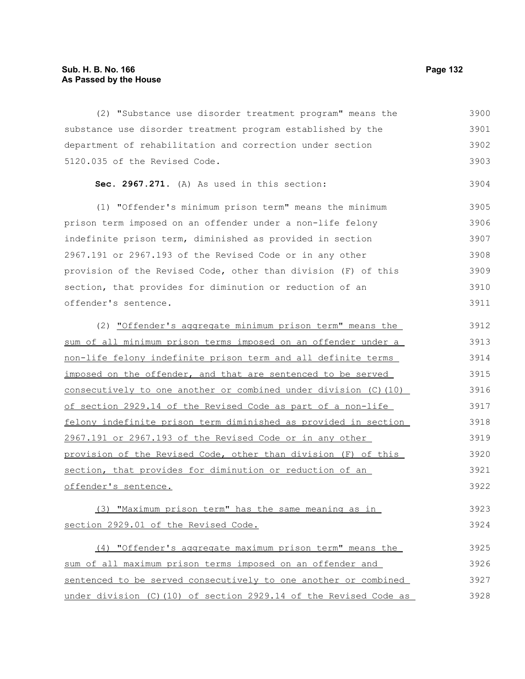(2) "Substance use disorder treatment program" means the substance use disorder treatment program established by the department of rehabilitation and correction under section 5120.035 of the Revised Code. **Sec. 2967.271.** (A) As used in this section: (1) "Offender's minimum prison term" means the minimum prison term imposed on an offender under a non-life felony indefinite prison term, diminished as provided in section 2967.191 or 2967.193 of the Revised Code or in any other provision of the Revised Code, other than division (F) of this section, that provides for diminution or reduction of an offender's sentence. (2) "Offender's aggregate minimum prison term" means the sum of all minimum prison terms imposed on an offender under a non-life felony indefinite prison term and all definite terms imposed on the offender, and that are sentenced to be served consecutively to one another or combined under division (C)(10) of section 2929.14 of the Revised Code as part of a non-life felony indefinite prison term diminished as provided in section 2967.191 or 2967.193 of the Revised Code or in any other provision of the Revised Code, other than division (F) of this section, that provides for diminution or reduction of an offender's sentence. (3) "Maximum prison term" has the same meaning as in section 2929.01 of the Revised Code. 3900 3901 3902 3903 3904 3905 3906 3907 3908 3909 3910 3911 3912 3913 3914 3915 3916 3917 3918 3919 3920 3921 3922 3923 3924

(4) "Offender's aggregate maximum prison term" means the sum of all maximum prison terms imposed on an offender and sentenced to be served consecutively to one another or combined under division (C)(10) of section 2929.14 of the Revised Code as 3925 3926 3927 3928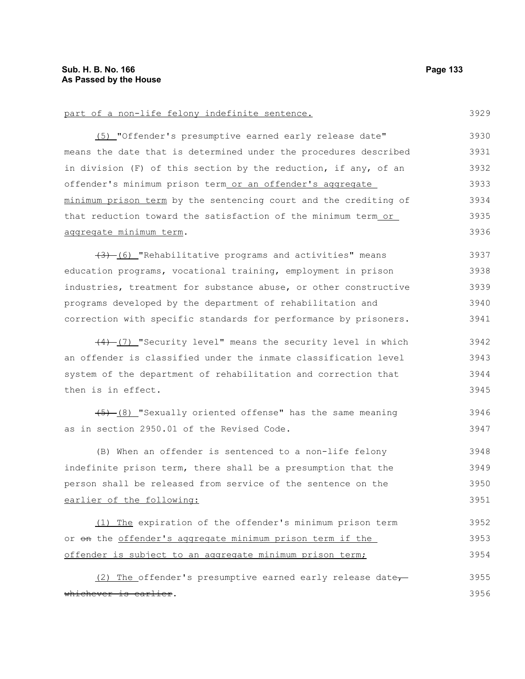#### part of a non-life felony indefinite sentence.

(5) "Offender's presumptive earned early release date" means the date that is determined under the procedures described in division (F) of this section by the reduction, if any, of an offender's minimum prison term or an offender's aggregate minimum prison term by the sentencing court and the crediting of that reduction toward the satisfaction of the minimum term or aggregate minimum term. 3930 3931 3932 3934 3935 3936

 $(3)$  (6) "Rehabilitative programs and activities" means education programs, vocational training, employment in prison industries, treatment for substance abuse, or other constructive programs developed by the department of rehabilitation and correction with specific standards for performance by prisoners. 3937 3938 3939 3940 3941

(4) (7) "Security level" means the security level in which an offender is classified under the inmate classification level system of the department of rehabilitation and correction that then is in effect. 3942 3943 3944 3945

(5) (8) "Sexually oriented offense" has the same meaning as in section 2950.01 of the Revised Code. 3946 3947

(B) When an offender is sentenced to a non-life felony indefinite prison term, there shall be a presumption that the person shall be released from service of the sentence on the earlier of the following: 3948 3949 3950 3951

```
(1) The expiration of the offender's minimum prison term
or on the offender's aggregate minimum prison term if the
offender is subject to an aggregate minimum prison term;
                                                                          3952
                                                                          3953
                                                                          3954
```
(2) The offender's presumptive earned early release date $\tau$ whichever is earlier. 3955 3956

3933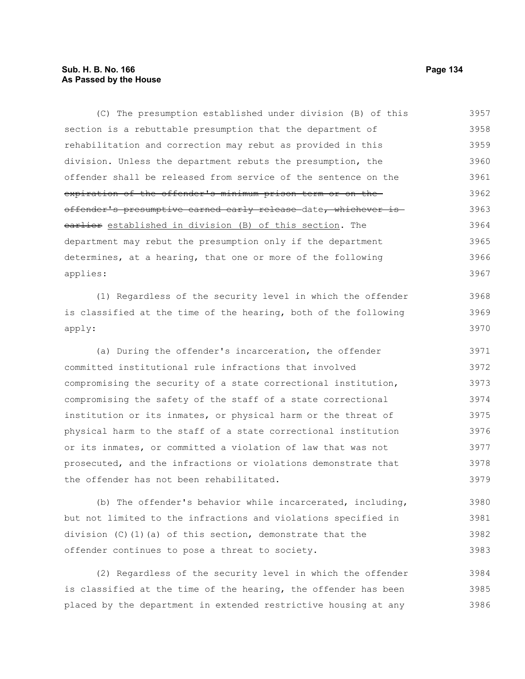## **Sub. H. B. No. 166 Page 134 As Passed by the House**

(C) The presumption established under division (B) of this section is a rebuttable presumption that the department of rehabilitation and correction may rebut as provided in this division. Unless the department rebuts the presumption, the offender shall be released from service of the sentence on the expiration of the offender's minimum prison term or on the offender's presumptive earned early release-date, whichever isearlier established in division (B) of this section. The department may rebut the presumption only if the department determines, at a hearing, that one or more of the following applies: (1) Regardless of the security level in which the offender is classified at the time of the hearing, both of the following apply: (a) During the offender's incarceration, the offender committed institutional rule infractions that involved compromising the security of a state correctional institution, compromising the safety of the staff of a state correctional institution or its inmates, or physical harm or the threat of physical harm to the staff of a state correctional institution or its inmates, or committed a violation of law that was not prosecuted, and the infractions or violations demonstrate that the offender has not been rehabilitated. (b) The offender's behavior while incarcerated, including, but not limited to the infractions and violations specified in division  $(C)$  (1)(a) of this section, demonstrate that the offender continues to pose a threat to society. (2) Regardless of the security level in which the offender 3958 3959 3960 3961 3962 3963 3964 3965 3966 3967 3968 3969 3970 3971 3972 3973 3974 3975 3976 3977 3978 3979 3980 3981 3982 3983 3984

is classified at the time of the hearing, the offender has been placed by the department in extended restrictive housing at any 3985 3986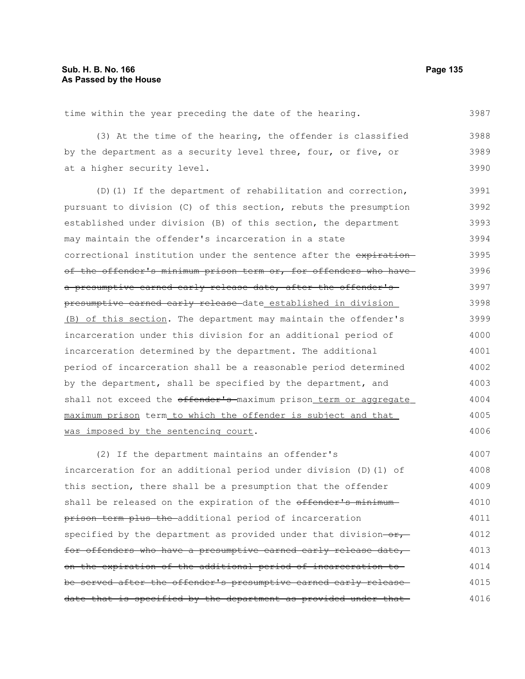time within the year preceding the date of the hearing.

(3) At the time of the hearing, the offender is classified by the department as a security level three, four, or five, or at a higher security level. 3988 3989 3990

(D)(1) If the department of rehabilitation and correction, pursuant to division (C) of this section, rebuts the presumption established under division (B) of this section, the department may maintain the offender's incarceration in a state correctional institution under the sentence after the expirationof the offender's minimum prison term or, for offenders who have a presumptive earned early release date, after the offender's presumptive earned early release date established in division (B) of this section. The department may maintain the offender's incarceration under this division for an additional period of incarceration determined by the department. The additional period of incarceration shall be a reasonable period determined by the department, shall be specified by the department, and shall not exceed the offender's maximum prison term or aggregate maximum prison term to which the offender is subject and that was imposed by the sentencing court. 3991 3992 3993 3994 3995 3996 3997 3998 3999 4000 4001 4002 4003 4004 4005 4006

(2) If the department maintains an offender's incarceration for an additional period under division (D)(1) of this section, there shall be a presumption that the offender shall be released on the expiration of the offender's minimumprison term plus the additional period of incarceration specified by the department as provided under that division- $\sigma$ for offenders who have a presumptive earned early release date, on the expiration of the additional period of incarceration to be served after the offender's presumptive earned early releasedate that is specified by the department as provided under that 4007 4008 4009 4010 4011 4012 4013 4014 4015 4016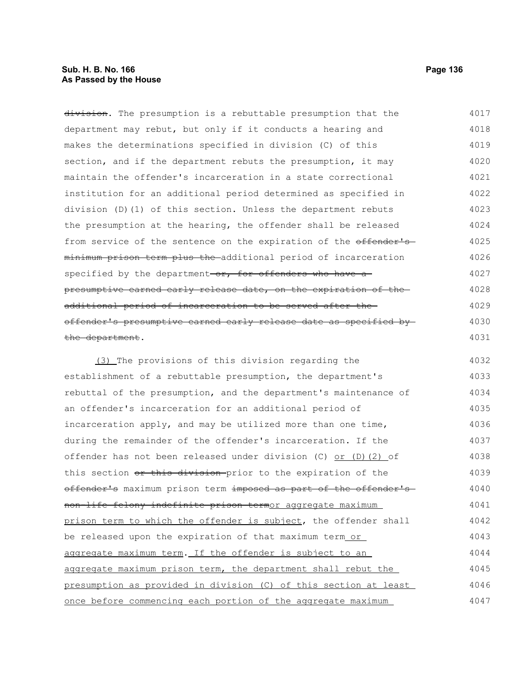division. The presumption is a rebuttable presumption that the department may rebut, but only if it conducts a hearing and makes the determinations specified in division (C) of this section, and if the department rebuts the presumption, it may maintain the offender's incarceration in a state correctional institution for an additional period determined as specified in division (D)(1) of this section. Unless the department rebuts the presumption at the hearing, the offender shall be released 4017 4018 4019 4020 4021 4022 4023 4024

from service of the sentence on the expiration of the offender'sminimum prison term plus the additional period of incarceration specified by the department-or, for offenders who have apresumptive earned early release date, on the expiration of the additional period of incarceration to be served after the offender's presumptive earned early release date as specified by the department. 4025 4026 4027 4028 4029 4030 4031

(3) The provisions of this division regarding the establishment of a rebuttable presumption, the department's rebuttal of the presumption, and the department's maintenance of an offender's incarceration for an additional period of incarceration apply, and may be utilized more than one time, during the remainder of the offender's incarceration. If the offender has not been released under division (C) or (D)(2) of this section or this division prior to the expiration of the offender's maximum prison term imposed as part of the offender's non-life felony indefinite prison termor aggregate maximum prison term to which the offender is subject, the offender shall be released upon the expiration of that maximum term or aggregate maximum term. If the offender is subject to an aggregate maximum prison term, the department shall rebut the presumption as provided in division (C) of this section at least once before commencing each portion of the aggregate maximum 4032 4033 4034 4035 4036 4037 4038 4039 4040 4041 4042 4043 4044 4045 4046 4047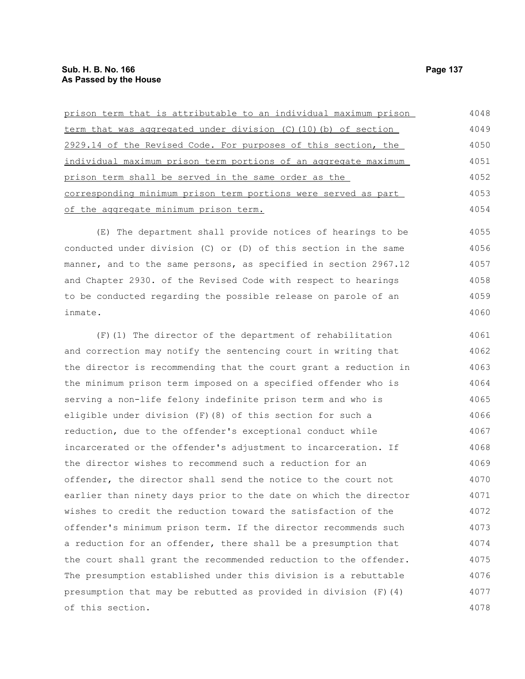| prison term that is attributable to an individual maximum prison | 4048 |
|------------------------------------------------------------------|------|
| term that was aggregated under division (C) (10) (b) of section  | 4049 |
| 2929.14 of the Revised Code. For purposes of this section, the   | 4050 |
| individual maximum prison term portions of an aggregate maximum  | 4051 |
| prison term shall be served in the same order as the             | 4052 |
| corresponding minimum prison term portions were served as part   | 4053 |
| of the aggregate minimum prison term.                            | 4054 |
| (E) The department shall provide notices of hearings to be       | 4055 |
| conducted under division (C) or (D) of this section in the same  | 4056 |
| manner, and to the same persons, as specified in section 2967.12 | 4057 |
| and Chapter 2930. of the Revised Code with respect to hearings   | 4058 |
| to be conducted regarding the possible release on parole of an   | 4059 |
| inmate.                                                          | 4060 |
| $(F)$ (1) The director of the department of rehabilitation       | 4061 |
| and correction may notify the sentencing court in writing that   | 4062 |
| the director is recommending that the court grant a reduction in | 4063 |

the minimum prison term imposed on a specified offender who is serving a non-life felony indefinite prison term and who is eligible under division (F)(8) of this section for such a reduction, due to the offender's exceptional conduct while incarcerated or the offender's adjustment to incarceration. If the director wishes to recommend such a reduction for an offender, the director shall send the notice to the court not earlier than ninety days prior to the date on which the director wishes to credit the reduction toward the satisfaction of the offender's minimum prison term. If the director recommends such a reduction for an offender, there shall be a presumption that the court shall grant the recommended reduction to the offender. The presumption established under this division is a rebuttable presumption that may be rebutted as provided in division (F)(4) of this section. 4064 4065 4066 4067 4068 4069 4070 4071 4072 4073 4074 4075 4076 4077 4078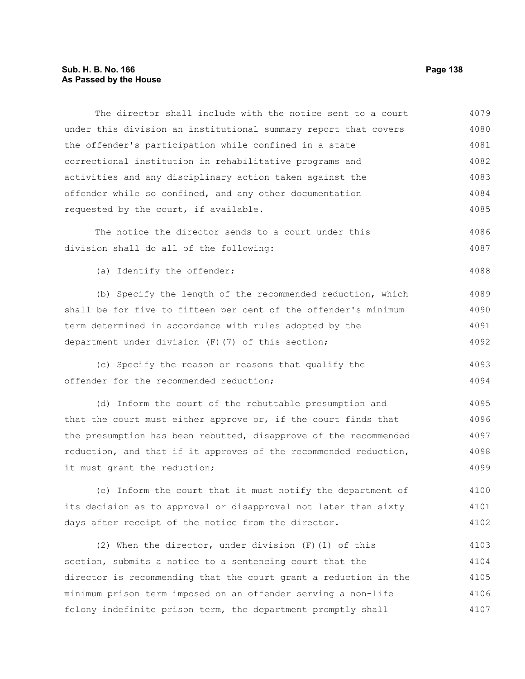## **Sub. H. B. No. 166 Page 138 As Passed by the House**

The director shall include with the notice sent to a court under this division an institutional summary report that covers the offender's participation while confined in a state correctional institution in rehabilitative programs and activities and any disciplinary action taken against the offender while so confined, and any other documentation requested by the court, if available. The notice the director sends to a court under this division shall do all of the following: (a) Identify the offender; (b) Specify the length of the recommended reduction, which 4079 4080 4081 4082 4083 4084 4085 4086 4087 4088 4089

shall be for five to fifteen per cent of the offender's minimum term determined in accordance with rules adopted by the department under division (F)(7) of this section; 4090 4091 4092

(c) Specify the reason or reasons that qualify the offender for the recommended reduction; 4093 4094

(d) Inform the court of the rebuttable presumption and that the court must either approve or, if the court finds that the presumption has been rebutted, disapprove of the recommended reduction, and that if it approves of the recommended reduction, it must grant the reduction; 4095 4096 4097 4098 4099

(e) Inform the court that it must notify the department of its decision as to approval or disapproval not later than sixty days after receipt of the notice from the director. 4100 4101 4102

(2) When the director, under division (F)(1) of this section, submits a notice to a sentencing court that the director is recommending that the court grant a reduction in the minimum prison term imposed on an offender serving a non-life felony indefinite prison term, the department promptly shall 4103 4104 4105 4106 4107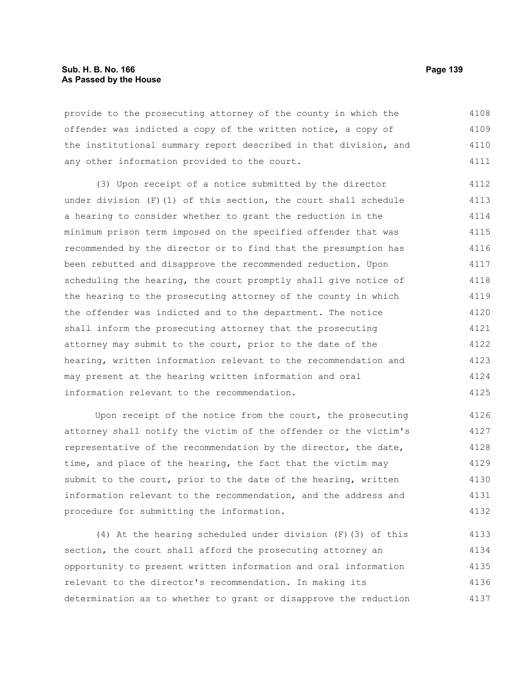# **Sub. H. B. No. 166 Page 139 As Passed by the House**

provide to the prosecuting attorney of the county in which the offender was indicted a copy of the written notice, a copy of the institutional summary report described in that division, and any other information provided to the court. 4108 4109 4110 4111

(3) Upon receipt of a notice submitted by the director under division (F)(1) of this section, the court shall schedule a hearing to consider whether to grant the reduction in the minimum prison term imposed on the specified offender that was recommended by the director or to find that the presumption has been rebutted and disapprove the recommended reduction. Upon scheduling the hearing, the court promptly shall give notice of the hearing to the prosecuting attorney of the county in which the offender was indicted and to the department. The notice shall inform the prosecuting attorney that the prosecuting attorney may submit to the court, prior to the date of the hearing, written information relevant to the recommendation and may present at the hearing written information and oral information relevant to the recommendation. 4112 4113 4114 4115 4116 4117 4118 4119 4120 4121 4122 4123 4124 4125

Upon receipt of the notice from the court, the prosecuting attorney shall notify the victim of the offender or the victim's representative of the recommendation by the director, the date, time, and place of the hearing, the fact that the victim may submit to the court, prior to the date of the hearing, written information relevant to the recommendation, and the address and procedure for submitting the information. 4126 4127 4128 4129 4130 4131 4132

(4) At the hearing scheduled under division (F)(3) of this section, the court shall afford the prosecuting attorney an opportunity to present written information and oral information relevant to the director's recommendation. In making its determination as to whether to grant or disapprove the reduction 4133 4134 4135 4136 4137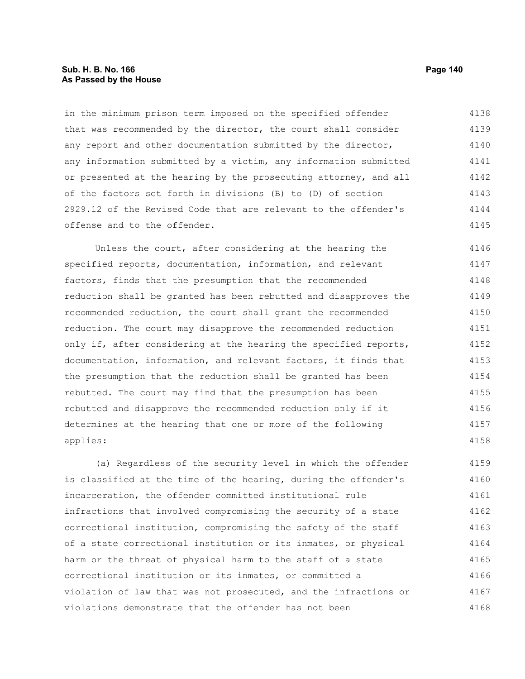## **Sub. H. B. No. 166 Page 140** Page 140 **As Passed by the House**

in the minimum prison term imposed on the specified offender that was recommended by the director, the court shall consider any report and other documentation submitted by the director, any information submitted by a victim, any information submitted or presented at the hearing by the prosecuting attorney, and all of the factors set forth in divisions (B) to (D) of section 2929.12 of the Revised Code that are relevant to the offender's offense and to the offender. 4138 4139 4140 4141 4142 4143 4144 4145

Unless the court, after considering at the hearing the specified reports, documentation, information, and relevant factors, finds that the presumption that the recommended reduction shall be granted has been rebutted and disapproves the recommended reduction, the court shall grant the recommended reduction. The court may disapprove the recommended reduction only if, after considering at the hearing the specified reports, documentation, information, and relevant factors, it finds that the presumption that the reduction shall be granted has been rebutted. The court may find that the presumption has been rebutted and disapprove the recommended reduction only if it determines at the hearing that one or more of the following applies: 4146 4147 4148 4149 4150 4151 4152 4153 4154 4155 4156 4157 4158

(a) Regardless of the security level in which the offender is classified at the time of the hearing, during the offender's incarceration, the offender committed institutional rule infractions that involved compromising the security of a state correctional institution, compromising the safety of the staff of a state correctional institution or its inmates, or physical harm or the threat of physical harm to the staff of a state correctional institution or its inmates, or committed a violation of law that was not prosecuted, and the infractions or violations demonstrate that the offender has not been 4159 4160 4161 4162 4163 4164 4165 4166 4167 4168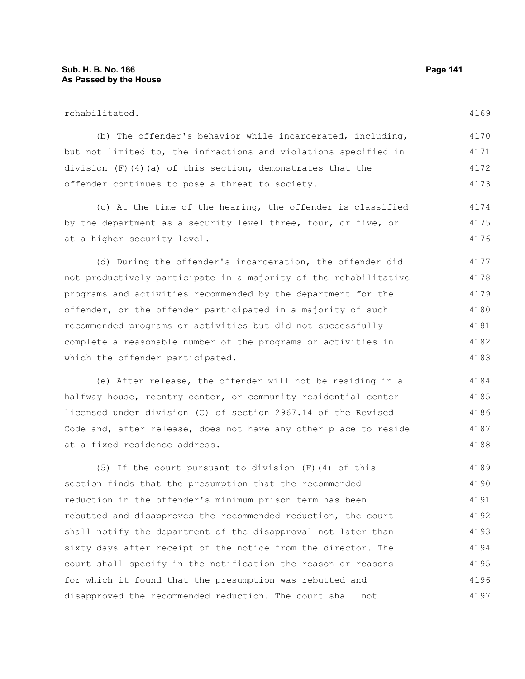rehabilitated.

4169

| (b) The offender's behavior while incarcerated, including,      | 4170 |
|-----------------------------------------------------------------|------|
| but not limited to, the infractions and violations specified in | 4171 |
| division $(F)$ (4) (a) of this section, demonstrates that the   | 4172 |
| offender continues to pose a threat to society.                 | 4173 |
| (c) At the time of the hearing, the offender is classified      | 4174 |
| by the department as a security level three, four, or five, or  | 4175 |
| at a higher security level.                                     | 4176 |
|                                                                 |      |

(d) During the offender's incarceration, the offender did not productively participate in a majority of the rehabilitative programs and activities recommended by the department for the offender, or the offender participated in a majority of such recommended programs or activities but did not successfully complete a reasonable number of the programs or activities in which the offender participated. 4177 4178 4179 4180 4181 4182 4183

(e) After release, the offender will not be residing in a halfway house, reentry center, or community residential center licensed under division (C) of section 2967.14 of the Revised Code and, after release, does not have any other place to reside at a fixed residence address. 4184 4185 4186 4187 4188

(5) If the court pursuant to division (F)(4) of this section finds that the presumption that the recommended reduction in the offender's minimum prison term has been rebutted and disapproves the recommended reduction, the court shall notify the department of the disapproval not later than sixty days after receipt of the notice from the director. The court shall specify in the notification the reason or reasons for which it found that the presumption was rebutted and disapproved the recommended reduction. The court shall not 4189 4190 4191 4192 4193 4194 4195 4196 4197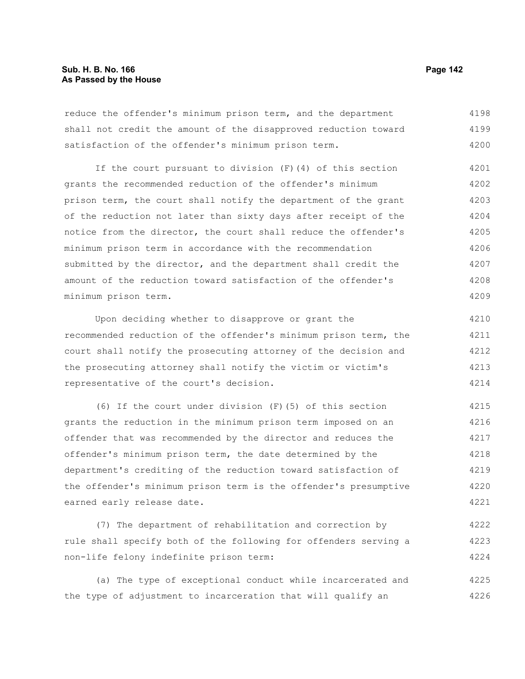## **Sub. H. B. No. 166 Page 142 As Passed by the House**

reduce the offender's minimum prison term, and the department shall not credit the amount of the disapproved reduction toward satisfaction of the offender's minimum prison term. 4198 4199 4200

If the court pursuant to division (F)(4) of this section grants the recommended reduction of the offender's minimum prison term, the court shall notify the department of the grant of the reduction not later than sixty days after receipt of the notice from the director, the court shall reduce the offender's minimum prison term in accordance with the recommendation submitted by the director, and the department shall credit the amount of the reduction toward satisfaction of the offender's minimum prison term. 4201 4202 4203 4204 4205 4206 4207 4208 4209

Upon deciding whether to disapprove or grant the recommended reduction of the offender's minimum prison term, the court shall notify the prosecuting attorney of the decision and the prosecuting attorney shall notify the victim or victim's representative of the court's decision. 4210 4211 4212 4213 4214

(6) If the court under division (F)(5) of this section grants the reduction in the minimum prison term imposed on an offender that was recommended by the director and reduces the offender's minimum prison term, the date determined by the department's crediting of the reduction toward satisfaction of the offender's minimum prison term is the offender's presumptive earned early release date. 4215 4216 4217 4218 4219 4220 4221

(7) The department of rehabilitation and correction by rule shall specify both of the following for offenders serving a non-life felony indefinite prison term: 4222 4223 4224

(a) The type of exceptional conduct while incarcerated and the type of adjustment to incarceration that will qualify an 4225 4226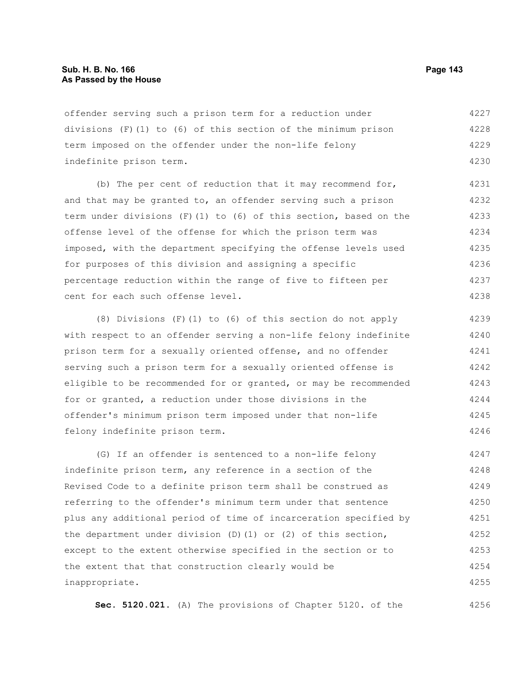offender serving such a prison term for a reduction under divisions (F)(1) to (6) of this section of the minimum prison term imposed on the offender under the non-life felony indefinite prison term. 4227 4228 4229 4230

(b) The per cent of reduction that it may recommend for, and that may be granted to, an offender serving such a prison term under divisions (F)(1) to (6) of this section, based on the offense level of the offense for which the prison term was imposed, with the department specifying the offense levels used for purposes of this division and assigning a specific percentage reduction within the range of five to fifteen per cent for each such offense level. 4231 4232 4233 4234 4235 4236 4237 4238

(8) Divisions (F)(1) to (6) of this section do not apply with respect to an offender serving a non-life felony indefinite prison term for a sexually oriented offense, and no offender serving such a prison term for a sexually oriented offense is eligible to be recommended for or granted, or may be recommended for or granted, a reduction under those divisions in the offender's minimum prison term imposed under that non-life felony indefinite prison term. 4239 4240 4241 4242 4243 4244 4245 4246

(G) If an offender is sentenced to a non-life felony indefinite prison term, any reference in a section of the Revised Code to a definite prison term shall be construed as referring to the offender's minimum term under that sentence plus any additional period of time of incarceration specified by the department under division (D)(1) or (2) of this section, except to the extent otherwise specified in the section or to the extent that that construction clearly would be inappropriate. 4247 4248 4249 4250 4251 4252 4253 4254 4255

**Sec. 5120.021.** (A) The provisions of Chapter 5120. of the 4256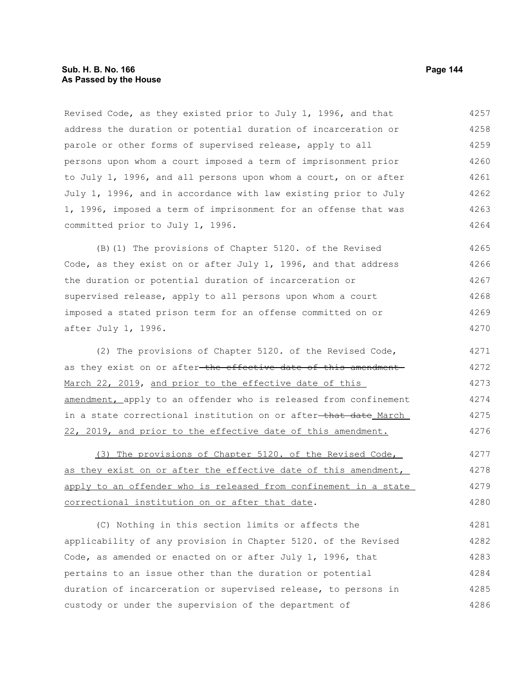Revised Code, as they existed prior to July 1, 1996, and that address the duration or potential duration of incarceration or parole or other forms of supervised release, apply to all persons upon whom a court imposed a term of imprisonment prior to July 1, 1996, and all persons upon whom a court, on or after July 1, 1996, and in accordance with law existing prior to July 1, 1996, imposed a term of imprisonment for an offense that was committed prior to July 1, 1996. 4257 4258 4259 4260 4261 4262 4263 4264

(B)(1) The provisions of Chapter 5120. of the Revised Code, as they exist on or after July 1, 1996, and that address the duration or potential duration of incarceration or supervised release, apply to all persons upon whom a court imposed a stated prison term for an offense committed on or after July 1, 1996. 4265 4266 4267 4268 4269 4270

(2) The provisions of Chapter 5120. of the Revised Code, as they exist on or after-the effective date of this amendment-March 22, 2019, and prior to the effective date of this amendment, apply to an offender who is released from confinement in a state correctional institution on or after-that date March 22, 2019, and prior to the effective date of this amendment. 4271 4272 4273 4274 4275 4276

(3) The provisions of Chapter 5120. of the Revised Code, as they exist on or after the effective date of this amendment, apply to an offender who is released from confinement in a state correctional institution on or after that date. 4277 4278 4279 4280

(C) Nothing in this section limits or affects the applicability of any provision in Chapter 5120. of the Revised Code, as amended or enacted on or after July 1, 1996, that pertains to an issue other than the duration or potential duration of incarceration or supervised release, to persons in custody or under the supervision of the department of 4281 4282 4283 4284 4285 4286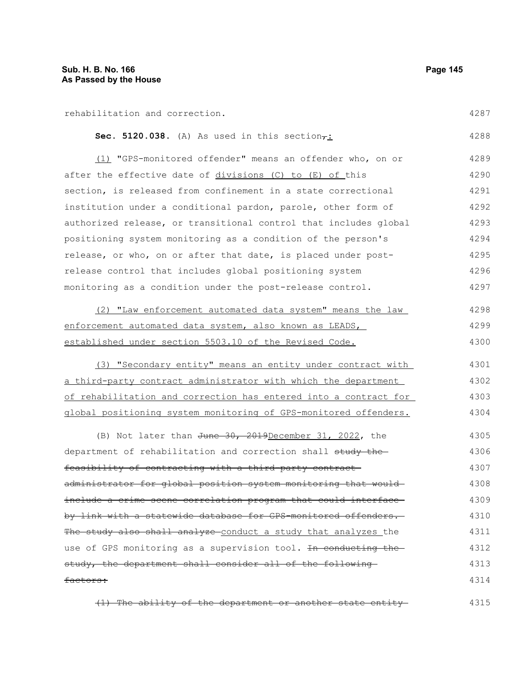| rehabilitation and correction.                                   | 4287 |
|------------------------------------------------------------------|------|
| Sec. 5120.038. (A) As used in this section $\tau$ :              | 4288 |
| (1) "GPS-monitored offender" means an offender who, on or        | 4289 |
| after the effective date of divisions (C) to (E) of this         | 4290 |
| section, is released from confinement in a state correctional    | 4291 |
| institution under a conditional pardon, parole, other form of    | 4292 |
| authorized release, or transitional control that includes global | 4293 |
| positioning system monitoring as a condition of the person's     | 4294 |
| release, or who, on or after that date, is placed under post-    | 4295 |
| release control that includes global positioning system          | 4296 |
| monitoring as a condition under the post-release control.        | 4297 |
| (2) "Law enforcement automated data system" means the law        | 4298 |
| enforcement automated data system, also known as LEADS,          | 4299 |
| established under section 5503.10 of the Revised Code.           | 4300 |
| (3) "Secondary entity" means an entity under contract with       | 4301 |
| a third-party contract administrator with which the department   | 4302 |
| of rehabilitation and correction has entered into a contract for | 4303 |
| global positioning system monitoring of GPS-monitored offenders. | 4304 |
| (B) Not later than June 30, 2019December 31, 2022, the           | 4305 |
| department of rehabilitation and correction shall study the      | 4306 |
| feasibility of contracting with a third-party contract-          | 4307 |
| administrator for global position system monitoring that would-  | 4308 |
| include a crime scene correlation program that could interface   | 4309 |
| by link with a statewide database for GPS-monitored offenders.   | 4310 |
| The study also shall analyze conduct a study that analyzes the   | 4311 |
| use of GPS monitoring as a supervision tool. In conducting the   | 4312 |
| study, the department shall consider all of the following        | 4313 |
| <del>factors:</del>                                              | 4314 |

(1) The ability of the department or another state entity 4315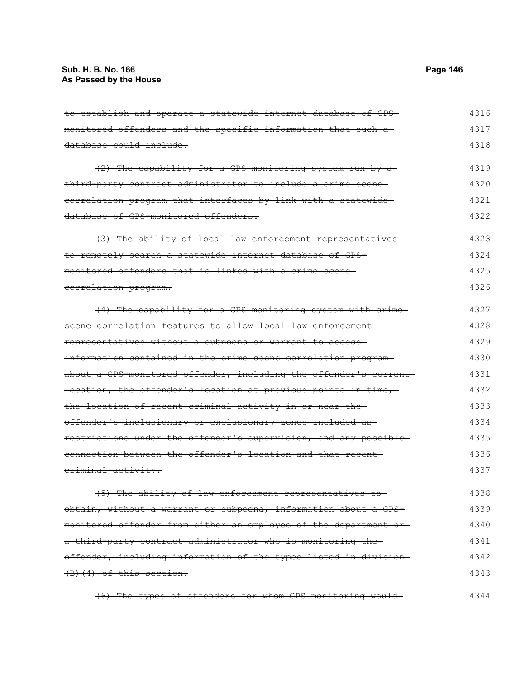| to establish and operate a statewide internet database of GPS-           | 4316 |
|--------------------------------------------------------------------------|------|
| monitored offenders and the specific information that such a             | 4317 |
| database could include.                                                  | 4318 |
| $(2)$ The capability for a GPS monitoring system run by a                | 4319 |
| third-party contract administrator to include a crime scene-             | 4320 |
| correlation program that interfaces by link with a statewide-            | 4321 |
| database of GPS-monitored offenders.                                     | 4322 |
| (3) The ability of local law enforcement representatives                 | 4323 |
| to remotely search a statewide internet database of GPS-                 | 4324 |
| monitored offenders that is linked with a crime scene-                   | 4325 |
| correlation program.                                                     | 4326 |
| (4) The capability for a GPS monitoring system with crime                | 4327 |
| scene correlation features to allow local law enforcement-               | 4328 |
| representatives without a subpoena or warrant to access-                 | 4329 |
| information contained in the crime scene correlation program-            | 4330 |
| about a GPS-monitored offender, including the offender's current-        | 4331 |
| <del>location, the offender's location at previous points in time,</del> | 4332 |
| the location of recent criminal activity in or near the                  | 4333 |
| offender's inclusionary or exclusionary zones included as-               | 4334 |
| restrictions under the offender's supervision, and any possible-         | 4335 |
| connection between the offender's location and that recent-              | 4336 |
| eriminal activity.                                                       | 4337 |
| $   -$<br>(5) The ability of law enforcement representatives to          | 4338 |
| obtain, without a warrant or subpoena, information about a GPS-          | 4339 |
| monitored offender from either an employee of the department or-         | 4340 |
| a third-party contract administrator who is monitoring the-              | 4341 |
| offender, including information of the types listed in division-         | 4342 |
| $(B)$ $(4)$ of this section.                                             | 4343 |
| (6) The types of offenders for whom GPS monitoring would-                | 4344 |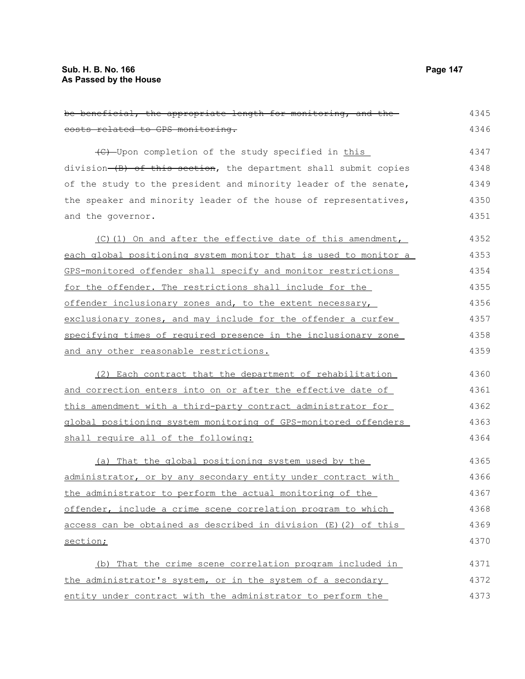| be beneficial, the appropriate length for monitoring, and the         | 4345 |
|-----------------------------------------------------------------------|------|
| costs related to GPS monitoring.                                      | 4346 |
| (C) Upon completion of the study specified in this                    | 4347 |
| division (B) of this section, the department shall submit copies      | 4348 |
| of the study to the president and minority leader of the senate,      | 4349 |
| the speaker and minority leader of the house of representatives,      | 4350 |
| and the governor.                                                     | 4351 |
| (C)(1) On and after the effective date of this amendment,             | 4352 |
| each global positioning system monitor that is used to monitor a      | 4353 |
| GPS-monitored offender shall specify and monitor restrictions         | 4354 |
| for the offender. The restrictions shall include for the              | 4355 |
| offender inclusionary zones and, to the extent necessary,             | 4356 |
| exclusionary zones, and may include for the offender a curfew         | 4357 |
| specifying times of required presence in the inclusionary zone        | 4358 |
| and any other reasonable restrictions.                                | 4359 |
| (2) Each contract that the department of rehabilitation               | 4360 |
| and correction enters into on or after the effective date of          | 4361 |
| this amendment with a third-party contract administrator for          | 4362 |
| global positioning system monitoring of GPS-monitored offenders       | 4363 |
| shall require all of the following:                                   | 4364 |
| (a) That the global positioning system used by the                    | 4365 |
| administrator, or by any secondary entity under contract with         | 4366 |
| the administrator to perform the actual monitoring of the             | 4367 |
| offender, include a crime scene correlation program to which          | 4368 |
| <u>access can be obtained as described in division (E)(2) of this</u> | 4369 |
| section;                                                              | 4370 |
| (b) That the crime scene correlation program included in              | 4371 |
| the administrator's system, or in the system of a secondary           | 4372 |
| entity under contract with the administrator to perform the           | 4373 |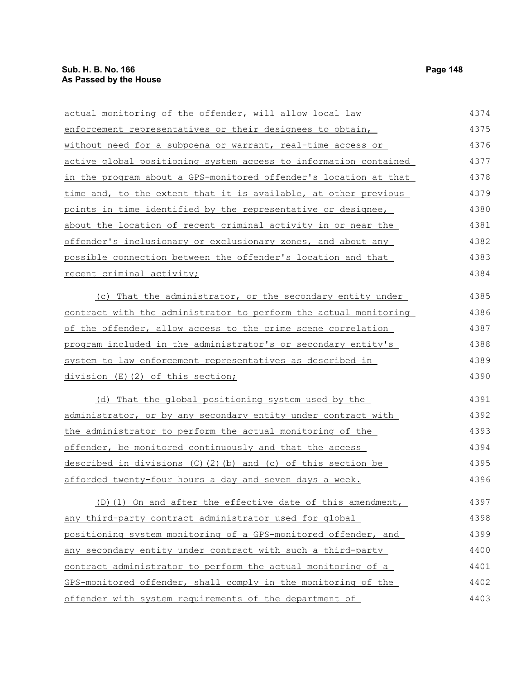actual monitoring of the offender, will allow local law enforcement representatives or their designees to obtain, without need for a subpoena or warrant, real-time access or active global positioning system access to information contained in the program about a GPS-monitored offender's location at that time and, to the extent that it is available, at other previous points in time identified by the representative or designee, about the location of recent criminal activity in or near the offender's inclusionary or exclusionary zones, and about any possible connection between the offender's location and that recent criminal activity; (c) That the administrator, or the secondary entity under contract with the administrator to perform the actual monitoring of the offender, allow access to the crime scene correlation program included in the administrator's or secondary entity's system to law enforcement representatives as described in division (E)(2) of this section; (d) That the global positioning system used by the administrator, or by any secondary entity under contract with the administrator to perform the actual monitoring of the offender, be monitored continuously and that the access described in divisions  $(C)(2)(b)$  and  $(c)$  of this section be afforded twenty-four hours a day and seven days a week. (D)(1) On and after the effective date of this amendment, any third-party contract administrator used for global 4374 4375 4376 4377 4378 4379 4380 4381 4382 4383 4384 4385 4386 4387 4388 4389 4390 4391 4392 4393 4394 4395 4396 4397 4398

positioning system monitoring of a GPS-monitored offender, and

any secondary entity under contract with such a third-party contract administrator to perform the actual monitoring of a GPS-monitored offender, shall comply in the monitoring of the

offender with system requirements of the department of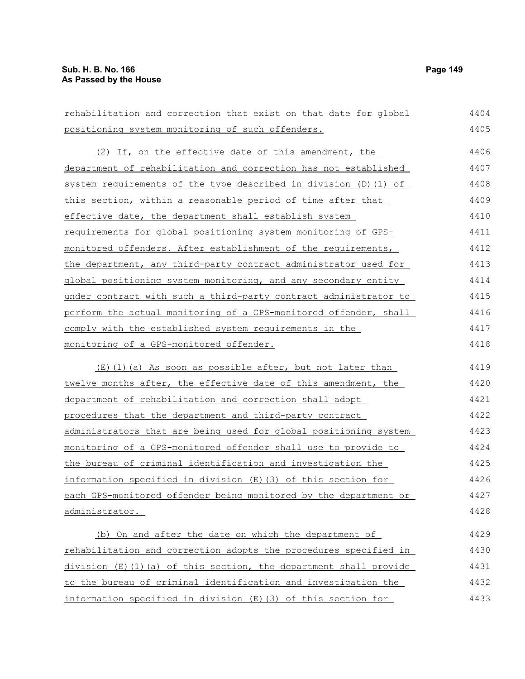| rehabilitation and correction that exist on that date for global | 4404 |
|------------------------------------------------------------------|------|
| positioning system monitoring of such offenders.                 | 4405 |
| (2) If, on the effective date of this amendment, the             | 4406 |
| department of rehabilitation and correction has not established  | 4407 |
| system requirements of the type described in division (D) (1) of | 4408 |
| this section, within a reasonable period of time after that      | 4409 |
| effective date, the department shall establish system            | 4410 |
| requirements for global positioning system monitoring of GPS-    | 4411 |
| monitored offenders. After establishment of the requirements,    | 4412 |
| the department, any third-party contract administrator used for  | 4413 |
| global positioning system monitoring, and any secondary entity   | 4414 |
| under contract with such a third-party contract administrator to | 4415 |
| perform the actual monitoring of a GPS-monitored offender, shall | 4416 |
| comply with the established system requirements in the           | 4417 |
| monitoring of a GPS-monitored offender.                          | 4418 |
| (E)(1)(a) As soon as possible after, but not later than          | 4419 |
| twelve months after, the effective date of this amendment, the   | 4420 |
| department of rehabilitation and correction shall adopt          | 4421 |
| procedures that the department and third-party contract          | 4422 |
| administrators that are being used for global positioning system | 4423 |
| monitoring of a GPS-monitored offender shall use to provide to   | 4424 |
| the bureau of criminal identification and investigation the      | 4425 |
| information specified in division (E)(3) of this section for     | 4426 |
| each GPS-monitored offender being monitored by the department or | 4427 |
| administrator.                                                   | 4428 |
| (b) On and after the date on which the department of             | 4429 |
| rehabilitation and correction adopts the procedures specified in | 4430 |
| division (E)(1)(a) of this section, the department shall provide | 4431 |
| to the bureau of criminal identification and investigation the   | 4432 |
| information specified in division (E) (3) of this section for    | 4433 |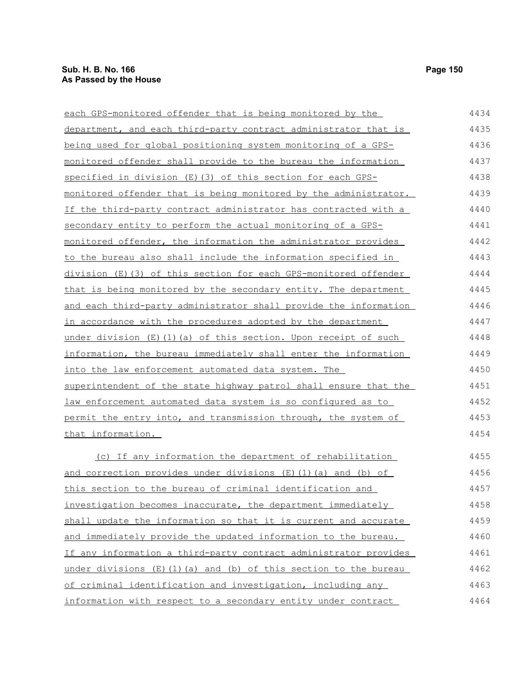| each GPS-monitored offender that is being monitored by the              | 4434 |
|-------------------------------------------------------------------------|------|
| department, and each third-party contract administrator that is         | 4435 |
| being used for global positioning system monitoring of a GPS-           | 4436 |
| monitored offender shall provide to the bureau the information          | 4437 |
| specified in division (E) (3) of this section for each GPS-             | 4438 |
| <u>monitored offender that is being monitored by the administrator.</u> | 4439 |
| If the third-party contract administrator has contracted with a         | 4440 |
| secondary entity to perform the actual monitoring of a GPS-             | 4441 |
| monitored offender, the information the administrator provides          | 4442 |
| to the bureau also shall include the information specified in           | 4443 |
| division (E)(3) of this section for each GPS-monitored offender         | 4444 |
| that is being monitored by the secondary entity. The department         | 4445 |
| and each third-party administrator shall provide the information        | 4446 |
| in accordance with the procedures adopted by the department             | 4447 |
| under division (E) (1) (a) of this section. Upon receipt of such        | 4448 |
| information, the bureau immediately shall enter the information         | 4449 |
| into the law enforcement automated data system. The                     | 4450 |
| superintendent of the state highway patrol shall ensure that the        | 4451 |
| law enforcement automated data system is so configured as to            | 4452 |
| permit the entry into, and transmission through, the system of          | 4453 |
| that information.                                                       | 4454 |
| (c) If any information the department of rehabilitation                 | 4455 |
| and correction provides under divisions $(E)$ (1) (a) and (b) of        | 4456 |
| this section to the bureau of criminal identification and               | 4457 |
| investigation becomes inaccurate, the department immediately            | 4458 |
| shall update the information so that it is current and accurate         | 4459 |
| and immediately provide the updated information to the bureau.          | 4460 |
| If any information a third-party contract administrator provides        | 4461 |
| under divisions $(E)$ (1) (a) and (b) of this section to the bureau     | 4462 |
| of criminal identification and investigation, including any             | 4463 |
| information with respect to a secondary entity under contract           | 4464 |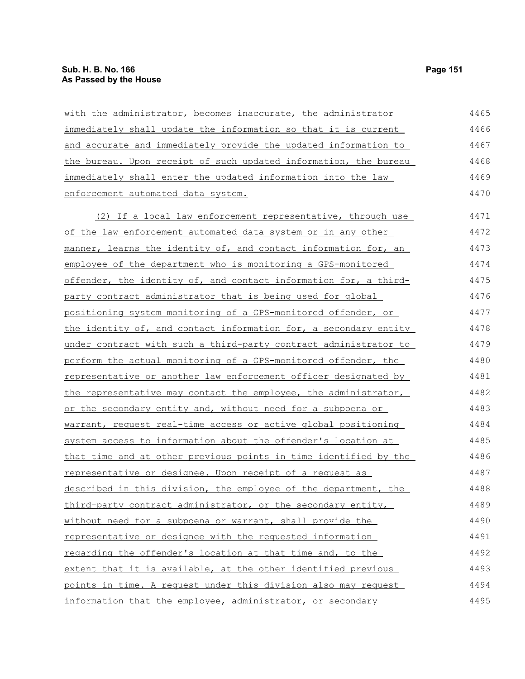| with the administrator, becomes inaccurate, the administrator            | 4465 |
|--------------------------------------------------------------------------|------|
| immediately shall update the information so that it is current           | 4466 |
| and accurate and immediately provide the updated information to          | 4467 |
| the bureau. Upon receipt of such updated information, the bureau         | 4468 |
| immediately shall enter the updated information into the law             | 4469 |
| <u>enforcement automated data system.</u>                                | 4470 |
| (2) If a local law enforcement representative, through use               | 4471 |
| of the law enforcement automated data system or in any other             | 4472 |
| manner, learns the identity of, and contact information for, an          | 4473 |
| employee of the department who is monitoring a GPS-monitored             | 4474 |
| offender, the identity of, and contact information for, a third-         | 4475 |
| party contract administrator that is being used for global               | 4476 |
| positioning system monitoring of a GPS-monitored offender, or            | 4477 |
| the identity of, and contact information for, a secondary entity         | 4478 |
| <u>under contract with such a third-party contract administrator to </u> | 4479 |
| perform the actual monitoring of a GPS-monitored offender, the           | 4480 |
| representative or another law enforcement officer designated by          | 4481 |
| the representative may contact the employee, the administrator,          | 4482 |
| <u>or the secondary entity and, without need for a subpoena or </u>      | 4483 |
| <u>warrant, request real-time access or active global positioning</u>    | 4484 |
| <u>system access to information about the offender's location at</u>     | 4485 |
| that time and at other previous points in time identified by the         | 4486 |
| <u>representative or designee. Upon receipt of a request as </u>         | 4487 |
| described in this division, the employee of the department, the          | 4488 |
| third-party contract administrator, or the secondary entity,             | 4489 |
| without need for a subpoena or warrant, shall provide the                | 4490 |
| representative or designee with the requested information                | 4491 |
| regarding the offender's location at that time and, to the               | 4492 |
| extent that it is available, at the other identified previous            | 4493 |
| points in time. A request under this division also may request           | 4494 |
|                                                                          |      |

information that the employee, administrator, or secondary

4495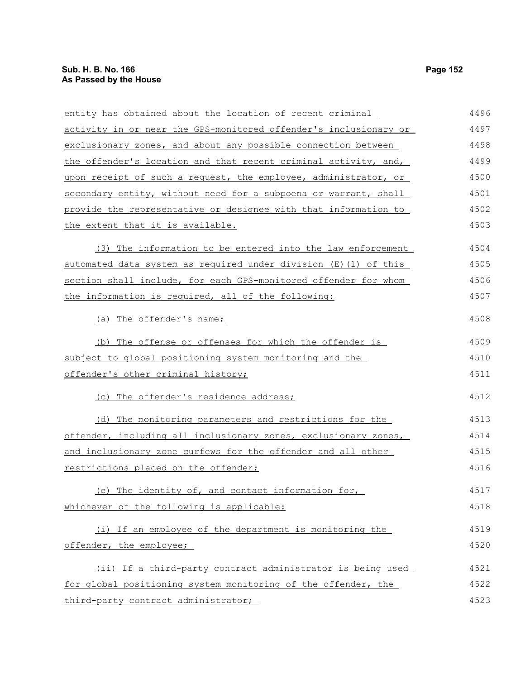entity has obtained about the location of recent criminal activity in or near the GPS-monitored offender's inclusionary or exclusionary zones, and about any possible connection between the offender's location and that recent criminal activity, and, upon receipt of such a request, the employee, administrator, or secondary entity, without need for a subpoena or warrant, shall provide the representative or designee with that information to the extent that it is available. (3) The information to be entered into the law enforcement automated data system as required under division (E)(1) of this section shall include, for each GPS-monitored offender for whom the information is required, all of the following: (a) The offender's name; (b) The offense or offenses for which the offender is subject to global positioning system monitoring and the offender's other criminal history; (c) The offender's residence address; (d) The monitoring parameters and restrictions for the offender, including all inclusionary zones, exclusionary zones, and inclusionary zone curfews for the offender and all other restrictions placed on the offender; (e) The identity of, and contact information for, whichever of the following is applicable: (i) If an employee of the department is monitoring the offender, the employee; (ii) If a third-party contract administrator is being used for global positioning system monitoring of the offender, the third-party contract administrator; 4496 4497 4498 4499 4500 4501 4502 4503 4504 4505 4506 4507 4508 4509 4510 4511 4512 4513 4514 4515 4516 4517 4518 4519 4520 4521 4522 4523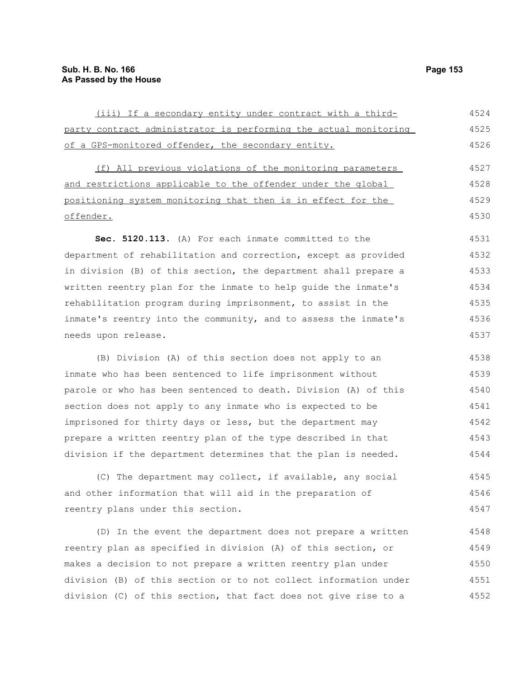(iii) If a secondary entity under contract with a thirdparty contract administrator is performing the actual monitoring of a GPS-monitored offender, the secondary entity. (f) All previous violations of the monitoring parameters and restrictions applicable to the offender under the global positioning system monitoring that then is in effect for the offender. **Sec. 5120.113.** (A) For each inmate committed to the department of rehabilitation and correction, except as provided in division (B) of this section, the department shall prepare a written reentry plan for the inmate to help guide the inmate's 4524 4525 4526 4527 4528 4529 4530 4531 4532 4533 4534

rehabilitation program during imprisonment, to assist in the inmate's reentry into the community, and to assess the inmate's needs upon release. 4535 4536 4537

(B) Division (A) of this section does not apply to an inmate who has been sentenced to life imprisonment without parole or who has been sentenced to death. Division (A) of this section does not apply to any inmate who is expected to be imprisoned for thirty days or less, but the department may prepare a written reentry plan of the type described in that division if the department determines that the plan is needed. 4538 4539 4540 4541 4542 4543 4544

(C) The department may collect, if available, any social and other information that will aid in the preparation of reentry plans under this section. 4545 4546 4547

(D) In the event the department does not prepare a written reentry plan as specified in division (A) of this section, or makes a decision to not prepare a written reentry plan under division (B) of this section or to not collect information under division (C) of this section, that fact does not give rise to a 4548 4549 4550 4551 4552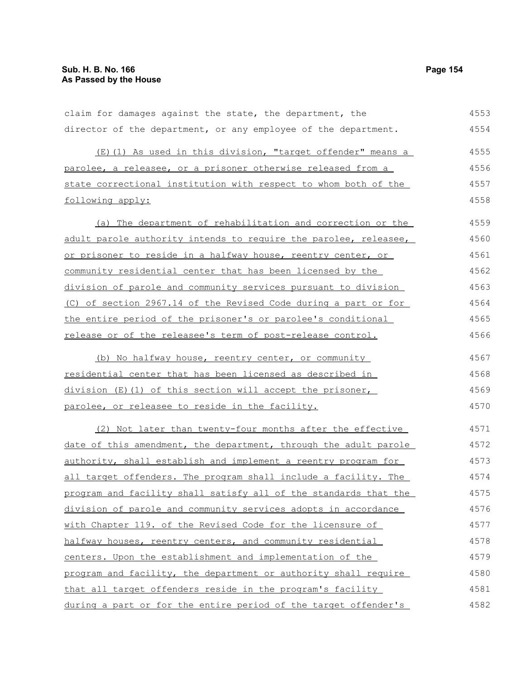| claim for damages against the state, the department, the         | 4553 |
|------------------------------------------------------------------|------|
| director of the department, or any employee of the department.   | 4554 |
| (E)(1) As used in this division, "target offender" means a       | 4555 |
| parolee, a releasee, or a prisoner otherwise released from a     | 4556 |
| state correctional institution with respect to whom both of the  | 4557 |
| following apply:                                                 | 4558 |
| (a) The department of rehabilitation and correction or the       | 4559 |
| adult parole authority intends to require the parolee, releasee, | 4560 |
| or prisoner to reside in a halfway house, reentry center, or     | 4561 |
| community residential center that has been licensed by the       | 4562 |
| division of parole and community services pursuant to division   | 4563 |
| (C) of section 2967.14 of the Revised Code during a part or for  | 4564 |
| the entire period of the prisoner's or parolee's conditional     | 4565 |
| release or of the releasee's term of post-release control.       | 4566 |
| (b) No halfway house, reentry center, or community               | 4567 |
| residential center that has been licensed as described in        | 4568 |
| division (E)(1) of this section will accept the prisoner,        | 4569 |
| parolee, or releasee to reside in the facility.                  | 4570 |
| (2) Not later than twenty-four months after the effective        | 4571 |
| date of this amendment, the department, through the adult parole | 4572 |
| authority, shall establish and implement a reentry program for   | 4573 |
| all target offenders. The program shall include a facility. The  | 4574 |
| program and facility shall satisfy all of the standards that the | 4575 |
| division of parole and community services adopts in accordance   | 4576 |
| with Chapter 119. of the Revised Code for the licensure of       | 4577 |
| halfway houses, reentry centers, and community residential       | 4578 |
| centers. Upon the establishment and implementation of the        | 4579 |
| program and facility, the department or authority shall require  | 4580 |
| that all target offenders reside in the program's facility       | 4581 |
| during a part or for the entire period of the target offender's  | 4582 |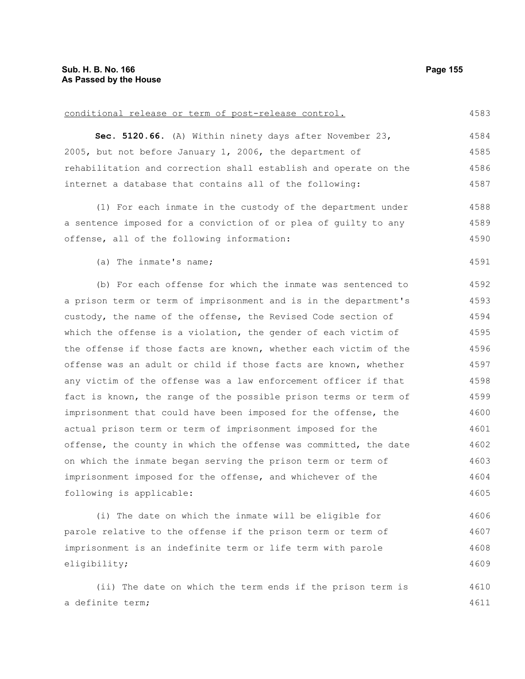## conditional release or term of post-release control. **Sec. 5120.66.** (A) Within ninety days after November 23, 2005, but not before January 1, 2006, the department of rehabilitation and correction shall establish and operate on the internet a database that contains all of the following: (1) For each inmate in the custody of the department under a sentence imposed for a conviction of or plea of guilty to any offense, all of the following information: (a) The inmate's name; (b) For each offense for which the inmate was sentenced to a prison term or term of imprisonment and is in the department's custody, the name of the offense, the Revised Code section of which the offense is a violation, the gender of each victim of the offense if those facts are known, whether each victim of the offense was an adult or child if those facts are known, whether any victim of the offense was a law enforcement officer if that fact is known, the range of the possible prison terms or term of imprisonment that could have been imposed for the offense, the actual prison term or term of imprisonment imposed for the 4583 4584 4585 4586 4587 4588 4589 4590 4591 4592 4593 4594 4595 4596 4597 4598 4599 4600 4601

offense, the county in which the offense was committed, the date on which the inmate began serving the prison term or term of imprisonment imposed for the offense, and whichever of the following is applicable: 4602 4603 4604 4605

(i) The date on which the inmate will be eligible for parole relative to the offense if the prison term or term of imprisonment is an indefinite term or life term with parole eligibility; 4606 4607 4608 4609

(ii) The date on which the term ends if the prison term is a definite term; 4610 4611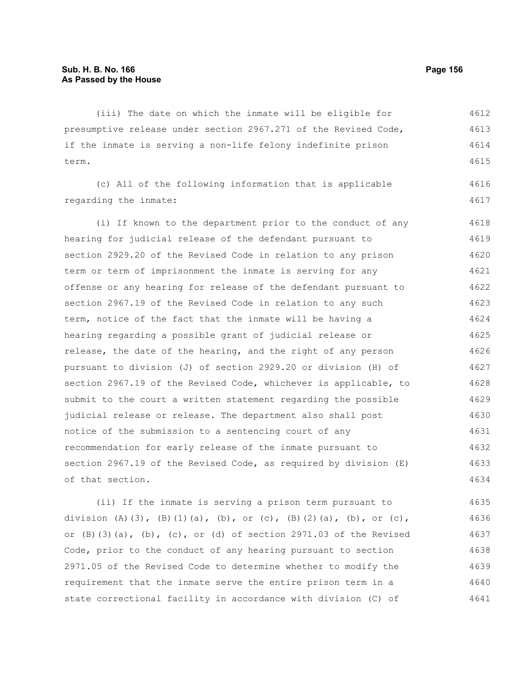(iii) The date on which the inmate will be eligible for presumptive release under section 2967.271 of the Revised Code, if the inmate is serving a non-life felony indefinite prison term. 4612 4613 4614 4615

(c) All of the following information that is applicable regarding the inmate: 4616 4617

(i) If known to the department prior to the conduct of any hearing for judicial release of the defendant pursuant to section 2929.20 of the Revised Code in relation to any prison term or term of imprisonment the inmate is serving for any offense or any hearing for release of the defendant pursuant to section 2967.19 of the Revised Code in relation to any such term, notice of the fact that the inmate will be having a hearing regarding a possible grant of judicial release or release, the date of the hearing, and the right of any person pursuant to division (J) of section 2929.20 or division (H) of section 2967.19 of the Revised Code, whichever is applicable, to submit to the court a written statement regarding the possible judicial release or release. The department also shall post notice of the submission to a sentencing court of any recommendation for early release of the inmate pursuant to section 2967.19 of the Revised Code, as required by division (E) of that section. 4618 4619 4620 4621 4622 4623 4624 4625 4626 4627 4628 4629 4630 4631 4632 4633 4634

(ii) If the inmate is serving a prison term pursuant to division (A)(3), (B)(1)(a), (b), or (c), (B)(2)(a), (b), or (c), or  $(B)(3)(a)$ ,  $(b)$ ,  $(c)$ , or  $(d)$  of section 2971.03 of the Revised Code, prior to the conduct of any hearing pursuant to section 2971.05 of the Revised Code to determine whether to modify the requirement that the inmate serve the entire prison term in a state correctional facility in accordance with division (C) of 4635 4636 4637 4638 4639 4640 4641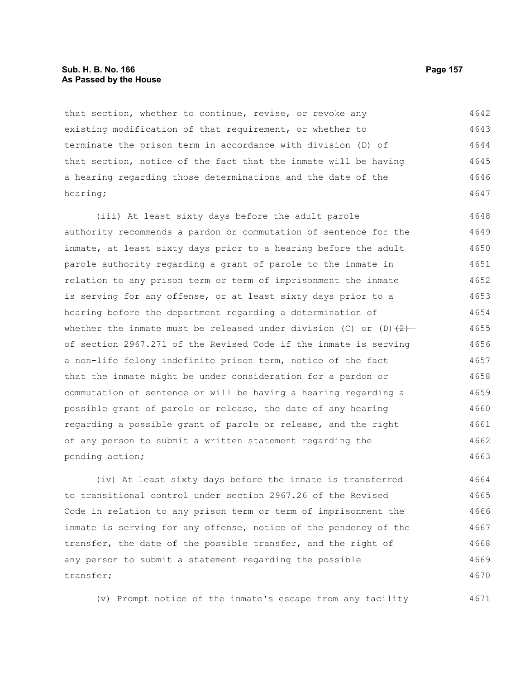## **Sub. H. B. No. 166 Page 157** Page 157 **As Passed by the House**

that section, whether to continue, revise, or revoke any existing modification of that requirement, or whether to terminate the prison term in accordance with division (D) of that section, notice of the fact that the inmate will be having a hearing regarding those determinations and the date of the hearing; 4642 4643 4644 4645 4646 4647

(iii) At least sixty days before the adult parole authority recommends a pardon or commutation of sentence for the inmate, at least sixty days prior to a hearing before the adult parole authority regarding a grant of parole to the inmate in relation to any prison term or term of imprisonment the inmate is serving for any offense, or at least sixty days prior to a hearing before the department regarding a determination of whether the inmate must be released under division (C) or (D) $(2)$ of section 2967.271 of the Revised Code if the inmate is serving a non-life felony indefinite prison term, notice of the fact that the inmate might be under consideration for a pardon or commutation of sentence or will be having a hearing regarding a possible grant of parole or release, the date of any hearing regarding a possible grant of parole or release, and the right of any person to submit a written statement regarding the pending action; 4648 4649 4650 4651 4652 4653 4654 4655 4656 4657 4658 4659 4660 4661 4662 4663

(iv) At least sixty days before the inmate is transferred to transitional control under section 2967.26 of the Revised Code in relation to any prison term or term of imprisonment the inmate is serving for any offense, notice of the pendency of the transfer, the date of the possible transfer, and the right of any person to submit a statement regarding the possible transfer; 4664 4665 4666 4667 4668 4669 4670

(v) Prompt notice of the inmate's escape from any facility 4671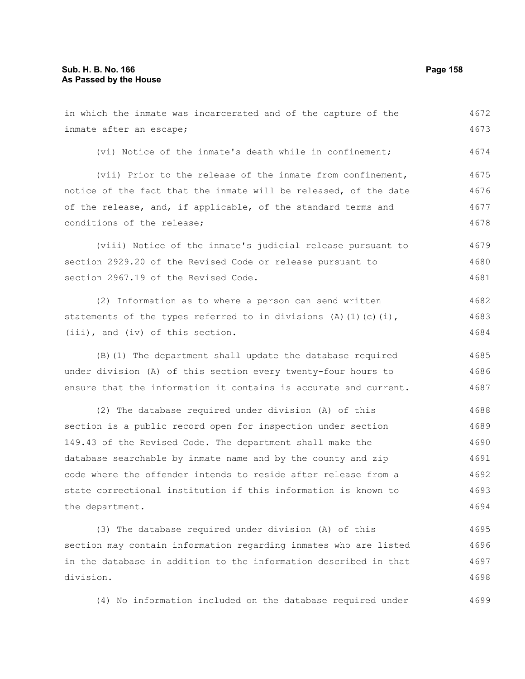| in which the inmate was incarcerated and of the capture of the<br>inmate after an escape; | 4672<br>4673 |
|-------------------------------------------------------------------------------------------|--------------|
| (vi) Notice of the inmate's death while in confinement;                                   | 4674         |
| (vii) Prior to the release of the inmate from confinement,                                | 4675         |
| notice of the fact that the inmate will be released, of the date                          | 4676         |
| of the release, and, if applicable, of the standard terms and                             | 4677         |
| conditions of the release;                                                                | 4678         |
| (viii) Notice of the inmate's judicial release pursuant to                                | 4679         |
| section 2929.20 of the Revised Code or release pursuant to                                | 4680         |
| section 2967.19 of the Revised Code.                                                      | 4681         |
| (2) Information as to where a person can send written                                     | 4682         |
| statements of the types referred to in divisions (A) (1) (c) (i),                         | 4683         |
| (iii), and (iv) of this section.                                                          | 4684         |
| (B) (1) The department shall update the database required                                 | 4685         |
| under division (A) of this section every twenty-four hours to                             | 4686         |
| ensure that the information it contains is accurate and current.                          | 4687         |
| (2) The database required under division (A) of this                                      | 4688         |
| section is a public record open for inspection under section                              | 4689         |
| 149.43 of the Revised Code. The department shall make the                                 | 4690         |
| database searchable by inmate name and by the county and zip                              | 4691         |
| code where the offender intends to reside after release from a                            | 4692         |
| state correctional institution if this information is known to                            | 4693         |
| the department.                                                                           | 4694         |
| (3) The database required under division (A) of this                                      | 4695         |
| section may contain information regarding inmates who are listed                          | 4696         |
| in the database in addition to the information described in that                          | 4697         |
| division.                                                                                 | 4698         |
| (4) No information included on the database required under                                | 4699         |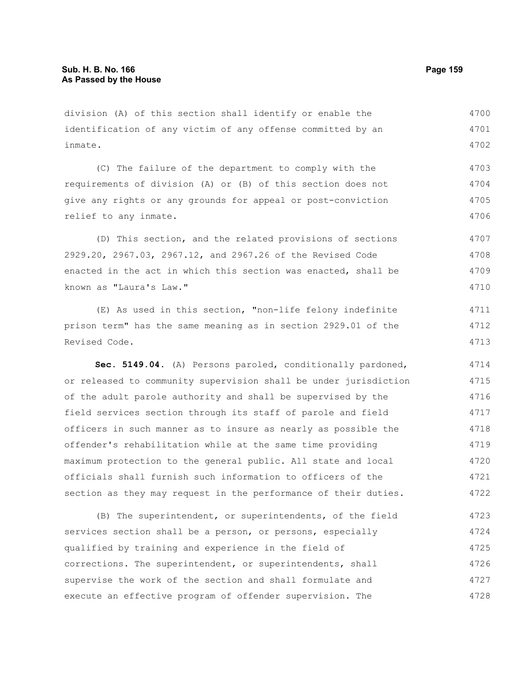division (A) of this section shall identify or enable the

execute an effective program of offender supervision. The

identification of any victim of any offense committed by an

4700 4701

4728

## inmate. (C) The failure of the department to comply with the requirements of division (A) or (B) of this section does not give any rights or any grounds for appeal or post-conviction relief to any inmate. (D) This section, and the related provisions of sections 2929.20, 2967.03, 2967.12, and 2967.26 of the Revised Code enacted in the act in which this section was enacted, shall be known as "Laura's Law." (E) As used in this section, "non-life felony indefinite prison term" has the same meaning as in section 2929.01 of the Revised Code. **Sec. 5149.04.** (A) Persons paroled, conditionally pardoned, or released to community supervision shall be under jurisdiction of the adult parole authority and shall be supervised by the field services section through its staff of parole and field officers in such manner as to insure as nearly as possible the offender's rehabilitation while at the same time providing maximum protection to the general public. All state and local officials shall furnish such information to officers of the section as they may request in the performance of their duties. (B) The superintendent, or superintendents, of the field services section shall be a person, or persons, especially qualified by training and experience in the field of corrections. The superintendent, or superintendents, shall supervise the work of the section and shall formulate and 4702 4703 4704 4705 4706 4707 4708 4709 4710 4711 4712 4713 4714 4715 4716 4717 4718 4719 4720 4721 4722 4723 4724 4725 4726 4727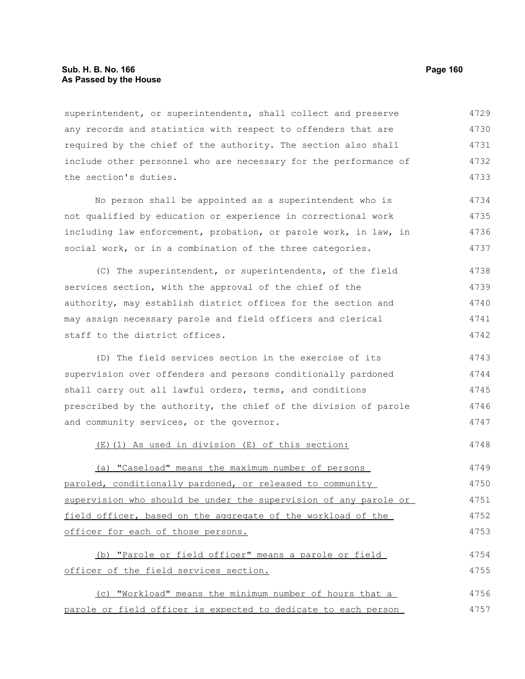## **Sub. H. B. No. 166 Page 160 As Passed by the House**

superintendent, or superintendents, shall collect and preserve any records and statistics with respect to offenders that are required by the chief of the authority. The section also shall include other personnel who are necessary for the performance of the section's duties. 4729 4730 4731 4732 4733

No person shall be appointed as a superintendent who is not qualified by education or experience in correctional work including law enforcement, probation, or parole work, in law, in social work, or in a combination of the three categories. 4734 4735 4736 4737

(C) The superintendent, or superintendents, of the field services section, with the approval of the chief of the authority, may establish district offices for the section and may assign necessary parole and field officers and clerical staff to the district offices. 4738 4739 4740 4741 4742

(D) The field services section in the exercise of its supervision over offenders and persons conditionally pardoned shall carry out all lawful orders, terms, and conditions prescribed by the authority, the chief of the division of parole and community services, or the governor. 4743 4744 4745 4746 4747

(E)(1) As used in division (E) of this section: 4748

(a) "Caseload" means the maximum number of persons paroled, conditionally pardoned, or released to community supervision who should be under the supervision of any parole or field officer, based on the aggregate of the workload of the officer for each of those persons. 4749 4750 4751 4752 4753

(b) "Parole or field officer" means a parole or field officer of the field services section. 4754 4755

(c) "Workload" means the minimum number of hours that a parole or field officer is expected to dedicate to each person 4756 4757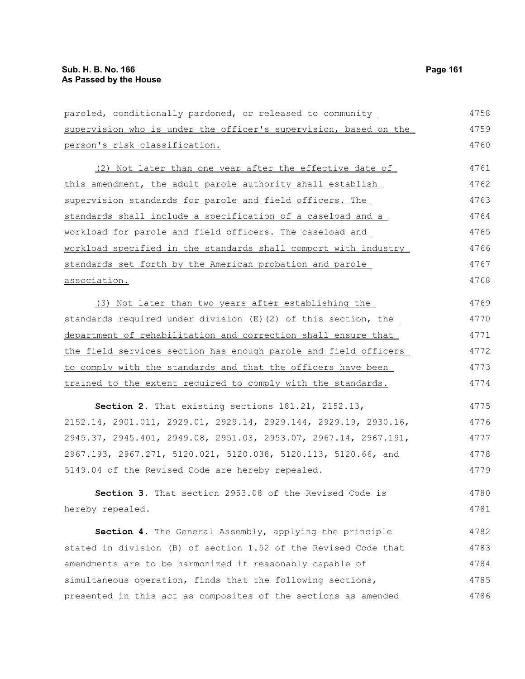| paroled, conditionally pardoned, or released to community        | 4758 |
|------------------------------------------------------------------|------|
| supervision who is under the officer's supervision, based on the | 4759 |
| <u>person's risk classification.</u>                             | 4760 |
| (2) Not later than one year after the effective date of          | 4761 |
| this amendment, the adult parole authority shall establish       | 4762 |
| supervision standards for parole and field officers. The         | 4763 |
| standards shall include a specification of a caseload and a      | 4764 |
| workload for parole and field officers. The caseload and         | 4765 |
| workload specified in the standards shall comport with industry  | 4766 |
| standards set forth by the American probation and parole         | 4767 |
| association.                                                     | 4768 |
| (3) Not later than two years after establishing the              | 4769 |
| standards required under division (E) (2) of this section, the   | 4770 |
| department of rehabilitation and correction shall ensure that    | 4771 |
| the field services section has enough parole and field officers  | 4772 |
| to comply with the standards and that the officers have been     | 4773 |
| trained to the extent required to comply with the standards.     | 4774 |
| Section 2. That existing sections 181.21, 2152.13,               | 4775 |
| 2152.14, 2901.011, 2929.01, 2929.14, 2929.144, 2929.19, 2930.16, | 4776 |
| 2945.37, 2945.401, 2949.08, 2951.03, 2953.07, 2967.14, 2967.191, | 4777 |
| 2967.193, 2967.271, 5120.021, 5120.038, 5120.113, 5120.66, and   | 4778 |
| 5149.04 of the Revised Code are hereby repealed.                 | 4779 |
| Section 3. That section 2953.08 of the Revised Code is           | 4780 |
| hereby repealed.                                                 | 4781 |
| Section 4. The General Assembly, applying the principle          | 4782 |
| stated in division (B) of section 1.52 of the Revised Code that  | 4783 |
| amendments are to be harmonized if reasonably capable of         | 4784 |
| simultaneous operation, finds that the following sections,       | 4785 |
| presented in this act as composites of the sections as amended   | 4786 |